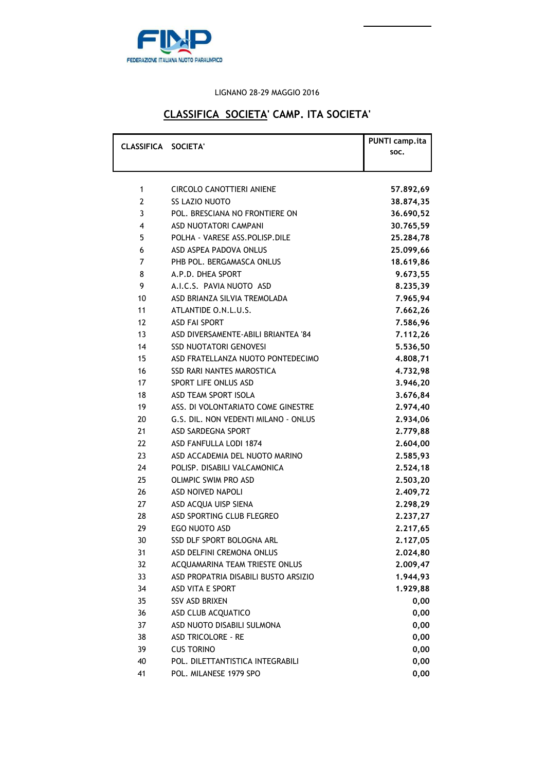

### LIGNANO 28-29 MAGGIO 2016

### **CLASSIFICA SOCIETA' CAMP. ITA SOCIETA'**

| CLASSIFICA SOCIETA' |                                      | PUNTI camp.ita<br>SOC. |
|---------------------|--------------------------------------|------------------------|
| 1                   | CIRCOLO CANOTTIERI ANIENE            | 57.892,69              |
| 2                   | SS LAZIO NUOTO                       | 38,874,35              |
| 3                   | POL. BRESCIANA NO FRONTIERE ON       | 36.690,52              |
| 4                   | ASD NUOTATORI CAMPANI                | 30.765,59              |
| 5                   | POLHA - VARESE ASS. POLISP. DILE     | 25.284,78              |
| 6                   | ASD ASPEA PADOVA ONLUS               | 25.099,66              |
| 7                   | PHB POL. BERGAMASCA ONLUS            | 18.619,86              |
| 8                   | A.P.D. DHEA SPORT                    | 9.673,55               |
| 9                   | A.I.C.S. PAVIA NUOTO ASD             | 8.235,39               |
| 10                  | ASD BRIANZA SILVIA TREMOLADA         | 7.965,94               |
| 11                  | ATLANTIDE O.N.L.U.S.                 | 7.662,26               |
| 12                  | ASD FAI SPORT                        | 7.586,96               |
| 13                  | ASD DIVERSAMENTE-ABILI BRIANTEA '84  | 7.112,26               |
| 14                  | <b>SSD NUOTATORI GENOVESI</b>        | 5.536,50               |
| 15                  | ASD FRATELLANZA NUOTO PONTEDECIMO    | 4.808,71               |
| 16                  | <b>SSD RARI NANTES MAROSTICA</b>     | 4.732,98               |
| 17                  | SPORT LIFE ONLUS ASD                 | 3.946,20               |
| 18                  | ASD TEAM SPORT ISOLA                 | 3.676,84               |
| 19                  | ASS. DI VOLONTARIATO COME GINESTRE   | 2.974,40               |
| 20                  | G.S. DIL. NON VEDENTI MILANO - ONLUS | 2.934,06               |
| 21                  | ASD SARDEGNA SPORT                   | 2.779,88               |
| 22                  | ASD FANFULLA LODI 1874               | 2.604,00               |
| 23                  | ASD ACCADEMIA DEL NUOTO MARINO       | 2.585,93               |
| 24                  | POLISP. DISABILI VALCAMONICA         | 2.524,18               |
| 25                  | <b>OLIMPIC SWIM PRO ASD</b>          | 2.503,20               |
| 26                  | <b>ASD NOIVED NAPOLI</b>             | 2.409,72               |
| 27                  | ASD ACQUA UISP SIENA                 | 2.298,29               |
| 28                  | ASD SPORTING CLUB FLEGREO            | 2.237,27               |
| 29                  | EGO NUOTO ASD                        | 2.217,65               |
| 30                  | <b>SSD DLF SPORT BOLOGNA ARL</b>     | 2.127,05               |
| 31                  | ASD DELFINI CREMONA ONLUS            | 2.024,80               |
| 32                  | ACQUAMARINA TEAM TRIESTE ONLUS       | 2.009,47               |
| 33                  | ASD PROPATRIA DISABILI BUSTO ARSIZIO | 1.944,93               |
| 34                  | ASD VITA E SPORT                     | 1.929,88               |
| 35                  | <b>SSV ASD BRIXEN</b>                | 0,00                   |
| 36                  | ASD CLUB ACQUATICO                   | 0,00                   |
| 37                  | ASD NUOTO DISABILI SULMONA           | 0,00                   |
| 38                  | ASD TRICOLORE - RE                   | 0,00                   |
| 39                  | <b>CUS TORINO</b>                    | 0,00                   |
| 40                  | POL. DILETTANTISTICA INTEGRABILI     | 0,00                   |
| 41                  | POL. MILANESE 1979 SPO               | 0,00                   |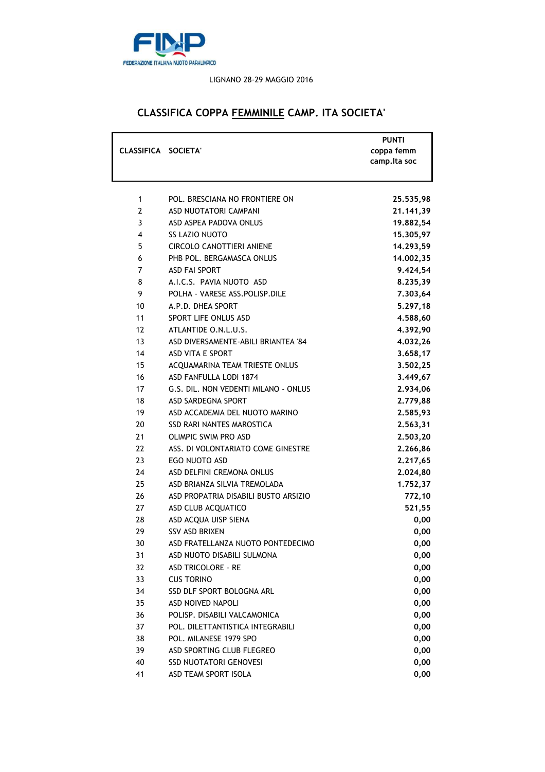

#### LIGNANO 28-29 MAGGIO 2016

## **CLASSIFICA COPPA FEMMINILE CAMP. ITA SOCIETA'**

| CLASSIFICA SOCIETA' |                                      | <b>PUNTI</b><br>coppa femm |
|---------------------|--------------------------------------|----------------------------|
|                     |                                      | camp.lta soc               |
|                     |                                      |                            |
| 1                   | POL. BRESCIANA NO FRONTIERE ON       |                            |
| $\overline{2}$      | ASD NUOTATORI CAMPANI                | 25.535,98                  |
| 3                   | ASD ASPEA PADOVA ONLUS               | 21.141,39                  |
| 4                   | <b>SS LAZIO NUOTO</b>                | 19.882,54                  |
| 5                   | <b>CIRCOLO CANOTTIERI ANIENE</b>     | 15.305,97<br>14.293,59     |
| 6                   | PHB POL. BERGAMASCA ONLUS            |                            |
| $\overline{7}$      | <b>ASD FAI SPORT</b>                 | 14.002,35                  |
| 8                   | A.I.C.S. PAVIA NUOTO ASD             | 9.424,54                   |
| 9                   | POLHA - VARESE ASS.POLISP.DILE       | 8.235,39                   |
| 10                  | A.P.D. DHEA SPORT                    | 7.303,64<br>5.297,18       |
| 11                  | SPORT LIFE ONLUS ASD                 | 4.588,60                   |
| 12                  | ATLANTIDE O.N.L.U.S.                 | 4.392,90                   |
| 13                  | ASD DIVERSAMENTE-ABILI BRIANTEA '84  | 4.032,26                   |
| 14                  | ASD VITA E SPORT                     | 3.658,17                   |
| 15                  | ACQUAMARINA TEAM TRIESTE ONLUS       | 3.502,25                   |
| 16                  | ASD FANFULLA LODI 1874               | 3.449,67                   |
| 17                  | G.S. DIL. NON VEDENTI MILANO - ONLUS | 2.934,06                   |
| 18                  | ASD SARDEGNA SPORT                   | 2.779,88                   |
| 19                  | ASD ACCADEMIA DEL NUOTO MARINO       | 2.585,93                   |
| 20                  | SSD RARI NANTES MAROSTICA            | 2.563,31                   |
| 21                  | <b>OLIMPIC SWIM PRO ASD</b>          | 2.503,20                   |
| 22                  | ASS. DI VOLONTARIATO COME GINESTRE   | 2.266,86                   |
| 23                  | EGO NUOTO ASD                        | 2.217,65                   |
| 24                  | ASD DELFINI CREMONA ONLUS            | 2.024,80                   |
| 25                  | ASD BRIANZA SILVIA TREMOLADA         | 1.752,37                   |
| 26                  | ASD PROPATRIA DISABILI BUSTO ARSIZIO | 772,10                     |
| 27                  | ASD CLUB ACQUATICO                   | 521,55                     |
| 28                  | ASD ACQUA UISP SIENA                 | 0,00                       |
| 29                  | <b>SSV ASD BRIXEN</b>                | 0,00                       |
| 30                  | ASD FRATELLANZA NUOTO PONTEDECIMO    | 0,00                       |
| 31                  | ASD NUOTO DISABILI SULMONA           | 0,00                       |
| 32                  | ASD TRICOLORE - RE                   | 0,00                       |
| 33                  | <b>CUS TORINO</b>                    | 0,00                       |
| 34                  | SSD DLF SPORT BOLOGNA ARL            | 0,00                       |
| 35                  | ASD NOIVED NAPOLI                    | 0,00                       |
| 36                  | POLISP. DISABILI VALCAMONICA         | 0,00                       |
| 37                  | POL. DILETTANTISTICA INTEGRABILI     | 0,00                       |
| 38                  | POL. MILANESE 1979 SPO               | 0,00                       |
| 39                  | ASD SPORTING CLUB FLEGREO            | 0,00                       |
| 40                  | <b>SSD NUOTATORI GENOVESI</b>        | 0,00                       |
| 41                  | ASD TEAM SPORT ISOLA                 | 0,00                       |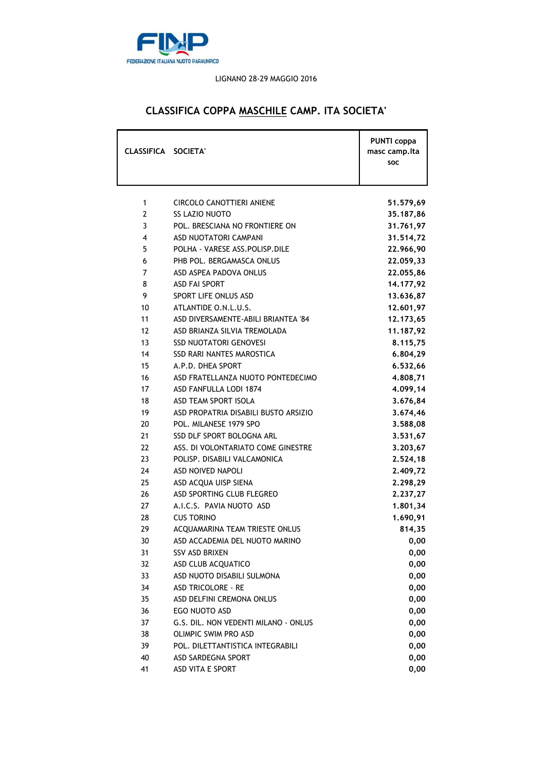

### LIGNANO 28-29 MAGGIO 2016

# **CLASSIFICA COPPA MASCHILE CAMP. ITA SOCIETA'**

| CLASSIFICA SOCIETA' |                                       | <b>PUNTI</b> coppa<br>masc camp.lta<br>SOC |
|---------------------|---------------------------------------|--------------------------------------------|
| 1                   | CIRCOLO CANOTTIERI ANIENE             | 51.579,69                                  |
| $\overline{2}$      | <b>SS LAZIO NUOTO</b>                 | 35.187,86                                  |
| 3                   | POL. BRESCIANA NO FRONTIERE ON        | 31.761,97                                  |
| 4                   | <b>ASD NUOTATORI CAMPANI</b>          | 31.514,72                                  |
| 5                   | POLHA - VARESE ASS.POLISP.DILE        | 22.966,90                                  |
| 6                   | PHB POL. BERGAMASCA ONLUS             | 22.059,33                                  |
| $\overline{7}$      | ASD ASPEA PADOVA ONLUS                | 22.055,86                                  |
| 8                   | <b>ASD FAI SPORT</b>                  | 14.177,92                                  |
| 9                   | SPORT LIFE ONLUS ASD                  | 13.636,87                                  |
| 10                  | ATLANTIDE O.N.L.U.S.                  | 12.601,97                                  |
| 11                  | ASD DIVERSAMENTE-ABILI BRIANTEA '84   | 12.173,65                                  |
| 12                  | ASD BRIANZA SILVIA TREMOLADA          | 11.187,92                                  |
| 13                  | <b>SSD NUOTATORI GENOVESI</b>         | 8.115,75                                   |
| 14                  | <b>SSD RARI NANTES MAROSTICA</b>      | 6.804,29                                   |
| 15                  | A.P.D. DHEA SPORT                     | 6.532,66                                   |
| 16                  | ASD FRATELLANZA NUOTO PONTEDECIMO     | 4.808,71                                   |
| 17                  | ASD FANFULLA LODI 1874                | 4.099,14                                   |
| 18                  | ASD TEAM SPORT ISOLA                  | 3.676,84                                   |
| 19                  | ASD PROPATRIA DISABILI BUSTO ARSIZIO  | 3.674,46                                   |
| 20                  | POL. MILANESE 1979 SPO                | 3.588,08                                   |
| 21                  | SSD DLF SPORT BOLOGNA ARL             | 3.531,67                                   |
| 22                  | ASS. DI VOLONTARIATO COME GINESTRE    | 3.203,67                                   |
| 23                  | POLISP. DISABILI VALCAMONICA          | 2.524,18                                   |
| 24                  | ASD NOIVED NAPOLI                     | 2.409,72                                   |
| 25                  | ASD ACQUA UISP SIENA                  | 2.298,29                                   |
| 26                  | ASD SPORTING CLUB FLEGREO             | 2.237,27                                   |
| 27                  | A.I.C.S. PAVIA NUOTO ASD              | 1.801,34                                   |
| 28                  | <b>CUS TORINO</b>                     | 1.690,91                                   |
| 29                  | <b>ACOUAMARINA TEAM TRIESTE ONLUS</b> | 814,35                                     |
| 30                  | ASD ACCADEMIA DEL NUOTO MARINO        | 0,00                                       |
| 31                  | SSV ASD BRIXEN                        | 0,00                                       |
| 32                  | ASD CLUB ACQUATICO                    | 0,00                                       |
| 33                  | ASD NUOTO DISABILI SULMONA            | 0,00                                       |
| 34                  | <b>ASD TRICOLORE - RE</b>             | 0,00                                       |
| 35                  | ASD DELFINI CREMONA ONLUS             | 0,00                                       |
| 36                  | EGO NUOTO ASD                         | 0,00                                       |
| 37                  | G.S. DIL. NON VEDENTI MILANO - ONLUS  | 0,00                                       |
| 38                  | <b>OLIMPIC SWIM PRO ASD</b>           | 0,00                                       |
| 39                  | POL. DILETTANTISTICA INTEGRABILI      | 0,00                                       |
| 40                  | ASD SARDEGNA SPORT                    | 0,00                                       |
| 41                  | ASD VITA E SPORT                      | 0,00                                       |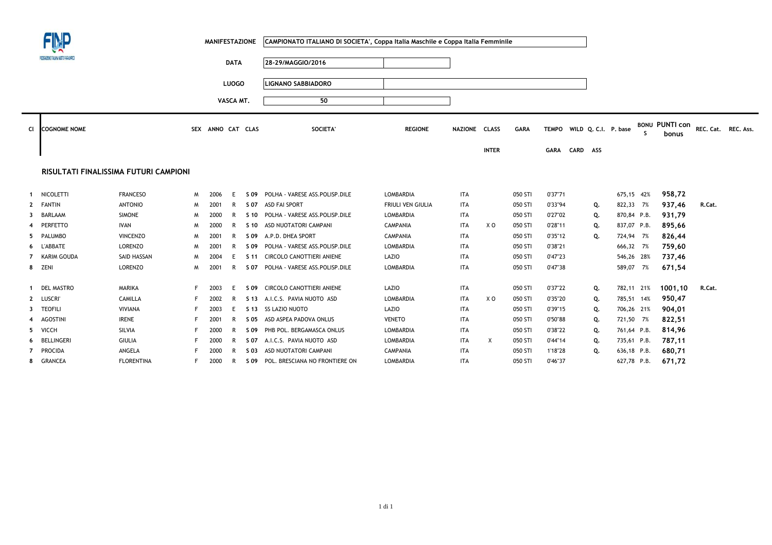|                |                                      |                                       |    | <b>MANIFESTAZIONE</b> |              |      | CAMPIONATO ITALIANO DI SOCIETA', Coppa Italia Maschile e Coppa Italia Femminile |                          |               |              |             |             |          |                            |              |                                |                     |  |
|----------------|--------------------------------------|---------------------------------------|----|-----------------------|--------------|------|---------------------------------------------------------------------------------|--------------------------|---------------|--------------|-------------|-------------|----------|----------------------------|--------------|--------------------------------|---------------------|--|
|                | FEDERAZONE ITALIANA NUOTO PARALMPICO |                                       |    |                       | <b>DATA</b>  |      | 28-29/MAGGIO/2016                                                               |                          |               |              |             |             |          |                            |              |                                |                     |  |
|                |                                      |                                       |    |                       | <b>LUOGO</b> |      | LIGNANO SABBIADORO                                                              |                          |               |              |             |             |          |                            |              |                                |                     |  |
|                |                                      |                                       |    |                       | VASCA MT.    |      | 50                                                                              |                          |               |              |             |             |          |                            |              |                                |                     |  |
| CI             | <b>COGNOME NOME</b>                  |                                       |    | SEX ANNO CAT CLAS     |              |      | <b>SOCIETA</b>                                                                  | <b>REGIONE</b>           | NAZIONE CLASS |              | <b>GARA</b> |             |          | TEMPO WILD Q. C.I. P. base | s            | <b>BONU PUNTI con</b><br>bonus | REC. Cat. REC. Ass. |  |
|                |                                      |                                       |    |                       |              |      |                                                                                 |                          |               | <b>INTER</b> |             | <b>GARA</b> | CARD ASS |                            |              |                                |                     |  |
|                |                                      | RISULTATI FINALISSIMA FUTURI CAMPIONI |    |                       |              |      |                                                                                 |                          |               |              |             |             |          |                            |              |                                |                     |  |
| $\mathbf{1}$   | NICOLETTI                            | <b>FRANCESO</b>                       | M  | 2006                  | F            | S 09 | POLHA - VARESE ASS.POLISP.DILE                                                  | LOMBARDIA                | ITA           |              | 050 STI     | 0'37"71     |          |                            | 675,15 42%   | 958,72                         |                     |  |
|                | 2 FANTIN                             | <b>ANTONIO</b>                        | M  | 2001                  | R            | S 07 | <b>ASD FAI SPORT</b>                                                            | <b>FRIULI VEN GIULIA</b> | ITA           |              | 050 STI     | 0'33"94     |          | Q.                         | 822,33 7%    | 937,46                         | R.Cat.              |  |
| 3              | BARLAAM                              | <b>SIMONE</b>                         | M  | 2000                  | R            |      | S 10 POLHA - VARESE ASS. POLISP. DILE                                           | <b>LOMBARDIA</b>         | ITA           |              | 050 STI     | 0'27"02     |          | Q.                         | 870,84 P.B.  | 931,79                         |                     |  |
|                | PERFETTO                             | IVAN                                  | M  | 2000                  | R            |      | S 10 ASD NUOTATORI CAMPANI                                                      | <b>CAMPANIA</b>          | ITA           | X O          | 050 STI     | 0'28"11     |          | Q.                         | 837,07 P.B.  | 895,66                         |                     |  |
| 5.             | PALUMBO                              | <b>VINCENZO</b>                       | M  | 2001                  | R            | S 09 | A.P.D. DHEA SPORT                                                               | <b>CAMPANIA</b>          | ITA           |              | 050 STI     | 0'35"12     |          | Q.                         | 724,94 7%    | 826,44                         |                     |  |
|                | <b>L'ABBATE</b>                      | LORENZO                               | M  | 2001                  | R            |      | S 09 POLHA - VARESE ASS.POLISP.DILE                                             | LOMBARDIA                | ITA           |              | 050 STI     | 0'38"21     |          |                            | 666,32<br>7% | 759,60                         |                     |  |
| $\overline{7}$ | KARIM GOUDA                          | SAID HASSAN                           | M  | 2004                  | E            |      | S 11 CIRCOLO CANOTTIERI ANIENE                                                  | LAZIO                    | ITA           |              | 050 STI     | 0'47"23     |          |                            | 546,26 28%   | 737,46                         |                     |  |
|                | 8 ZENI                               | <b>LORENZO</b>                        | M  | 2001                  | R            | S 07 | POLHA - VARESE ASS.POLISP.DILE                                                  | <b>LOMBARDIA</b>         | ITA           |              | 050 STI     | 0'47"38     |          |                            | 589,07 7%    | 671,54                         |                     |  |
| 1              | <b>DEL MASTRO</b>                    | MARIKA                                | F. | 2003                  | F            |      | S 09 CIRCOLO CANOTTIERI ANIENE                                                  | LAZIO                    | <b>ITA</b>    |              | 050 STI     | 0'37"22     |          | Q.                         | 782,11 21%   | 1001,10                        | R.Cat.              |  |
| $\mathbf{2}$   | <b>LUSCRI</b>                        | CAMILLA                               | F. | 2002                  | R            |      | S 13 A.I.C.S. PAVIA NUOTO ASD                                                   | <b>LOMBARDIA</b>         | ITA           | X O          | 050 STI     | 0'35"20     |          | Q.                         | 785,51 14%   | 950,47                         |                     |  |
| 3              | <b>TEOFILI</b>                       | VIVIANA                               | F  | 2003                  | Ε            |      | S 13 SS LAZIO NUOTO                                                             | LAZIO                    | ITA           |              | 050 STI     | 0'39"15     |          | Q.                         | 706,26 21%   | 904,01                         |                     |  |
|                | <b>AGOSTINI</b>                      | <b>IRENE</b>                          | F  | 2001                  | R            |      | S 05 ASD ASPEA PADOVA ONLUS                                                     | <b>VENETO</b>            | <b>ITA</b>    |              | 050 STI     | 0'50"88     |          | Q.                         | 721,50 7%    | 822,51                         |                     |  |
| 5.             | VICCH                                | SILVIA                                | F  | 2000                  | R            | S 09 | PHB POL. BERGAMASCA ONLUS                                                       | <b>LOMBARDIA</b>         | ITA           |              | 050 STI     | 0'38"22     |          | Q.                         | 761,64 P.B.  | 814,96                         |                     |  |
| 6              | <b>BELLINGERI</b>                    | <b>GIULIA</b>                         |    | 2000                  | R            | S 07 | A.I.C.S. PAVIA NUOTO ASD                                                        | LOMBARDIA                | ITA           | X            | 050 STI     | 0'44"14     |          | Q.                         | 735,61 P.B.  | 787,11                         |                     |  |
|                | PROCIDA                              | ANGELA                                |    | 2000                  | R            | S 03 | ASD NUOTATORI CAMPANI                                                           | <b>CAMPANIA</b>          | ITA           |              | 050 STI     | 1'18"28     |          | Q.                         | 636,18 P.B.  | 680,71                         |                     |  |
| 8              | <b>GRANCEA</b>                       | <b>FLORENTINA</b>                     | F. | 2000                  | R            |      | S 09 POL. BRESCIANA NO FRONTIERE ON                                             | LOMBARDIA                | ITA           |              | 050 STI     | 0'46"37     |          |                            | 627,78 P.B.  | 671,72                         |                     |  |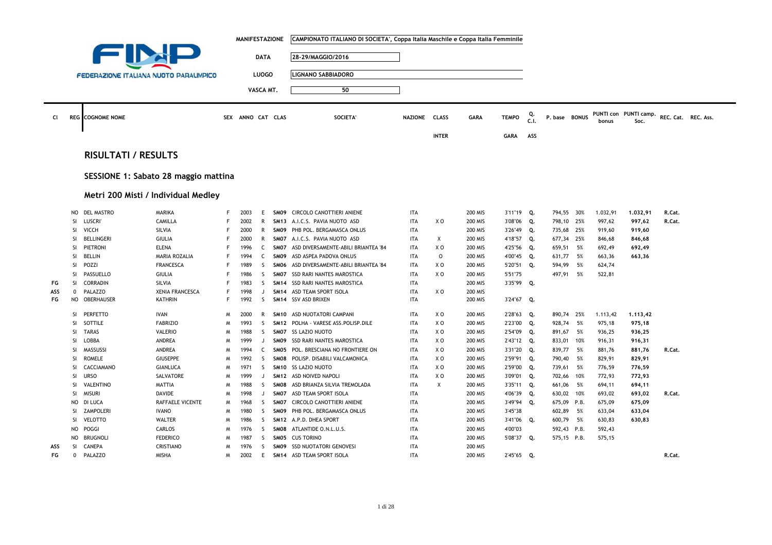|     |           |                                               |                        |   | <b>MANIFESTAZIONE</b> |              |                  | CAMPIONATO ITALIANO DI SOCIETA', Coppa Italia Maschile e Coppa Italia Femminile |                |                |                |              |            |               |     |          |                               |                     |
|-----|-----------|-----------------------------------------------|------------------------|---|-----------------------|--------------|------------------|---------------------------------------------------------------------------------|----------------|----------------|----------------|--------------|------------|---------------|-----|----------|-------------------------------|---------------------|
|     |           | EN                                            |                        |   |                       | <b>DATA</b>  |                  | 28-29/MAGGIO/2016                                                               |                |                |                |              |            |               |     |          |                               |                     |
|     |           |                                               |                        |   |                       |              |                  |                                                                                 |                |                |                |              |            |               |     |          |                               |                     |
|     |           | <b>FEDERAZIONE ITALIANA NUOTO PARALIMPICO</b> |                        |   |                       | <b>LUOGO</b> |                  | <b>LIGNANO SABBIADORO</b>                                                       |                |                |                |              |            |               |     |          |                               |                     |
|     |           |                                               |                        |   |                       | VASCA MT.    |                  | 50                                                                              |                |                |                |              |            |               |     |          |                               |                     |
|     |           |                                               |                        |   |                       |              |                  |                                                                                 |                |                |                |              |            |               |     |          |                               |                     |
| CI  |           | <b>REG</b> COGNOME NOME                       |                        |   | SEX ANNO CAT CLAS     |              |                  | SOCIETA'                                                                        | <b>NAZIONE</b> | <b>CLASS</b>   | <b>GARA</b>    | <b>TEMPO</b> | Q.<br>C.I. | P. base BONUS |     | bonus    | PUNTI con PUNTI camp.<br>Soc. | REC. Cat. REC. Ass. |
|     |           |                                               |                        |   |                       |              |                  |                                                                                 |                |                |                |              |            |               |     |          |                               |                     |
|     |           |                                               |                        |   |                       |              |                  |                                                                                 |                | <b>INTER</b>   |                | <b>GARA</b>  | ASS        |               |     |          |                               |                     |
|     |           | <b>RISULTATI / RESULTS</b>                    |                        |   |                       |              |                  |                                                                                 |                |                |                |              |            |               |     |          |                               |                     |
|     |           |                                               |                        |   |                       |              |                  |                                                                                 |                |                |                |              |            |               |     |          |                               |                     |
|     |           | SESSIONE 1: Sabato 28 maggio mattina          |                        |   |                       |              |                  |                                                                                 |                |                |                |              |            |               |     |          |                               |                     |
|     |           |                                               |                        |   |                       |              |                  |                                                                                 |                |                |                |              |            |               |     |          |                               |                     |
|     |           | Metri 200 Misti / Individual Medley           |                        |   |                       |              |                  |                                                                                 |                |                |                |              |            |               |     |          |                               |                     |
|     |           | NO DEL MASTRO                                 | <b>MARIKA</b>          | F | 2003                  | E            |                  | SM09 CIRCOLO CANOTTIERI ANIENE                                                  | <b>ITA</b>     |                | <b>200 MIS</b> | 3'11"19      | Q.         | 794,55 30%    |     | 1.032,91 | 1.032,91                      | R.Cat.              |
|     | SI.       | LUSCRI                                        | CAMILLA                | F | 2002                  | $\mathsf{R}$ | <b>SM13</b>      | A.I.C.S. PAVIA NUOTO ASD                                                        | <b>ITA</b>     | X <sub>0</sub> | <b>200 MIS</b> | 3'08"06      | Q.         | 798,10 25%    |     | 997,62   | 997,62                        | R.Cat.              |
|     | SI.       | VICCH                                         | SILVIA                 | F | 2000                  | R            | SMO9             | PHB POL. BERGAMASCA ONLUS                                                       | <b>ITA</b>     |                | <b>200 MIS</b> | 3'26"49      | Q.         | 735,68 25%    |     | 919,60   | 919,60                        |                     |
|     | -SI.      | <b>BELLINGERI</b>                             | <b>GIULIA</b>          | F | 2000                  | $\mathsf{R}$ | SM07             | A.I.C.S. PAVIA NUOTO ASD                                                        | <b>ITA</b>     | X              | <b>200 MIS</b> | 4'18"57      | Q.         | 677,34 25%    |     | 846,68   | 846,68                        |                     |
|     | SI.       | PIETRONI                                      | <b>ELENA</b>           | F | 1996                  | $\mathsf{C}$ | SM07             | ASD DIVERSAMENTE-ABILI BRIANTEA '84                                             | <b>ITA</b>     | X O            | <b>200 MIS</b> | 4'25"56      | Q.         | 659,51        | 5%  | 692,49   | 692,49                        |                     |
|     | SI        | BELLIN                                        | MARIA ROZALIA          | F | 1994                  | C            | SMO9             | ASD ASPEA PADOVA ONLUS                                                          | <b>ITA</b>     | $\mathsf{O}$   | 200 MIS        | 4'00"45      | Q.         | 631,77 5%     |     | 663,36   | 663,36                        |                     |
|     | SI        | POZZI                                         | <b>FRANCESCA</b>       | F | 1989                  | S            | SMO <sub>6</sub> | ASD DIVERSAMENTE-ABILI BRIANTEA '84                                             | <b>ITA</b>     | XO             | 200 MIS        | 5'20"51      | Q.         | 594,99        | 5%  | 624,74   |                               |                     |
|     | SI        | PASSUELLO                                     | <b>GIULIA</b>          | F | 1986                  | S            | SM07             | SSD RARI NANTES MAROSTICA                                                       | <b>ITA</b>     | X O            | 200 MIS        | 5'51"75      |            | 497,91 5%     |     | 522,81   |                               |                     |
| FG  | SI.       | <b>CORRADIN</b>                               | SILVIA                 | F | 1983                  | S            | <b>SM14</b>      | SSD RARI NANTES MAROSTICA                                                       | <b>ITA</b>     |                | <b>200 MIS</b> | 3'35"99      | Q.         |               |     |          |                               |                     |
| ASS | 0         | PALAZZO                                       | <b>XENIA FRANCESCA</b> | F | 1998                  | J            | <b>SM14</b>      | ASD TEAM SPORT ISOLA                                                            | <b>ITA</b>     | X O            | 200 MIS        |              |            |               |     |          |                               |                     |
| FG  | <b>NO</b> | OBERHAUSER                                    | <b>KATHRIN</b>         | F | 1992                  | S.           | <b>SM14</b>      | SSV ASD BRIXEN                                                                  | <b>ITA</b>     |                | 200 MIS        | 3'24"67      | Q.         |               |     |          |                               |                     |
|     |           |                                               |                        |   |                       |              |                  |                                                                                 |                |                |                |              |            |               |     |          |                               |                     |
|     | SI.       | PERFETTO                                      | IVAN                   | M | 2000                  | R            | <b>SM10</b>      | ASD NUOTATORI CAMPANI                                                           | <b>ITA</b>     | X O            | <b>200 MIS</b> | 2'28"63      | О.         | 890,74 25%    |     | 1.113,42 | 1,113,42                      |                     |
|     | SI.       | SOTTILE                                       | <b>FABRIZIO</b>        | M | 1993                  | <sub>S</sub> | <b>SM12</b>      | POLHA - VARESE ASS.POLISP.DILE                                                  | <b>ITA</b>     | X O            | 200 MIS        | 2'23"00      | Q.         | 928,74        | 5%  | 975,18   | 975,18                        |                     |
|     | SI.       | <b>TARAS</b>                                  | <b>VALERIO</b>         | M | 1988                  | S.           |                  | SM07 SS LAZIO NUOTO                                                             | <b>ITA</b>     | X O            | 200 MIS        | 2'54"09      | Q.         | 891,67 5%     |     | 936,25   | 936,25                        |                     |
|     | SI        | LOBBA                                         | ANDREA                 | M | 1999                  | J            | SMO9             | SSD RARI NANTES MAROSTICA                                                       | <b>ITA</b>     | X <sub>0</sub> | 200 MIS        | 2'43"12      | Q.         | 833,01 10%    |     | 916,31   | 916,31                        |                     |
|     | SI        | MASSUSSI                                      | ANDREA                 | M | 1994                  | C            | SM05             | POL. BRESCIANA NO FRONTIERE ON                                                  | <b>ITA</b>     | X O            | 200 MIS        | 3'31"20      | Q.         | 839,77 5%     |     | 881,76   | 881,76                        | R.Cat.              |
|     | <b>SI</b> | <b>ROMELE</b>                                 | <b>GIUSEPPE</b>        | M | 1992                  | S            | SM08             | POLISP. DISABILI VALCAMONICA                                                    | <b>ITA</b>     | X O            | 200 MIS        | 2'59"91      | Q.         | 790,40        | 5%  | 829,91   | 829,91                        |                     |
|     | SI        | CACCIAMANO                                    | <b>GIANLUCA</b>        | M | 1971                  | S.           | <b>SM10</b>      | <b>SS LAZIO NUOTO</b>                                                           | <b>ITA</b>     | X <sub>0</sub> | 200 MIS        | 2'59"00      | Q.         | 739,61        | 5%  | 776,59   | 776,59                        |                     |
|     | SI        | <b>URSO</b>                                   | SALVATORE              | M | 1999                  | $\mathbf{J}$ | <b>SM12</b>      | ASD NOIVED NAPOLI                                                               | <b>ITA</b>     | X O            | 200 MIS        | 3'09"01      | Q.         | 702,66        | 10% | 772,93   | 772,93                        |                     |
|     | SI.       | <b>VALENTINO</b>                              | <b>MATTIA</b>          | M | 1988                  | S.           | SMO <sub>8</sub> | ASD BRIANZA SILVIA TREMOLADA                                                    | <b>ITA</b>     | Χ              | <b>200 MIS</b> | 3'35"11      | Q.         | 661,06        | 5%  | 694,11   | 694,11                        |                     |
|     | <b>SI</b> | <b>MISURI</b>                                 | DAVIDE                 | M | 1998                  | J            | SM07             | ASD TEAM SPORT ISOLA                                                            | <b>ITA</b>     |                | 200 MIS        | 4'06"39      | Q.         | 630,02 10%    |     | 693,02   | 693,02                        | R.Cat.              |
|     | NO        | DI LUCA                                       | RAFFAELE VICENTE       | M | 1968                  | S.           | SMO7             | CIRCOLO CANOTTIERI ANIENE                                                       | <b>ITA</b>     |                | <b>200 MIS</b> | 3'49"94      | Q.         | 675,09 P.B.   |     | 675,09   | 675,09                        |                     |
|     | <b>SI</b> | <b>ZAMPOLERI</b>                              | <b>IVANO</b>           | M | 1980                  | S.           | SMO9             | PHB POL. BERGAMASCA ONLUS                                                       | <b>ITA</b>     |                | <b>200 MIS</b> | 3'45"38      |            | 602,89 5%     |     | 633,04   | 633,04                        |                     |
|     | <b>SI</b> | <b>VELOTTO</b>                                | WALTER                 | M | 1986                  | S.           | <b>SM12</b>      | A.P.D. DHEA SPORT                                                               | <b>ITA</b>     |                | <b>200 MIS</b> | 3'41"06      | Q.         | 600,79        | 5%  | 630,83   | 630,83                        |                     |
|     | NO        | POGGI                                         | CARLOS                 | M | 1976                  | S.           | SM08             | ATLANTIDE O.N.L.U.S.                                                            | <b>ITA</b>     |                | <b>200 MIS</b> | 4'00"03      |            | 592,43 P.B.   |     | 592,43   |                               |                     |
|     | NO.       | <b>BRUGNOLI</b>                               | <b>FEDERICO</b>        | M | 1987                  | <sub>S</sub> | SMO <sub>5</sub> | <b>CUS TORINO</b>                                                               | <b>ITA</b>     |                | <b>200 MIS</b> | 5'08"37      | Q.         | 575,15 P.B.   |     | 575,15   |                               |                     |
| ASS | SI.       | CANEPA                                        | CRISTIANO              | M | 1976                  | S.           | SMO9             | <b>SSD NUOTATORI GENOVESI</b>                                                   | <b>ITA</b>     |                | 200 MIS        |              |            |               |     |          |                               |                     |
| FG  | 0         | PALAZZO                                       | <b>MISHA</b>           | M | 2002                  | E            | <b>SM14</b>      | ASD TEAM SPORT ISOLA                                                            | <b>ITA</b>     |                | 200 MIS        | 2'45"65      | Q.         |               |     |          |                               | R.Cat.              |

 $\sim$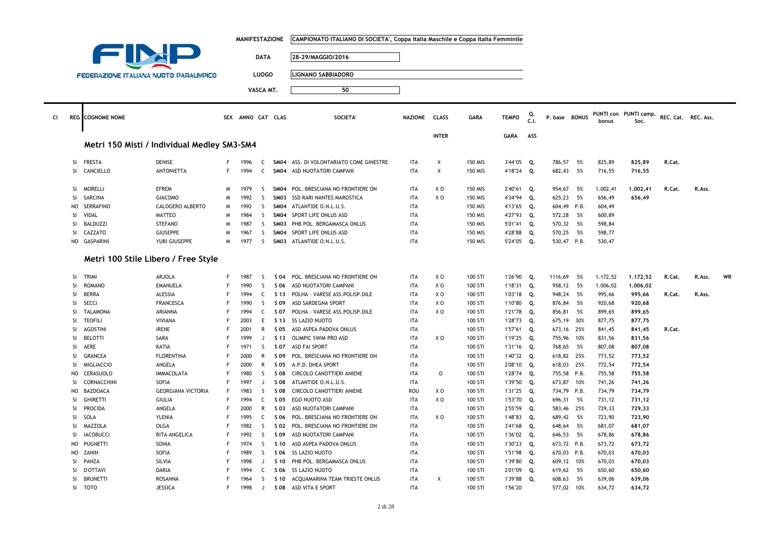|    |                        |                                               |                                    |         | <b>MANIFESTAZIONE</b> |                   |              | CAMPIONATO ITALIANO DI SOCIETA', Coppa Italia Maschile e Coppa Italia Femminile |                          |              |                                  |                          |            |                           |          |                      |                               |                     |        |    |
|----|------------------------|-----------------------------------------------|------------------------------------|---------|-----------------------|-------------------|--------------|---------------------------------------------------------------------------------|--------------------------|--------------|----------------------------------|--------------------------|------------|---------------------------|----------|----------------------|-------------------------------|---------------------|--------|----|
|    |                        |                                               |                                    |         |                       |                   |              |                                                                                 |                          |              |                                  |                          |            |                           |          |                      |                               |                     |        |    |
|    |                        |                                               |                                    |         |                       | <b>DATA</b>       |              | 28-29/MAGGIO/2016                                                               |                          |              |                                  |                          |            |                           |          |                      |                               |                     |        |    |
|    |                        |                                               |                                    |         |                       |                   |              |                                                                                 |                          |              |                                  |                          |            |                           |          |                      |                               |                     |        |    |
|    |                        | <b>FEDERAZIONE ITALIANA NUOTO PARALIMPICO</b> |                                    |         |                       | <b>LUOGO</b>      |              | <b>LIGNANO SABBIADORO</b>                                                       |                          |              |                                  |                          |            |                           |          |                      |                               |                     |        |    |
|    |                        |                                               |                                    |         |                       | VASCA MT.         |              | 50                                                                              |                          |              |                                  |                          |            |                           |          |                      |                               |                     |        |    |
|    |                        |                                               |                                    |         |                       |                   |              |                                                                                 |                          |              |                                  |                          |            |                           |          |                      |                               |                     |        |    |
|    |                        |                                               |                                    |         |                       |                   |              |                                                                                 |                          |              |                                  |                          |            |                           |          |                      |                               |                     |        |    |
| CI |                        | <b>REG</b> COGNOME NOME                       |                                    |         | SEX ANNO CAT CLAS     |                   |              | SOCIETA'                                                                        | NAZIONE CLASS            |              | <b>GARA</b>                      | <b>TEMPO</b>             | Q.<br>C.I. | P. base BONUS             |          | bonus                | PUNTI con PUNTI camp.<br>Soc. | REC. Cat. REC. Ass. |        |    |
|    |                        |                                               |                                    |         |                       |                   |              |                                                                                 |                          |              |                                  |                          |            |                           |          |                      |                               |                     |        |    |
|    |                        |                                               |                                    |         |                       |                   |              |                                                                                 |                          | <b>INTER</b> |                                  | <b>GARA</b>              | ASS        |                           |          |                      |                               |                     |        |    |
|    |                        | Metri 150 Misti / Individual Medley SM3-SM4   |                                    |         |                       |                   |              |                                                                                 |                          |              |                                  |                          |            |                           |          |                      |                               |                     |        |    |
|    |                        |                                               |                                    |         |                       |                   |              |                                                                                 |                          |              |                                  |                          |            |                           |          |                      |                               |                     |        |    |
|    | <b>SI</b><br>SI        | <b>FRESTA</b><br>CANCIELLO                    | <b>DENISE</b><br><b>ANTONIETTA</b> | F<br>F  | 1996<br>1994          | C<br>C            |              | SM04 ASS. DI VOLONTARIATO COME GINESTRE<br>SM04 ASD NUOTATORI CAMPANI           | <b>ITA</b><br><b>ITA</b> | X<br>Χ       | <b>150 MIS</b><br><b>150 MIS</b> | 3'44"05 Q.<br>4'18"24 Q. |            | 786,57<br>682,43          | 5%<br>5% | 825,89<br>716,55     | 825,89<br>716,55              | R.Cat.              |        |    |
|    |                        |                                               |                                    |         |                       |                   |              |                                                                                 |                          |              |                                  |                          |            |                           |          |                      |                               |                     |        |    |
|    | SI                     | <b>MORELLI</b>                                | <b>EFREM</b>                       | M       | 1979                  | <sub>S</sub>      |              | SM04 POL. BRESCIANA NO FRONTIERE ON                                             | <b>ITA</b>               | X O          | 150 MIS                          | 2'40"61                  | Q.         | 954,67 5%                 |          | 1.002,41             | 1.002,41                      | R.Cat.              | R.Ass. |    |
|    | SI                     | <b>SARCINA</b>                                | <b>GIACOMO</b>                     | M       | 1992                  | S                 |              | SM03 SSD RARI NANTES MAROSTICA                                                  | <b>ITA</b>               | XO           | <b>150 MIS</b>                   | 4'34"94                  | Q.         | 625,23                    | 5%       | 656,49               | 656,49                        |                     |        |    |
|    | NO                     | <b>SERRAFINO</b>                              | CALOGERO ALBERTO                   | M       | 1992                  | S                 |              | SM04 ATLANTIDE O.N.L.U.S.                                                       | ITA                      |              | <b>150 MIS</b>                   | 4'13"65                  | Q.         | 604,49 P.B.               |          | 604,49               |                               |                     |        |    |
|    | SI                     | VIDAL                                         | <b>MATTEO</b>                      | M       | 1984                  | S.                |              | SM04 SPORT LIFE ONLUS ASD                                                       | <b>ITA</b>               |              | 150 MIS                          | 4'27"93                  | Q.         | 572,28                    | 5%       | 600,89               |                               |                     |        |    |
|    | SI                     | <b>BALDUZZI</b>                               | <b>STEFANO</b>                     | M       | 1987                  | S.                | SMO3         | PHB POL. BERGAMASCA ONLUS                                                       | <b>ITA</b>               |              | <b>150 MIS</b>                   | 5'01"41                  | Q.         | 570,32 5%                 |          | 598,84               |                               |                     |        |    |
|    | SI                     | CAZZATO                                       | <b>GIUSEPPE</b>                    | M       | 1967                  | S                 | SM04         | SPORT LIFE ONLUS ASD                                                            | <b>ITA</b>               |              | <b>150 MIS</b>                   | 4'28"88                  | Q.         | 570,25                    | 5%       | 598,77               |                               |                     |        |    |
|    | <b>NO</b>              | <b>GASPARINI</b>                              | YURI GIUSEPPE                      | M       | 1977                  | S.                |              | SM03 ATLANTIDE O.N.L.U.S.                                                       | <b>ITA</b>               |              | <b>150 MIS</b>                   | 5'24"05                  | Q.         | 530,47 P.B.               |          | 530,47               |                               |                     |        |    |
|    |                        |                                               |                                    |         |                       |                   |              |                                                                                 |                          |              |                                  |                          |            |                           |          |                      |                               |                     |        |    |
|    |                        | Metri 100 Stile Libero / Free Style           |                                    |         |                       |                   |              |                                                                                 |                          |              |                                  |                          |            |                           |          |                      |                               |                     |        |    |
|    |                        |                                               |                                    |         |                       |                   |              |                                                                                 |                          |              |                                  |                          |            |                           |          |                      |                               |                     |        |    |
|    | SI<br><sup>SI</sup>    | <b>TRIMI</b><br><b>ROMANO</b>                 | ARJOLA<br><b>EMANUELA</b>          | F.<br>F | 1987<br>1990          | S.<br>S.          | S 04<br>S 06 | POL. BRESCIANA NO FRONTIERE ON<br>ASD NUOTATORI CAMPANI                         | <b>ITA</b><br><b>ITA</b> | X O<br>XO    | 100 STI<br>100 STI               | 1'26"90<br>1'18"31       | Q.<br>Q.   | 1116,69<br>958,12         | 5%<br>5% | 1.172,52<br>1.006,02 | 1,172,52<br>1,006,02          | R.Cat.              | R.Ass. | WR |
|    | SI                     | <b>BERRA</b>                                  | ALESSIA                            | F       | 1994                  | C                 | S 13         | POLHA - VARESE ASS.POLISP.DILE                                                  | <b>ITA</b>               | X O          | 100 STI                          | 1'03"18 Q.               |            | 948,24                    | 5%       | 995,66               | 995,66                        | R.Cat.              | R.Ass. |    |
|    | <b>SI</b>              | <b>SECCI</b>                                  | <b>FRANCESCA</b>                   | F       | 1990                  | S.                | S 09         | ASD SARDEGNA SPORT                                                              | ITA                      | X O          | 100 STI                          | 1'10"80                  | Q.         | 876,84                    | 5%       | 920,68               | 920,68                        |                     |        |    |
|    | SI                     | <b>TALAMONA</b>                               | ARIANNA                            | F       | 1994                  | C                 | S 07         | POLHA - VARESE ASS.POLISP.DILE                                                  | <b>ITA</b>               | X O          | 100 STI                          | 1'21"78                  | Q.         | 856,81                    | 5%       | 899,65               | 899,65                        |                     |        |    |
|    | SI                     | <b>TEOFILI</b>                                | <b>VIVIANA</b>                     | F       | 2003                  | E                 | S 13         | <b>SS LAZIO NUOTO</b>                                                           | <b>ITA</b>               |              | 100 STI                          | 1'28"73                  | Q.         | 675,19                    | 30%      | 877,75               | 877,75                        |                     |        |    |
|    | <b>SI</b>              | <b>AGOSTINI</b>                               | <b>IRENE</b>                       | F       | 2001                  | R                 | S 05         | ASD ASPEA PADOVA ONLUS                                                          | ITA                      |              | 100 STI                          | 1'57"61                  | Q.         | 673,16 25%                |          | 841,45               | 841,45                        | R.Cat.              |        |    |
|    | SI                     | <b>BELOTTI</b>                                | SARA                               | F       | 1999                  | J                 | S 13         | OLIMPIC SWIM PRO ASD                                                            | <b>ITA</b>               | X O          | 100 STI                          | 1'19"25                  | Q.         | 755,96 10%                |          | 831,56               | 831,56                        |                     |        |    |
|    | SI                     | AERE                                          | <b>KATIA</b>                       | F       | 1971                  | S.                | S 07         | ASD FAI SPORT                                                                   | <b>ITA</b>               |              | 100 STI                          | 1'31"16 Q.               |            | 768,65                    | 5%       | 807,08               | 807,08                        |                     |        |    |
|    | SI                     | <b>GRANCEA</b>                                | <b>FLORENTINA</b>                  | F       | 2000                  | R                 | S 09         | POL. BRESCIANA NO FRONTIERE ON                                                  | <b>ITA</b>               |              | 100 STI                          | 1'40"32 Q.               |            | 618,82 25%                |          | 773,52               | 773,52                        |                     |        |    |
|    | <b>SI</b>              | <b>MIGLIACCIO</b>                             | ANGELA                             |         | 2000                  | R                 | S 05         | A.P.D. DHEA SPORT                                                               | ITA                      |              | 100 STI                          | 2'08"10                  | Q.         | 618,03                    | 25%      | 772,54               | 772,54                        |                     |        |    |
|    | NO                     | CERASUOLO                                     | <b>IMMACOLATA</b>                  | F       | 1980                  | S.                | S 08         | CIRCOLO CANOTTIERI ANIENE                                                       | ITA                      | 0            | 100 STI                          | 1'28"74                  | Q.         | 755,58 P.B.               |          | 755,58               | 755,58                        |                     |        |    |
|    | <b>SI</b>              | CORNACCHINI                                   | SOFIA                              | F       | 1997                  | $\mathsf{J}$      | S 08         | ATLANTIDE O.N.L.U.S.                                                            | <b>ITA</b>               |              | 100 STI                          | 1'39"50                  | Q.         | 673,87                    | 10%      | 741,26               | 741,26                        |                     |        |    |
|    | <b>NO</b>              | <b>BAZDOACA</b>                               | <b>GEORGIANA VICTORIA</b>          | F       | 1983                  | <sub>S</sub>      | S 08         | CIRCOLO CANOTTIERI ANIENE                                                       | ROU                      | X O          | 100 STI                          | 1'31"25                  | Q.         | 734,79 P.B.               |          | 734,79               | 734,79                        |                     |        |    |
|    | SI                     | <b>GHIRETTI</b>                               | <b>GIULIA</b>                      | F       | 1994                  | $\mathsf{C}$      | S 05         | EGO NUOTO ASD                                                                   | <b>ITA</b>               | X O          | 100 STI                          | 1'53"70                  | Q.         | 696,31                    | 5%       | 731,12               | 731,12                        |                     |        |    |
|    | SI                     | <b>PROCIDA</b>                                | ANGELA                             | F       | 2000                  | R                 | S 03         | ASD NUOTATORI CAMPANI                                                           | <b>ITA</b>               |              | 100 STI                          | 2'55"59                  | Q.         | 583,46 25%                |          | 729,33               | 729,33                        |                     |        |    |
|    | SI                     | SOLA                                          | <b>YLENIA</b>                      | F       | 1995                  | C                 | S 06         | POL. BRESCIANA NO FRONTIERE ON                                                  | <b>ITA</b>               | X O          | 100 STI                          | 1'48"83                  | Q.         | 689,42                    | 5%       | 723,90               | 723,90                        |                     |        |    |
|    | SI                     | <b>MAZZOLA</b>                                | OLGA                               |         | 1982                  | S                 | S 02         | POL. BRESCIANA NO FRONTIERE ON                                                  | ITA                      |              | 100 STI                          | 3'41"68                  | Q.         | 648,64                    | 5%       | 681,07               | 681,07                        |                     |        |    |
|    | SI                     | <b>IACOBUCCI</b>                              | RITA ANGELICA                      | F<br>F  | 1992                  | S.                | S 09         | ASD NUOTATORI CAMPANI                                                           | <b>ITA</b>               |              | 100 STI                          | 1'36"02                  | Q.         | 646,53 5%                 |          | 678,86               | 678,86                        |                     |        |    |
|    | <b>NO</b><br><b>NO</b> | <b>PUGNETTI</b><br>ZANIN                      | SONIA<br><b>SOFIA</b>              | F       | 1974<br>1989          | S<br><sub>S</sub> | S 10         | ASD ASPEA PADOVA ONLUS<br><b>SS LAZIO NUOTO</b>                                 | ITA<br><b>ITA</b>        |              | 100 STI<br>100 STI               | 1'30"23                  | Q.         | 673,72 P.B.               |          | 673,72<br>670.03     | 673,72                        |                     |        |    |
|    | SI                     | PANZA                                         | SILVIA                             | F       | 1998                  | J                 | S 06<br>S 10 | PHB POL. BERGAMASCA ONLUS                                                       | <b>ITA</b>               |              | 100 STI                          | 1'51"98<br>1'39"80       | Q.<br>Q.   | 670,03 P.B.<br>609,12 10% |          | 670,03               | 670,03<br>670,03              |                     |        |    |
|    | SI                     | <b>D'OTTAVI</b>                               | DARIA                              |         | 1994                  | C.                | S 06         | SS LAZIO NUOTO                                                                  | <b>ITA</b>               |              | 100 STI                          | 2'01"09                  | Q.         | 619,62                    | 5%       | 650,60               | 650,60                        |                     |        |    |
|    | SI                     | <b>BRUNETTI</b>                               | <b>ROSANNA</b>                     | F       | 1964                  | $\varsigma$       | S 10         | ACQUAMARINA TEAM TRIESTE ONLUS                                                  | <b>ITA</b>               | X            | 100 STI                          | 1'39"88                  | Q.         | 608,63                    | 5%       | 639,06               | 639,06                        |                     |        |    |
|    | SI                     | <b>TOTO</b>                                   | <b>JESSICA</b>                     | F       | 1998                  | J                 | S 08         | ASD VITA E SPORT                                                                | <b>ITA</b>               |              | 100 STI                          | 1'56"20                  |            | 577,02                    | 10%      | 634,72               | 634,72                        |                     |        |    |
|    |                        |                                               |                                    |         |                       |                   |              |                                                                                 |                          |              |                                  |                          |            |                           |          |                      |                               |                     |        |    |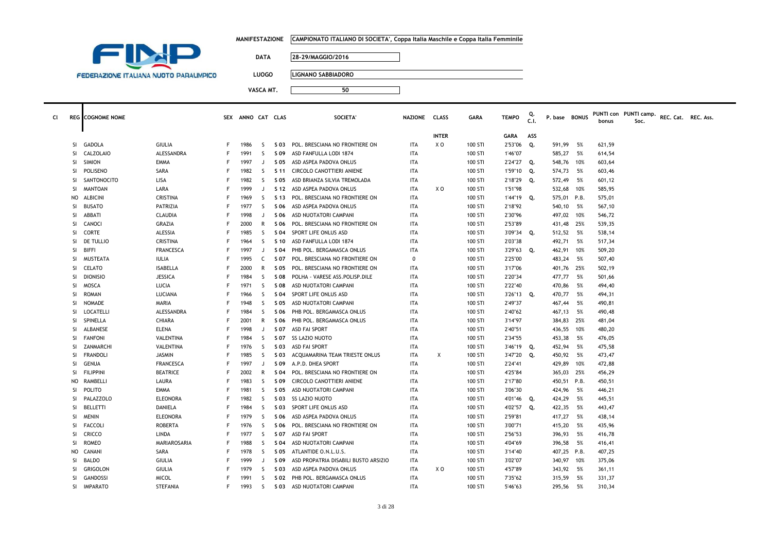|  |  | MANIFESTAZIONE     CAMPIONATO ITALIANO DI SOCIETA', Coppa Italia Maschile e Coppa Italia Femminile |
|--|--|----------------------------------------------------------------------------------------------------|
|--|--|----------------------------------------------------------------------------------------------------|



7

**DATA 28-29/MAGGIO/2016**

**LUOGO LIGNANO SABBIADORO**

| <b>CI</b> |               | <b>REG</b> COGNOME NOME |                  |    | SEX ANNO CAT CLAS |              |      | <b>SOCIETA</b>                       | NAZIONE CLASS |              | <b>GARA</b> | <b>TEMPO</b>  | C.I. | P. base BONUS |      | bonus  | PUNTI con PUNTI camp.<br>Soc. | REC. Cat. REC. Ass. |  |
|-----------|---------------|-------------------------|------------------|----|-------------------|--------------|------|--------------------------------------|---------------|--------------|-------------|---------------|------|---------------|------|--------|-------------------------------|---------------------|--|
|           |               |                         |                  |    |                   |              |      |                                      |               | <b>INTER</b> |             | GARA          | ASS  |               |      |        |                               |                     |  |
|           | SI.           | <b>GADOLA</b>           | GIULIA           | F. | 1986              | -S           |      | S 03 POL. BRESCIANA NO FRONTIERE ON  | ITA           | X O          | 100 STI     | 2'53"06 Q.    |      | 591,99        | 5%   | 621,59 |                               |                     |  |
|           | <b>SI</b>     | <b>CALZOLAIO</b>        | ALESSANDRA       | F  | 1991              | -S           | S 09 | ASD FANFULLA LODI 1874               | <b>ITA</b>    |              | 100 STI     | 1'46"07       |      | 585,27        | 5%   | 614,54 |                               |                     |  |
|           | SI            | <b>SIMION</b>           | EMMA             | F  | 1997              | J            | S 05 | ASD ASPEA PADOVA ONLUS               | <b>ITA</b>    |              | 100 STI     | 2'24"27 Q.    |      | 548,76        | 10%  | 603,64 |                               |                     |  |
|           | SI.           | POLISENO                | SARA             | F  | 1982              | -S           | S 11 | CIRCOLO CANOTTIERI ANIENE            | <b>ITA</b>    |              | 100 STI     | 1'59"10 Q.    |      | 574,73        | 5%   | 603,46 |                               |                     |  |
|           | -SI           | SANTONOCITO             | LISA             | F  | 1982              | -S           | S 05 | ASD BRIANZA SILVIA TREMOLADA         | <b>ITA</b>    |              | 100 STI     | 2'18"29 Q.    |      | 572,49        | 5%   | 601,12 |                               |                     |  |
|           | <sup>SI</sup> | <b>MANTOAN</b>          | LARA             | F  | 1999              |              | S 12 | ASD ASPEA PADOVA ONLUS               | <b>ITA</b>    | X O          | 100 STI     | 1'51"98       |      | 532,68        | 10%  | 585,95 |                               |                     |  |
|           |               | NO ALBICINI             | <b>CRISTINA</b>  | F  | 1969              | S.           |      | S 13 POL. BRESCIANA NO FRONTIERE ON  | <b>ITA</b>    |              | 100 STI     | 1'44"19 Q.    |      | 575,01 P.B.   |      | 575,01 |                               |                     |  |
|           | SI            | <b>BUSATO</b>           | PATRIZIA         | F  | 1977              | -S           | S 06 | ASD ASPEA PADOVA ONLUS               | ITA           |              | 100 STI     | 2'18"92       |      | 540,10        | 5%   | 567,10 |                               |                     |  |
|           | SI            | ABBATI                  | CLAUDIA          | F  | 1998              | $\Box$       | S 06 | ASD NUOTATORI CAMPANI                | ITA           |              | 100 STI     | 2'30"96       |      | 497,02 10%    |      | 546,72 |                               |                     |  |
|           | SI.           | CANOCI                  | GRAZIA           | F  | 2000              | R            | S 06 | POL. BRESCIANA NO FRONTIERE ON       | ITA           |              | 100 STI     | 2'53"89       |      | 431,48        | 25%  | 539,35 |                               |                     |  |
|           | SI.           | CORTE                   | ALESSIA          |    | 1985              | -S           | S 04 | SPORT LIFE ONLUS ASD                 | ITA           |              | 100 STI     | $3'09''34$ Q. |      | 512,52        | 5%   | 538,14 |                               |                     |  |
|           | <b>SI</b>     | DE TULLIO               | CRISTINA         | F  | 1964              | S.           | S 10 | ASD FANFULLA LODI 1874               | <b>ITA</b>    |              | 100 STI     | 2'03"38       |      | 492,71        | 5%   | 517,34 |                               |                     |  |
|           | SI            | BIFFI                   | FRANCESCA        | F  | 1997              | J            | S 04 | PHB POL. BERGAMASCA ONLUS            | <b>ITA</b>    |              | 100 STI     | 3'29"63 Q.    |      | 462,91        | 10%  | 509,20 |                               |                     |  |
|           | SI            | MUSTEATA                | <b>IULIA</b>     | F  | 1995              | $\mathsf{C}$ | S 07 | POL. BRESCIANA NO FRONTIERE ON       | $\mathbf 0$   |              | 100 STI     | 2'25"00       |      | 483,24        | 5%   | 507,40 |                               |                     |  |
|           | SI            | <b>CELATO</b>           | <b>ISABELLA</b>  | F  | 2000              | R            | S 05 | POL. BRESCIANA NO FRONTIERE ON       | ITA           |              | 100 STI     | 3'17"06       |      | 401,76 25%    |      | 502,19 |                               |                     |  |
|           | SI            | <b>DIONISIO</b>         | <b>JESSICA</b>   | F  | 1984              | -S           | S 08 | POLHA - VARESE ASS. POLISP. DILE     | <b>ITA</b>    |              | 100 STI     | 2'20"34       |      | 477,77        | 5%   | 501,66 |                               |                     |  |
|           | <b>SI</b>     | MOSCA                   | LUCIA            | F  | 1971              | -S           | S 08 | ASD NUOTATORI CAMPANI                | <b>ITA</b>    |              | 100 STI     | 2'22"40       |      | 470,86        | 5%   | 494,40 |                               |                     |  |
|           | SI            | <b>ROMAN</b>            | LUCIANA          | F  | 1966              | -S           | S 04 | SPORT LIFE ONLUS ASD                 | ITA           |              | 100 STI     | 3'26"13 Q.    |      | 470,77        | 5%   | 494,31 |                               |                     |  |
|           | SI.           | NOMADE                  | MARIA            | F  | 1948              | -S           | S 05 | ASD NUOTATORI CAMPANI                | ITA           |              | 100 STI     | 2'49"37       |      | 467,44        | 5%   | 490,81 |                               |                     |  |
|           | <sup>SI</sup> | <b>LOCATELLI</b>        | ALESSANDRA       | F  | 1984              | S.           | S 06 | PHB POL. BERGAMASCA ONLUS            | <b>ITA</b>    |              | 100 STI     | 2'40"62       |      | 467,13        | 5%   | 490,48 |                               |                     |  |
|           | <b>SI</b>     | SPINELLA                | CHIARA           | F  | 2001              | R            | S 06 | PHB POL. BERGAMASCA ONLUS            | <b>ITA</b>    |              | 100 STI     | 3'14"97       |      | 384,83        | 25%  | 481,04 |                               |                     |  |
|           | -SI           | ALBANESE                | <b>ELENA</b>     | F  | 1998              | $\mathbf{J}$ | S 07 | ASD FAI SPORT                        | <b>ITA</b>    |              | 100 STI     | 2'40"51       |      | 436,55 10%    |      | 480,20 |                               |                     |  |
|           | SI            | <b>FANFONI</b>          | VALENTINA        | F  | 1984              | S.           | S 07 | <b>SS LAZIO NUOTO</b>                | <b>ITA</b>    |              | 100 STI     | 2'34"55       |      | 453,38        | 5%   | 476,05 |                               |                     |  |
|           | SI.           | ZANMARCHI               | VALENTINA        | F  | 1976              | S.           | S 03 | ASD FAI SPORT                        | <b>ITA</b>    |              | 100 STI     | 3'46"19 Q.    |      | 452,94        | 5%   | 475,58 |                               |                     |  |
|           | SI.           | <b>FRANDOLI</b>         | <b>JASMIN</b>    | F  | 1985              | -S           | S 03 | ACQUAMARINA TEAM TRIESTE ONLUS       | <b>ITA</b>    | X            | 100 STI     | 3'47"20 Q.    |      | 450,92        | 5%   | 473,47 |                               |                     |  |
|           | <b>SI</b>     | GENUA                   | <b>FRANCESCA</b> | F  | 1997              | $\Box$       | S 09 | A.P.D. DHEA SPORT                    | ITA           |              | 100 STI     | 2'24"41       |      | 429,89        | 10%  | 472,88 |                               |                     |  |
|           | SI            | <b>FILIPPINI</b>        | <b>BEATRICE</b>  | F  | 2002              | R            | S 04 | POL. BRESCIANA NO FRONTIERE ON       | <b>ITA</b>    |              | 100 STI     | 4'25"84       |      | 365,03        | 25%  | 456,29 |                               |                     |  |
|           | NO.           | RAMBELLI                | LAURA            | F  | 1983              | S.           | S 09 | CIRCOLO CANOTTIERI ANIENE            | ITA           |              | 100 STI     | 2'17"80       |      | 450,51 P.B.   |      | 450,51 |                               |                     |  |
|           | SI            | POLITO                  | EMMA             | F  | 1981              | S.           | S 05 | ASD NUOTATORI CAMPANI                | ITA           |              | 100 STI     | 3'06"30       |      | 424,96        | 5%   | 446,21 |                               |                     |  |
|           | -SI           | PALAZZOLO               | <b>ELEONORA</b>  | F  | 1982              | -S           | S 03 | SS LAZIO NUOTO                       | <b>ITA</b>    |              | 100 STI     | 4'01"46 Q.    |      | 424,29        | 5%   | 445,51 |                               |                     |  |
|           | SI.           | <b>BELLETTI</b>         | DANIELA          | F  | 1984              | -S           | S 03 | SPORT LIFE ONLUS ASD                 | <b>ITA</b>    |              | 100 STI     | 4'02"57 Q.    |      | 422,35        | 5%   | 443,47 |                               |                     |  |
|           | SI            | <b>MENIN</b>            | <b>ELEONORA</b>  | F  | 1979              | -S           | S 06 | ASD ASPEA PADOVA ONLUS               | <b>ITA</b>    |              | 100 STI     | 2'59"81       |      | 417,27        | 5%   | 438,14 |                               |                     |  |
|           | SI.           | <b>FACCOLI</b>          | ROBERTA          | F  | 1976              | -S           | S 06 | POL. BRESCIANA NO FRONTIERE ON       | <b>ITA</b>    |              | 100 STI     | 3'00"71       |      | 415,20        | 5%   | 435,96 |                               |                     |  |
|           | <b>SI</b>     | <b>CRICCO</b>           | LINDA            | F  | 1977              | S.           | S 07 | ASD FAI SPORT                        | <b>ITA</b>    |              | 100 STI     | 2'56"53       |      | 396,93        | 5%   | 416,78 |                               |                     |  |
|           | -SI           | <b>ROMEO</b>            | MARIAROSARIA     | F  | 1988              | -S           | S 04 | ASD NUOTATORI CAMPANI                | ITA           |              | 100 STI     | 4'04"69       |      | 396,58        | 5%   | 416,41 |                               |                     |  |
|           | NO.           | CANANI                  | SARA             | F  | 1978              | S.           | S 05 | ATLANTIDE O.N.L.U.S.                 | <b>ITA</b>    |              | 100 STI     | 3'14"40       |      | 407,25 P.B.   |      | 407,25 |                               |                     |  |
|           | <b>SI</b>     | <b>BALDO</b>            | GIULIA           | F  | 1999              | J            | S 09 | ASD PROPATRIA DISABILI BUSTO ARSIZIO | <b>ITA</b>    |              | 100 STI     | 3'02"07       |      | 340,97        | 10%  | 375,06 |                               |                     |  |
|           | -SI           | GRIGOLON                | GIULIA           | F  | 1979              | S.           | S 03 | ASD ASPEA PADOVA ONLUS               | ITA           | x o          | 100 STI     | 4'57"89       |      | 343,92        | 5%   | 361,11 |                               |                     |  |
|           | -SI           | GANDOSSI                | <b>MICOL</b>     | F  | 1991              | S.           |      | S 02 PHB POL. BERGAMASCA ONLUS       | ITA           |              | 100 STI     | 7'35"62       |      | 315,59        | - 5% | 331,37 |                               |                     |  |
|           | SI.           | <b>IMPARATO</b>         | <b>STEFANIA</b>  | F. | 1993              | - S          |      | S 03 ASD NUOTATORI CAMPANI           | <b>ITA</b>    |              | 100 STI     | 5'46"63       |      | 295,56        | 5%   | 310,34 |                               |                     |  |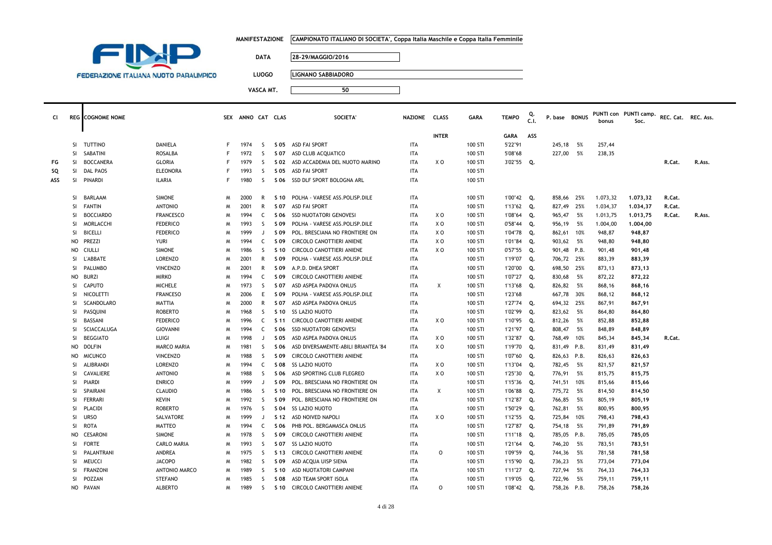|  | MANIFESTAZIONE      CAMPIONATO ITALIANO DI SOCIETA', Coppa Italia Maschile e Coppa Italia Femminile |
|--|-----------------------------------------------------------------------------------------------------|
|--|-----------------------------------------------------------------------------------------------------|



**FG**

**SQ**

**ASS**

**DATA 28-29/MAGGIO/2016**

**LUOGO LIGNANO SABBIADORO**

| <b>CI</b> |               | <b>REG</b> COGNOME NOME |                    |    | SEX ANNO CAT CLAS |              |      | SOCIETA'                            | <b>NAZIONE</b> | <b>CLASS</b> | <b>GARA</b> | <b>TEMPO</b> | C.1. | P. base BONUS |      | bonus    | PUNTI con PUNTI camp.<br>Soc. | REC. Cat. REC. Ass. |        |
|-----------|---------------|-------------------------|--------------------|----|-------------------|--------------|------|-------------------------------------|----------------|--------------|-------------|--------------|------|---------------|------|----------|-------------------------------|---------------------|--------|
|           |               |                         |                    |    |                   |              |      |                                     |                | <b>INTER</b> |             | <b>GARA</b>  | ASS  |               |      |          |                               |                     |        |
|           | <sup>SI</sup> | TUTTINO                 | DANIELA            | F. | 1974              | S.           |      | S 05 ASD FAI SPORT                  | <b>ITA</b>     |              | 100 STI     | 5'22"91      |      | 245,18        | - 5% | 257,44   |                               |                     |        |
|           | -SI           | SABATINI                | ROSALBA            | F  | 1972              | <sub>S</sub> | S 07 | ASD CLUB ACQUATICO                  | <b>ITA</b>     |              | 100 STI     | 5'08"68      |      | 227,00        | 5%   | 238,35   |                               |                     |        |
| FG        | SI.           | BOCCANERA               | <b>GLORIA</b>      | F  | 1979              | S            | S 02 | ASD ACCADEMIA DEL NUOTO MARINO      | ITA            | XO           | 100 STI     | 3'02"55 Q.   |      |               |      |          |                               | R.Cat.              | R.Ass. |
| SQ        | SI.           | DAL PAOS                | <b>ELEONORA</b>    | F  | 1993              | S            | S 05 | ASD FAI SPORT                       | ITA            |              | 100 STI     |              |      |               |      |          |                               |                     |        |
| ASS       | SI.           | PINARDI                 | <b>ILARIA</b>      | F  | 1980              | -S           |      | S 06 SSD DLF SPORT BOLOGNA ARL      | <b>ITA</b>     |              | 100 STI     |              |      |               |      |          |                               |                     |        |
|           | -SI           | BARLAAM                 | <b>SIMONE</b>      | M  | 2000              | R            | S 10 | POLHA - VARESE ASS.POLISP.DILE      | <b>ITA</b>     |              | 100 STI     | 1'00"42      | Q.   | 858,66        | 25%  | 1.073,32 | 1,073,32                      | R.Cat.              |        |
|           | SI.           | FANTIN                  | <b>ANTONIO</b>     | м  | 2001              | R            | S 07 | ASD FAI SPORT                       | ITA            |              | 100 STI     | 1'13"62      | Q.   | 827,49        | 25%  | 1.034,37 | 1.034,37                      | R.Cat.              |        |
|           | -SI           | <b>BOCCIARDO</b>        | <b>FRANCESCO</b>   | м  | 1994              | C            | S 06 | <b>SSD NUOTATORI GENOVESI</b>       | ITA            | XO           | 100 STI     | 1'08"64      | Q.   | 965,47        | 5%   | 1.013,75 | 1,013,75                      | R.Cat.              | R.Ass. |
|           | <b>SI</b>     | MORLACCHI               | <b>FEDERICO</b>    | M  | 1993              | S.           | S 09 | POLHA - VARESE ASS.POLISP.DILE      | ITA            | ΧO           | 100 STI     | 0'58"44      | Q.   | 956,19        | - 5% | 1.004,00 | 1.004,00                      |                     |        |
|           | -SI           | BICELLI                 | <b>FEDERICO</b>    | м  | 1999              | $\mathbf{J}$ | S 09 | POL. BRESCIANA NO FRONTIERE ON      | <b>ITA</b>     | ΧO           | 100 STI     | 1'04"78      | Q.   | 862,61 10%    |      | 948,87   | 948,87                        |                     |        |
|           | NO            | PREZZI                  | <b>YURI</b>        | м  | 1994              | C            | S 09 | CIRCOLO CANOTTIERI ANIENE           | <b>ITA</b>     | XO           | 100 STI     | 1'01"84      | Q.   | 903,62        | 5%   | 948,80   | 948,80                        |                     |        |
|           | NO            | <b>CIULLI</b>           | <b>SIMONE</b>      | м  | 1986              | S.           | S 10 | CIRCOLO CANOTTIERI ANIENE           | ITA            | XO           | 100 STI     | 0'57"55      | Q.   | 901,48 P.B.   |      | 901,48   | 901,48                        |                     |        |
|           | SI.           | L'ABBATE                | <b>LORENZO</b>     | м  | 2001              | R            | S 09 | POLHA - VARESE ASS.POLISP.DILE      | <b>ITA</b>     |              | 100 STI     | 1'19"07      | Q.   | 706,72 25%    |      | 883,39   | 883,39                        |                     |        |
|           | -SI           | PALUMBO                 | <b>VINCENZO</b>    | м  | 2001              | R            | S 09 | A.P.D. DHEA SPORT                   | <b>ITA</b>     |              | 100 STI     | 1'20"00      | Q.   | 698,50 25%    |      | 873,13   | 873,13                        |                     |        |
|           | NO            | BURZI                   | <b>MIRKO</b>       | м  | 1994              | C            | S 09 | CIRCOLO CANOTTIERI ANIENE           | ITA            |              | 100 STI     | 1'07"27      | Q.   | 830,68        | 5%   | 872,22   | 872,22                        |                     |        |
|           | -SI           | CAPUTO                  | <b>MICHELE</b>     | м  | 1973              | S.           | S 07 | ASD ASPEA PADOVA ONLUS              | ITA            | Χ            | 100 STI     | 1'13"68      | Q.   | 826,82        | 5%   | 868,16   | 868,16                        |                     |        |
|           | -SI           | NICOLETTI               | <b>FRANCESO</b>    | м  | 2006              | E            | S 09 | POLHA - VARESE ASS.POLISP.DILE      | <b>ITA</b>     |              | 100 STI     | 1'23"68      |      | 667,78 30%    |      | 868,12   | 868,12                        |                     |        |
|           | -SI           | SCANDOLARO              | MATTIA             | м  | 2000              | R            | S 07 | ASD ASPEA PADOVA ONLUS              | ITA            |              | 100 STI     | 1'27"74      | Q.   | 694,32 25%    |      | 867,91   | 867,91                        |                     |        |
|           | -SI           | PASQUINI                | <b>ROBERTO</b>     | м  | 1968              | S.           | S 10 | <b>SS LAZIO NUOTO</b>               | ITA            |              | 100 STI     | 1'02"99      | Q.   | 823,62        | - 5% | 864,80   | 864,80                        |                     |        |
|           | -SI           | BASSANI                 | <b>FEDERICO</b>    | м  | 1996              | C            | S 11 | CIRCOLO CANOTTIERI ANIENE           | ITA            | ΧO           | 100 STI     | 1'10"95      | Q.   | 812,26        | - 5% | 852,88   | 852,88                        |                     |        |
|           | -SI           | SCIACCALUGA             | <b>GIOVANNI</b>    | м  | 1994              | C            | S 06 | <b>SSD NUOTATORI GENOVESI</b>       | <b>ITA</b>     |              | 100 STI     | 1'21"97      | Q.   | 808,47        | 5%   | 848,89   | 848,89                        |                     |        |
|           | -SI           | <b>BEGGIATO</b>         | LUIGI              | м  | 1998              | $\mathbf{I}$ | S 05 | ASD ASPEA PADOVA ONLUS              | ITA            | ΧO           | 100 STI     | 1'32"87      | Q.   | 768,49        | 10%  | 845,34   | 845,34                        | R.Cat.              |        |
|           | NO.           | <b>DOLFIN</b>           | <b>MARCO MARIA</b> | M  | 1981              | S.           | S 06 | ASD DIVERSAMENTE-ABILI BRIANTEA '84 | ITA            | ΧO           | 100 STI     | 1'19"70      | Q.   | 831,49 P.B.   |      | 831,49   | 831,49                        |                     |        |
|           | NO.           | <b>MICUNCO</b>          | <b>VINCENZO</b>    | M  | 1988              | S.           | S 09 | CIRCOLO CANOTTIERI ANIENE           | ITA            |              | 100 STI     | 1'07"60      | Q.   | 826,63 P.B.   |      | 826,63   | 826,63                        |                     |        |
|           | -SI           | ALIBRANDI               | <b>LORENZO</b>     | м  | 1994              | C            | S 08 | <b>SS LAZIO NUOTO</b>               | <b>ITA</b>     | X O          | 100 STI     | 1'13"04      | Q.   | 782,45        | - 5% | 821,57   | 821,57                        |                     |        |
|           | <b>SI</b>     | CAVALIERE               | <b>ANTONIO</b>     | M  | 1988              | S            | S 06 | ASD SPORTING CLUB FLEGREO           | ITA            | XO           | 100 STI     | 1'25"30      | Q.   | 776,91        | 5%   | 815,75   | 815,75                        |                     |        |
|           | -SI           | PIARDI                  | <b>ENRICO</b>      | м  | 1999              | $\perp$      | S 09 | POL. BRESCIANA NO FRONTIERE ON      | ITA            |              | 100 STI     | 1'15"36      | Q.   | 741,51        | 10%  | 815,66   | 815,66                        |                     |        |
|           | <b>SI</b>     | SPAIRANI                | CLAUDIO            | M  | 1986              | S.           | S 10 | POL. BRESCIANA NO FRONTIERE ON      | ITA            | X            | 100 STI     | 1'06"88      | Q.   | 775,72        | 5%   | 814,50   | 814,50                        |                     |        |
|           | -SI           | FERRARI                 | KEVIN              | м  | 1992              | S.           | S 09 | POL. BRESCIANA NO FRONTIERE ON      | <b>ITA</b>     |              | 100 STI     | 1'12"87      | Q.   | 766,85        | - 5% | 805,19   | 805,19                        |                     |        |
|           | SI.           | PLACIDI                 | <b>ROBERTO</b>     | м  | 1976              | S.           | S 04 | <b>SS LAZIO NUOTO</b>               | <b>ITA</b>     |              | 100 STI     | 1'50"29      | Q.   | 762,81        | - 5% | 800,95   | 800,95                        |                     |        |
|           | SI.           | <b>URSO</b>             | SALVATORE          | м  | 1999              | $\mathbf{I}$ | S 12 | ASD NOIVED NAPOLI                   | ITA            | XO           | 100 STI     | 1'12"55      | Q.   | 725,84 10%    |      | 798,43   | 798,43                        |                     |        |
|           | SI.           | ROTA                    | <b>MATTEO</b>      | м  | 1994              | C.           | S 06 | PHB POL. BERGAMASCA ONLUS           | <b>ITA</b>     |              | 100 STI     | 1'27"87      | Q.   | 754,18        | 5%   | 791,89   | 791,89                        |                     |        |
|           | NO.           | CESARONI                | <b>SIMONE</b>      | M  | 1978              | -S           | S 09 | CIRCOLO CANOTTIERI ANIENE           | ITA            |              | 100 STI     | 1'11"18      | Q.   | 785,05 P.B.   |      | 785,05   | 785,05                        |                     |        |
|           | <sup>SI</sup> | <b>FORTE</b>            | <b>CARLO MARIA</b> | м  | 1993              | S.           | S 07 | <b>SS LAZIO NUOTO</b>               | <b>ITA</b>     |              | 100 STI     | 1'21"64      | Q.   | 746,20        | - 5% | 783,51   | 783,51                        |                     |        |
|           | <sup>SI</sup> | PALANTRANI              | ANDREA             | м  | 1975              | S            | S 13 | CIRCOLO CANOTTIERI ANIENE           | ITA            | $\circ$      | 100 STI     | 1'09"59      | Q.   | 744,36        | - 5% | 781,58   | 781,58                        |                     |        |
|           | SI.           | <b>MEUCCI</b>           | <b>JACOPO</b>      | м  | 1982              | S            | S 09 | ASD ACQUA UISP SIENA                | ITA            |              | 100 STI     | 1'15"90      | Q.   | 736,23        | 5%   | 773,04   | 773,04                        |                     |        |
|           | -SI           | <b>FRANZONI</b>         | ANTONIO MARCO      | м  | 1989              | S.           | S 10 | ASD NUOTATORI CAMPANI               | <b>ITA</b>     |              | 100 STI     | 1'11"27      | Q.   | 727,94        | 5%   | 764,33   | 764,33                        |                     |        |
|           | -SI           | POZZAN                  | <b>STEFANO</b>     | M  | 1985              | S.           | S 08 | ASD TEAM SPORT ISOLA                | <b>ITA</b>     |              | 100 STI     | 1'19"05      | Q.   | 722,96        | - 5% | 759,11   | 759,11                        |                     |        |
|           |               | NO PAVAN                | <b>ALBERTO</b>     | M  | 1989              | <sub>S</sub> | S 10 | CIRCOLO CANOTTIERI ANIENE           | <b>ITA</b>     | 0            | 100 STI     | 1'08"42      | О.   | 758,26 P.B.   |      | 758,26   | 758,26                        |                     |        |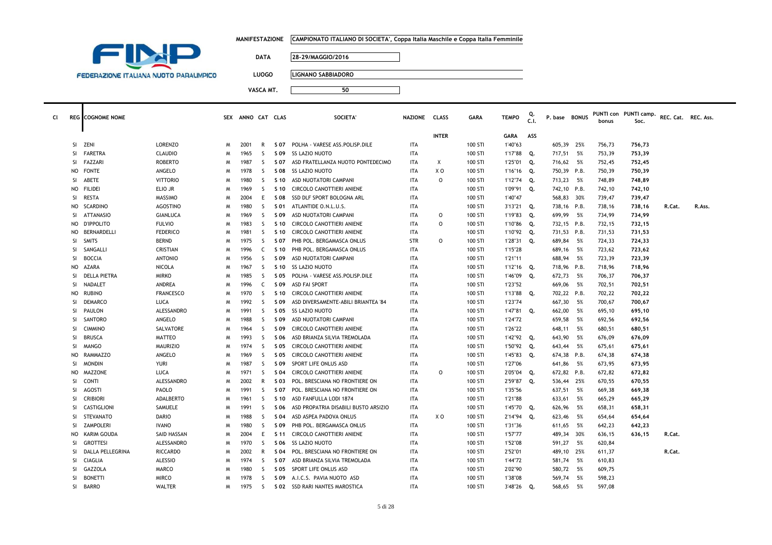|  | MANIFESTAZIONE      CAMPIONATO ITALIANO DI SOCIETA', Coppa Italia Maschile e Coppa Italia Femminile |
|--|-----------------------------------------------------------------------------------------------------|
|--|-----------------------------------------------------------------------------------------------------|



**LUOGO LIGNANO SABBIADORO**

| c١ |           | <b>REG</b> COGNOME NOME |                   |   | SEX ANNO CAT CLAS |              |                 | <b>SOCIETA'</b>                      | NAZIONE CLASS |              | <b>GARA</b> | <b>TEMPO</b> | C.1. | P. base BONUS |      | bonus  | PUNTI con PUNTI camp.<br>Soc. | REC. Cat. REC. Ass. |        |
|----|-----------|-------------------------|-------------------|---|-------------------|--------------|-----------------|--------------------------------------|---------------|--------------|-------------|--------------|------|---------------|------|--------|-------------------------------|---------------------|--------|
|    |           |                         |                   |   |                   |              |                 |                                      |               | <b>INTER</b> |             | <b>GARA</b>  | ASS  |               |      |        |                               |                     |        |
|    | SI        | ZENI                    | <b>LORENZO</b>    | M | 2001              | R            | S 07            | POLHA - VARESE ASS.POLISP.DILE       | <b>ITA</b>    |              | 100 STI     | 1'40"63      |      | 605,39 25%    |      | 756,73 | 756,73                        |                     |        |
|    | SI.       | <b>FARETRA</b>          | <b>CLAUDIO</b>    | N | 1965              | <sub>S</sub> | S 09            | <b>SS LAZIO NUOTO</b>                | <b>ITA</b>    |              | 100 STI     | 1'17"88      | Q.   | 717,51        | 5%   | 753,39 | 753,39                        |                     |        |
|    | SI.       | <b>FAZZARI</b>          | <b>ROBERTO</b>    | N | 1987              | <sub>S</sub> | S 07            | ASD FRATELLANZA NUOTO PONTEDECIMO    | <b>ITA</b>    | Χ            | 100 STI     | 1'25"01      | Q.   | 716,62 5%     |      | 752,45 | 752,45                        |                     |        |
|    | NO        | <b>FONTE</b>            | ANGELO            | N | 1978              | -S           | S 08            | <b>SS LAZIO NUOTO</b>                | <b>ITA</b>    | X O          | 100 STI     | 1'16"16      | Q.   | 750,39 P.B.   |      | 750,39 | 750,39                        |                     |        |
|    | SI        | ABETE                   | <b>VITTORIO</b>   | N | 1980              | -S           | S 10            | ASD NUOTATORI CAMPANI                | <b>ITA</b>    | $\Omega$     | 100 STI     | 1'12"74      | Q.   | 713,23        | 5%   | 748,89 | 748,89                        |                     |        |
|    | NO        | <b>FILIDEI</b>          | ELIO JR           | M | 1969              | <sub>S</sub> | S 10            | CIRCOLO CANOTTIERI ANIENE            | <b>ITA</b>    |              | 100 STI     | 1'09"91      | Q.   | 742,10 P.B.   |      | 742,10 | 742,10                        |                     |        |
|    | <b>SI</b> | <b>RESTA</b>            | MASSIMO           | N | 2004              | E            | S 08            | SSD DLF SPORT BOLOGNA ARL            | <b>ITA</b>    |              | 100 STI     | 1'40"47      |      | 568,83        | 30%  | 739,47 | 739,47                        |                     |        |
|    | NO.       | <b>SCARDINO</b>         | <b>AGOSTINO</b>   | N | 1980              | <sub>S</sub> | S 01            | ATLANTIDE O.N.L.U.S.                 | <b>ITA</b>    |              | 100 STI     | 3'13"21      | Q.   | 738,16 P.B.   |      | 738.16 | 738,16                        | R.Cat.              | R.Ass. |
|    | SI        | <b>ATTANASIO</b>        | <b>GIANLUCA</b>   | N | 1969              | -S           | S 09            | ASD NUOTATORI CAMPANI                | <b>ITA</b>    | $\circ$      | 100 STI     | 1'19"83      | Q.   | 699,99        | 5%   | 734,99 | 734,99                        |                     |        |
|    | NO        | <b>D'IPPOLITO</b>       | <b>FULVIO</b>     | N | 1983              | -S           | S 10            | <b>CIRCOLO CANOTTIERI ANIENE</b>     | <b>ITA</b>    | $\Omega$     | 100 STI     | 1'10"86      | Q.   | 732,15 P.B.   |      | 732,15 | 732,15                        |                     |        |
|    | NO        | BERNARDELLI             | <b>FEDERICO</b>   | N | 1981              | <sub>S</sub> | S 10            | CIRCOLO CANOTTIERI ANIENE            | <b>ITA</b>    |              | 100 STI     | 1'10"92      | Q.   | 731,53 P.B.   |      | 731,53 | 731,53                        |                     |        |
|    | SI        | SMITS                   | <b>BERND</b>      | N | 1975              | -S           | S 07            | PHB POL. BERGAMASCA ONLUS            | <b>STR</b>    | $\Omega$     | 100 STI     | 1'28"31      | Q.   | 689,84        | 5%   | 724,33 | 724,33                        |                     |        |
|    | <b>SI</b> | SANGALLI                | CRISTIAN          | N | 1996              | C            | S 10            | PHB POL. BERGAMASCA ONLUS            | <b>ITA</b>    |              | 100 STI     | 1'15"28      |      | 689,16        | 5%   | 723,62 | 723,62                        |                     |        |
|    | <b>SI</b> | <b>BOCCIA</b>           | <b>ANTONIO</b>    | N | 1956              | <sub>S</sub> | S 09            | ASD NUOTATORI CAMPANI                | <b>ITA</b>    |              | 100 STI     | 1'21"11      |      | 688,94        | 5%   | 723,39 | 723,39                        |                     |        |
|    | <b>NO</b> | AZARA                   | <b>NICOLA</b>     | M | 1967              | <sub>S</sub> | S 10            | <b>SS LAZIO NUOTO</b>                | <b>ITA</b>    |              | 100 STI     | 1'12"16      | Q.   | 718,96 P.B.   |      | 718,96 | 718,96                        |                     |        |
|    | SI        | DELLA PIETRA            | <b>MIRKO</b>      | N | 1985              | -S           | S 05            | POLHA - VARESE ASS.POLISP.DILE       | <b>ITA</b>    |              | 100 STI     | 1'46"09      | Q.   | 672,73 5%     |      | 706,37 | 706,37                        |                     |        |
|    | <b>SI</b> | NADALET                 | ANDREA            | N | 1996              | C            | S 09            | <b>ASD FAI SPORT</b>                 | <b>ITA</b>    |              | 100 STI     | 1'23"52      |      | 669,06        | 5%   | 702,51 | 702,51                        |                     |        |
|    | NO        | <b>RUBINO</b>           | <b>FRANCESCO</b>  | N | 1970              | <sub>S</sub> | S 10            | CIRCOLO CANOTTIERI ANIENE            | <b>ITA</b>    |              | 100 STI     | 1'13"88      | Q.   | 702,22 P.B.   |      | 702,22 | 702,22                        |                     |        |
|    | <b>SI</b> | <b>DEMARCO</b>          | LUCA              | N | 1992              | -S           | S 09            | ASD DIVERSAMENTE-ABILI BRIANTEA '84  | <b>ITA</b>    |              | 100 STI     | 1'23"74      |      | 667,30        | - 5% | 700,67 | 700,67                        |                     |        |
|    | <b>SI</b> | PAULON                  | <b>ALESSANDRO</b> | N | 1991              | <sub>S</sub> | S 05            | <b>SS LAZIO NUOTO</b>                | <b>ITA</b>    |              | 100 STI     | 1'47"81      | Q.   | 662,00        | - 5% | 695,10 | 695,10                        |                     |        |
|    | SI        | SANTORO                 | ANGELO            | N | 1988              | -S           | S 09            | ASD NUOTATORI CAMPANI                | <b>ITA</b>    |              | 100 STI     | 1'24"72      |      | 659,58        | 5%   | 692,56 | 692,56                        |                     |        |
|    | <b>SI</b> | <b>CIMMINO</b>          | SALVATORE         | N | 1964              | -S           | S 09            | CIRCOLO CANOTTIERI ANIENE            | <b>ITA</b>    |              | 100 STI     | 1'26"22      |      | 648,11        | - 5% | 680,51 | 680,51                        |                     |        |
|    | <b>SI</b> | <b>BRUSCA</b>           | <b>MATTEO</b>     | N | 1993              | -S           | S 06            | ASD BRIANZA SILVIA TREMOLADA         | <b>ITA</b>    |              | 100 STI     | 1'42"92 Q.   |      | 643,90        | - 5% | 676,09 | 676,09                        |                     |        |
|    | <b>SI</b> | <b>MANGO</b>            | <b>MAURIZIO</b>   | N | 1974              | -S           | S 05            | CIRCOLO CANOTTIERI ANIENE            | <b>ITA</b>    |              | 100 STI     | 1'50"92      | Q.   | 643,44        | 5%   | 675,61 | 675,61                        |                     |        |
|    | NO.       | RAMMAZZO                | ANGELO            | N | 1969              | <sub>S</sub> | S 05            | CIRCOLO CANOTTIERI ANIENE            | <b>ITA</b>    |              | 100 STI     | 1'45"83      | Q.   | 674,38 P.B.   |      | 674,38 | 674,38                        |                     |        |
|    | SI        | <b>MONDIN</b>           | <b>YURI</b>       | N | 1987              | <sub>S</sub> | S 09            | SPORT LIFE ONLUS ASD                 | <b>ITA</b>    |              | 100 STI     | 1'27"06      |      | 641,86        | 5%   | 673,95 | 673,95                        |                     |        |
|    | NO        | <b>MAZZONE</b>          | LUCA              | N | 1971              | -S           | S 04            | CIRCOLO CANOTTIERI ANIENE            | <b>ITA</b>    | $\circ$      | 100 STI     | 2'05"04      | Q.   | 672,82 P.B.   |      | 672,82 | 672,82                        |                     |        |
|    | SI.       | CONTI                   | ALESSANDRO        | N | 2002              | $\mathsf{R}$ | S 03            | POL. BRESCIANA NO FRONTIERE ON       | <b>ITA</b>    |              | 100 STI     | 2'59"87      | Q.   | 536,44 25%    |      | 670,55 | 670,55                        |                     |        |
|    | SI.       | AGOSTI                  | PAOLO             | N | 1991              | -S           | S 07            | POL. BRESCIANA NO FRONTIERE ON       | <b>ITA</b>    |              | 100 STI     | 1'35"56      |      | 637,51        | - 5% | 669,38 | 669,38                        |                     |        |
|    | <b>SI</b> | <b>CRIBIORI</b>         | <b>ADALBERTO</b>  | N | 1961              | -S           | S <sub>10</sub> | ASD FANFULLA LODI 1874               | <b>ITA</b>    |              | 100 STI     | 1'21"88      |      | 633,61        | 5%   | 665,29 | 665,29                        |                     |        |
|    | SI        | CASTIGLIONI             | SAMUELE           | N | 1991              | <sub>S</sub> | S 06            | ASD PROPATRIA DISABILI BUSTO ARSIZIO | <b>ITA</b>    |              | 100 STI     | 1'45"70      | Q.   | 626,96        | 5%   | 658,31 | 658,31                        |                     |        |
|    | SI        | STEVANATO               | <b>DARIO</b>      | N | 1988              | -S           | S 04            | ASD ASPEA PADOVA ONLUS               | <b>ITA</b>    | x o          | 100 STI     | 2'14"94      | Q.   | 623,46        | 5%   | 654,64 | 654,64                        |                     |        |
|    | <b>SI</b> | <b>ZAMPOLERI</b>        | <b>IVANO</b>      | N | 1980              | -S           | S 09            | PHB POL. BERGAMASCA ONLUS            | <b>ITA</b>    |              | 100 STI     | 1'31"36      |      | 611,65        | - 5% | 642,23 | 642,23                        |                     |        |
|    | NO.       | KARIM GOUDA             | SAID HASSAN       | N | 2004              | E            | S 11            | CIRCOLO CANOTTIERI ANIENE            | <b>ITA</b>    |              | 100 STI     | 1'57"77      |      | 489,34        | 30%  | 636,15 | 636,15                        | R.Cat.              |        |
|    | <b>SI</b> | <b>GROTTES</b>          | ALESSANDRO        | N | 1970              | <sub>S</sub> | S 06            | <b>SS LAZIO NUOTO</b>                | <b>ITA</b>    |              | 100 STI     | 1'52"08      |      | 591,27        | - 5% | 620,84 |                               |                     |        |
|    | SI        | DALLA PELLEGRINA        | <b>RICCARDO</b>   | N | 2002              | $\mathsf{R}$ | S 04            | POL. BRESCIANA NO FRONTIERE ON       | <b>ITA</b>    |              | 100 STI     | 2'52"01      |      | 489,10 25%    |      | 611,37 |                               | R.Cat.              |        |
|    | SI        | <b>CIAGLIA</b>          | ALESSIO           | N | 1974              | -S           | S 07            | ASD BRIANZA SILVIA TREMOLADA         | <b>ITA</b>    |              | 100 STI     | 1'44"72      |      | 581,74        | 5%   | 610,83 |                               |                     |        |
|    | SI        | GAZZOLA                 | MARCO             | M | 1980              | -S           | S 05            | SPORT LIFE ONLUS ASD                 | <b>ITA</b>    |              | 100 STI     | 2'02"90      |      | 580,72        | 5%   | 609,75 |                               |                     |        |
|    | SI        | <b>BONETTI</b>          | <b>MIRCO</b>      | N | 1978              | -S           | S 09            | A.I.C.S. PAVIA NUOTO ASD             | <b>ITA</b>    |              | 100 STI     | 1'38"08      |      | 569,74        | - 5% | 598,23 |                               |                     |        |
|    |           | SI BARRO                | <b>WALTER</b>     | M | 1975              | <sub>S</sub> | S 02            | SSD RARI NANTES MAROSTICA            | <b>ITA</b>    |              | 100 STI     | 3'48"26      | 0.   | 568,65        | 5%   | 597,08 |                               |                     |        |
|    |           |                         |                   |   |                   |              |                 |                                      |               |              |             |              |      |               |      |        |                               |                     |        |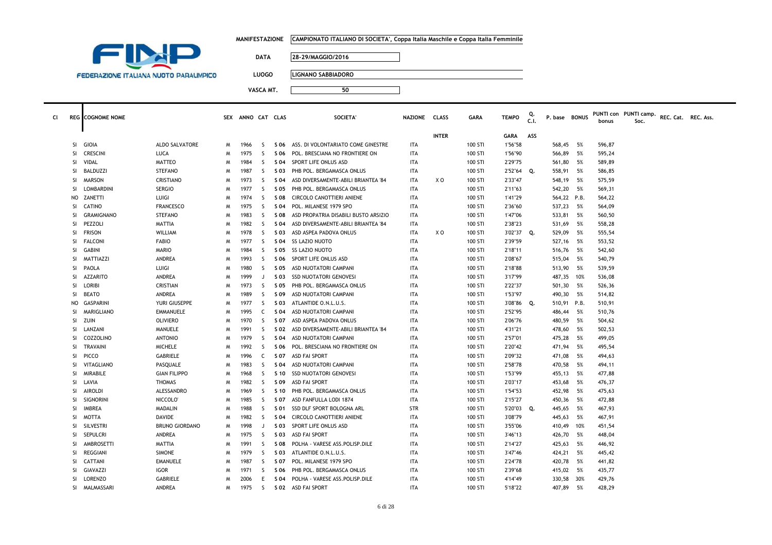|  | MANIFESTAZIONE      CAMPIONATO ITALIANO DI SOCIETA', Coppa Italia Maschile e Coppa Italia Femminile |
|--|-----------------------------------------------------------------------------------------------------|
|--|-----------------------------------------------------------------------------------------------------|

**<sup>50</sup>**



**DATA 28-29/MAGGIO/2016**

**LUOGO LIGNANO SABBIADORO**

|    |           |                         |                       |   |                   |              |      |                                      |                |                |             |              | Q.   |               |      |        | PUNTI con PUNTI camp. |                     |  |
|----|-----------|-------------------------|-----------------------|---|-------------------|--------------|------|--------------------------------------|----------------|----------------|-------------|--------------|------|---------------|------|--------|-----------------------|---------------------|--|
| CI |           | <b>REG</b> COGNOME NOME |                       |   | SEX ANNO CAT CLAS |              |      | <b>SOCIETA</b>                       | <b>NAZIONE</b> | <b>CLASS</b>   | <b>GARA</b> | <b>TEMPO</b> | C.I. | P. base BONUS |      | bonus  | Soc.                  | REC. Cat. REC. Ass. |  |
|    |           |                         |                       |   |                   |              |      |                                      |                | <b>INTER</b>   |             | GARA         | ASS  |               |      |        |                       |                     |  |
|    | SI        | GIOIA                   | ALDO SALVATORE        | M | 1966              | -S           | S 06 | ASS. DI VOLONTARIATO COME GINESTRE   | ITA            |                | 100 STI     | 1'56"58      |      | 568,45        | - 5% | 596,87 |                       |                     |  |
|    | SI        | <b>CRESCINI</b>         | LUCA                  | M | 1975              | -S           | S 06 | POL. BRESCIANA NO FRONTIERE ON       | ITA            |                | 100 STI     | 1'56"90      |      | 566,89        | 5%   | 595,24 |                       |                     |  |
|    | SI.       | VIDAL                   | MATTEO                | M | 1984              | <sub>S</sub> | S 04 | SPORT LIFE ONLUS ASD                 | ITA            |                | 100 STI     | 2'29"75      |      | 561,80        | - 5% | 589,89 |                       |                     |  |
|    | SI        | BALDUZZI                | <b>STEFANO</b>        | M | 1987              | S            | S 03 | PHB POL. BERGAMASCA ONLUS            | <b>ITA</b>     |                | 100 STI     | 2'52"64      | Q.   | 558,91        | 5%   | 586,85 |                       |                     |  |
|    | SI.       | <b>MARSON</b>           | CRISTIANO             | M | 1973              | -S           | S 04 | ASD DIVERSAMENTE-ABILI BRIANTEA '84  | <b>ITA</b>     | X <sub>0</sub> | 100 STI     | 2'33"47      |      | 548,19        | 5%   | 575,59 |                       |                     |  |
|    | <b>SI</b> | <b>LOMBARDINI</b>       | <b>SERGIO</b>         | M | 1977              | <sub>S</sub> | S 05 | PHB POL. BERGAMASCA ONLUS            | <b>ITA</b>     |                | 100 STI     | 2'11"63      |      | 542,20        | - 5% | 569,31 |                       |                     |  |
|    | NO        | ZANETTI                 | LUIGI                 | M | 1974              | S            | S 08 | CIRCOLO CANOTTIERI ANIENE            | <b>ITA</b>     |                | 100 STI     | 1'41"29      |      | 564,22 P.B.   |      | 564,22 |                       |                     |  |
|    | SI        | <b>CATINO</b>           | <b>FRANCESCO</b>      | M | 1975              | S            | S 04 | POL. MILANESE 1979 SPO               | <b>ITA</b>     |                | 100 STI     | 2'36"60      |      | 537,23        | 5%   | 564,09 |                       |                     |  |
|    | <b>SI</b> | <b>GRAMIGNANO</b>       | <b>STEFANO</b>        | M | 1983              | <sub>S</sub> | S 08 | ASD PROPATRIA DISABILI BUSTO ARSIZIO | <b>ITA</b>     |                | 100 STI     | 1'47"06      |      | 533,81        | - 5% | 560,50 |                       |                     |  |
|    | <b>SI</b> | PEZZOLI                 | MATTIA                | M | 1982              | -S           | S 04 | ASD DIVERSAMENTE-ABILI BRIANTEA '84  | <b>ITA</b>     |                | 100 STI     | 2'38"23      |      | 531,69        | - 5% | 558,28 |                       |                     |  |
|    | SI        | <b>FRISON</b>           | WILLIAM               | M | 1978              | S            | S 03 | ASD ASPEA PADOVA ONLUS               | ITA            | X O            | 100 STI     | 3'02"37      | Q.   | 529,09        | 5%   | 555,54 |                       |                     |  |
|    | SI        | <b>FALCONI</b>          | <b>FABIO</b>          | M | 1977              | -S           | S 04 | SS LAZIO NUOTO                       | <b>ITA</b>     |                | 100 STI     | 2'39"59      |      | 527,16        | 5%   | 553,52 |                       |                     |  |
|    | <b>SI</b> | GABINI                  | <b>MARIO</b>          | M | 1984              | -S           | S 05 | <b>SS LAZIO NUOTO</b>                | <b>ITA</b>     |                | 100 STI     | 2'18"11      |      | 516,76        | - 5% | 542,60 |                       |                     |  |
|    | SI        | MATTIAZZI               | ANDREA                | M | 1993              | S            | S 06 | SPORT LIFE ONLUS ASD                 | <b>ITA</b>     |                | 100 STI     | 2'08"67      |      | 515,04        | 5%   | 540,79 |                       |                     |  |
|    | SI.       | PAOLA                   | LUIGI                 | M | 1980              | -S           | S 05 | ASD NUOTATORI CAMPANI                | ITA            |                | 100 STI     | 2'18"88      |      | 513,90        | - 5% | 539,59 |                       |                     |  |
|    | SI        | AZZARITO                | ANDREA                | M | 1999              | J            | S 03 | <b>SSD NUOTATORI GENOVESI</b>        | ITA            |                | 100 STI     | 3'17"99      |      | 487,35        | 10%  | 536,08 |                       |                     |  |
|    | SI        | <b>LORIBI</b>           | <b>CRISTIAN</b>       | M | 1973              | S            | S 05 | PHB POL. BERGAMASCA ONLUS            | <b>ITA</b>     |                | 100 STI     | 2'22"37      |      | 501,30        | - 5% | 526,36 |                       |                     |  |
|    | SI        | <b>BEATO</b>            | ANDREA                | M | 1989              | <sub>S</sub> | S 09 | ASD NUOTATORI CAMPANI                | ITA            |                | 100 STI     | 1'53"97      |      | 490,30        | - 5% | 514,82 |                       |                     |  |
|    | NO.       | GASPARINI               | YURI GIUSEPPE         | M | 1977              | -S           | S 03 | ATLANTIDE O.N.L.U.S.                 | ITA            |                | 100 STI     | 3'08"86      | Q.   | 510,91 P.B.   |      | 510,91 |                       |                     |  |
|    | SI        | MARIGLIANO              | <b>EMMANUELE</b>      | M | 1995              | C            | S 04 | ASD NUOTATORI CAMPANI                | <b>ITA</b>     |                | 100 STI     | 2'52"95      |      | 486,44        | - 5% | 510,76 |                       |                     |  |
|    | SI        | ZUIN                    | <b>OLIVIERO</b>       | M | 1970              | -S           | S 07 | ASD ASPEA PADOVA ONLUS               | ITA            |                | 100 STI     | 2'06"76      |      | 480,59        | - 5% | 504,62 |                       |                     |  |
|    | SI        | LANZANI                 | MANUELE               | M | 1991              | -S           | S 02 | ASD DIVERSAMENTE-ABILI BRIANTEA '84  | ITA            |                | 100 STI     | 4'31"21      |      | 478,60        | - 5% | 502,53 |                       |                     |  |
|    | SI        | COZZOLINO               | <b>ANTONIO</b>        | M | 1979              | S            | S 04 | ASD NUOTATORI CAMPANI                | <b>ITA</b>     |                | 100 STI     | 2'57"01      |      | 475,28        | 5%   | 499,05 |                       |                     |  |
|    | SI        | TRAVAINI                | <b>MICHELE</b>        | M | 1992              | -S           | S 06 | POL. BRESCIANA NO FRONTIERE ON       | <b>ITA</b>     |                | 100 STI     | 2'20"42      |      | 471,94        | - 5% | 495,54 |                       |                     |  |
|    | SI        | PICCO                   | GABRIELE              | M | 1996              | C            | S 07 | ASD FAI SPORT                        | ITA            |                | 100 STI     | 2'09"32      |      | 471,08        | 5%   | 494,63 |                       |                     |  |
|    | <b>SI</b> | VITAGLIANO              | PASQUALE              | M | 1983              | <sub>S</sub> | S 04 | ASD NUOTATORI CAMPANI                | <b>ITA</b>     |                | 100 STI     | 2'58"78      |      | 470,58        | - 5% | 494,11 |                       |                     |  |
|    | SI        | MIRABILE                | <b>GIAN FILIPPO</b>   | M | 1968              | -S           | S 10 | SSD NUOTATORI GENOVESI               | ITA            |                | 100 STI     | 1'53"99      |      | 455,13 5%     |      | 477,88 |                       |                     |  |
|    |           | SI LAVIA                | <b>THOMAS</b>         | M | 1982              | S            | S 09 | <b>ASD FAI SPORT</b>                 | ITA            |                | 100 STI     | 2'03"17      |      | 453,68        | - 5% | 476,37 |                       |                     |  |
|    | <b>SI</b> | AIROLDI                 | ALESSANDRO            | M | 1969              | <sub>S</sub> | S 10 | PHB POL. BERGAMASCA ONLUS            | ITA            |                | 100 STI     | 1'54"53      |      | 452,98        | - 5% | 475,63 |                       |                     |  |
|    | SI        | SIGNORINI               | NICCOLO <sup>®</sup>  | M | 1985              | -S           | S 07 | ASD FANFULLA LODI 1874               | ITA            |                | 100 STI     | 2'15"27      |      | 450,36 5%     |      | 472,88 |                       |                     |  |
|    | SI        | <b>IMBREA</b>           | MADALIN               | M | 1988              | S            | S 01 | SSD DLF SPORT BOLOGNA ARL            | <b>STR</b>     |                | 100 STI     | 5'20"03 Q.   |      | 445,65        | - 5% | 467,93 |                       |                     |  |
|    | <b>SI</b> | <b>MOTTA</b>            | <b>DAVIDE</b>         | M | 1982              | <sub>S</sub> | S 04 | CIRCOLO CANOTTIERI ANIENE            | <b>ITA</b>     |                | 100 STI     | 3'08"79      |      | 445,63        | - 5% | 467,91 |                       |                     |  |
|    | SI        | SILVESTRI               | <b>BRUNO GIORDANO</b> | M | 1998              | J            | S 03 | SPORT LIFE ONLUS ASD                 | <b>ITA</b>     |                | 100 STI     | 3'55"06      |      | 410,49        | 10%  | 451,54 |                       |                     |  |
|    | SI        | SEPULCRI                | ANDREA                | M | 1975              | S            | S 03 | <b>ASD FAI SPORT</b>                 | ITA            |                | 100 STI     | 3'46"13      |      | 426,70        | 5%   | 448,04 |                       |                     |  |
|    | <b>SI</b> | AMBROSETTI              | MATTIA                | M | 1991              | -S           | S 08 | POLHA - VARESE ASS. POLISP. DILE     | <b>ITA</b>     |                | 100 STI     | 2'14"27      |      | 425,63        | 5%   | 446,92 |                       |                     |  |
|    | SI        | REGGIANI                | <b>SIMONE</b>         | M | 1979              | -S           | S 03 | ATLANTIDE O.N.L.U.S.                 | <b>ITA</b>     |                | 100 STI     | 3'47"46      |      | 424,21        | 5%   | 445,42 |                       |                     |  |
|    | SI        | CATTANI                 | EMANUELE              | M | 1987              | S            | S 07 | POL. MILANESE 1979 SPO               | ITA            |                | 100 STI     | 2'24"78      |      | 420,78        | - 5% | 441,82 |                       |                     |  |
|    | SI.       | GIAVAZZI                | <b>IGOR</b>           | M | 1971              | -S           | S 06 | PHB POL. BERGAMASCA ONLUS            | ITA            |                | 100 STI     | 2'39"68      |      | 415,02        | 5%   | 435,77 |                       |                     |  |
|    | SI        | LORENZO                 | <b>GABRIELE</b>       | M | 2006              | Ε            | S 04 | POLHA - VARESE ASS. POLISP. DILE     | ITA            |                | 100 STI     | 4'14"49      |      | 330,58 30%    |      | 429,76 |                       |                     |  |
|    | SI        | MALMASSARI              | ANDREA                | M | 1975              | S            | S 02 | <b>ASD FAI SPORT</b>                 | <b>ITA</b>     |                | 100 STI     | 5'18"22      |      | 407,89        | 5%   | 428,29 |                       |                     |  |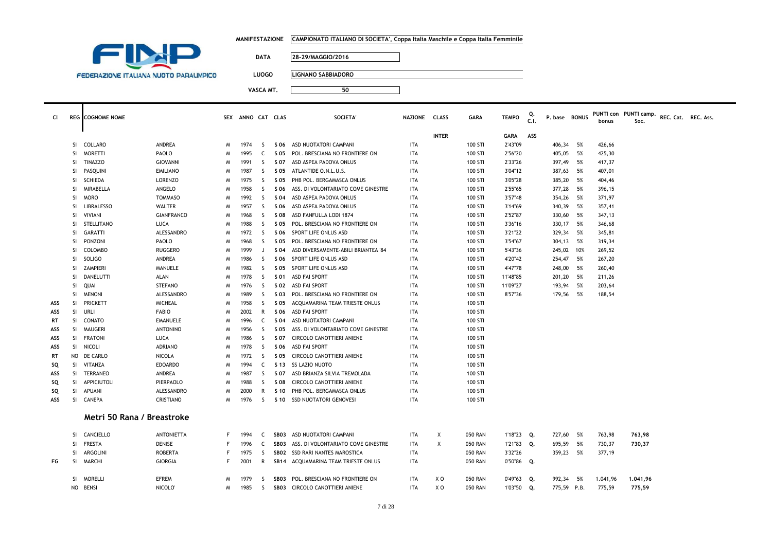| MANIFESTAZIONE      CAMPIONATO ITALIANO DI SOCIETA', Coppa Italia Maschile e Coppa Italia Femminile |
|-----------------------------------------------------------------------------------------------------|
|                                                                                                     |

**<sup>50</sup>**



**DATA 28-29/MAGGIO/2016**

**LUOGO LIGNANO SABBIADORO**

| <b>CI</b> |           | <b>REG</b> COGNOME NOME    |                   |    | SEX ANNO CAT CLAS |              |      | SOCIETA'                            | NAZIONE CLASS |              | <b>GARA</b>    | <b>TEMPO</b> | C.I. | P. base BONUS |      | bonus  | PUNTI con PUNTI camp.<br>Soc. | REC. Cat. REC. Ass. |  |
|-----------|-----------|----------------------------|-------------------|----|-------------------|--------------|------|-------------------------------------|---------------|--------------|----------------|--------------|------|---------------|------|--------|-------------------------------|---------------------|--|
|           |           |                            |                   |    |                   |              |      |                                     |               | <b>INTER</b> |                | GARA         | ASS  |               |      |        |                               |                     |  |
|           |           | SI COLLARO                 | ANDREA            | M  | 1974              | S.           |      | S 06 ASD NUOTATORI CAMPANI          | <b>ITA</b>    |              | 100 STI        | 2'43"09      |      | 406,34        | - 5% | 426,66 |                               |                     |  |
|           | SI        | <b>MORETTI</b>             | PAOLO             | M  | 1995              | C            | S 05 | POL. BRESCIANA NO FRONTIERE ON      | ITA           |              | 100 STI        | 2'56"20      |      | 405,05        | 5%   | 425,30 |                               |                     |  |
|           | SI.       | <b>TINAZZO</b>             | <b>GIOVANNI</b>   | M  | 1991              | <sub>S</sub> | S 07 | ASD ASPEA PADOVA ONLUS              | <b>ITA</b>    |              | 100 STI        | 2'33"26      |      | 397,49        | 5%   | 417,37 |                               |                     |  |
|           | SI        | PASQUINI                   | <b>EMILIANO</b>   | M  | 1987              | S.           | S 05 | ATLANTIDE O.N.L.U.S.                | ITA           |              | 100 STI        | 3'04"12      |      | 387,63        | 5%   | 407,01 |                               |                     |  |
|           | <b>SI</b> | <b>SCHIEDA</b>             | <b>LORENZO</b>    | M  | 1975              | <sub>S</sub> | S 05 | PHB POL. BERGAMASCA ONLUS           | <b>ITA</b>    |              | 100 STI        | 3'05"28      |      | 385,20        | 5%   | 404,46 |                               |                     |  |
|           | SI        | MIRABELLA                  | ANGELO            | M  | 1958              | S.           | S 06 | ASS. DI VOLONTARIATO COME GINESTRE  | <b>ITA</b>    |              | 100 STI        | 2'55"65      |      | 377,28        | 5%   | 396,15 |                               |                     |  |
|           | SI.       | <b>MORO</b>                | <b>TOMMASO</b>    | M  | 1992              | S.           | S 04 | ASD ASPEA PADOVA ONLUS              | <b>ITA</b>    |              | 100 STI        | 3'57"48      |      | 354,26        | - 5% | 371,97 |                               |                     |  |
|           | SI        | <b>LIBRALESSO</b>          | WALTER            | M  | 1957              | S.           | S 06 | ASD ASPEA PADOVA ONLUS              | ITA           |              | 100 STI        | 3'14"69      |      | 340,39        | 5%   | 357,41 |                               |                     |  |
|           | SI        | VIVIANI                    | <b>GIANFRANCO</b> | M  | 1968              | S.           | S 08 | ASD FANFULLA LODI 1874              | <b>ITA</b>    |              | 100 STI        | 2'52"87      |      | 330,60        | 5%   | 347,13 |                               |                     |  |
|           | SI        | STELLITANO                 | LUCA              | M  | 1988              | S.           | S 05 | POL. BRESCIANA NO FRONTIERE ON      | ITA           |              | 100 STI        | 3'36"16      |      | 330,17        | 5%   | 346,68 |                               |                     |  |
|           | SI.       | <b>GARATTI</b>             | ALESSANDRO        | M  | 1972              | S.           | S 06 | SPORT LIFE ONLUS ASD                | ITA           |              | 100 STI        | 3'21"22      |      | 329,34        | 5%   | 345,81 |                               |                     |  |
|           | SI        | PONZONI                    | PAOLO             | M  | 1968              | S.           | S 05 | POL. BRESCIANA NO FRONTIERE ON      | <b>ITA</b>    |              | 100 STI        | 3'54"67      |      | 304,13        | 5%   | 319,34 |                               |                     |  |
|           | SI.       | COLOMBO                    | <b>RUGGERO</b>    | M  | 1999              | J            | S 04 | ASD DIVERSAMENTE-ABILI BRIANTEA '84 | <b>ITA</b>    |              | 100 STI        | 5'43"36      |      | 245,02        | 10%  | 269,52 |                               |                     |  |
|           | SI        | <b>SOLIGO</b>              | ANDREA            | M  | 1986              | S.           | S 06 | SPORT LIFE ONLUS ASD                | <b>ITA</b>    |              | 100 STI        | 4'20"42      |      | 254,47        | 5%   | 267,20 |                               |                     |  |
|           | SI.       | ZAMPIERI                   | MANUELE           | M  | 1982              | S.           | S 05 | SPORT LIFE ONLUS ASD                | <b>ITA</b>    |              | 100 STI        | 4'47"78      |      | 248,00        | 5%   | 260,40 |                               |                     |  |
|           | SI.       | DANELUTTI                  | ALAN              | M  | 1978              | S.           | S 01 | <b>ASD FAI SPORT</b>                | <b>ITA</b>    |              | 100 STI        | 11'48"85     |      | 201,20        | 5%   | 211,26 |                               |                     |  |
|           | SI        | QUAI                       | <b>STEFANO</b>    | M  | 1976              | <sub>S</sub> | S 02 | <b>ASD FAI SPORT</b>                | <b>ITA</b>    |              | 100 STI        | 11'09"27     |      | 193,94        | 5%   | 203,64 |                               |                     |  |
|           | SI.       | <b>MENONI</b>              | ALESSANDRO        | M  | 1989              | S.           | S 03 | POL. BRESCIANA NO FRONTIERE ON      | <b>ITA</b>    |              | 100 STI        | 8'57"36      |      | 179,56        | 5%   | 188,54 |                               |                     |  |
| ASS       |           | SI PRICKETT                | <b>MICHEAL</b>    | M  | 1958              | S.           | S 05 | ACQUAMARINA TEAM TRIESTE ONLUS      | ITA           |              | 100 STI        |              |      |               |      |        |                               |                     |  |
| ASS       |           | SI URLI                    | <b>FABIO</b>      | M  | 2002              | R            | S 06 | ASD FAI SPORT                       | <b>ITA</b>    |              | 100 STI        |              |      |               |      |        |                               |                     |  |
| RT        |           | SI CONATO                  | <b>EMANUELE</b>   | M  | 1996              | C            | S 04 | ASD NUOTATORI CAMPANI               | ITA           |              | 100 STI        |              |      |               |      |        |                               |                     |  |
| ASS       |           | SI MAUGERI                 | <b>ANTONINO</b>   | M  | 1956              | S.           | S 05 | ASS. DI VOLONTARIATO COME GINESTRE  | ITA           |              | 100 STI        |              |      |               |      |        |                               |                     |  |
| ASS       |           | SI FRATONI                 | LUCA              | M  | 1986              | S.           | S 07 | <b>CIRCOLO CANOTTIERI ANIENE</b>    | <b>ITA</b>    |              | 100 STI        |              |      |               |      |        |                               |                     |  |
| ASS       |           | SI NICOLI                  | <b>ADRIANO</b>    | M  | 1978              | S.           | S 06 | <b>ASD FAI SPORT</b>                | <b>ITA</b>    |              | 100 STI        |              |      |               |      |        |                               |                     |  |
| RT        |           | NO DE CARLO                | <b>NICOLA</b>     | M  | 1972              | S.           | S 05 | CIRCOLO CANOTTIERI ANIENE           | ITA           |              | 100 STI        |              |      |               |      |        |                               |                     |  |
| SQ        | SI.       | VITANZA                    | <b>EDOARDO</b>    | M  | 1994              | C            |      | S 13 SS LAZIO NUOTO                 | <b>ITA</b>    |              | 100 STI        |              |      |               |      |        |                               |                     |  |
| ASS       | SI.       | <b>TERRANEO</b>            | ANDREA            | M  | 1987              | S.           | S 07 | ASD BRIANZA SILVIA TREMOLADA        | <b>ITA</b>    |              | 100 STI        |              |      |               |      |        |                               |                     |  |
| SQ        |           | SI APPICIUTOLI             | PIERPAOLO         | M  | 1988              | S.           | S 08 | CIRCOLO CANOTTIERI ANIENE           | ITA           |              | 100 STI        |              |      |               |      |        |                               |                     |  |
| SQ        | SI        | APUANI                     | ALESSANDRO        | M  | 2000              | R            | S 10 | PHB POL. BERGAMASCA ONLUS           | <b>ITA</b>    |              | 100 STI        |              |      |               |      |        |                               |                     |  |
| ASS       |           | SI CANEPA                  | CRISTIANO         | M  | 1976              | S.           |      | S 10 SSD NUOTATORI GENOVESI         | <b>ITA</b>    |              | 100 STI        |              |      |               |      |        |                               |                     |  |
|           |           | Metri 50 Rana / Breastroke |                   |    |                   |              |      |                                     |               |              |                |              |      |               |      |        |                               |                     |  |
|           | SI.       | CANCIELLO                  | <b>ANTONIETTA</b> |    | 1994              | C            | SB03 | ASD NUOTATORI CAMPANI               | ITA           | Χ            | <b>050 RAN</b> | 1'18"23 Q.   |      | 727,60        | 5%   | 763,98 | 763,98                        |                     |  |
|           | SI.       | <b>FRESTA</b>              | DENISE            |    | 1996              | C            | SBO3 | ASS. DI VOLONTARIATO COME GINESTRE  | ITA           | X            | <b>050 RAN</b> | 1'21"83 Q.   |      | 695,59        | 5%   | 730,37 | 730,37                        |                     |  |
|           |           | SI ARGOLINI                | <b>ROBERTA</b>    | F. | 1975              | S.           |      | SB02 SSD RARI NANTES MAROSTICA      | <b>ITA</b>    |              | <b>050 RAN</b> | 3'32"26      |      | 359,23        | 5%   | 377,19 |                               |                     |  |

| FG | MARCHI              | <b>GIORGIA</b>          | 2001 R       |  | SB14 ACQUAMARINA TEAM TRIESTE ONLUS                                   | <b>ITA</b>        |            | 050 RAN            | 0'50"86 Q.                     |                          |                    |                    |
|----|---------------------|-------------------------|--------------|--|-----------------------------------------------------------------------|-------------------|------------|--------------------|--------------------------------|--------------------------|--------------------|--------------------|
|    | MORELLI<br>NO BENSI | <b>EFREM</b><br>NICOLO' | 1979<br>1985 |  | SB03 POL. BRESCIANA NO FRONTIERE ON<br>SB03 CIRCOLO CANOTTIERI ANIENE | ITA<br><b>ITA</b> | x o<br>X O | 050 RAN<br>050 RAN | $0'49''63$ 0.<br>$1'03''50$ 0. | 992,34 5%<br>775.59 P.B. | 1.041.96<br>775.59 | 1.041.96<br>775.59 |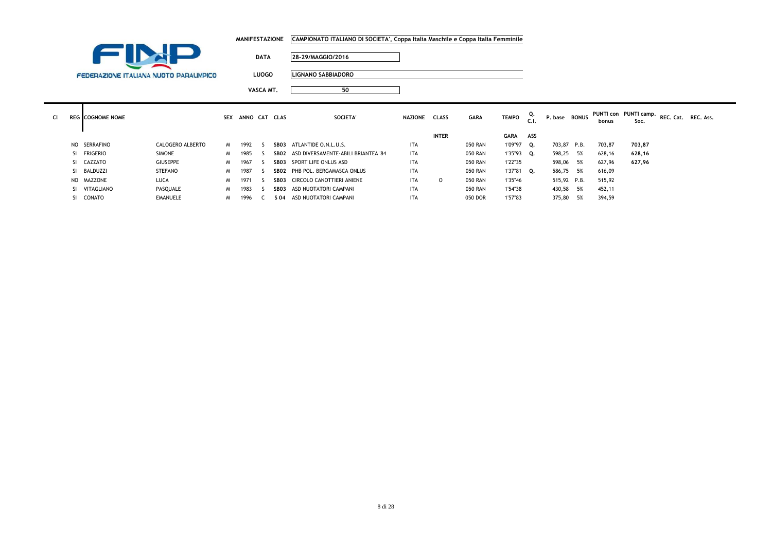|           |     |                                               |                  |    | <b>MANIFESTAZIONE</b> |             |      | CAMPIONATO ITALIANO DI SOCIETA', Coppa Italia Maschile e Coppa Italia Femminile |               |              |                |               |           |               |    |        |                               |                     |  |
|-----------|-----|-----------------------------------------------|------------------|----|-----------------------|-------------|------|---------------------------------------------------------------------------------|---------------|--------------|----------------|---------------|-----------|---------------|----|--------|-------------------------------|---------------------|--|
|           |     |                                               |                  |    |                       | <b>DATA</b> |      | 28-29/MAGGIO/2016                                                               |               |              |                |               |           |               |    |        |                               |                     |  |
|           |     | <b>FEDERAZIONE ITALIANA NUOTO PARALIMPICO</b> |                  |    |                       | LUOGO       |      | <b>LIGNANO SABBIADORO</b>                                                       |               |              |                |               |           |               |    |        |                               |                     |  |
|           |     |                                               |                  |    |                       | VASCA MT.   |      | 50                                                                              |               |              |                |               |           |               |    |        |                               |                     |  |
| <b>CI</b> |     | <b>REG</b> COGNOME NOME                       |                  |    | SEX ANNO CAT CLAS     |             |      | SOCIETA'                                                                        | NAZIONE CLASS |              | <b>GARA</b>    | <b>TEMPO</b>  | Q.<br>C.1 | P. base BONUS |    | bonus  | PUNTI con PUNTI camp.<br>Soc. | REC. Cat. REC. Ass. |  |
|           |     |                                               |                  |    |                       |             |      |                                                                                 |               | <b>INTER</b> |                | <b>GARA</b>   | ASS       |               |    |        |                               |                     |  |
|           | NO. | SERRAFINO                                     | CALOGERO ALBERTO | M. | 1992                  | -5          |      | SB03 ATLANTIDE O.N.L.U.S.                                                       | <b>ITA</b>    |              | 050 RAN        | 1'09"97       | Q.        | 703,87 P.B.   |    | 703,87 | 703,87                        |                     |  |
|           |     | SI FRIGERIO                                   | <b>SIMONE</b>    | M  | 1985                  | ς.          |      | SBO2 ASD DIVERSAMENTE-ABILI BRIANTEA '84                                        | <b>ITA</b>    |              | 050 RAN        | $1'35''93$ Q. |           | 598,25 5%     |    | 628,16 | 628,16                        |                     |  |
|           |     | SI CAZZATO                                    | <b>GIUSEPPE</b>  | M  | 1967                  | -S          |      | SB03 SPORT LIFE ONLUS ASD                                                       | <b>ITA</b>    |              | <b>050 RAN</b> | 1'22"35       |           | 598,06 5%     |    | 627,96 | 627,96                        |                     |  |
|           | SI  | BALDUZZI                                      | <b>STEFANO</b>   | M  | 1987                  |             |      | SB02 PHB POL. BERGAMASCA ONLUS                                                  | <b>ITA</b>    |              | <b>050 RAN</b> | 1'37"81 Q.    |           | 586,75 5%     |    | 616,09 |                               |                     |  |
|           |     | NO MAZZONE                                    | LUCA             | M  | 1971                  |             |      | SB03 CIRCOLO CANOTTIERI ANIENE                                                  | <b>ITA</b>    | $\circ$      | <b>050 RAN</b> | 1'35"46       |           | 515,92 P.B.   |    | 515,92 |                               |                     |  |
|           | SI  | VITAGLIANO                                    | PASQUALE         | M  | 1983                  | -S.         | SB03 | ASD NUOTATORI CAMPANI                                                           | <b>ITA</b>    |              | <b>050 RAN</b> | 1'54"38       |           | 430,58        | 5% | 452,11 |                               |                     |  |

SI CONATO EMANUELE <sup>M</sup> <sup>1996</sup> <sup>C</sup> **S 04** ASD NUOTATORI CAMPANI ITA 050 DOR 1'57"83 375,80 5% 394,59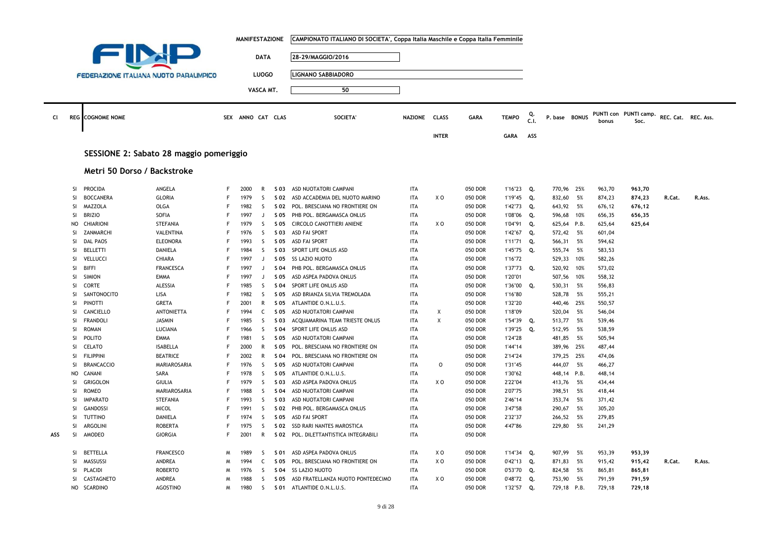|     |                 |                                               |                          |        | <b>MANIFESTAZIONE</b> |                   |              | CAMPIONATO ITALIANO DI SOCIETA', Coppa Italia Maschile e Coppa Italia Femminile |                          |              |                    |                          |            |                         |      |                  |                       |                     |        |
|-----|-----------------|-----------------------------------------------|--------------------------|--------|-----------------------|-------------------|--------------|---------------------------------------------------------------------------------|--------------------------|--------------|--------------------|--------------------------|------------|-------------------------|------|------------------|-----------------------|---------------------|--------|
|     |                 |                                               |                          |        |                       |                   |              |                                                                                 |                          |              |                    |                          |            |                         |      |                  |                       |                     |        |
|     |                 |                                               |                          |        |                       | <b>DATA</b>       |              | 28-29/MAGGIO/2016                                                               |                          |              |                    |                          |            |                         |      |                  |                       |                     |        |
|     |                 |                                               |                          |        |                       |                   |              |                                                                                 |                          |              |                    |                          |            |                         |      |                  |                       |                     |        |
|     |                 | <b>FEDERAZIONE ITALIANA NUOTO PARALIMPICO</b> |                          |        |                       | <b>LUOGO</b>      |              | <b>LIGNANO SABBIADORO</b>                                                       |                          |              |                    |                          |            |                         |      |                  |                       |                     |        |
|     |                 |                                               |                          |        |                       | VASCA MT.         |              | 50                                                                              |                          |              |                    |                          |            |                         |      |                  |                       |                     |        |
|     |                 |                                               |                          |        |                       |                   |              |                                                                                 |                          |              |                    |                          |            |                         |      |                  |                       |                     |        |
|     |                 |                                               |                          |        |                       |                   |              |                                                                                 |                          |              |                    |                          |            |                         |      |                  |                       |                     |        |
| CI  |                 | <b>REG</b> COGNOME NOME                       |                          |        | SEX ANNO CAT CLAS     |                   |              | <b>SOCIETA</b>                                                                  | NAZIONE CLASS            |              | <b>GARA</b>        | <b>TEMPO</b>             | Q.<br>C.I. | P. base BONUS           |      |                  | PUNTI con PUNTI camp. | REC. Cat. REC. Ass. |        |
|     |                 |                                               |                          |        |                       |                   |              |                                                                                 |                          |              |                    |                          |            |                         |      | bonus            | Soc.                  |                     |        |
|     |                 |                                               |                          |        |                       |                   |              |                                                                                 |                          | <b>INTER</b> |                    | <b>GARA</b>              | ASS        |                         |      |                  |                       |                     |        |
|     |                 |                                               |                          |        |                       |                   |              |                                                                                 |                          |              |                    |                          |            |                         |      |                  |                       |                     |        |
|     |                 | SESSIONE 2: Sabato 28 maggio pomeriggio       |                          |        |                       |                   |              |                                                                                 |                          |              |                    |                          |            |                         |      |                  |                       |                     |        |
|     |                 |                                               |                          |        |                       |                   |              |                                                                                 |                          |              |                    |                          |            |                         |      |                  |                       |                     |        |
|     |                 | Metri 50 Dorso / Backstroke                   |                          |        |                       |                   |              |                                                                                 |                          |              |                    |                          |            |                         |      |                  |                       |                     |        |
|     |                 |                                               |                          |        |                       |                   |              |                                                                                 |                          |              |                    |                          |            |                         |      |                  |                       |                     |        |
|     | SI              | <b>PROCIDA</b>                                | ANGELA                   | F      | 2000                  | $\mathsf{R}$      |              | S 03 ASD NUOTATORI CAMPANI                                                      | <b>ITA</b>               |              | 050 DOR            | 1'16"23 Q.               |            | 770,96 25%              |      | 963,70           | 963,70                |                     |        |
|     | <b>SI</b>       | <b>BOCCANERA</b>                              | <b>GLORIA</b>            | F      | 1979                  | <sub>S</sub>      | S 02         | ASD ACCADEMIA DEL NUOTO MARINO                                                  | <b>ITA</b>               | X O          | 050 DOR            | 1'19"45 Q.               |            | 832,60                  | 5%   | 874,23           | 874,23                | R.Cat.              | R.Ass. |
|     | <b>SI</b>       | MAZZOLA                                       | OLGA                     | E      | 1982                  | <sub>S</sub>      | S 02         | POL. BRESCIANA NO FRONTIERE ON                                                  | <b>ITA</b>               |              | 050 DOR            | 1'42"73 Q.               |            | 643,92 5%               |      | 676,12           | 676,12                |                     |        |
|     | <b>SI</b>       | <b>BRIZIO</b>                                 | SOFIA                    | F      | 1997                  | J                 | S 05         | PHB POL. BERGAMASCA ONLUS                                                       | <b>ITA</b>               |              | 050 DOR            | 1'08"06                  | Q.         | 596,68 10%              |      | 656,35           | 656,35                |                     |        |
|     | <b>NO</b>       | CHIARIONI                                     | <b>STEFANIA</b>          | F      | 1979                  | S                 | S 05         | CIRCOLO CANOTTIERI ANIENE                                                       | <b>ITA</b>               | X O          | 050 DOR            | 1'04"91                  | Q.         | 625,64 P.B.             |      | 625,64           | 625,64                |                     |        |
|     | SI              | ZANMARCHI                                     | VALENTINA                | F<br>F | 1976                  | -S                | S 03         | <b>ASD FAI SPORT</b>                                                            | ITA                      |              | 050 DOR            | 1'42"67                  | Q.         | 572,42                  | 5%   | 601,04           |                       |                     |        |
|     | SI              | <b>DAL PAOS</b><br><b>BELLETTI</b>            | <b>ELEONORA</b>          | F      | 1993                  | S<br><sub>S</sub> | S 05         | <b>ASD FAI SPORT</b>                                                            | <b>ITA</b>               |              | 050 DOR            | 1'11"71                  | Q.         | 566,31                  | 5%   | 594,62           |                       |                     |        |
|     | SI<br>SI        | VELLUCCI                                      | <b>DANIELA</b><br>CHIARA | F      | 1984<br>1997          | J                 | S 03<br>S 05 | SPORT LIFE ONLUS ASD<br>SS LAZIO NUOTO                                          | <b>ITA</b><br><b>ITA</b> |              | 050 DOR<br>050 DOR | 1'45"75<br>1'16"72       | Q.         | 555,74 5%<br>529,33 10% |      | 583,53<br>582,26 |                       |                     |        |
|     | <b>SI</b>       | <b>BIFFI</b>                                  | <b>FRANCESCA</b>         | E      | 1997                  | $\Box$            | S 04         | PHB POL. BERGAMASCA ONLUS                                                       | <b>ITA</b>               |              | 050 DOR            | 1'37"73                  | Q.         | 520,92 10%              |      | 573,02           |                       |                     |        |
|     | SI              | <b>SIMION</b>                                 | <b>EMMA</b>              | F      | 1997                  | $\Box$            | S 05         | ASD ASPEA PADOVA ONLUS                                                          | <b>ITA</b>               |              | 050 DOR            | 1'20"01                  |            | 507,56 10%              |      | 558,32           |                       |                     |        |
|     | <b>SI</b>       | CORTE                                         | ALESSIA                  |        | 1985                  | S                 | S 04         | SPORT LIFE ONLUS ASD                                                            | <b>ITA</b>               |              | 050 DOR            | 1'36"00                  | Q.         | 530,31                  | 5%   | 556,83           |                       |                     |        |
|     | SI              | SANTONOCITO                                   | LISA                     | F      | 1982                  | S                 | S 05         | ASD BRIANZA SILVIA TREMOLADA                                                    | ITA                      |              | 050 DOR            | 1'16"80                  |            | 528,78                  | 5%   | 555,21           |                       |                     |        |
|     | SI              | <b>PINOTTI</b>                                | <b>GRETA</b>             | F      | 2001                  | $\mathsf{R}$      | S 05         | ATLANTIDE O.N.L.U.S.                                                            | <b>ITA</b>               |              | 050 DOR            | 1'32"20                  |            | 440,46                  | 25%  | 550,57           |                       |                     |        |
|     | <b>SI</b>       | CANCIELLO                                     | <b>ANTONIETTA</b>        | F      | 1994                  | C                 | S 05         | ASD NUOTATORI CAMPANI                                                           | <b>ITA</b>               | Χ            | 050 DOR            | 1'18"09                  |            | 520,04 5%               |      | 546,04           |                       |                     |        |
|     | SI              | FRANDOLI                                      | <b>JASMIN</b>            | F      | 1985                  | S                 | S 03         | ACQUAMARINA TEAM TRIESTE ONLUS                                                  | <b>ITA</b>               | X            | 050 DOR            | 1'54"39                  | Q.         | 513,77                  | - 5% | 539,46           |                       |                     |        |
|     | SI              | <b>ROMAN</b>                                  | LUCIANA                  | E      | 1966                  | S                 | S 04         | SPORT LIFE ONLUS ASD                                                            | <b>ITA</b>               |              | 050 DOR            | 1'39"25                  | Q.         | 512,95 5%               |      | 538,59           |                       |                     |        |
|     | SI              | POLITO                                        | <b>EMMA</b>              | F      | 1981                  | S.                | S 05         | ASD NUOTATORI CAMPANI                                                           | ITA                      |              | 050 DOR            | 1'24"28                  |            | 481,85 5%               |      | 505,94           |                       |                     |        |
|     | <b>SI</b>       | <b>CELATO</b>                                 | <b>ISABELLA</b>          | F      | 2000                  | $\mathsf{R}$      | S 05         | POL. BRESCIANA NO FRONTIERE ON                                                  | <b>ITA</b>               |              | 050 DOR            | 1'44"14                  |            | 389,96 25%              |      | 487,44           |                       |                     |        |
|     | SI              | <b>FILIPPINI</b>                              | <b>BEATRICE</b>          | F      | 2002                  | R                 | S 04         | POL. BRESCIANA NO FRONTIERE ON                                                  | ITA                      |              | 050 DOR            | 2'14"24                  |            | 379,25 25%              |      | 474,06           |                       |                     |        |
|     | SI              | <b>BRANCACCIO</b>                             | MARIAROSARIA             | F      | 1976                  | S                 | S 05         | ASD NUOTATORI CAMPANI                                                           | <b>ITA</b>               | 0            | 050 DOR            | 1'31"45                  |            | 444,07                  | 5%   | 466,27           |                       |                     |        |
|     | <b>NO</b>       | <b>CANANI</b>                                 | SARA                     | F      | 1978                  | <sub>S</sub>      | S 05         | ATLANTIDE O.N.L.U.S.                                                            | <b>ITA</b>               |              | 050 DOR            | 1'30"62                  |            | 448,14 P.B.             |      | 448,14           |                       |                     |        |
|     | SI              | <b>GRIGOLON</b>                               | <b>GIULIA</b>            | F      | 1979                  | S                 | S 03         | ASD ASPEA PADOVA ONLUS                                                          | <b>ITA</b>               | x o          | 050 DOR            | 2'22"04                  |            | 413,76                  | - 5% | 434,44           |                       |                     |        |
|     | SI              | <b>ROMEO</b>                                  | MARIAROSARIA             | F      | 1988                  | S                 | S 04         | ASD NUOTATORI CAMPANI                                                           | <b>ITA</b>               |              | 050 DOR            | 2'07"75                  |            | 398,51                  | 5%   | 418,44           |                       |                     |        |
|     | SI              | <b>IMPARATO</b>                               | <b>STEFANIA</b>          | F      | 1993                  | S                 | S 03         | ASD NUOTATORI CAMPANI                                                           | ITA                      |              | 050 DOR            | 2'46"14                  |            | 353,74 5%               |      | 371,42           |                       |                     |        |
|     | <b>SI</b>       | <b>GANDOSSI</b>                               | <b>MICOL</b>             | F      | 1991                  | <sub>S</sub>      | S 02         | PHB POL. BERGAMASCA ONLUS                                                       | <b>ITA</b>               |              | 050 DOR            | 3'47"58                  |            | 290,67                  | 5%   | 305,20           |                       |                     |        |
|     | SI              | TUTTINO                                       | DANIELA                  | F      | 1974                  | -S                | S 05         | ASD FAI SPORT                                                                   | ITA                      |              | 050 DOR            | 2'32"37                  |            | 266,52                  | 5%   | 279,85           |                       |                     |        |
|     | SI              | ARGOLINI                                      | <b>ROBERTA</b>           | F      | 1975                  | S                 | S 02         | SSD RARI NANTES MAROSTICA                                                       | <b>ITA</b>               |              | 050 DOR            | 4'47"86                  |            | 229,80                  | 5%   | 241,29           |                       |                     |        |
| ASS | SI              | AMODEO                                        | <b>GIORGIA</b>           | F      | 2001                  | R                 |              | S 02 POL. DILETTANTISTICA INTEGRABILI                                           | ITA                      |              | 050 DOR            |                          |            |                         |      |                  |                       |                     |        |
|     |                 |                                               |                          |        |                       |                   |              |                                                                                 |                          |              |                    |                          |            |                         |      |                  |                       |                     |        |
|     | SI              | <b>BETTELLA</b>                               | <b>FRANCESCO</b>         | M<br>M | 1989<br>1994          | -S                | S 01         | ASD ASPEA PADOVA ONLUS                                                          | ITA                      | x o          | 050 DOR            | $1'14''34$ Q.            |            | 907,99                  | - 5% | 953,39           | 953,39                |                     |        |
|     | SI<br><b>SI</b> | MASSUSSI<br>PLACIDI                           | ANDREA<br><b>ROBERTO</b> | M      | 1976                  | $\mathsf{C}$<br>S | S 05<br>S 04 | POL. BRESCIANA NO FRONTIERE ON<br>SS LAZIO NUOTO                                | <b>ITA</b><br><b>ITA</b> | X O          | 050 DOR<br>050 DOR | 0'42"13 Q.<br>0'53"70 Q. |            | 871,83 5%<br>824,58     | 5%   | 915,42<br>865,81 | 915,42<br>865,81      | R.Cat.              | R.Ass. |
|     | <b>SI</b>       | CASTAGNETO                                    | ANDREA                   | M      | 1988                  | -S                | S 05         | ASD FRATELLANZA NUOTO PONTEDECIMO                                               | <b>ITA</b>               | x o          | 050 DOR            | 0'48"72 Q.               |            | 753,90                  | 5%   | 791,59           | 791,59                |                     |        |
|     | <b>NO</b>       | <b>SCARDINO</b>                               | <b>AGOSTINO</b>          | W      | 1980                  | S                 |              | S 01 ATLANTIDE O.N.L.U.S.                                                       | <b>ITA</b>               |              | 050 DOR            | 1'32"57                  | Q.         | 729,18 P.B.             |      | 729,18           | 729,18                |                     |        |
|     |                 |                                               |                          |        |                       |                   |              |                                                                                 |                          |              |                    |                          |            |                         |      |                  |                       |                     |        |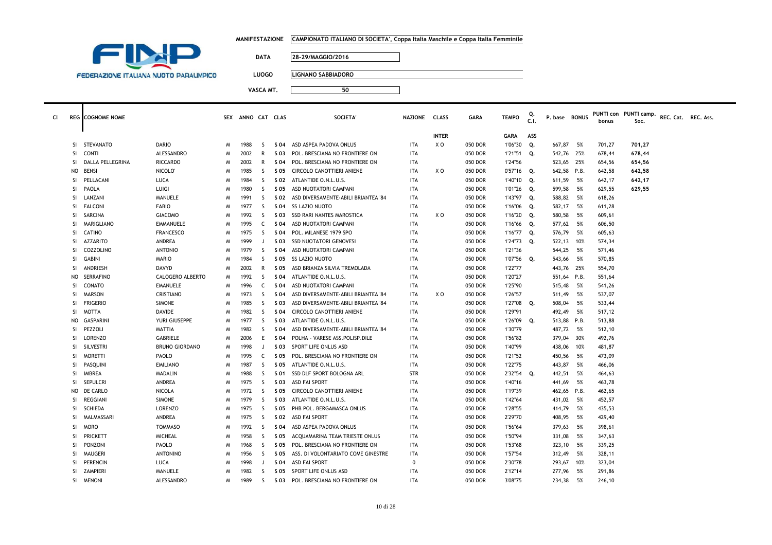|  | MANIFESTAZIONE      CAMPIONATO ITALIANO DI SOCIETA', Coppa Italia Maschile e Coppa Italia Femminile |
|--|-----------------------------------------------------------------------------------------------------|
|--|-----------------------------------------------------------------------------------------------------|



**LUOGO LIGNANO SABBIADORO**

| ٠ |  |  |
|---|--|--|

| CI. |           | <b>REG</b> COGNOME NOME |                       |   | SEX ANNO CAT CLAS |              |            | <b>SOCIETA</b>                      | NAZIONE CLASS |              | <b>GARA</b> | <b>TEMPO</b>  | C.I. | P. base BONUS |      | bonus  | PUNTI con PUNTI camp.<br>Soc. | REC. Cat. REC. Ass. |  |
|-----|-----------|-------------------------|-----------------------|---|-------------------|--------------|------------|-------------------------------------|---------------|--------------|-------------|---------------|------|---------------|------|--------|-------------------------------|---------------------|--|
|     |           |                         |                       |   |                   |              |            |                                     |               | <b>INTER</b> |             | <b>GARA</b>   | ASS  |               |      |        |                               |                     |  |
|     | <b>SI</b> | <b>STEVANATO</b>        | <b>DARIO</b>          | M | 1988              | -S           | S 04       | ASD ASPEA PADOVA ONLUS              | <b>ITA</b>    | X O          | 050 DOR     | 1'06"30       | Q.   | 667,87        | - 5% | 701,27 | 701,27                        |                     |  |
|     | <b>SI</b> | <b>CONTI</b>            | ALESSANDRO            | M | 2002              | $\mathsf{R}$ | S 03       | POL. BRESCIANA NO FRONTIERE ON      | <b>ITA</b>    |              | 050 DOR     | 1'21"51 Q.    |      | 542,76 25%    |      | 678,44 | 678,44                        |                     |  |
|     | <b>SI</b> | <b>DALLA PELLEGRINA</b> | <b>RICCARDO</b>       | M | 2002              | $\mathsf{R}$ | S 04       | POL. BRESCIANA NO FRONTIERE ON      | <b>ITA</b>    |              | 050 DOR     | 1'24"56       |      | 523,65 25%    |      | 654,56 | 654,56                        |                     |  |
|     | NO        | <b>BENSI</b>            | NICOLO <sup>®</sup>   | M | 1985              | <sub>S</sub> | S 05       | CIRCOLO CANOTTIERI ANIENE           | <b>ITA</b>    | X O          | 050 DOR     | $0'57''16$ Q. |      | 642,58 P.B.   |      | 642,58 | 642,58                        |                     |  |
|     | <b>SI</b> | PELLACANI               | LUCA                  | M | 1984              | S            | S 02       | ATLANTIDE O.N.L.U.S.                | <b>ITA</b>    |              | 050 DOR     | 1'40"10 Q.    |      | 611,59        | 5%   | 642,17 | 642,17                        |                     |  |
|     | <b>SI</b> | PAOLA                   | LUIGI                 | M | 1980              | <sub>S</sub> | S 05       | ASD NUOTATORI CAMPANI               | <b>ITA</b>    |              | 050 DOR     | 1'01"26 Q.    |      | 599,58        | 5%   | 629,55 | 629,55                        |                     |  |
|     | <b>SI</b> | LANZANI                 | <b>MANUELE</b>        | M | 1991              | -S           | S 02       | ASD DIVERSAMENTE-ABILI BRIANTEA '84 | <b>ITA</b>    |              | 050 DOR     | 1'43"97 Q.    |      | 588,82        | 5%   | 618,26 |                               |                     |  |
|     | <b>SI</b> | <b>FALCONI</b>          | FABIO                 | M | 1977              | -S           | S 04       | <b>SS LAZIO NUOTO</b>               | ITA           |              | 050 DOR     | 1'16"06 Q.    |      | 582,17        | 5%   | 611,28 |                               |                     |  |
|     | <b>SI</b> | SARCINA                 | <b>GIACOMO</b>        | M | 1992              | S            | S 03       | SSD RARI NANTES MAROSTICA           | <b>ITA</b>    | X O          | 050 DOR     | 1'16"20 Q.    |      | 580,58        | 5%   | 609,61 |                               |                     |  |
|     | -SI       | <b>MARIGLIANO</b>       | EMMANUELE             | M | 1995              | C            | S 04       | ASD NUOTATORI CAMPANI               | <b>ITA</b>    |              | 050 DOR     | 1'16"66 Q.    |      | 577,62        | 5%   | 606,50 |                               |                     |  |
|     | <b>SI</b> | CATINO                  | <b>FRANCESCO</b>      | M | 1975              | <sub>S</sub> | S 04       | POL. MILANESE 1979 SPO              | <b>ITA</b>    |              | 050 DOR     | $1'16''77$ Q. |      | 576,79        | 5%   | 605,63 |                               |                     |  |
|     | <b>SI</b> | <b>AZZARITO</b>         | ANDREA                | M | 1999              | J.           | S 03       | <b>SSD NUOTATORI GENOVESI</b>       | <b>ITA</b>    |              | 050 DOR     | 1'24"73 Q.    |      | 522,13        | 10%  | 574,34 |                               |                     |  |
|     | SI        | COZZOLINO               | <b>ANTONIO</b>        | M | 1979              | S.           | S 04       | ASD NUOTATORI CAMPANI               | ITA           |              | 050 DOR     | 1'21"36       |      | 544,25        | - 5% | 571,46 |                               |                     |  |
|     | SI.       | <b>GABINI</b>           | <b>MARIO</b>          | M | 1984              | -S           | S 05       | SS LAZIO NUOTO                      | ITA           |              | 050 DOR     | 1'07"56 Q.    |      | 543,66        | - 5% | 570,85 |                               |                     |  |
|     | <b>SI</b> | ANDRIESH                | DAVYD                 | M | 2002              | $\mathsf{R}$ | S 05       | ASD BRIANZA SILVIA TREMOLADA        | <b>ITA</b>    |              | 050 DOR     | 1'22"77       |      | 443,76 25%    |      | 554,70 |                               |                     |  |
|     | NO.       | <b>SERRAFINO</b>        | CALOGERO ALBERTO      | M | 1992              | <sub>S</sub> | S 04       | ATLANTIDE O.N.L.U.S.                | <b>ITA</b>    |              | 050 DOR     | 1'20"27       |      | 551,64        | P.B. | 551,64 |                               |                     |  |
|     | SI        | CONATO                  | <b>EMANUELE</b>       | M | 1996              | $\mathsf{C}$ | S 04       | ASD NUOTATORI CAMPANI               | ITA           |              | 050 DOR     | 1'25"90       |      | 515,48        | 5%   | 541,26 |                               |                     |  |
|     | <b>SI</b> | <b>MARSON</b>           | CRISTIANO             | M | 1973              | <sub>S</sub> | S 04       | ASD DIVERSAMENTE-ABILI BRIANTEA '84 | <b>ITA</b>    | X O          | 050 DOR     | 1'26"57       |      | 511,49        | 5%   | 537,07 |                               |                     |  |
|     | <b>SI</b> | <b>FRIGERIO</b>         | <b>SIMONE</b>         | M | 1985              | <sub>S</sub> | S 03       | ASD DIVERSAMENTE-ABILI BRIANTEA '84 | <b>ITA</b>    |              | 050 DOR     | 1'27"08 Q.    |      | 508,04        | 5%   | 533,44 |                               |                     |  |
|     | <b>SI</b> | <b>MOTTA</b>            | <b>DAVIDE</b>         | M | 1982              | <sub>S</sub> | S 04       | CIRCOLO CANOTTIERI ANIENE           | <b>ITA</b>    |              | 050 DOR     | 1'29"91       |      | 492,49        | 5%   | 517,12 |                               |                     |  |
|     | NO.       | <b>GASPARINI</b>        | YURI GIUSEPPE         | M | 1977              | -S           | S 03       | ATLANTIDE O.N.L.U.S.                | ITA           |              | 050 DOR     | 1'26"09 Q.    |      | 513,88 P.B.   |      | 513,88 |                               |                     |  |
|     | <b>SI</b> | PEZZOLI                 | <b>MATTIA</b>         | M | 1982              | -S           | S 04       | ASD DIVERSAMENTE-ABILI BRIANTEA '84 | <b>ITA</b>    |              | 050 DOR     | 1'30"79       |      | 487,72        | 5%   | 512,10 |                               |                     |  |
|     | <b>SI</b> | <b>LORENZO</b>          | GABRIELE              | M | 2006              | E            | <b>SO4</b> | POLHA - VARESE ASS. POLISP. DILE    | <b>ITA</b>    |              | 050 DOR     | 1'56"82       |      | 379,04        | 30%  | 492,76 |                               |                     |  |
|     | <b>SI</b> | SILVESTRI               | <b>BRUNO GIORDANO</b> | M | 1998              | J.           | S 03       | SPORT LIFE ONLUS ASD                | ITA           |              | 050 DOR     | 1'40"99       |      | 438,06        | 10%  | 481,87 |                               |                     |  |
|     | <b>SI</b> | <b>MORETTI</b>          | PAOLO                 | M | 1995              | $\mathsf{C}$ | S 05       | POL. BRESCIANA NO FRONTIERE ON      | ITA           |              | 050 DOR     | 1'21"52       |      | 450,56        | 5%   | 473,09 |                               |                     |  |
|     | SI        | PASQUINI                | <b>EMILIANO</b>       | M | 1987              | <sub>S</sub> | S 05       | ATLANTIDE O.N.L.U.S.                | ITA           |              | 050 DOR     | 1'22"75       |      | 443,87        | - 5% | 466,06 |                               |                     |  |
|     | SI.       | <b>IMBREA</b>           | <b>MADALIN</b>        | M | 1988              | -S           | S 01       | SSD DLF SPORT BOLOGNA ARL           | <b>STR</b>    |              | 050 DOR     | 2'32"54 Q.    |      | 442,51        | 5%   | 464,63 |                               |                     |  |
|     | <b>SI</b> | <b>SEPULCRI</b>         | ANDREA                | M | 1975              | <sub>S</sub> | S 03       | ASD FAI SPORT                       | <b>ITA</b>    |              | 050 DOR     | 1'40"16       |      | 441,69        | 5%   | 463,78 |                               |                     |  |
|     | NO.       | DE CARLO                | NICOLA                | M | 1972              | <sub>S</sub> | S 05       | <b>CIRCOLO CANOTTIERI ANIENE</b>    | <b>ITA</b>    |              | 050 DOR     | 1'19"39       |      | 462,65 P.B.   |      | 462,65 |                               |                     |  |
|     | <b>SI</b> | <b>REGGIANI</b>         | <b>SIMONE</b>         | M | 1979              | <sub>S</sub> | S 03       | ATLANTIDE O.N.L.U.S.                | <b>ITA</b>    |              | 050 DOR     | 1'42"64       |      | 431,02        | 5%   | 452,57 |                               |                     |  |
|     | <b>SI</b> | <b>SCHIEDA</b>          | <b>LORENZO</b>        | M | 1975              | S            | S 05       | PHB POL. BERGAMASCA ONLUS           | <b>ITA</b>    |              | 050 DOR     | 1'28"55       |      | 414,79        | 5%   | 435,53 |                               |                     |  |
|     | <b>SI</b> | MALMASSARI              | ANDREA                | M | 1975              | -S           | S 02       | ASD FAI SPORT                       | ITA           |              | 050 DOR     | 2'29"70       |      | 408,95        | 5%   | 429,40 |                               |                     |  |
|     | <b>SI</b> | <b>MORO</b>             | <b>TOMMASO</b>        | M | 1992              | S            | S 04       | ASD ASPEA PADOVA ONLUS              | <b>ITA</b>    |              | 050 DOR     | 1'56"64       |      | 379,63        | 5%   | 398,61 |                               |                     |  |
|     | -SI       | PRICKETT                | MICHEAL               | M | 1958              | -S           | S 05       | ACQUAMARINA TEAM TRIESTE ONLUS      | ITA           |              | 050 DOR     | 1'50"94       |      | 331,08        | 5%   | 347,63 |                               |                     |  |
|     | <b>SI</b> | PONZONI                 | PAOLO                 | M | 1968              | S.           | S 05       | POL. BRESCIANA NO FRONTIERE ON      | <b>ITA</b>    |              | 050 DOR     | 1'53"68       |      | 323,10        | 5%   | 339,25 |                               |                     |  |
|     | <b>SI</b> | <b>MAUGERI</b>          | <b>ANTONINO</b>       | M | 1956              | -S           | S 05       | ASS. DI VOLONTARIATO COME GINESTRE  | <b>ITA</b>    |              | 050 DOR     | 1'57"54       |      | 312,49        | 5%   | 328,11 |                               |                     |  |
|     | <b>SI</b> | <b>PERENCIN</b>         | LUCA                  | M | 1998              | J            | S 04       | ASD FAI SPORT                       | $\Omega$      |              | 050 DOR     | 2'30"78       |      | 293,67        | 10%  | 323,04 |                               |                     |  |
|     | -SI       | <b>ZAMPIERI</b>         | <b>MANUELE</b>        | M | 1982              | <sub>S</sub> | S 05       | SPORT LIFE ONLUS ASD                | <b>ITA</b>    |              | 050 DOR     | 2'12"14       |      | 277,96        | 5%   | 291,86 |                               |                     |  |
|     | SI.       | <b>MENONI</b>           | ALESSANDRO            | M | 1989              | <sub>S</sub> | S 03       | POL. BRESCIANA NO FRONTIERE ON      | <b>ITA</b>    |              | 050 DOR     | 3'08"75       |      | 234,38        | 5%   | 246,10 |                               |                     |  |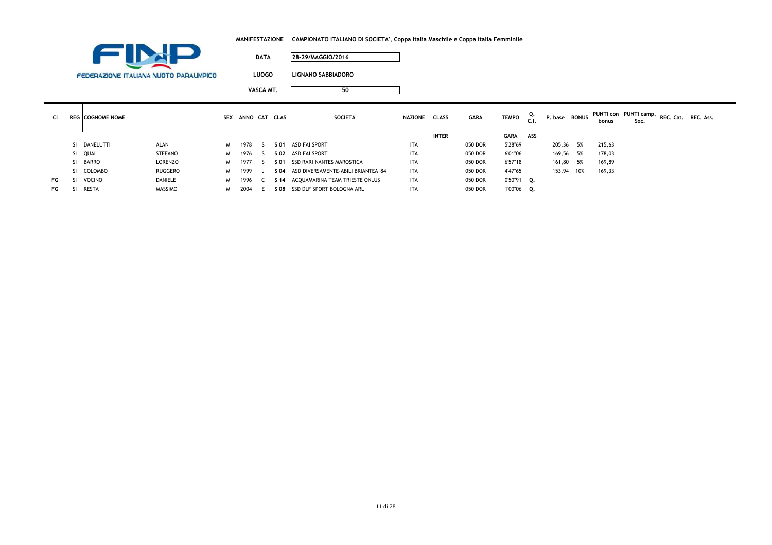|           |               |                         |                                        |    |      |              | <b>MANIFESTAZIONE</b> | CAMPIONATO ITALIANO DI SOCIETA', Coppa Italia Maschile e Coppa Italia Femminile |               |              |             |              |            |               |    |        |                               |                     |  |
|-----------|---------------|-------------------------|----------------------------------------|----|------|--------------|-----------------------|---------------------------------------------------------------------------------|---------------|--------------|-------------|--------------|------------|---------------|----|--------|-------------------------------|---------------------|--|
|           |               |                         |                                        |    |      | <b>DATA</b>  |                       | 28-29/MAGGIO/2016                                                               |               |              |             |              |            |               |    |        |                               |                     |  |
|           |               |                         | FEDERAZIONE ITALIANA NUOTO PARALIMPICO |    |      | <b>LUOGO</b> |                       | <b>LIGNANO SABBIADORO</b>                                                       |               |              |             |              |            |               |    |        |                               |                     |  |
|           |               |                         |                                        |    |      | VASCA MT.    |                       | 50                                                                              |               |              |             |              |            |               |    |        |                               |                     |  |
| <b>CI</b> |               | <b>REG</b> COGNOME NOME |                                        |    |      |              | SEX ANNO CAT CLAS     | SOCIETA'                                                                        | NAZIONE CLASS |              | <b>GARA</b> | <b>TEMPO</b> | Q.<br>.cl. | P. base BONUS |    | bonus  | PUNTI con PUNTI camp.<br>Soc. | REC. Cat. REC. Ass. |  |
|           |               |                         |                                        |    |      |              |                       |                                                                                 |               | <b>INTER</b> |             | <b>GARA</b>  | ASS        |               |    |        |                               |                     |  |
|           |               | SI DANELUTTI            | ALAN                                   | M. | 1978 |              | S 01                  | ASD FAI SPORT                                                                   | <b>ITA</b>    |              | 050 DOR     | 5'28"69      |            | 205,36        | 5% | 215,63 |                               |                     |  |
|           |               | SI QUAI                 | STEFANO                                | M. | 1976 |              |                       | S 02 ASD FAI SPORT                                                              | <b>ITA</b>    |              | 050 DOR     | 6'01"06      |            | 169,56 5%     |    | 178,03 |                               |                     |  |
|           |               | SI BARRO                | LORENZO                                | M  | 1977 |              | S 01                  | SSD RARI NANTES MAROSTICA                                                       | <b>ITA</b>    |              | 050 DOR     | 6'57"18      |            | 161,80 5%     |    | 169,89 |                               |                     |  |
|           |               | SI COLOMBO              | RUGGERO                                | M  | 1999 |              | S 04                  | ASD DIVERSAMENTE-ABILI BRIANTEA '84                                             | <b>ITA</b>    |              | 050 DOR     | 4'47"65      |            | 153,94 10%    |    | 169,33 |                               |                     |  |
| FG        | <sup>SI</sup> | VOCINO                  | DANIELE                                | M. | 1996 |              |                       | S 14 ACQUAMARINA TEAM TRIESTE ONLUS                                             | ITA           |              | 050 DOR     | 0'50"91 Q.   |            |               |    |        |                               |                     |  |
| FG        | SI.           | RESTA                   | <b>MASSIMO</b>                         | M  | 2004 | E            |                       | S 08 SSD DLF SPORT BOLOGNA ARL                                                  | ITA           |              | 050 DOR     | 1'00"06 Q.   |            |               |    |        |                               |                     |  |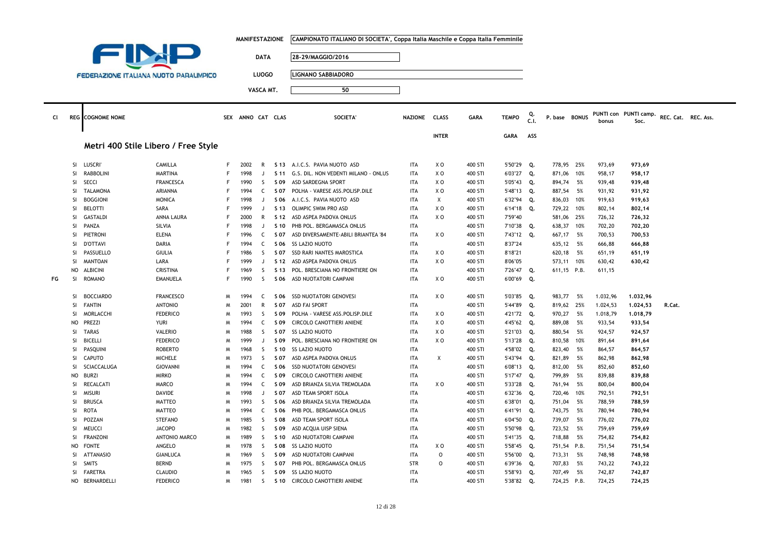|    |                 |                                               |                                   |        | <b>MANIFESTAZIONE</b> |              |                 | CAMPIONATO ITALIANO DI SOCIETA', Coppa Italia Maschile e Coppa Italia Femminile |                   |                                  |                    |                       |      |                         |      |                  |                       |                     |  |
|----|-----------------|-----------------------------------------------|-----------------------------------|--------|-----------------------|--------------|-----------------|---------------------------------------------------------------------------------|-------------------|----------------------------------|--------------------|-----------------------|------|-------------------------|------|------------------|-----------------------|---------------------|--|
|    |                 | INJ<br><b>The Company</b>                     |                                   |        |                       |              |                 |                                                                                 |                   |                                  |                    |                       |      |                         |      |                  |                       |                     |  |
|    |                 |                                               |                                   |        |                       | <b>DATA</b>  |                 | 28-29/MAGGIO/2016                                                               |                   |                                  |                    |                       |      |                         |      |                  |                       |                     |  |
|    |                 |                                               |                                   |        |                       |              |                 |                                                                                 |                   |                                  |                    |                       |      |                         |      |                  |                       |                     |  |
|    |                 | <b>FEDERAZIONE ITALIANA NUOTO PARALIMPICO</b> |                                   |        |                       | <b>LUOGO</b> |                 | <b>LIGNANO SABBIADORO</b>                                                       |                   |                                  |                    |                       |      |                         |      |                  |                       |                     |  |
|    |                 |                                               |                                   |        |                       |              |                 | 50                                                                              |                   |                                  |                    |                       |      |                         |      |                  |                       |                     |  |
|    |                 |                                               |                                   |        |                       | VASCA MT.    |                 |                                                                                 |                   |                                  |                    |                       |      |                         |      |                  |                       |                     |  |
|    |                 |                                               |                                   |        |                       |              |                 |                                                                                 |                   |                                  |                    |                       |      |                         |      |                  |                       |                     |  |
| CI |                 | <b>REG</b> COGNOME NOME                       |                                   |        | SEX ANNO CAT CLAS     |              |                 | SOCIETA'                                                                        | <b>NAZIONE</b>    | <b>CLASS</b>                     | <b>GARA</b>        | <b>TEMPO</b>          | Q.   | P. base BONUS           |      |                  | PUNTI con PUNTI camp. | REC. Cat. REC. Ass. |  |
|    |                 |                                               |                                   |        |                       |              |                 |                                                                                 |                   |                                  |                    |                       | C.1. |                         |      | bonus            | Soc.                  |                     |  |
|    |                 |                                               |                                   |        |                       |              |                 |                                                                                 |                   | <b>INTER</b>                     |                    | <b>GARA</b>           | ASS  |                         |      |                  |                       |                     |  |
|    |                 | Metri 400 Stile Libero / Free Style           |                                   |        |                       |              |                 |                                                                                 |                   |                                  |                    |                       |      |                         |      |                  |                       |                     |  |
|    |                 |                                               |                                   |        |                       |              |                 |                                                                                 |                   |                                  |                    |                       |      |                         |      |                  |                       |                     |  |
|    | <b>SI</b>       | <b>LUSCRI</b>                                 | CAMILLA                           | F.     | 2002                  | R            |                 | S 13 A.I.C.S. PAVIA NUOTO ASD                                                   | ITA               | X O                              | 400 STI            | 5'50"29 Q.            |      | 778,95 25%              |      | 973,69           | 973,69                |                     |  |
|    | -SI             | <b>RABBOLINI</b>                              | <b>MARTINA</b>                    | F      | 1998                  | $\mathbf{J}$ | S <sub>11</sub> | G.S. DIL. NON VEDENTI MILANO - ONLUS                                            | <b>ITA</b>        | X O                              | 400 STI            | 6'03"27 Q.            |      | 871,06 10%              |      | 958,17           | 958,17                |                     |  |
|    | SI.             | SECCI                                         | <b>FRANCESCA</b>                  | F      | 1990                  | S.           | S 09            | ASD SARDEGNA SPORT                                                              | <b>ITA</b>        | X O                              | 400 STI            | 5'05"43 Q.            |      | 894,74 5%               |      | 939,48           | 939,48                |                     |  |
|    | SI              | <b>TALAMONA</b>                               | ARIANNA                           | F      | 1994                  | C            | S 07            | POLHA - VARESE ASS.POLISP.DILE                                                  | <b>ITA</b>        | X <sub>0</sub>                   | 400 STI            | 5'48"13 Q.            |      | 887,54 5%               |      | 931,92           | 931,92                |                     |  |
|    | <b>SI</b>       | <b>BOGGIONI</b>                               | <b>MONICA</b>                     | F      | 1998                  | J            | S 06            | A.I.C.S. PAVIA NUOTO ASD                                                        | <b>ITA</b>        | $\times$                         | 400 STI            | 6'32"94               | Q.   | 836,03 10%              |      | 919,63           | 919,63                |                     |  |
|    | SI              | <b>BELOTTI</b>                                | SARA                              | F      | 1999                  | J            | S 13            | OLIMPIC SWIM PRO ASD                                                            | <b>ITA</b>        | XO                               | 400 STI            | 6'14"18               | Q.   | 729,22                  | 10%  | 802,14           | 802,14                |                     |  |
|    | <b>SI</b>       | <b>GASTALDI</b>                               | ANNA LAURA                        | F      | 2000                  | R            | S 12            | ASD ASPEA PADOVA ONLUS                                                          | <b>ITA</b>        | XO                               | 400 STI            | 7'59"40               |      | 581,06 25%              |      | 726,32           | 726,32                |                     |  |
|    | <b>SI</b>       | PANZA                                         | SILVIA                            | F      | 1998                  | $\mathbf{J}$ | S 10            | PHB POL. BERGAMASCA ONLUS                                                       | <b>ITA</b>        |                                  | 400 STI            | 7'10"38               | Q.   | 638,37                  | 10%  | 702,20           | 702,20                |                     |  |
|    | <b>SI</b>       | PIETRONI                                      | <b>ELENA</b>                      | F      | 1996                  | $\mathsf{C}$ | S 07            | ASD DIVERSAMENTE-ABILI BRIANTEA '84                                             | <b>ITA</b>        | X O                              | 400 STI            | 7'43"12 Q.            |      | 667,17 5%               |      | 700,53           | 700,53                |                     |  |
|    | SI              | <b>D'OTTAVI</b>                               | <b>DARIA</b>                      | F      | 1994                  | C            | S 06            | SS LAZIO NUOTO                                                                  | <b>ITA</b>        |                                  | 400 STI            | 8'37"24               |      | 635,12 5%               |      | 666,88           | 666,88                |                     |  |
|    | SI              | PASSUELLO                                     | <b>GIULIA</b>                     | F      | 1986                  | S.           | S 07            | SSD RARI NANTES MAROSTICA                                                       | <b>ITA</b>        | ΧO                               | 400 STI            | 8'18"21               |      | 620,18 5%               |      | 651,19           | 651,19                |                     |  |
|    | <b>SI</b>       | <b>MANTOAN</b>                                | LARA                              | F      | 1999                  | J            | S 12            | ASD ASPEA PADOVA ONLUS                                                          | <b>ITA</b>        | X <sub>0</sub>                   | 400 STI            | 8'06"05               |      | 573,11 10%              |      | 630,42           | 630,42                |                     |  |
|    | <b>NO</b>       | ALBICINI                                      | CRISTINA                          | F      | 1969                  | S            | S 13            | POL. BRESCIANA NO FRONTIERE ON                                                  | <b>ITA</b>        |                                  | 400 STI            | 7'26"47 Q.            |      | 611,15 P.B.             |      | 611,15           |                       |                     |  |
| FG | <b>SI</b>       | <b>ROMANO</b>                                 | <b>EMANUELA</b>                   | F      | 1990                  | <sub>S</sub> | S 06            | ASD NUOTATORI CAMPANI                                                           | <b>ITA</b>        | X O                              | 400 STI            | 6'00"69               | Q.   |                         |      |                  |                       |                     |  |
|    |                 |                                               |                                   |        |                       |              |                 |                                                                                 |                   |                                  |                    |                       |      |                         |      |                  |                       |                     |  |
|    | SI              | <b>BOCCIARDO</b>                              | <b>FRANCESCO</b>                  | M      | 1994                  | C            |                 | S 06 SSD NUOTATORI GENOVESI                                                     | <b>ITA</b>        | XO                               | 400 STI            | 5'03"85 Q.            |      | 983,77 5%               |      | 1.032,96         | 1.032,96              |                     |  |
|    | SI              | <b>FANTIN</b>                                 | <b>ANTONIO</b>                    | M      | 2001                  | R            | S 07            | <b>ASD FAI SPORT</b>                                                            | ITA               |                                  | 400 STI            | 5'44"89               | Q.   | 819,62 25%              |      | 1.024,53         | 1.024,53              | R.Cat.              |  |
|    | SI.             | MORLACCHI                                     | <b>FEDERICO</b>                   | M      | 1993                  | S.           | S 09            | POLHA - VARESE ASS.POLISP.DILE                                                  | <b>ITA</b>        | XO                               | 400 STI            | 4'21"72 Q.            |      | 970,27                  | 5%   | 1.018,79         | 1,018,79              |                     |  |
|    | NO              | PREZZI                                        | <b>YURI</b>                       | M      | 1994                  | C            | S 09            | CIRCOLO CANOTTIERI ANIENE                                                       | <b>ITA</b>        | X <sub>0</sub>                   | 400 STI            | 4'45"62               | Q.   | 889,08                  | - 5% | 933,54           | 933,54                |                     |  |
|    | SI<br><b>SI</b> | <b>TARAS</b><br><b>BICELLI</b>                | <b>VALERIO</b><br><b>FEDERICO</b> | M<br>M | 1988<br>1999          | S.<br>J      | S 07<br>S 09    | SS LAZIO NUOTO<br>POL. BRESCIANA NO FRONTIERE ON                                | ITA<br><b>ITA</b> | X <sub>0</sub><br>X <sub>0</sub> | 400 STI<br>400 STI | 5'21"03               | Q.   | 880,54 5%<br>810,58 10% |      | 924,57           | 924,57                |                     |  |
|    | <b>SI</b>       | PASQUINI                                      | <b>ROBERTO</b>                    | M      | 1968                  | <sub>S</sub> | S 10            | <b>SS LAZIO NUOTO</b>                                                           | <b>ITA</b>        |                                  | 400 STI            | 5'13"28<br>4'58"02 Q. | Q.   | 823,40 5%               |      | 891,64<br>864,57 | 891,64<br>864,57      |                     |  |
|    | <b>SI</b>       | CAPUTO                                        | <b>MICHELE</b>                    | M      | 1973                  | S            | S 07            | ASD ASPEA PADOVA ONLUS                                                          | <b>ITA</b>        | Χ                                | 400 STI            | 5'43"94               | Q.   | 821,89 5%               |      | 862,98           | 862,98                |                     |  |
|    | SI.             | SCIACCALUGA                                   | <b>GIOVANNI</b>                   | M      | 1994                  | C            | S 06            | <b>SSD NUOTATORI GENOVESI</b>                                                   | <b>ITA</b>        |                                  | 400 STI            | 6'08"13 Q.            |      | 812,00 5%               |      | 852,60           | 852,60                |                     |  |
|    | <b>NO</b>       | <b>BURZI</b>                                  | <b>MIRKO</b>                      | M      | 1994                  | C            | S 09            | CIRCOLO CANOTTIERI ANIENE                                                       | <b>ITA</b>        |                                  | 400 STI            | 5'17"47               | Q.   | 799,89 5%               |      | 839,88           | 839,88                |                     |  |
|    | -SI             | <b>RECALCATI</b>                              | MARCO                             | M      | 1994                  | $\mathsf{C}$ | S 09            | ASD BRIANZA SILVIA TREMOLADA                                                    | <b>ITA</b>        | X O                              | 400 STI            | 5'33"28 Q.            |      | 761,94 5%               |      | 800,04           | 800,04                |                     |  |
|    | SI              | <b>MISURI</b>                                 | DAVIDE                            | M      | 1998                  | J            | S 07            | ASD TEAM SPORT ISOLA                                                            | <b>ITA</b>        |                                  | 400 STI            | 6'32"36 Q.            |      | 720,46 10%              |      | 792,51           | 792,51                |                     |  |
|    | <b>SI</b>       | <b>BRUSCA</b>                                 | <b>MATTEO</b>                     | M      | 1993                  | S.           | S 06            | ASD BRIANZA SILVIA TREMOLADA                                                    | <b>ITA</b>        |                                  | 400 STI            | 6'38"01               | Q.   | 751,04 5%               |      | 788,59           | 788,59                |                     |  |
|    | SI.             | <b>ROTA</b>                                   | <b>MATTEO</b>                     | M      | 1994                  | C            | S 06            | PHB POL. BERGAMASCA ONLUS                                                       | <b>ITA</b>        |                                  | 400 STI            | 6'41"91               | Q.   | 743,75 5%               |      | 780,94           | 780,94                |                     |  |
|    | SI              | POZZAN                                        | <b>STEFANO</b>                    | M      | 1985                  | S            | S 08            | ASD TEAM SPORT ISOLA                                                            | <b>ITA</b>        |                                  | 400 STI            | 6'04"50               | Q.   | 739,07                  | 5%   | 776,02           | 776,02                |                     |  |
|    | <b>SI</b>       | MEUCCI                                        | <b>JACOPO</b>                     | W      | 1982                  | S.           | S 09            | ASD ACQUA UISP SIENA                                                            | <b>ITA</b>        |                                  | 400 STI            | 5'50"98 Q.            |      | 723,52 5%               |      | 759,69           | 759,69                |                     |  |
|    | <b>SI</b>       | <b>FRANZONI</b>                               | ANTONIO MARCO                     | M      | 1989                  | S.           | S 10            | ASD NUOTATORI CAMPANI                                                           | <b>ITA</b>        |                                  | 400 STI            | 5'41"35               | Q.   | 718,88                  | 5%   | 754,82           | 754,82                |                     |  |
|    | <b>NO</b>       | <b>FONTE</b>                                  | ANGELO                            | M      | 1978                  | <sub>S</sub> | S 08            | SS LAZIO NUOTO                                                                  | <b>ITA</b>        | X O                              | 400 STI            | 5'58"45 Q.            |      | 751,54 P.B.             |      | 751,54           | 751,54                |                     |  |
|    | SI              | <b>ATTANASIO</b>                              | GIANLUCA                          | M      | 1969                  | S            | S 09            | ASD NUOTATORI CAMPANI                                                           | ITA               | 0                                | 400 STI            | 5'56"00               | Q.   | 713,31 5%               |      | 748,98           | 748,98                |                     |  |
|    | SI.             | <b>SMITS</b>                                  | <b>BERND</b>                      | M      | 1975                  | S.           | S 07            | PHB POL. BERGAMASCA ONLUS                                                       | <b>STR</b>        | 0                                | 400 STI            | $6'39''36$ Q.         |      | 707,83 5%               |      | 743,22           | 743,22                |                     |  |
|    | <b>SI</b>       | <b>FARETRA</b>                                | <b>CLAUDIO</b>                    | M      | 1965                  | S.           | S 09            | SS LAZIO NUOTO                                                                  | <b>ITA</b>        |                                  | 400 STI            | 5'58"93               | Q.   | 707,49 5%               |      | 742,87           | 742,87                |                     |  |
|    |                 | NO BERNARDELLI                                | <b>FEDERICO</b>                   | W      | 1981                  | S.           | S 10            | CIRCOLO CANOTTIERI ANIENE                                                       | <b>ITA</b>        |                                  | 400 STI            | 5'38"82 Q.            |      | 724,25 P.B.             |      | 724,25           | 724,25                |                     |  |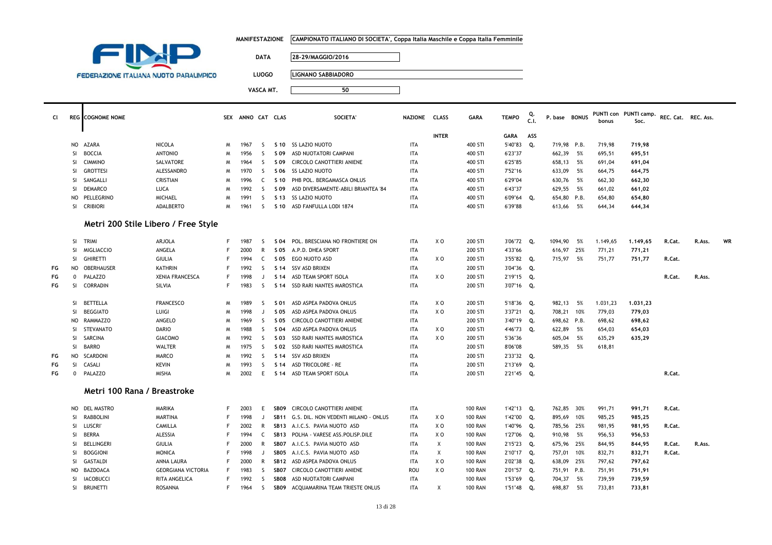|    |               |                                               |                                     |   | <b>MANIFESTAZIONE</b> |              |                  | CAMPIONATO ITALIANO DI SOCIETA', Coppa Italia Maschile e Coppa Italia Femminile |                |                |                |              |      |               |      |          |                       |                     |        |    |
|----|---------------|-----------------------------------------------|-------------------------------------|---|-----------------------|--------------|------------------|---------------------------------------------------------------------------------|----------------|----------------|----------------|--------------|------|---------------|------|----------|-----------------------|---------------------|--------|----|
|    |               | EIN                                           |                                     |   |                       |              |                  |                                                                                 |                |                |                |              |      |               |      |          |                       |                     |        |    |
|    |               |                                               |                                     |   |                       | <b>DATA</b>  |                  | 28-29/MAGGIO/2016                                                               |                |                |                |              |      |               |      |          |                       |                     |        |    |
|    |               |                                               |                                     |   |                       |              |                  |                                                                                 |                |                |                |              |      |               |      |          |                       |                     |        |    |
|    |               | <b>FEDERAZIONE ITALIANA NUOTO PARALIMPICO</b> |                                     |   |                       | <b>LUOGO</b> |                  | LIGNANO SABBIADORO                                                              |                |                |                |              |      |               |      |          |                       |                     |        |    |
|    |               |                                               |                                     |   |                       | VASCA MT.    |                  | 50                                                                              |                |                |                |              |      |               |      |          |                       |                     |        |    |
|    |               |                                               |                                     |   |                       |              |                  |                                                                                 |                |                |                |              |      |               |      |          |                       |                     |        |    |
|    |               |                                               |                                     |   |                       |              |                  |                                                                                 |                |                |                |              |      |               |      |          |                       |                     |        |    |
| CI |               | <b>REG</b> COGNOME NOME                       |                                     |   | SEX ANNO CAT CLAS     |              |                  | <b>SOCIETA'</b>                                                                 | <b>NAZIONE</b> | <b>CLASS</b>   | <b>GARA</b>    | <b>TEMPO</b> | Q    | P. base BONUS |      |          | PUNTI con PUNTI camp. | REC. Cat. REC. Ass. |        |    |
|    |               |                                               |                                     |   |                       |              |                  |                                                                                 |                |                |                |              | C.1. |               |      | bonus    | Soc.                  |                     |        |    |
|    |               |                                               |                                     |   |                       |              |                  |                                                                                 |                | <b>INTER</b>   |                | <b>GARA</b>  | ASS  |               |      |          |                       |                     |        |    |
|    | NO            | <b>AZARA</b>                                  | NICOLA                              | M | 1967                  | -S           |                  | S 10 SS LAZIO NUOTO                                                             | <b>ITA</b>     |                | 400 STI        | 5'40"83      | Q.   | 719,98 P.B.   |      | 719,98   | 719,98                |                     |        |    |
|    | SI            | <b>BOCCIA</b>                                 | <b>ANTONIO</b>                      | M | 1956                  | <sub>S</sub> | S 09             | ASD NUOTATORI CAMPANI                                                           | <b>ITA</b>     |                | 400 STI        | 6'23"37      |      | 662,39 5%     |      | 695,51   | 695,51                |                     |        |    |
|    | SI            | <b>CIMMINO</b>                                | SALVATORE                           | M | 1964                  | <sub>S</sub> | S 09             | CIRCOLO CANOTTIERI ANIENE                                                       | <b>ITA</b>     |                | 400 STI        | 6'25"85      |      | 658,13 5%     |      | 691,04   | 691,04                |                     |        |    |
|    | <b>SI</b>     | <b>GROTTESI</b>                               | ALESSANDRO                          | M | 1970                  | <sub>S</sub> | S 06             | <b>SS LAZIO NUOTO</b>                                                           | <b>ITA</b>     |                | 400 STI        | 7'52"16      |      | 633,09        | 5%   | 664,75   | 664,75                |                     |        |    |
|    | SI            | SANGALLI                                      | CRISTIAN                            | M | 1996                  | C            | S 10             | PHB POL. BERGAMASCA ONLUS                                                       | <b>ITA</b>     |                | 400 STI        | 6'29"04      |      | 630,76 5%     |      | 662,30   | 662,30                |                     |        |    |
|    | SI            | <b>DEMARCO</b>                                | LUCA                                | M | 1992                  | <sub>S</sub> | S 09             | ASD DIVERSAMENTE-ABILI BRIANTEA '84                                             | <b>ITA</b>     |                | 400 STI        | 6'43"37      |      | 629,55 5%     |      | 661,02   | 661,02                |                     |        |    |
|    | <b>NO</b>     | PELLEGRINO                                    | <b>MICHAEL</b>                      | M | 1991                  | S.           |                  | S 13 SS LAZIO NUOTO                                                             | <b>ITA</b>     |                | 400 STI        | 6'09"64      | о.   | 654,80 P.B.   |      | 654.80   | 654,80                |                     |        |    |
|    | <b>SI</b>     | <b>CRIBIORI</b>                               | <b>ADALBERTO</b>                    | M | 1961                  | -S           |                  | S 10 ASD FANFULLA LODI 1874                                                     | <b>ITA</b>     |                | 400 STI        | 6'39"88      |      | 613,66        | 5%   | 644,34   | 644,34                |                     |        |    |
|    |               |                                               |                                     |   |                       |              |                  |                                                                                 |                |                |                |              |      |               |      |          |                       |                     |        |    |
|    |               |                                               | Metri 200 Stile Libero / Free Style |   |                       |              |                  |                                                                                 |                |                |                |              |      |               |      |          |                       |                     |        |    |
|    |               |                                               |                                     |   |                       |              |                  |                                                                                 |                |                |                |              |      |               |      |          |                       |                     |        |    |
|    | <b>SI</b>     | <b>TRIMI</b>                                  | ARJOLA                              | F | 1987                  | S.           |                  | S 04 POL. BRESCIANA NO FRONTIERE ON                                             | <b>ITA</b>     | X O            | 200 STI        | 3'06"72 Q.   |      | 1094,90       | 5%   | 1.149,65 | 1.149,65              | R.Cat.              | R.Ass. | WR |
|    | <b>SI</b>     | <b>MIGLIACCIO</b>                             | ANGELA                              | E | 2000                  | $\mathsf{R}$ |                  | S 05 A.P.D. DHEA SPORT                                                          | <b>ITA</b>     |                | 200 STI        | 4'33"66      |      | 616,97 25%    |      | 771,21   | 771,21                |                     |        |    |
|    | <b>SI</b>     | <b>GHIRETTI</b>                               | GIULIA                              | F | 1994                  | C            |                  | S 05 EGO NUOTO ASD                                                              | <b>ITA</b>     | x o            | 200 STI        | 3'55"82 Q.   |      | 715,97 5%     |      | 751,77   | 751,77                | R.Cat.              |        |    |
| FG | <b>NO</b>     | <b>OBERHAUSER</b>                             | <b>KATHRIN</b>                      | F | 1992                  | S            | S <sub>14</sub>  | SSV ASD BRIXEN                                                                  | <b>ITA</b>     |                | 200 STI        | 3'04"36      | Q.   |               |      |          |                       |                     |        |    |
| FG | $\mathbf 0$   | <b>PALAZZO</b>                                | <b>XENIA FRANCESCA</b>              | F | 1998                  | J.           | S <sub>14</sub>  | ASD TEAM SPORT ISOLA                                                            | <b>ITA</b>     | x o            | 200 STI        | 2'19"15 Q.   |      |               |      |          |                       | R.Cat.              | R.Ass. |    |
| FG | SI            | CORRADIN                                      | SILVIA                              | E | 1983                  | S            | S 14             | SSD RARI NANTES MAROSTICA                                                       | <b>ITA</b>     |                | 200 STI        | 3'07"16 Q.   |      |               |      |          |                       |                     |        |    |
|    |               |                                               |                                     |   |                       |              |                  |                                                                                 |                |                |                |              |      |               |      |          |                       |                     |        |    |
|    | <b>SI</b>     | BETTELLA                                      | <b>FRANCESCO</b>                    | M | 1989                  | <sub>S</sub> | S 01             | ASD ASPEA PADOVA ONLUS                                                          | <b>ITA</b>     | X <sub>0</sub> | 200 STI        | 5'18"36      | Q.   | 982,13 5%     |      | 1.031,23 | 1,031,23              |                     |        |    |
|    | SI            | <b>BEGGIATO</b>                               | LUIGI                               | M | 1998                  | J            | S 05             | ASD ASPEA PADOVA ONLUS                                                          | <b>ITA</b>     | x o            | 200 STI        | 3'37"21 Q.   |      | 708,21 10%    |      | 779,03   | 779,03                |                     |        |    |
|    | <b>NO</b>     | RAMMAZZO                                      | ANGELO                              | M | 1969                  | S            | S 05             | CIRCOLO CANOTTIERI ANIENE                                                       | <b>ITA</b>     |                | 200 STI        | 3'40"19      | Q.   | 698,62 P.B.   |      | 698,62   | 698,62                |                     |        |    |
|    | <b>SI</b>     | <b>STEVANATO</b>                              | <b>DARIO</b>                        | M | 1988                  | S.           | S 04             | ASD ASPEA PADOVA ONLUS                                                          | <b>ITA</b>     | X <sub>0</sub> | 200 STI        | 4'46"73      | Q.   | 622,89        | 5%   | 654.03   | 654,03                |                     |        |    |
|    | SI            | SARCINA                                       | <b>GIACOMO</b>                      | M | 1992                  | -S           | S 03             | SSD RARI NANTES MAROSTICA                                                       | <b>ITA</b>     | ΧO             | 200 STI        | 5'36"36      |      | 605,04        | - 5% | 635,29   | 635,29                |                     |        |    |
|    | SI            | <b>BARRO</b>                                  | <b>WALTER</b>                       | M | 1975                  | -S           | S 02             | SSD RARI NANTES MAROSTICA                                                       | <b>ITA</b>     |                | 200 STI        | 8'06"08      |      | 589,35        | 5%   | 618,81   |                       |                     |        |    |
| FG | <b>NO</b>     | SCARDONI                                      | MARCO                               | M | 1992                  | -S           | S <sub>14</sub>  | SSV ASD BRIXEN                                                                  | <b>ITA</b>     |                | 200 STI        | 2'33"32 Q.   |      |               |      |          |                       |                     |        |    |
| FG | SI            | CASALI                                        | <b>KEVIN</b>                        | M | 1993                  | -S           | S 14             | <b>ASD TRICOLORE - RE</b>                                                       | <b>ITA</b>     |                | 200 STI        | 2'13"69      | Q.   |               |      |          |                       |                     |        |    |
| FG | $\mathbf{0}$  | PALAZZO                                       | <b>MISHA</b>                        | M | 2002                  | E            |                  | S 14 ASD TEAM SPORT ISOLA                                                       | <b>ITA</b>     |                | 200 STI        | 2'21"45 Q.   |      |               |      |          |                       | R.Cat.              |        |    |
|    |               |                                               |                                     |   |                       |              |                  |                                                                                 |                |                |                |              |      |               |      |          |                       |                     |        |    |
|    |               | Metri 100 Rana / Breastroke                   |                                     |   |                       |              |                  |                                                                                 |                |                |                |              |      |               |      |          |                       |                     |        |    |
|    | NO            | <b>DEL MASTRO</b>                             | MARIKA                              | F | 2003                  | E            | SB <sub>09</sub> | CIRCOLO CANOTTIERI ANIENE                                                       | <b>ITA</b>     |                | <b>100 RAN</b> | 1'42"13 Q.   |      | 762,85 30%    |      | 991,71   | 991,71                | R.Cat.              |        |    |
|    | SI            | <b>RABBOLINI</b>                              | <b>MARTINA</b>                      | F | 1998                  | $\mathbf{J}$ | <b>SB11</b>      | G.S. DIL. NON VEDENTI MILANO - ONLUS                                            | <b>ITA</b>     | X <sub>0</sub> | <b>100 RAN</b> | 1'42"00 Q.   |      | 895,69 10%    |      | 985,25   | 985,25                |                     |        |    |
|    | SI            | LUSCRI                                        | <b>CAMILLA</b>                      | F | 2002                  | $\mathsf{R}$ | <b>SB13</b>      | A.I.C.S. PAVIA NUOTO ASD                                                        | <b>ITA</b>     | X <sub>0</sub> | <b>100 RAN</b> | 1'40"96      | Q.   | 785,56 25%    |      | 981,95   | 981,95                | R.Cat.              |        |    |
|    | <b>SI</b>     | <b>BERRA</b>                                  | ALESSIA                             | F | 1994                  | $\mathsf{C}$ | <b>SB13</b>      | POLHA - VARESE ASS.POLISP.DILE                                                  | <b>ITA</b>     | X <sub>0</sub> | <b>100 RAN</b> | 1'27"06      | Q.   | 910,98 5%     |      | 956,53   | 956,53                |                     |        |    |
|    | SI            | BELLINGERI                                    | <b>GIULIA</b>                       | F | 2000                  | $\mathsf{R}$ | SB07             | A.I.C.S. PAVIA NUOTO ASD                                                        | <b>ITA</b>     | Χ              | <b>100 RAN</b> | 2'15"23      | Q.   | 675,96 25%    |      | 844,95   | 844,95                | R.Cat.              | R.Ass. |    |
|    | <b>SI</b>     | <b>BOGGIONI</b>                               | <b>MONICA</b>                       | E | 1998                  | $\Box$       | SB05             | A.I.C.S. PAVIA NUOTO ASD                                                        | <b>ITA</b>     | Χ              | <b>100 RAN</b> | 2'10"17 Q.   |      | 757,01        | 10%  | 832,71   | 832,71                | R.Cat.              |        |    |
|    | <sup>SI</sup> | <b>GASTALDI</b>                               | ANNA LAURA                          | F | 2000                  | R            | <b>SB12</b>      | ASD ASPEA PADOVA ONLUS                                                          | <b>ITA</b>     | X O            | <b>100 RAN</b> | 2'02"38      | Q.   | 638,09 25%    |      | 797,62   | 797,62                |                     |        |    |
|    | <b>NO</b>     | <b>BAZDOACA</b>                               | <b>GEORGIANA VICTORIA</b>           | F | 1983                  | S            | SB07             | CIRCOLO CANOTTIERI ANIENE                                                       | <b>ROU</b>     | X O            | <b>100 RAN</b> | 2'01"57      | Q.   | 751,91 P.B.   |      | 751,91   | 751,91                |                     |        |    |
|    | <b>SI</b>     | <b>IACOBUCCI</b>                              | RITA ANGELICA                       | F | 1992                  | -S           | <b>SB08</b>      | ASD NUOTATORI CAMPANI                                                           | <b>ITA</b>     |                | <b>100 RAN</b> | 1'53"69      | Q.   | 704,37        | 5%   | 739,59   | 739,59                |                     |        |    |
|    | SI            | <b>BRUNETTI</b>                               | <b>ROSANNA</b>                      | F | 1964                  | S            | SB09             | ACQUAMARINA TEAM TRIESTE ONLUS                                                  | <b>ITA</b>     | Χ              | <b>100 RAN</b> | 1'51"48      | Q.   | 698,87        | 5%   | 733,81   | 733,81                |                     |        |    |
|    |               |                                               |                                     |   |                       |              |                  |                                                                                 |                |                |                |              |      |               |      |          |                       |                     |        |    |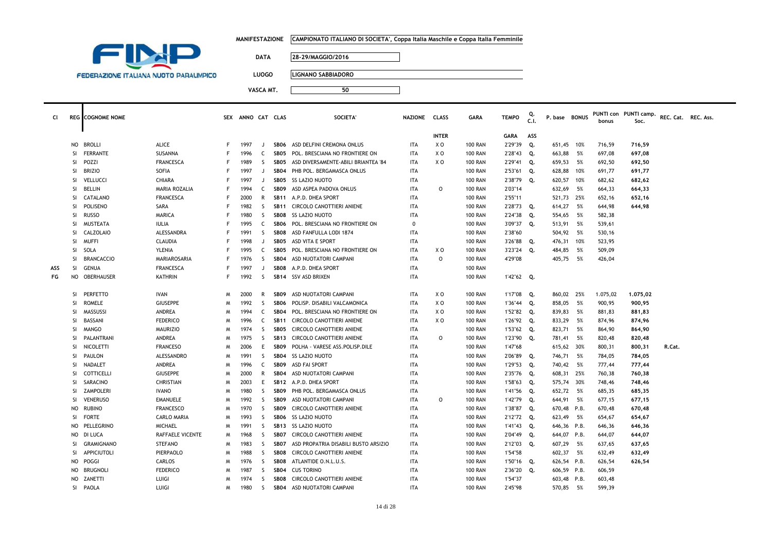|           |               |                                               |                  |   | <b>MANIFESTAZIONE</b> |              |                  | CAMPIONATO ITALIANO DI SOCIETA', Coppa Italia Maschile e Coppa Italia Femminile |                |                |                |              |            |               |     |          |                                                   |        |  |
|-----------|---------------|-----------------------------------------------|------------------|---|-----------------------|--------------|------------------|---------------------------------------------------------------------------------|----------------|----------------|----------------|--------------|------------|---------------|-----|----------|---------------------------------------------------|--------|--|
|           |               | FIM                                           |                  |   |                       |              |                  |                                                                                 |                |                |                |              |            |               |     |          |                                                   |        |  |
|           |               |                                               |                  |   |                       | <b>DATA</b>  |                  | 28-29/MAGGIO/2016                                                               |                |                |                |              |            |               |     |          |                                                   |        |  |
|           |               |                                               |                  |   |                       |              |                  |                                                                                 |                |                |                |              |            |               |     |          |                                                   |        |  |
|           |               | <b>FEDERAZIONE ITALIANA NUOTO PARALIMPICO</b> |                  |   |                       | <b>LUOGO</b> |                  | LIGNANO SABBIADORO                                                              |                |                |                |              |            |               |     |          |                                                   |        |  |
|           |               |                                               |                  |   |                       | VASCA MT.    |                  | 50                                                                              |                |                |                |              |            |               |     |          |                                                   |        |  |
|           |               |                                               |                  |   |                       |              |                  |                                                                                 |                |                |                |              |            |               |     |          |                                                   |        |  |
|           |               |                                               |                  |   |                       |              |                  |                                                                                 |                |                |                |              |            |               |     |          |                                                   |        |  |
| <b>CI</b> |               | <b>REG</b> COGNOME NOME                       |                  |   | SEX ANNO CAT CLAS     |              |                  | <b>SOCIETA</b>                                                                  | <b>NAZIONE</b> | <b>CLASS</b>   | <b>GARA</b>    | <b>TEMPO</b> | Q.<br>C.1. | P. base BONUS |     | bonus    | PUNTI con PUNTI camp. REC. Cat. REC. Ass.<br>Soc. |        |  |
|           |               |                                               |                  |   |                       |              |                  |                                                                                 |                |                |                |              |            |               |     |          |                                                   |        |  |
|           |               |                                               |                  |   |                       |              |                  |                                                                                 |                | <b>INTER</b>   |                | <b>GARA</b>  | ASS        |               |     |          |                                                   |        |  |
|           |               | NO BROLLI                                     | <b>ALICE</b>     |   | 1997                  | J.           |                  | SB06 ASD DELFINI CREMONA ONLUS                                                  | <b>ITA</b>     | X O            | <b>100 RAN</b> | 2'29"39      | Q.         | 651,45        | 10% | 716,59   | 716,59                                            |        |  |
|           | <b>SI</b>     | FERRANTE                                      | SUSANNA          |   | 1996                  | C            |                  | SB05 POL. BRESCIANA NO FRONTIERE ON                                             | <b>ITA</b>     | XO             | <b>100 RAN</b> | 2'28"43      | Q.         | 663,88        | 5%  | 697,08   | 697,08                                            |        |  |
|           | <b>SI</b>     | POZZI                                         | <b>FRANCESCA</b> |   | 1989                  | <sub>S</sub> | SB05             | ASD DIVERSAMENTE-ABILI BRIANTEA '84                                             | <b>ITA</b>     | X <sub>0</sub> | <b>100 RAN</b> | 2'29"41      | Q.         | 659,53        | 5%  | 692,50   | 692,50                                            |        |  |
|           | SI            | <b>BRIZIO</b>                                 | SOFIA            |   | 1997                  | J.           | SB <sub>04</sub> | PHB POL. BERGAMASCA ONLUS                                                       | <b>ITA</b>     |                | <b>100 RAN</b> | 2'53"61      | Q.         | 628,88        | 10% | 691,77   | 691,77                                            |        |  |
|           | -SI           | VELLUCCI                                      | CHIARA           |   | 1997                  | IJ           | SB05             | <b>SS LAZIO NUOTO</b>                                                           | <b>ITA</b>     |                | <b>100 RAN</b> | 2'38"79      | Q.         | 620,57        | 10% | 682,62   | 682,62                                            |        |  |
|           | SI            | <b>BELLIN</b>                                 | MARIA ROZALIA    |   | 1994                  | C            | SB <sub>09</sub> | ASD ASPEA PADOVA ONLUS                                                          | <b>ITA</b>     | 0              | <b>100 RAN</b> | 2'03"14      |            | 632,69        | 5%  | 664,33   | 664,33                                            |        |  |
|           | SI.           | CATALANO                                      | <b>FRANCESCA</b> |   | 2000                  | R            |                  | SB11 A.P.D. DHEA SPORT                                                          | <b>ITA</b>     |                | <b>100 RAN</b> | 2'55"11      |            | 521,73        | 25% | 652,16   | 652,16                                            |        |  |
|           | SI            | POLISENO                                      | SARA             |   | 1982                  | <sub>S</sub> | <b>SB11</b>      | CIRCOLO CANOTTIERI ANIENE                                                       | <b>ITA</b>     |                | <b>100 RAN</b> | 2'28"73      | Q.         | 614,27        | 5%  | 644,98   | 644,98                                            |        |  |
|           | SI.           | <b>RUSSO</b>                                  | MARICA           |   | 1980                  | <sub>S</sub> |                  | SB08 SS LAZIO NUOTO                                                             | <b>ITA</b>     |                | <b>100 RAN</b> | 2'24"38      | Q.         | 554,65        | 5%  | 582,38   |                                                   |        |  |
|           | SI            | MUSTEATA                                      | <b>IULIA</b>     |   | 1995                  | C            | SB06             | POL. BRESCIANA NO FRONTIERE ON                                                  | $\mathbf 0$    |                | <b>100 RAN</b> | 3'09"37      | Q.         | 513,91        | 5%  | 539,61   |                                                   |        |  |
|           | SI            | CALZOLAIO                                     | ALESSANDRA       |   | 1991                  | $\mathsf{S}$ |                  | SB08 ASD FANFULLA LODI 1874                                                     | <b>ITA</b>     |                | <b>100 RAN</b> | 2'38"60      |            | 504,92 5%     |     | 530,16   |                                                   |        |  |
|           | SI.           | <b>MUFF</b>                                   | <b>CLAUDIA</b>   |   | 1998                  | IJ           | SB <sub>05</sub> | ASD VITA E SPORT                                                                | <b>ITA</b>     |                | <b>100 RAN</b> | 3'26"88      | Q.         | 476,31        | 10% | 523,95   |                                                   |        |  |
|           | SI            | SOLA                                          | YLENIA           |   | 1995                  | C            | SB <sub>05</sub> | POL. BRESCIANA NO FRONTIERE ON                                                  | <b>ITA</b>     | X <sub>0</sub> | <b>100 RAN</b> | 3'23"24      | Q.         | 484,85        | 5%  | 509,09   |                                                   |        |  |
|           | <b>SI</b>     | <b>BRANCACCIO</b>                             | MARIAROSARIA     |   | 1976                  | <sub>S</sub> | <b>SB04</b>      | ASD NUOTATORI CAMPANI                                                           | <b>ITA</b>     | $\Omega$       | <b>100 RAN</b> | 4'29"08      |            | 405,75        | 5%  | 426,04   |                                                   |        |  |
| ASS       | <sub>SI</sub> | GENUA                                         | <b>FRANCESCA</b> |   | 1997                  | J.           | SB08             | A.P.D. DHEA SPORT                                                               | <b>ITA</b>     |                | <b>100 RAN</b> |              |            |               |     |          |                                                   |        |  |
| FG        |               | NO OBERHAUSER                                 | <b>KATHRIN</b>   | F | 1992                  | S            |                  | SB14 SSV ASD BRIXEN                                                             | <b>ITA</b>     |                | <b>100 RAN</b> | 1'42"62 Q.   |            |               |     |          |                                                   |        |  |
|           | <b>SI</b>     | <b>PERFETTO</b>                               | <b>IVAN</b>      | M | 2000                  | R            |                  | SB09 ASD NUOTATORI CAMPANI                                                      | <b>ITA</b>     | X O            | <b>100 RAN</b> | 1'17"08      | Q.         | 860,02 25%    |     | 1.075,02 | 1.075,02                                          |        |  |
|           | <b>SI</b>     | <b>ROMELE</b>                                 | <b>GIUSEPPE</b>  | M | 1992                  | $\mathsf{S}$ | SB <sub>06</sub> | POLISP. DISABILI VALCAMONICA                                                    | <b>ITA</b>     | X <sub>0</sub> | <b>100 RAN</b> | 1'36"44      | Q.         | 858,05        | 5%  | 900,95   | 900,95                                            |        |  |
|           | <sub>SI</sub> | MASSUSSI                                      | ANDREA           | M | 1994                  | C            | SB <sub>04</sub> | POL. BRESCIANA NO FRONTIERE ON                                                  | <b>ITA</b>     | XO             | <b>100 RAN</b> | 1'52"82      | Q.         | 839,83        | 5%  | 881,83   | 881,83                                            |        |  |
|           | <sub>SI</sub> | BASSANI                                       | <b>FEDERICO</b>  | M | 1996                  | C            | <b>SB11</b>      | CIRCOLO CANOTTIERI ANIENE                                                       | <b>ITA</b>     | XO             | <b>100 RAN</b> | 1'26"92      | Q.         | 833,29        | 5%  | 874,96   | 874,96                                            |        |  |
|           | SI.           | <b>MANGO</b>                                  | <b>MAURIZIO</b>  | M | 1974                  | <sub>S</sub> | SB <sub>05</sub> | CIRCOLO CANOTTIERI ANIENE                                                       | <b>ITA</b>     |                | <b>100 RAN</b> | 1'53"62      | Q.         | 823,71        | 5%  | 864,90   | 864,90                                            |        |  |
|           | SI.           | PALANTRANI                                    | ANDREA           | M | 1975                  | <sub>S</sub> | <b>SB13</b>      | CIRCOLO CANOTTIERI ANIENE                                                       | <b>ITA</b>     | $\circ$        | <b>100 RAN</b> | 1'23"90      | Q.         | 781,41        | 5%  | 820,48   | 820,48                                            |        |  |
|           | SI            | NICOLETTI                                     | <b>FRANCESO</b>  | M | 2006                  | E            | SB <sub>09</sub> | POLHA - VARESE ASS.POLISP.DILE                                                  | <b>ITA</b>     |                | <b>100 RAN</b> | 1'47"68      |            | 615,62 30%    |     | 800,31   | 800,31                                            | R.Cat. |  |
|           | SI            | PAULON                                        | ALESSANDRO       | M | 1991                  | <sub>S</sub> |                  | SB04 SS LAZIO NUOTO                                                             | <b>ITA</b>     |                | <b>100 RAN</b> | 2'06"89      | Q.         | 746,71        | 5%  | 784,05   | 784,05                                            |        |  |
|           | SI            | NADALET                                       | ANDREA           | M | 1996                  | C            | SB <sub>09</sub> | ASD FAI SPORT                                                                   | <b>ITA</b>     |                | <b>100 RAN</b> | 1'29"53      | Q.         | 740,42 5%     |     | 777,44   | 777,44                                            |        |  |
|           | SI            | COTTICELLI                                    | <b>GIUSEPPE</b>  | M | 2000                  | R            |                  | SB04 ASD NUOTATORI CAMPANI                                                      | <b>ITA</b>     |                | <b>100 RAN</b> | 2'35"76      | Q.         | 608,31 25%    |     | 760,38   | 760,38                                            |        |  |
|           | <sub>SI</sub> | SARACINO                                      | CHRISTIAN        | M | 2003                  | E            | <b>SB12</b>      | A.P.D. DHEA SPORT                                                               | <b>ITA</b>     |                | <b>100 RAN</b> | 1'58"63      | Q.         | 575,74        | 30% | 748,46   | 748,46                                            |        |  |
|           | SI            | ZAMPOLERI                                     | <b>IVANO</b>     | M | 1980                  | S.           | SB <sub>09</sub> | PHB POL. BERGAMASCA ONLUS                                                       | <b>ITA</b>     |                | <b>100 RAN</b> | 1'41"56      | Q.         | 652,72        | 5%  | 685,35   | 685,35                                            |        |  |
|           | <b>SI</b>     | <b>VENERUSO</b>                               | <b>EMANUELE</b>  | M | 1992                  | <sub>S</sub> | SB <sub>09</sub> | ASD NUOTATORI CAMPANI                                                           | <b>ITA</b>     | $\circ$        | <b>100 RAN</b> | 1'42"79      | Q.         | 644,91        | 5%  | 677,15   | 677,15                                            |        |  |
|           | <b>NO</b>     | RUBINO                                        | <b>FRANCESCO</b> | M | 1970                  | <sub>S</sub> | SB <sub>09</sub> | CIRCOLO CANOTTIERI ANIENE                                                       | <b>ITA</b>     |                | <b>100 RAN</b> | 1'38"87      | Q.         | 670,48 P.B.   |     | 670,48   | 670,48                                            |        |  |
|           | -SI           | <b>FORTE</b>                                  | CARLO MARIA      | M | 1993                  | <sub>S</sub> |                  | SB06 SS LAZIO NUOTO                                                             | <b>ITA</b>     |                | <b>100 RAN</b> | 2'12"72      | Q.         | 623,49        | 5%  | 654,67   | 654,67                                            |        |  |
|           | NO.           | PELLEGRINO                                    | <b>MICHAEL</b>   |   | 1991                  | S.           |                  | SB13 SS LAZIO NUOTO                                                             | <b>ITA</b>     |                | <b>100 RAN</b> | 1'41"43      | Q.         | 646,36 P.B.   |     | 646,36   | 646,36                                            |        |  |
|           | <b>NO</b>     | DI LUCA                                       | RAFFAELE VICENTE | M | 1968                  | <sub>S</sub> | SB07             | CIRCOLO CANOTTIERI ANIENE                                                       | <b>ITA</b>     |                | <b>100 RAN</b> | 2'04"49      | Q.         | 644,07 P.B.   |     | 644,07   | 644,07                                            |        |  |
|           | SI            | <b>GRAMIGNANO</b>                             | <b>STEFANO</b>   | M | 1983                  | S            | SB07             | ASD PROPATRIA DISABILI BUSTO ARSIZIO                                            | <b>ITA</b>     |                | <b>100 RAN</b> | 2'12"03      | Q.         | 607,29        | 5%  | 637,65   | 637,65                                            |        |  |
|           | SI.           | <b>APPICIUTOLI</b>                            | <b>PIERPAOLO</b> | M | 1988                  | <sub>S</sub> | SB08             | CIRCOLO CANOTTIERI ANIENE                                                       | <b>ITA</b>     |                | <b>100 RAN</b> | 1'54"58      |            | 602,37        | 5%  | 632,49   | 632,49                                            |        |  |
|           | <b>NO</b>     | POGGI                                         | CARLOS           | M | 1976                  | <sub>S</sub> | SB08             | ATLANTIDE O.N.L.U.S.                                                            | <b>ITA</b>     |                | <b>100 RAN</b> | 1'50"16      | Q.         | 626,54 P.B.   |     | 626,54   | 626,54                                            |        |  |
|           | NO            | <b>BRUGNOLI</b>                               | <b>FEDERICO</b>  | M | 1987                  | <sub>S</sub> | <b>SB04</b>      | <b>CUS TORINO</b>                                                               | <b>ITA</b>     |                | <b>100 RAN</b> | 2'36"20      | Q.         | 606,59 P.B.   |     | 606,59   |                                                   |        |  |
|           | NO            | ZANETTI                                       | LUIGI            | M | 1974                  | <sub>S</sub> | SB08             | CIRCOLO CANOTTIERI ANIENE                                                       | <b>ITA</b>     |                | <b>100 RAN</b> | 1'54"37      |            | 603,48 P.B.   |     | 603,48   |                                                   |        |  |
|           |               | SI PAOLA                                      | LUIGI            | M | 1980                  | $\mathsf{S}$ | SB04             | ASD NUOTATORI CAMPANI                                                           | <b>ITA</b>     |                | <b>100 RAN</b> | 2'45"98      |            | 570,85        | 5%  | 599,39   |                                                   |        |  |

÷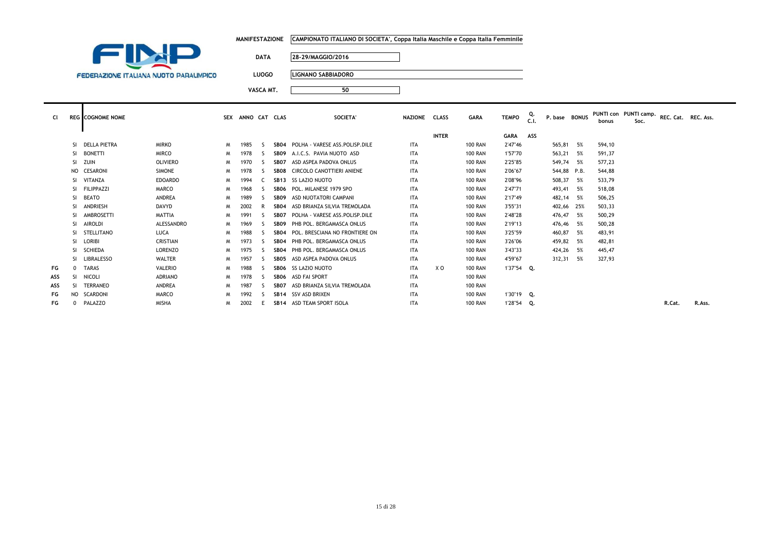|           |                                               | <b>MANIFESTAZIONE</b> | CAMPIONATO ITALIANO DI SOCIETA', Coppa Italia Maschile e Coppa Italia Femminile |               |             |              |               |  |       |                                                                 |  |
|-----------|-----------------------------------------------|-----------------------|---------------------------------------------------------------------------------|---------------|-------------|--------------|---------------|--|-------|-----------------------------------------------------------------|--|
|           |                                               | <b>DATA</b>           | 28-29/MAGGIO/2016                                                               |               |             |              |               |  |       |                                                                 |  |
|           | <b>FEDERAZIONE ITALIANA NUOTO PARALIMPICO</b> | <b>LUOGO</b>          | LIGNANO SABBIADORO                                                              |               |             |              |               |  |       |                                                                 |  |
|           |                                               | VASCA MT.             | 50                                                                              |               |             |              |               |  |       |                                                                 |  |
| <b>CI</b> | <b>REG</b> COGNOME NOME                       | SEX ANNO CAT CLAS     | SOCIETA'                                                                        | NAZIONE CLASS | <b>GARA</b> | <b>TEMPO</b> | $\frac{Q}{C}$ |  | bonus | P. base BONUS PUNTI con PUNTI camp. REC. Cat. REC. Ass.<br>Soc. |  |

|     |           |                   |                 |   |      |    |                  |                                       |            |              |                |             | J.L. |             |      | צוווטע | <b>SUL.</b> |        |        |
|-----|-----------|-------------------|-----------------|---|------|----|------------------|---------------------------------------|------------|--------------|----------------|-------------|------|-------------|------|--------|-------------|--------|--------|
|     |           |                   |                 |   |      |    |                  |                                       |            | <b>INTER</b> |                | <b>GARA</b> | ASS  |             |      |        |             |        |        |
|     |           | SI DELLA PIETRA   | <b>MIRKO</b>    | M | 1985 |    |                  | SB04 POLHA - VARESE ASS. POLISP. DILE | <b>ITA</b> |              | <b>100 RAN</b> | 2'47"46     |      | 565,81      | 5%   | 594,10 |             |        |        |
|     |           | SI BONETTI        | <b>MIRCO</b>    | M | 1978 |    | SB09             | A.I.C.S. PAVIA NUOTO ASD              | <b>ITA</b> |              | <b>100 RAN</b> | 1'57"70     |      | 563,21      | 5%   | 591,37 |             |        |        |
|     | SI.       | ZUIN              | <b>OLIVIERO</b> | M | 1970 |    | SB07             | ASD ASPEA PADOVA ONLUS                | <b>ITA</b> |              | <b>100 RAN</b> | 2'25"85     |      | 549,74      | 5%   | 577,23 |             |        |        |
|     | NO.       | CESARONI          | <b>SIMONE</b>   | M | 1978 |    |                  | SB08 CIRCOLO CANOTTIERI ANIENE        | <b>ITA</b> |              | <b>100 RAN</b> | 2'06"67     |      | 544,88 P.B. |      | 544,88 |             |        |        |
|     | SI.       | VITANZA           | <b>EDOARDO</b>  | M | 1994 |    |                  | SB13 SS LAZIO NUOTO                   | <b>ITA</b> |              | <b>100 RAN</b> | 2'08"96     |      | 508,37      | - 5% | 533,79 |             |        |        |
|     | SI.       | <b>FILIPPAZZI</b> | MARCO           | M | 1968 |    | SB06             | POL. MILANESE 1979 SPO                | <b>ITA</b> |              | <b>100 RAN</b> | 2'47"71     |      | 493,41      | 5%   | 518,08 |             |        |        |
|     |           | SI BEATO          | <b>ANDREA</b>   | M | 1989 |    | SB <sub>09</sub> | ASD NUOTATORI CAMPANI                 | <b>ITA</b> |              | <b>100 RAN</b> | 2'17"49     |      | 482,14      | 5%   | 506,25 |             |        |        |
|     | SI.       | ANDRIESH          | <b>DAVYD</b>    | M | 2002 |    | SB04             | ASD BRIANZA SILVIA TREMOLADA          | <b>ITA</b> |              | <b>100 RAN</b> | 3'55"31     |      | 402,66      | 25%  | 503,33 |             |        |        |
|     |           | SI AMBROSETTI     | <b>MATTIA</b>   | M | 1991 |    | SBO7             | POLHA - VARESE ASS.POLISP.DILE        | <b>ITA</b> |              | <b>100 RAN</b> | 2'48"28     |      | 476,47      | 5%   | 500,29 |             |        |        |
|     |           | SI AIROLDI        | ALESSANDRO      | M | 1969 |    | SBO9             | PHB POL. BERGAMASCA ONLUS             | <b>ITA</b> |              | <b>100 RAN</b> | 2'19"13     |      | 476,46      | 5%   | 500,28 |             |        |        |
|     |           | SI STELLITANO     | LUCA            | M | 1988 | ς. |                  | SB04 POL. BRESCIANA NO FRONTIERE ON   | <b>ITA</b> |              | <b>100 RAN</b> | 3'25"59     |      | 460,87      | 5%   | 483,91 |             |        |        |
|     |           | SI LORIBI         | CRISTIAN        | M | 1973 | -5 |                  | SB04 PHB POL. BERGAMASCA ONLUS        | <b>ITA</b> |              | <b>100 RAN</b> | 3'26"06     |      | 459,82      | 5%   | 482,81 |             |        |        |
|     |           | SI SCHIEDA        | LORENZO         | M | 1975 |    |                  | SB04 PHB POL. BERGAMASCA ONLUS        | <b>ITA</b> |              | <b>100 RAN</b> | 3'43"33     |      | 424,26      | 5%   | 445,47 |             |        |        |
|     |           | SI LIBRALESSO     | <b>WALTER</b>   | M | 1957 |    | SBO5             | ASD ASPEA PADOVA ONLUS                | <b>ITA</b> |              | <b>100 RAN</b> | 4'59"67     |      | 312,31      | 5%   | 327,93 |             |        |        |
| FG  | $\Omega$  | <b>TARAS</b>      | VALERIO         | M | 1988 | S  |                  | SB06 SS LAZIO NUOTO                   | <b>ITA</b> | X O          | <b>100 RAN</b> | 1'37"54 Q.  |      |             |      |        |             |        |        |
| ASS | -SI       | NICOLI            | <b>ADRIANO</b>  | M | 1978 | -5 |                  | SB06 ASD FAI SPORT                    | <b>ITA</b> |              | <b>100 RAN</b> |             |      |             |      |        |             |        |        |
| ASS | SI.       | <b>TERRANEO</b>   | <b>ANDREA</b>   | M | 1987 |    | SBO7             | ASD BRIANZA SILVIA TREMOLADA          | <b>ITA</b> |              | <b>100 RAN</b> |             |      |             |      |        |             |        |        |
| FG  | <b>NO</b> | <b>SCARDONI</b>   | <b>MARCO</b>    | M | 1992 |    |                  | SB14 SSV ASD BRIXEN                   | <b>ITA</b> |              | <b>100 RAN</b> | 1'30"19 Q.  |      |             |      |        |             |        |        |
| FG  | $\Omega$  | PALAZZO           | <b>MISHA</b>    | M | 2002 |    |                  | SB14 ASD TEAM SPORT ISOLA             | <b>ITA</b> |              | <b>100 RAN</b> | 1'28"54 Q.  |      |             |      |        |             | R.Cat. | R.Ass. |
|     |           |                   |                 |   |      |    |                  |                                       |            |              |                |             |      |             |      |        |             |        |        |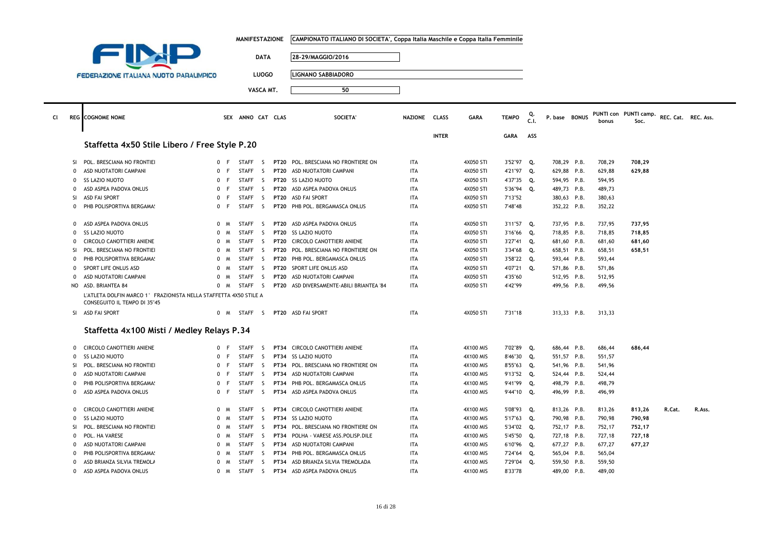|              |                                                                                                   |                             | <b>MANIFESTAZIONE</b> |              |             | CAMPIONATO ITALIANO DI SOCIETA', Coppa Italia Maschile e Coppa Italia Femminile |               |              |             |              |            |               |        |                               |                     |        |  |
|--------------|---------------------------------------------------------------------------------------------------|-----------------------------|-----------------------|--------------|-------------|---------------------------------------------------------------------------------|---------------|--------------|-------------|--------------|------------|---------------|--------|-------------------------------|---------------------|--------|--|
|              |                                                                                                   |                             |                       |              |             |                                                                                 |               |              |             |              |            |               |        |                               |                     |        |  |
|              |                                                                                                   |                             |                       | <b>DATA</b>  |             | 28-29/MAGGIO/2016                                                               |               |              |             |              |            |               |        |                               |                     |        |  |
|              |                                                                                                   |                             |                       | <b>LUOGO</b> |             | <b>LIGNANO SABBIADORO</b>                                                       |               |              |             |              |            |               |        |                               |                     |        |  |
|              | <b>FEDERAZIONE ITALIANA NUOTO PARALIMPICO</b>                                                     |                             |                       |              |             |                                                                                 |               |              |             |              |            |               |        |                               |                     |        |  |
|              |                                                                                                   |                             |                       | VASCA MT.    |             | 50                                                                              |               |              |             |              |            |               |        |                               |                     |        |  |
|              | <b>REG</b> COGNOME NOME                                                                           |                             | SEX ANNO CAT CLAS     |              |             | <b>SOCIETA</b>                                                                  | NAZIONE CLASS |              | <b>GARA</b> | <b>TEMPO</b> | Q.<br>C.I. | P. base BONUS | bonus  | PUNTI con PUNTI camp.<br>Soc. | REC. Cat. REC. Ass. |        |  |
|              | Staffetta 4x50 Stile Libero / Free Style P.20                                                     |                             |                       |              |             |                                                                                 |               | <b>INTER</b> |             | <b>GARA</b>  | ASS        |               |        |                               |                     |        |  |
| SI           | POL. BRESCIANA NO FRONTIEI                                                                        | 0 F                         | <b>STAFF</b>          | - S          |             | PT20 POL. BRESCIANA NO FRONTIERE ON                                             | ITA           |              | 4X050 STI   | 3'52"97      | Q.         | 708,29 P.B.   | 708,29 | 708,29                        |                     |        |  |
| $\mathbf 0$  | ASD NUOTATORI CAMPANI                                                                             | 0 F                         | <b>STAFF</b>          | S.           |             | PT20 ASD NUOTATORI CAMPANI                                                      | <b>ITA</b>    |              | 4X050 STI   | 4'21"97 Q.   |            | 629,88 P.B.   | 629,88 | 629,88                        |                     |        |  |
| $\mathbf 0$  | <b>SS LAZIO NUOTO</b>                                                                             | 0 F                         | <b>STAFF</b>          | S.           |             | PT20 SS LAZIO NUOTO                                                             | <b>ITA</b>    |              | 4X050 STI   | 4'37"35      | Q.         | 594,95 P.B.   | 594,95 |                               |                     |        |  |
| $\Omega$     | ASD ASPEA PADOVA ONLUS                                                                            | 0 F                         | <b>STAFF</b>          | S.           |             | PT20 ASD ASPEA PADOVA ONLUS                                                     | <b>ITA</b>    |              | 4X050 STI   | 5'36"94 Q.   |            | 489,73 P.B.   | 489,73 |                               |                     |        |  |
| SI           | <b>ASD FAI SPORT</b>                                                                              | $\mathbf{0}$<br>F           | <b>STAFF</b>          | S.           | <b>PT20</b> | <b>ASD FAI SPORT</b>                                                            | <b>ITA</b>    |              | 4X050 STI   | 7'13"52      |            | 380,63 P.B.   | 380,63 |                               |                     |        |  |
| $\mathbf 0$  | PHB POLISPORTIVA BERGAMA!                                                                         | 0 F                         | STAFF S               |              |             | PT20 PHB POL. BERGAMASCA ONLUS                                                  | ITA           |              | 4X050 STI   | 7'48"48      |            | 352,22 P.B.   | 352,22 |                               |                     |        |  |
| $\mathbf 0$  | ASD ASPEA PADOVA ONLUS                                                                            | 0 M                         | <b>STAFF</b>          | S.           |             | PT20 ASD ASPEA PADOVA ONLUS                                                     | <b>ITA</b>    |              | 4X050 STI   | 3'11"57 Q.   |            | 737,95 P.B.   | 737,95 | 737,95                        |                     |        |  |
| $\mathbf 0$  | <b>SS LAZIO NUOTO</b>                                                                             | $\mathbf{0}$<br>$M_{\odot}$ | <b>STAFF</b>          | S.           |             | PT20 SS LAZIO NUOTO                                                             | <b>ITA</b>    |              | 4X050 STI   | 3'16"66      | Q.         | 718,85 P.B.   | 718,85 | 718,85                        |                     |        |  |
| $\Omega$     | CIRCOLO CANOTTIERI ANIENE                                                                         | 0 M                         | STAFF                 | S.           |             | PT20 CIRCOLO CANOTTIERI ANIENE                                                  | ITA           |              | 4X050 STI   | 3'27"41 Q.   |            | 681,60 P.B.   | 681,60 | 681,60                        |                     |        |  |
| SI           | POL. BRESCIANA NO FRONTIEI                                                                        | $\Omega$<br>M               | STAFF                 | S.           |             | PT20 POL, BRESCIANA NO FRONTIERE ON                                             | ITA           |              | 4X050 STI   | 3'34"68      | Q.         | 658,51 P.B.   | 658,51 | 658,51                        |                     |        |  |
| $\Omega$     | PHB POLISPORTIVA BERGAMA!                                                                         | 0 M                         | <b>STAFF</b>          | -S           |             | PT20 PHB POL. BERGAMASCA ONLUS                                                  | <b>ITA</b>    |              | 4X050 STI   | 3'58"22 Q.   |            | 593,44 P.B.   | 593,44 |                               |                     |        |  |
| $\mathbf 0$  | SPORT LIFE ONLUS ASD                                                                              | 0 M                         | <b>STAFF</b>          | S.           |             | PT20 SPORT LIFE ONLUS ASD                                                       | ITA           |              | 4X050 STI   | 4'07"21      | Q.         | 571,86 P.B.   | 571,86 |                               |                     |        |  |
| $\mathbf 0$  | ASD NUOTATORI CAMPANI                                                                             | 0 M                         | <b>STAFF</b>          | -S           |             | PT20 ASD NUOTATORI CAMPANI                                                      | <b>ITA</b>    |              | 4X050 STI   | 4'35"60      |            | 512,95 P.B.   | 512,95 |                               |                     |        |  |
|              | NO ASD. BRIANTEA 84                                                                               | $0 \quad M$                 | STAFF                 | S.           |             | PT20 ASD DIVERSAMENTE-ABILI BRIANTEA '84                                        | ITA           |              | 4X050 STI   | 4'42"99      |            | 499,56 P.B.   | 499,56 |                               |                     |        |  |
|              | L'ATLETA DOLFIN MARCO 1° FRAZIONISTA NELLA STAFFETTA 4X50 STILE A<br>CONSEGUITO IL TEMPO DI 35"45 |                             |                       |              |             |                                                                                 |               |              |             |              |            |               |        |                               |                     |        |  |
|              | SI ASD FAI SPORT                                                                                  | 0 M                         | STAFF <sub>S</sub>    |              |             | PT20 ASD FAI SPORT                                                              | <b>ITA</b>    |              | 4X050 STI   | 7'31"18      |            | 313,33 P.B.   | 313,33 |                               |                     |        |  |
|              | Staffetta 4x100 Misti / Medley Relays P.34                                                        |                             |                       |              |             |                                                                                 |               |              |             |              |            |               |        |                               |                     |        |  |
| $\mathbf 0$  | CIRCOLO CANOTTIERI ANIENE                                                                         | 0 F                         | <b>STAFF</b>          | S.           |             | PT34 CIRCOLO CANOTTIERI ANIENE                                                  | <b>ITA</b>    |              | 4X100 MIS   | 7'02"89      | Q.         | 686,44 P.B.   | 686,44 | 686,44                        |                     |        |  |
| $\mathbf 0$  | <b>SS LAZIO NUOTO</b>                                                                             | $\mathbf{0}$<br>F           | <b>STAFF</b>          | S.           |             | PT34 SS LAZIO NUOTO                                                             | <b>ITA</b>    |              | 4X100 MIS   | 8'46"30      | Q.         | 551,57 P.B.   | 551,57 |                               |                     |        |  |
| SI           | POL. BRESCIANA NO FRONTIEI                                                                        | $\mathbf{0}$                | <b>STAFF</b>          | S.           |             | PT34 POL. BRESCIANA NO FRONTIERE ON                                             | ITA           |              | 4X100 MIS   | 8'55"63 Q.   |            | 541,96 P.B.   | 541,96 |                               |                     |        |  |
| $\mathbf 0$  | ASD NUOTATORI CAMPANI                                                                             | $\Omega$<br>F               | <b>STAFF</b>          | -S           |             | PT34 ASD NUOTATORI CAMPANI                                                      | <b>ITA</b>    |              | 4X100 MIS   | 9'13"52 Q.   |            | 524,44 P.B.   | 524,44 |                               |                     |        |  |
| $\Omega$     | PHB POLISPORTIVA BERGAMA!                                                                         | 0 F                         | <b>STAFF</b>          | S.           |             | PT34 PHB POL. BERGAMASCA ONLUS                                                  | <b>ITA</b>    |              | 4X100 MIS   | 9'41"99      | Q.         | 498,79 P.B.   | 498,79 |                               |                     |        |  |
| $\mathbf 0$  | ASD ASPEA PADOVA ONLUS                                                                            | 0 F                         | <b>STAFF</b>          | S            |             | PT34 ASD ASPEA PADOVA ONLUS                                                     | <b>ITA</b>    |              | 4X100 MIS   | 9'44"10 Q.   |            | 496,99 P.B.   | 496,99 |                               |                     |        |  |
| 0            | CIRCOLO CANOTTIERI ANIENE                                                                         | 0 M                         | <b>STAFF</b>          | S.           |             | PT34 CIRCOLO CANOTTIERI ANIENE                                                  | ITA           |              | 4X100 MIS   | 5'08"93 Q.   |            | 813,26 P.B.   | 813,26 | 813,26                        | R.Cat.              | R.Ass. |  |
| $\mathbf 0$  | <b>SS LAZIO NUOTO</b>                                                                             | 0 M                         | <b>STAFF</b>          | -S           |             | PT34 SS LAZIO NUOTO                                                             | <b>ITA</b>    |              | 4X100 MIS   | 5'17"63 Q.   |            | 790,98 P.B.   | 790,98 | 790,98                        |                     |        |  |
| <b>SI</b>    | POL. BRESCIANA NO FRONTIEI                                                                        | 0 M                         | <b>STAFF</b>          | S.           |             | PT34 POL. BRESCIANA NO FRONTIERE ON                                             | <b>ITA</b>    |              | 4X100 MIS   | 5'34"02 Q.   |            | 752,17 P.B.   | 752,17 | 752,17                        |                     |        |  |
| 0            | POL. HA VARESE                                                                                    | 0 M                         | <b>STAFF</b>          | S.           |             | PT34 POLHA - VARESE ASS.POLISP.DILE                                             | <b>ITA</b>    |              | 4X100 MIS   | 5'45"50 Q.   |            | 727,18 P.B.   | 727,18 | 727,18                        |                     |        |  |
| $\mathbf 0$  | ASD NUOTATORI CAMPANI                                                                             | 0 M                         | <b>STAFF</b>          | S.           |             | PT34 ASD NUOTATORI CAMPANI                                                      | ITA           |              | 4X100 MIS   | 6'10"96      | Q.         | 677,27 P.B.   | 677,27 | 677,27                        |                     |        |  |
| $\Omega$     | PHB POLISPORTIVA BERGAMA!                                                                         | $\Omega$<br>M               | <b>STAFF</b>          | S.           |             | PT34 PHB POL. BERGAMASCA ONLUS                                                  | <b>ITA</b>    |              | 4X100 MIS   | 7'24"64      | Q          | 565,04 P.B.   | 565,04 |                               |                     |        |  |
| $\mathbf 0$  | ASD BRIANZA SILVIA TREMOLA                                                                        | $\mathbf{0}$<br>M           | <b>STAFF</b>          | S.           |             | PT34 ASD BRIANZA SILVIA TREMOLADA                                               | <b>ITA</b>    |              | 4X100 MIS   | 7'29"04      | Q.         | 559,50 P.B.   | 559,50 |                               |                     |        |  |
| $\mathbf{0}$ | ASD ASPEA PADOVA ONLUS                                                                            | 0 M                         | STAFF S               |              |             | PT34 ASD ASPEA PADOVA ONLUS                                                     | <b>ITA</b>    |              | 4X100 MIS   | 8'33"78      |            | 489,00 P.B.   | 489,00 |                               |                     |        |  |
|              |                                                                                                   |                             |                       |              |             |                                                                                 |               |              |             |              |            |               |        |                               |                     |        |  |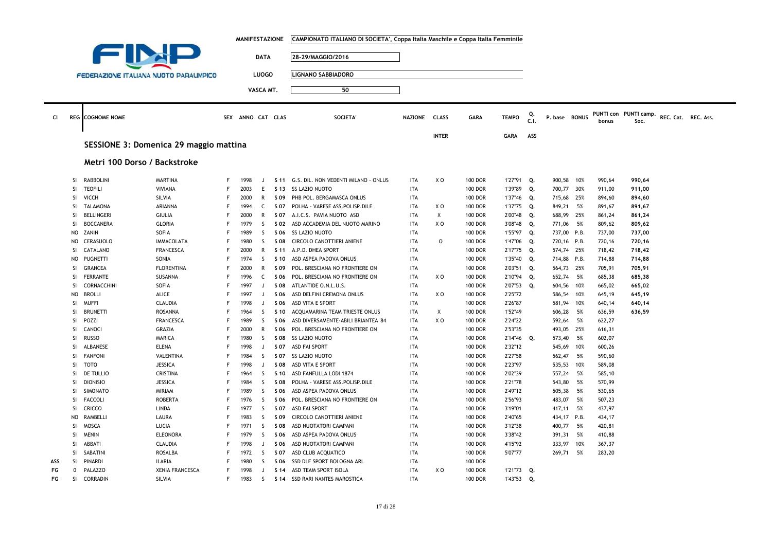|           |              |                                               |                        |        | <b>MANIFESTAZIONE</b> |                              |                 | CAMPIONATO ITALIANO DI SOCIETA', Coppa Italia Maschile e Coppa Italia Femminile |                          |                |                                  |                    |            |                      |     |                  |                               |                     |  |
|-----------|--------------|-----------------------------------------------|------------------------|--------|-----------------------|------------------------------|-----------------|---------------------------------------------------------------------------------|--------------------------|----------------|----------------------------------|--------------------|------------|----------------------|-----|------------------|-------------------------------|---------------------|--|
|           |              |                                               |                        |        |                       |                              |                 |                                                                                 |                          |                |                                  |                    |            |                      |     |                  |                               |                     |  |
|           |              |                                               |                        |        |                       | <b>DATA</b>                  |                 | 28-29/MAGGIO/2016                                                               |                          |                |                                  |                    |            |                      |     |                  |                               |                     |  |
|           |              |                                               |                        |        |                       |                              |                 |                                                                                 |                          |                |                                  |                    |            |                      |     |                  |                               |                     |  |
|           |              | <b>FEDERAZIONE ITALIANA NUOTO PARALIMPICO</b> |                        |        |                       | <b>LUOGO</b>                 |                 | <b>LIGNANO SABBIADORO</b>                                                       |                          |                |                                  |                    |            |                      |     |                  |                               |                     |  |
|           |              |                                               |                        |        |                       | VASCA MT.                    |                 | 50                                                                              |                          |                |                                  |                    |            |                      |     |                  |                               |                     |  |
|           |              |                                               |                        |        |                       |                              |                 |                                                                                 |                          |                |                                  |                    |            |                      |     |                  |                               |                     |  |
|           |              |                                               |                        |        |                       |                              |                 |                                                                                 |                          |                |                                  |                    |            |                      |     |                  |                               |                     |  |
| <b>CI</b> |              | <b>REG</b> COGNOME NOME                       |                        |        | SEX ANNO CAT CLAS     |                              |                 | <b>SOCIETA'</b>                                                                 | <b>NAZIONE</b>           | <b>CLASS</b>   | <b>GARA</b>                      | <b>TEMPO</b>       | Q.<br>C.1. | P. base BONUS        |     | bonus            | PUNTI con PUNTI camp.<br>Soc. | REC. Cat. REC. Ass. |  |
|           |              |                                               |                        |        |                       |                              |                 |                                                                                 |                          |                |                                  |                    |            |                      |     |                  |                               |                     |  |
|           |              |                                               |                        |        |                       |                              |                 |                                                                                 |                          | <b>INTER</b>   |                                  | <b>GARA</b>        | ASS        |                      |     |                  |                               |                     |  |
|           |              | SESSIONE 3: Domenica 29 maggio mattina        |                        |        |                       |                              |                 |                                                                                 |                          |                |                                  |                    |            |                      |     |                  |                               |                     |  |
|           |              |                                               |                        |        |                       |                              |                 |                                                                                 |                          |                |                                  |                    |            |                      |     |                  |                               |                     |  |
|           |              | Metri 100 Dorso / Backstroke                  |                        |        |                       |                              |                 |                                                                                 |                          |                |                                  |                    |            |                      |     |                  |                               |                     |  |
|           |              |                                               |                        |        |                       |                              |                 |                                                                                 |                          |                |                                  |                    |            |                      |     |                  |                               |                     |  |
|           | SI           | <b>RABBOLINI</b>                              | <b>MARTINA</b>         | F      | 1998                  | $\Box$                       |                 | S 11 G.S. DIL. NON VEDENTI MILANO - ONLUS                                       | <b>ITA</b>               | X O            | <b>100 DOR</b>                   | 1'27"91 Q.         |            | 900,58 10%           |     | 990,64           | 990,64                        |                     |  |
|           | SI           | <b>TEOFILI</b>                                | VIVIANA                | F      | 2003                  | E                            | S 13            | <b>SS LAZIO NUOTO</b>                                                           | <b>ITA</b>               |                | <b>100 DOR</b>                   | 1'39"89            | Q.         | 700,77 30%           |     | 911,00           | 911,00                        |                     |  |
|           | SI           | <b>VICCH</b>                                  | SILVIA                 | F      | 2000                  | R                            | S 09            | PHB POL. BERGAMASCA ONLUS                                                       | <b>ITA</b>               |                | <b>100 DOR</b>                   | 1'37"46 Q.         |            | 715,68 25%           |     | 894,60           | 894,60                        |                     |  |
|           | SI           | <b>TALAMONA</b>                               | ARIANNA                | F      | 1994                  | C                            | S 07            | POLHA - VARESE ASS.POLISP.DILE                                                  | <b>ITA</b>               | X O            | <b>100 DOR</b>                   | 1'37"75 Q.         |            | 849,21               | 5%  | 891,67           | 891,67                        |                     |  |
|           | SI           | <b>BELLINGERI</b>                             | <b>GIULIA</b>          | F      | 2000                  | R                            | S 07            | A.I.C.S. PAVIA NUOTO ASD                                                        | ITA                      | Χ              | <b>100 DOR</b>                   | 2'00"48 Q.         |            | 688,99 25%           |     | 861,24           | 861,24                        |                     |  |
|           | SI           | <b>BOCCANERA</b>                              | <b>GLORIA</b>          | F      | 1979                  | S.                           | S 02            | ASD ACCADEMIA DEL NUOTO MARINO                                                  | <b>ITA</b>               | X <sub>0</sub> | <b>100 DOR</b>                   | 3'08"48            | Q.         | 771,06 5%            |     | 809,62           | 809,62                        |                     |  |
|           | <b>NO</b>    | ZANIN                                         | SOFIA                  | F      | 1989                  | S                            | S 06            | SS LAZIO NUOTO                                                                  | <b>ITA</b>               |                | <b>100 DOR</b>                   | 1'55"97 Q.         |            | 737,00 P.B.          |     | 737,00           | 737,00                        |                     |  |
|           | <b>NO</b>    | CERASUOLO                                     | <b>IMMACOLATA</b>      | F      | 1980                  | S                            | S 08            | CIRCOLO CANOTTIERI ANIENE                                                       | <b>ITA</b>               | 0              | <b>100 DOR</b>                   | 1'47"06            | Q.         | 720,16 P.B.          |     | 720,16           | 720,16                        |                     |  |
|           | SI           | CATALANO                                      | <b>FRANCESCA</b>       | F      | 2000                  | R                            | S <sub>11</sub> | A.P.D. DHEA SPORT                                                               | <b>ITA</b>               |                | <b>100 DOR</b>                   | 2'17"75 Q.         |            | 574,74 25%           |     | 718,42           | 718,42                        |                     |  |
|           | <b>NO</b>    | PUGNETTI                                      | SONIA                  | F<br>F | 1974                  | <sub>S</sub>                 | S 10            | ASD ASPEA PADOVA ONLUS                                                          | <b>ITA</b>               |                | <b>100 DOR</b>                   | 1'35"40            | Q.         | 714,88 P.B.          |     | 714,88           | 714,88                        |                     |  |
|           | <b>SI</b>    | <b>GRANCEA</b>                                | <b>FLORENTINA</b>      | F      | 2000                  | $\mathsf{R}$                 | S 09            | POL. BRESCIANA NO FRONTIERE ON                                                  | <b>ITA</b>               |                | <b>100 DOR</b>                   | 2'03"51 Q.         |            | 564,73 25%           |     | 705,91           | 705,91                        |                     |  |
|           | SI<br>SI     | <b>FERRANTE</b><br>CORNACCHINI                | SUSANNA<br>SOFIA       | F      | 1996                  | $\mathsf{C}$<br>$\mathbf{J}$ | S 06            | POL. BRESCIANA NO FRONTIERE ON<br>ATLANTIDE O.N.L.U.S.                          | <b>ITA</b><br><b>ITA</b> | X O            | <b>100 DOR</b><br><b>100 DOR</b> | 2'10"94            | Q.         | 652,74 5%            |     | 685,38           | 685,38                        |                     |  |
|           | <b>NO</b>    | <b>BROLLI</b>                                 | <b>ALICE</b>           | F      | 1997<br>1997          | $\mathbf{J}$                 | S 08<br>S 06    | ASD DELFINI CREMONA ONLUS                                                       | <b>ITA</b>               | X O            | <b>100 DOR</b>                   | 2'07"53<br>2'25"72 | Q.         | 604,56               | 10% | 665,02           | 665,02                        |                     |  |
|           | SI           | <b>MUFFI</b>                                  | <b>CLAUDIA</b>         | F      | 1998                  | $\mathbf{J}$                 | S 06            | ASD VITA E SPORT                                                                | <b>ITA</b>               |                | <b>100 DOR</b>                   | 2'26"87            |            | 586,54 10%<br>581,94 | 10% | 645,19<br>640,14 | 645,19<br>640,14              |                     |  |
|           | SI           | <b>BRUNETTI</b>                               | ROSANNA                | F      | 1964                  | <sub>S</sub>                 | S 10            | ACQUAMARINA TEAM TRIESTE ONLUS                                                  | <b>ITA</b>               | Χ              | <b>100 DOR</b>                   | 1'52"49            |            | 606,28               | 5%  | 636,59           | 636,59                        |                     |  |
|           | SI           | POZZI                                         | <b>FRANCESCA</b>       | F      | 1989                  | <sub>S</sub>                 | S 06            | ASD DIVERSAMENTE-ABILI BRIANTEA '84                                             | <b>ITA</b>               | X <sub>0</sub> | <b>100 DOR</b>                   | 2'24"22            |            | 592,64               | 5%  | 622,27           |                               |                     |  |
|           | SI           | CANOCI                                        | GRAZIA                 | F      | 2000                  | R                            | S 06            | POL. BRESCIANA NO FRONTIERE ON                                                  | <b>ITA</b>               |                | <b>100 DOR</b>                   | 2'53"35            |            | 493,05 25%           |     | 616,31           |                               |                     |  |
|           | SI           | <b>RUSSO</b>                                  | MARICA                 | F      | 1980                  | S.                           | S 08            | SS LAZIO NUOTO                                                                  | <b>ITA</b>               |                | <b>100 DOR</b>                   | 2'14"46            | Q.         | 573,40               | 5%  | 602,07           |                               |                     |  |
|           | <b>SI</b>    | <b>ALBANESE</b>                               | <b>ELENA</b>           | F      | 1998                  | $\Box$                       | S 07            | ASD FAI SPORT                                                                   | <b>ITA</b>               |                | <b>100 DOR</b>                   | 2'32"12            |            | 545,69 10%           |     | 600,26           |                               |                     |  |
|           | SI           | <b>FANFONI</b>                                | VALENTINA              | F      | 1984                  | <sub>S</sub>                 | S 07            | SS LAZIO NUOTO                                                                  | <b>ITA</b>               |                | <b>100 DOR</b>                   | 2'27"58            |            | 562,47               | 5%  | 590,60           |                               |                     |  |
|           | SI           | <b>TOTO</b>                                   | <b>JESSICA</b>         | F      | 1998                  | $\mathbf{I}$                 | S 08            | ASD VITA E SPORT                                                                | <b>ITA</b>               |                | <b>100 DOR</b>                   | 2'23"97            |            | 535,53 10%           |     | 589,08           |                               |                     |  |
|           | <b>SI</b>    | DE TULLIO                                     | CRISTINA               | F      | 1964                  | -S                           | S 10            | ASD FANFULLA LODI 1874                                                          | <b>ITA</b>               |                | <b>100 DOR</b>                   | 2'02"39            |            | 557,24 5%            |     | 585,10           |                               |                     |  |
|           | <b>SI</b>    | <b>DIONISIO</b>                               | <b>JESSICA</b>         |        | 1984                  | <sub>S</sub>                 | S 08            | POLHA - VARESE ASS.POLISP.DILE                                                  | <b>ITA</b>               |                | <b>100 DOR</b>                   | 2'21"78            |            | 543,80               | 5%  | 570,99           |                               |                     |  |
|           | SI           | SIMONATO                                      | MIRIAM                 | F      | 1989                  | S                            | S 06            | ASD ASPEA PADOVA ONLUS                                                          | <b>ITA</b>               |                | <b>100 DOR</b>                   | 2'49"12            |            | 505,38               | 5%  | 530,65           |                               |                     |  |
|           | SI           | <b>FACCOLI</b>                                | <b>ROBERTA</b>         | F      | 1976                  | S                            | S 06            | POL. BRESCIANA NO FRONTIERE ON                                                  | <b>ITA</b>               |                | <b>100 DOR</b>                   | 2'56"93            |            | 483,07               | 5%  | 507,23           |                               |                     |  |
|           | SI           | CRICCO                                        | LINDA                  | F      | 1977                  | S                            | S 07            | <b>ASD FAI SPORT</b>                                                            | ITA                      |                | <b>100 DOR</b>                   | 3'19"01            |            | 417,11 5%            |     | 437,97           |                               |                     |  |
|           | <b>NO</b>    | RAMBELLI                                      | LAURA                  | F      | 1983                  | S                            | S 09            | CIRCOLO CANOTTIERI ANIENE                                                       | ITA                      |                | <b>100 DOR</b>                   | 2'40"65            |            | 434,17 P.B.          |     | 434,17           |                               |                     |  |
|           | SI           | MOSCA                                         | LUCIA                  | E      | 1971                  | S                            | S 08            | ASD NUOTATORI CAMPANI                                                           | <b>ITA</b>               |                | <b>100 DOR</b>                   | 3'12"38            |            | 400,77 5%            |     | 420,81           |                               |                     |  |
|           | SI           | <b>MENIN</b>                                  | <b>ELEONORA</b>        | F      | 1979                  | S                            | S 06            | ASD ASPEA PADOVA ONLUS                                                          | <b>ITA</b>               |                | <b>100 DOR</b>                   | 3'38"42            |            | 391,31               | 5%  | 410,88           |                               |                     |  |
|           | SI           | ABBATI                                        | CLAUDIA                | F      | 1998                  | J.                           | S 06            | ASD NUOTATORI CAMPANI                                                           | <b>ITA</b>               |                | <b>100 DOR</b>                   | 4'15"92            |            | 333,97 10%           |     | 367,37           |                               |                     |  |
|           | SI           | SABATINI                                      | <b>ROSALBA</b>         | F      | 1972                  | S                            | S 07            | ASD CLUB ACQUATICO                                                              | <b>ITA</b>               |                | <b>100 DOR</b>                   | 5'07"77            |            | 269,71               | 5%  | 283,20           |                               |                     |  |
| ASS       | <b>SI</b>    | <b>PINARDI</b>                                | <b>ILARIA</b>          |        | 1980                  | <sub>S</sub>                 | S 06            | SSD DLF SPORT BOLOGNA ARL                                                       | <b>ITA</b>               |                | <b>100 DOR</b>                   |                    |            |                      |     |                  |                               |                     |  |
| FG        | $\mathbf{0}$ | PALAZZO                                       | <b>XENIA FRANCESCA</b> | E      | 1998                  | J                            | S <sub>14</sub> | ASD TEAM SPORT ISOLA                                                            | <b>ITA</b>               | X O            | <b>100 DOR</b>                   | 1'21"73 Q.         |            |                      |     |                  |                               |                     |  |
| FG        | SI           | CORRADIN                                      | SILVIA                 | F      | 1983                  | S.                           |                 | S 14 SSD RARI NANTES MAROSTICA                                                  | <b>ITA</b>               |                | <b>100 DOR</b>                   | 1'43"53 Q.         |            |                      |     |                  |                               |                     |  |
|           |              |                                               |                        |        |                       |                              |                 |                                                                                 |                          |                |                                  |                    |            |                      |     |                  |                               |                     |  |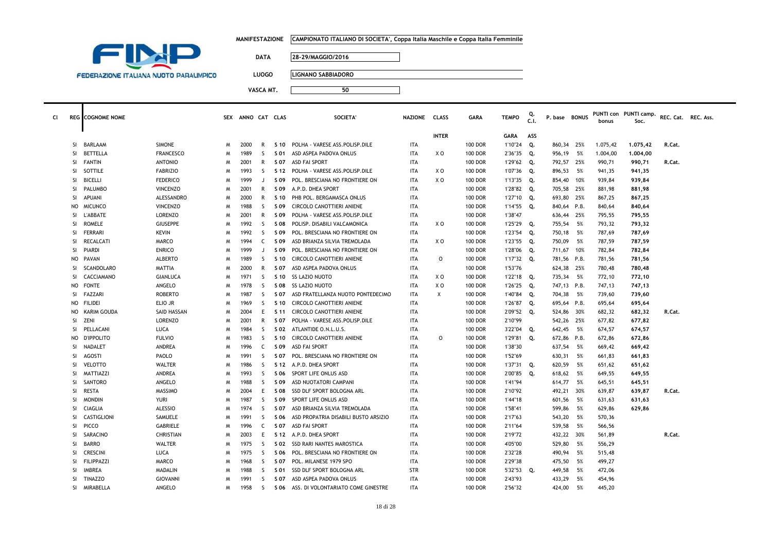|  | MANIFESTAZIONE      CAMPIONATO ITALIANO DI SOCIETA', Coppa Italia Maschile e Coppa Italia Femminile |
|--|-----------------------------------------------------------------------------------------------------|
|--|-----------------------------------------------------------------------------------------------------|



**LUOGO LIGNANO SABBIADORO**

| cı |                | <b>REG</b> COGNOME NOME |                    | <b>SEX</b> | ANNO CAT CLAS |              |                 | <b>SOCIETA</b>                       | <b>NAZIONE</b> | <b>CLASS</b>   | <b>GARA</b>    | <b>TEMPO</b> | C.I. | P. base BONUS |      | bonus    | PUNTI con PUNTI camp.<br>Soc. | REC. Cat. | REC. Ass. |
|----|----------------|-------------------------|--------------------|------------|---------------|--------------|-----------------|--------------------------------------|----------------|----------------|----------------|--------------|------|---------------|------|----------|-------------------------------|-----------|-----------|
|    |                |                         |                    |            |               |              |                 |                                      |                | <b>INTER</b>   |                | <b>GARA</b>  | ASS  |               |      |          |                               |           |           |
|    | SI.            | BARLAAM                 | <b>SIMONE</b>      | N          | 2000          | R            | S 10            | POLHA - VARESE ASS.POLISP.DILE       | <b>ITA</b>     |                | <b>100 DOR</b> | 1'10"24      | Q.   | 860,34        | 25%  | 1.075,42 | 1,075,42                      | R.Cat.    |           |
|    | <b>SI</b>      | BETTELLA                | <b>FRANCESCO</b>   | N          | 1989          | -S           | S 01            | ASD ASPEA PADOVA ONLUS               | <b>ITA</b>     | x o            | <b>100 DOR</b> | 2'36"35      | Q.   | 956,19        | 5%   | 1.004,00 | 1,004,00                      |           |           |
|    | <b>SI</b>      | FANTIN                  | <b>ANTONIO</b>     | N          | 2001          | R            | S 07            | ASD FAI SPORT                        | <b>ITA</b>     |                | <b>100 DOR</b> | 1'29"62      | Q.   | 792,57        | 25%  | 990,71   | 990,71                        | R.Cat.    |           |
|    | SI             | SOTTILE                 | <b>FABRIZIO</b>    | N          | 1993          | <sub>S</sub> | S 12            | POLHA - VARESE ASS.POLISP.DILE       | <b>ITA</b>     | x o            | <b>100 DOR</b> | 1'07"36      | Q.   | 896,53        | 5%   | 941,35   | 941,35                        |           |           |
|    | SI             | <b>BICELLI</b>          | <b>FEDERICO</b>    | N          | 1999          | J.           | S 09            | POL. BRESCIANA NO FRONTIERE ON       | <b>ITA</b>     | X O            | <b>100 DOR</b> | 1'13"35      | Q.   | 854,40        | 10%  | 939,84   | 939,84                        |           |           |
|    | <b>SI</b>      | PALUMBO                 | <b>VINCENZO</b>    | N          | 2001          | R            | S 09            | A.P.D. DHEA SPORT                    | <b>ITA</b>     |                | <b>100 DOR</b> | 1'28"82      | Q.   | 705,58        | 25%  | 881,98   | 881,98                        |           |           |
|    | <b>SI</b>      | <b>APUANI</b>           | ALESSANDRO         | N          | 2000          | $\mathsf{R}$ | S 10            | PHB POL. BERGAMASCA ONLUS            | <b>ITA</b>     |                | <b>100 DOR</b> | 1'27"10      | Q.   | 693,80        | 25%  | 867,25   | 867,25                        |           |           |
|    | NO             | <b>MICUNCO</b>          | <b>VINCENZO</b>    | N          | 1988          | -S           | S 09            | <b>CIRCOLO CANOTTIERI ANIENE</b>     | <b>ITA</b>     |                | <b>100 DOR</b> | 1'14"55      | Q.   | 840,64 P.B.   |      | 840,64   | 840,64                        |           |           |
|    | SI             | L'ABBATE                | <b>LORENZO</b>     | N          | 2001          | $\mathsf{R}$ | S 09            | POLHA - VARESE ASS.POLISP.DILE       | <b>ITA</b>     |                | <b>100 DOR</b> | 1'38"47      |      | 636,44        | 25%  | 795,55   | 795,55                        |           |           |
|    | <b>SI</b>      | <b>ROMELE</b>           | <b>GIUSEPPE</b>    | N          | 1992          | <sub>S</sub> | <b>SO8</b>      | POLISP. DISABILI VALCAMONICA         | <b>ITA</b>     | X O            | <b>100 DOR</b> | 1'25"29      | Q.   | 755,54        | - 5% | 793,32   | 793,32                        |           |           |
|    | <b>SI</b>      | <b>FERRARI</b>          | <b>KEVIN</b>       | N          | 1992          | <sub>S</sub> | S 09            | POL. BRESCIANA NO FRONTIERE ON       | <b>ITA</b>     |                | <b>100 DOR</b> | 1'23"54      | Q.   | 750,18        | 5%   | 787,69   | 787,69                        |           |           |
|    | <b>SI</b>      | RECALCATI               | MARCO              | M          | 1994          | C            | S 09            | ASD BRIANZA SILVIA TREMOLADA         | <b>ITA</b>     | x o            | <b>100 DOR</b> | 1'23"55      | Q.   | 750,09        | - 5% | 787,59   | 787,59                        |           |           |
|    | <b>SI</b>      | PIARDI                  | <b>ENRICO</b>      | N          | 1999          | J.           | S 09            | POL. BRESCIANA NO FRONTIERE ON       | <b>ITA</b>     |                | <b>100 DOR</b> | 1'28"06      | Q.   | 711,67        | 10%  | 782,84   | 782,84                        |           |           |
|    | NO             | <b>PAVAN</b>            | <b>ALBERTO</b>     | N          | 1989          | <sub>S</sub> | S <sub>10</sub> | CIRCOLO CANOTTIERI ANIENE            | <b>ITA</b>     | $\circ$        | <b>100 DOR</b> | 1'17"32      | Q.   | 781,56 P.B.   |      | 781,56   | 781,56                        |           |           |
|    | <b>SI</b>      | SCANDOLARO              | <b>MATTIA</b>      | N          | 2000          | $\mathsf{R}$ | S 07            | ASD ASPEA PADOVA ONLUS               | <b>ITA</b>     |                | <b>100 DOR</b> | 1'53"76      |      | 624,38        | 25%  | 780,48   | 780,48                        |           |           |
|    | SI.            | CACCIAMANO              | <b>GIANLUCA</b>    | N          | 1971          | -S           | S 10            | <b>SS LAZIO NUOTO</b>                | <b>ITA</b>     | x o            | <b>100 DOR</b> | 1'22"18      | Q.   | 735,34        | 5%   | 772,10   | 772,10                        |           |           |
|    | NO             | <b>FONTE</b>            | ANGELO             | N          | 1978          | -S           | S 08            | <b>SS LAZIO NUOTO</b>                | <b>ITA</b>     | X O            | <b>100 DOR</b> | 1'26"25      | Q.   | 747,13 P.B.   |      | 747,13   | 747,13                        |           |           |
|    | SI             | FAZZARI                 | <b>ROBERTO</b>     | N          | 1987          | <sub>S</sub> | S 07            | ASD FRATELLANZA NUOTO PONTEDECIMO    | <b>ITA</b>     | $\pmb{\times}$ | <b>100 DOR</b> | 1'40"84      | Q.   | 704,38        | 5%   | 739,60   | 739,60                        |           |           |
|    |                | NO FILIDEI              | ELIO JR            | N          | 1969          | -S           | S 10            | CIRCOLO CANOTTIERI ANIENE            | <b>ITA</b>     |                | <b>100 DOR</b> | 1'26"87      | Q.   | 695,64 P.B.   |      | 695,64   | 695,64                        |           |           |
|    | NO             | <b>KARIM GOUDA</b>      | <b>SAID HASSAN</b> | N          | 2004          | E            | S 11            | CIRCOLO CANOTTIERI ANIENE            | <b>ITA</b>     |                | <b>100 DOR</b> | 2'09"52      | Q.   | 524,86        | 30%  | 682,32   | 682,32                        | R.Cat.    |           |
|    | SI.            | ZENI                    | <b>LORENZO</b>     | N          | 2001          | $\mathsf{R}$ | S 07            | POLHA - VARESE ASS.POLISP.DILE       | <b>ITA</b>     |                | <b>100 DOR</b> | 2'10"99      |      | 542,26        | 25%  | 677,82   | 677,82                        |           |           |
|    | SI.            | PELLACANI               | <b>LUCA</b>        | N          | 1984          | -S           | S 02            | ATLANTIDE O.N.L.U.S.                 | <b>ITA</b>     |                | <b>100 DOR</b> | 3'22"04      | Q.   | 642,45        | 5%   | 674,57   | 674,57                        |           |           |
|    | N <sub>O</sub> | <b>D'IPPOLITO</b>       | <b>FULVIO</b>      | N          | 1983          | <sub>S</sub> | S 10            | CIRCOLO CANOTTIERI ANIENE            | <b>ITA</b>     | $\circ$        | <b>100 DOR</b> | 1'29"81      | Q.   | 672,86 P.B.   |      | 672,86   | 672,86                        |           |           |
|    | SI             | NADALET                 | ANDREA             | N          | 1996          | C            | S 09            | <b>ASD FAI SPORT</b>                 | <b>ITA</b>     |                | <b>100 DOR</b> | 1'38"30      |      | 637,54        | 5%   | 669,42   | 669,42                        |           |           |
|    | SI.            | AGOSTI                  | PAOLO              | N          | 1991          | -S           | S 07            | POL. BRESCIANA NO FRONTIERE ON       | <b>ITA</b>     |                | <b>100 DOR</b> | 1'52"69      |      | 630,31        | - 5% | 661,83   | 661,83                        |           |           |
|    | <b>SI</b>      | <b>VELOTTO</b>          | <b>WALTER</b>      | N          | 1986          | -S           | S 12            | A.P.D. DHEA SPORT                    | <b>ITA</b>     |                | <b>100 DOR</b> | 1'37"31      | Q.   | 620,59        | - 5% | 651,62   | 651,62                        |           |           |
|    | SI             | MATTIAZZI               | ANDREA             | N          | 1993          | <sub>S</sub> | S 06            | SPORT LIFE ONLUS ASD                 | <b>ITA</b>     |                | <b>100 DOR</b> | 2'00"85      | Q.   | 618,62        | - 5% | 649,55   | 649,55                        |           |           |
|    | SI             | SANTORO                 | ANGELO             | N          | 1988          | <sub>S</sub> | S 09            | ASD NUOTATORI CAMPANI                | <b>ITA</b>     |                | <b>100 DOR</b> | 1'41"94      |      | 614,77        | 5%   | 645,51   | 645,51                        |           |           |
|    | SI             | RESTA                   | MASSIMO            | N          | 2004          | E            | S 08            | SSD DLF SPORT BOLOGNA ARL            | <b>ITA</b>     |                | <b>100 DOR</b> | 2'10"92      |      | 492,21        | 30%  | 639,87   | 639,87                        | R.Cat.    |           |
|    | <b>SI</b>      | <b>MONDIN</b>           | <b>YURI</b>        | N          | 1987          | <sub>S</sub> | S 09            | SPORT LIFE ONLUS ASD                 | <b>ITA</b>     |                | <b>100 DOR</b> | 1'44"18      |      | 601.56        | - 5% | 631,63   | 631,63                        |           |           |
|    | SI.            | CIAGLIA                 | <b>ALESSIO</b>     | N          | 1974          | -S           | S 07            | ASD BRIANZA SILVIA TREMOLADA         | <b>ITA</b>     |                | <b>100 DOR</b> | 1'58"41      |      | 599,86        | - 5% | 629,86   | 629,86                        |           |           |
|    | SI.            | CASTIGLIONI             | SAMUELE            | N          | 1991          | -S           | S 06            | ASD PROPATRIA DISABILI BUSTO ARSIZIO | <b>ITA</b>     |                | <b>100 DOR</b> | 2'17"63      |      | 543,20        | - 5% | 570,36   |                               |           |           |
|    | SI.            | PICCC                   | <b>GABRIELE</b>    | N          | 1996          | C            | S 07            | <b>ASD FAI SPORT</b>                 | <b>ITA</b>     |                | <b>100 DOR</b> | 2'11"64      |      | 539,58        | 5%   | 566,56   |                               |           |           |
|    | SI             | SARACINO                | CHRISTIAN          | N          | 2003          | E            | S 12            | A.P.D. DHEA SPORT                    | <b>ITA</b>     |                | <b>100 DOR</b> | 2'19"72      |      | 432,22        | 30%  | 561,89   |                               | R.Cat.    |           |
|    | SI.            | <b>BARRO</b>            | <b>WALTER</b>      | N          | 1975          | <sub>S</sub> | S 02            | SSD RARI NANTES MAROSTICA            | <b>ITA</b>     |                | <b>100 DOR</b> | 4'05"00      |      | 529,80        | - 5% | 556,29   |                               |           |           |
|    | SI.            | <b>CRESCINI</b>         | LUCA               | N          | 1975          | -S           | S 06            | POL. BRESCIANA NO FRONTIERE ON       | <b>ITA</b>     |                | <b>100 DOR</b> | 2'32"28      |      | 490,94        | - 5% | 515,48   |                               |           |           |
|    | SI.            | <b>FILIPPAZZI</b>       | MARCO              | N          | 1968          | -S           | S 07            | POL. MILANESE 1979 SPO               | <b>ITA</b>     |                | <b>100 DOR</b> | 2'29"38      |      | 475,50        | - 5% | 499,27   |                               |           |           |
|    | SI             | <b>IMBREA</b>           | <b>MADALIN</b>     | N          | 1988          | <sub>S</sub> | S 01            | SSD DLF SPORT BOLOGNA ARL            | <b>STR</b>     |                | <b>100 DOR</b> | 5'32"53      | Q.   | 449,58        | 5%   | 472,06   |                               |           |           |
|    | SI.            | <b>TINAZZO</b>          | <b>GIOVANNI</b>    | N          | 1991          | -S           | S 07            | ASD ASPEA PADOVA ONLUS               | <b>ITA</b>     |                | <b>100 DOR</b> | 2'43"93      |      | 433,29        | 5%   | 454,96   |                               |           |           |
|    | SI.            | MIRABELLA               | ANGELO             | M          | 1958          | -S           | S 06            | ASS. DI VOLONTARIATO COME GINESTRE   | <b>ITA</b>     |                | <b>100 DOR</b> | 2'56"32      |      | 424,00        | - 5% | 445,20   |                               |           |           |
|    |                |                         |                    |            |               |              |                 |                                      |                |                |                |              |      |               |      |          |                               |           |           |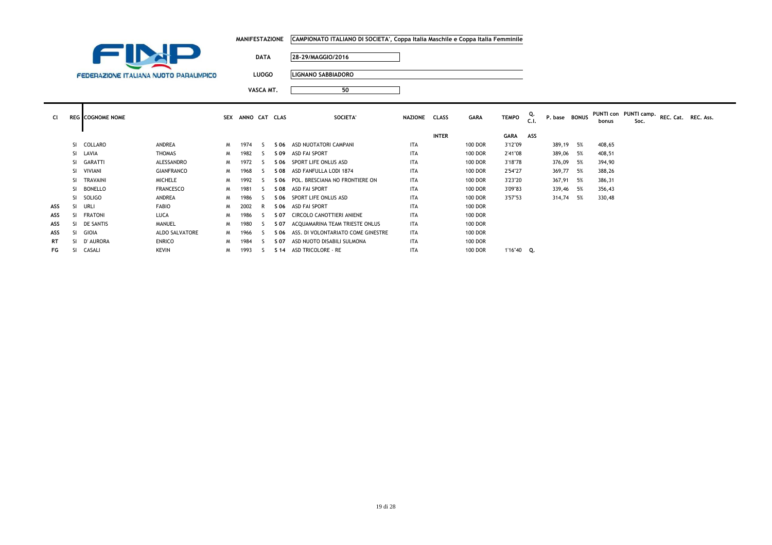|                                               |               |            | MANIFESTAZIONE |              | CAMPIONATO ITALIANO DI SOCIETA', Coppa Italia Maschile e Coppa Italia Femminile |               |              |                |              |           |               |        |                                                   |  |
|-----------------------------------------------|---------------|------------|----------------|--------------|---------------------------------------------------------------------------------|---------------|--------------|----------------|--------------|-----------|---------------|--------|---------------------------------------------------|--|
|                                               |               |            |                | <b>DATA</b>  | 28-29/MAGGIO/2016                                                               |               |              |                |              |           |               |        |                                                   |  |
| <b>FEDERAZIONE ITALIANA NUOTO PARALIMPICO</b> |               |            |                | <b>LUOGO</b> | <b>LIGNANO SABBIADORO</b>                                                       |               |              |                |              |           |               |        |                                                   |  |
|                                               |               |            |                | VASCA MT.    | 50                                                                              |               |              |                |              |           |               |        |                                                   |  |
| <b>EG COGNOME NOME</b>                        |               | <b>SEX</b> | ANNO CAT CLAS  |              | SOCIETA'                                                                        | NAZIONE CLASS |              | <b>GARA</b>    | <b>TEMPO</b> | Q.<br>C.1 | P. base BONUS | bonus  | PUNTI con PUNTI camp. REC. Cat. REC. Ass.<br>Soc. |  |
|                                               |               |            |                |              |                                                                                 |               | <b>INTER</b> |                | <b>GARA</b>  | ASS       |               |        |                                                   |  |
| SI COLLARO                                    | ANDREA        | M          | 1974           |              | S 06 ASD NUOTATORI CAMPANI                                                      | ITA           |              | 100 DOR        | 3'12"09      |           | 389,19 5%     | 408,65 |                                                   |  |
| SI LAVIA                                      | <b>THOMAS</b> | M          | 1982           |              | S 09 ASD FAI SPORT                                                              | <b>ITA</b>    |              | 100 DOR        | 2'41"08      |           | 389,06 5%     | 408,51 |                                                   |  |
| SI GARATTI                                    | ALESSANDRO    | M          | 1972           |              | S 06 SPORT LIFE ONLUS ASD                                                       | <b>ITA</b>    |              | <b>100 DOR</b> | 3'18"78      |           | 376,09 5%     | 394,90 |                                                   |  |

ASD FAI SPORT ITA 100 DOR 3'09"83 339,46 5% 356,43

SPORT LIFE ONLUS ASD ITA 100 DOR 3'57"53 314,74 5% 330,48

SI VIVIANI GIANFRANCO <sup>M</sup> <sup>1968</sup> <sup>S</sup> **S 08** ASD FANFULLA LODI 1874 ITA 100 DOR 2'54"27 369,77 5% 388,26 SI TRAVAINI MICHELE <sup>M</sup> <sup>1992</sup> <sup>S</sup> **S 06** POL. BRESCIANA NO FRONTIERE ON ITA 100 DOR 3'23"20 367,91 5% 386,31

R **S 06** ASD FAI SPORT **ITA** 100 DOR

S S. 06 ASS. DI VOLONTARIATO COME GINESTRE ITA 100 DOR<br>S S. 07 ASD NUOTO DISABILI SULMONA 100 DOR

SI CASALI KEVIN <sup>M</sup> <sup>1993</sup> <sup>S</sup> **S 14** ASD TRICOLORE - RE ITA 100 DOR 1'16"40 **Q.**

SI BONELLO **FRANCESCO** M 1981 S SO8 ASD FAI SPORT

SI FRATONI LUCA <sup>M</sup> <sup>1986</sup> <sup>S</sup> **S 07** CIRCOLO CANOTTIERI ANIENE ITA 100 DOR

SI DE SANTIS MANUEL <sup>M</sup> <sup>1980</sup> <sup>S</sup> **S 07** ACQUAMARINA TEAM TRIESTE ONLUS ITA 100 DOR

SI D' AURORA ENRICO <sup>M</sup> <sup>1984</sup> <sup>S</sup> **S 07** ASD NUOTO DISABILI SULMONA ITA 100 DOR

SI SOLIGO ANDREA <sup>M</sup> <sup>1986</sup> <sup>S</sup> **S 06**

SI URLI FABIO <sup>M</sup> <sup>2002</sup> <sup>R</sup>

SI GIOIA ALDO SALVATORE <sup>M</sup> <sup>1966</sup> <sup>S</sup> **S 06**

**Cl REG COGNOME NOME**

**ASS**

**ASS**

**ASS**

**ASS**

**RT**

**FG**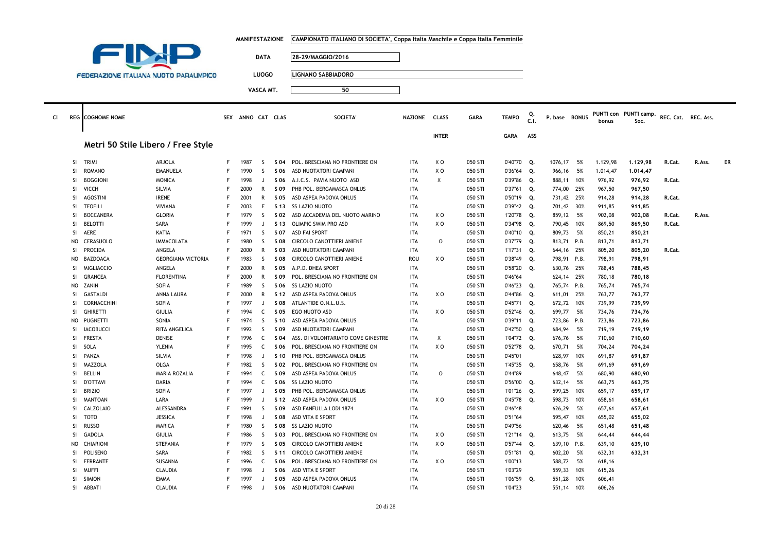|           |                 |                                               |                              |   | <b>MANIFESTAZIONE</b> |                   |              | CAMPIONATO ITALIANO DI SOCIETA', Coppa Italia Maschile e Coppa Italia Femminile |                          |                |                    |                    |            |                  |          |                  |                       |                     |        |    |
|-----------|-----------------|-----------------------------------------------|------------------------------|---|-----------------------|-------------------|--------------|---------------------------------------------------------------------------------|--------------------------|----------------|--------------------|--------------------|------------|------------------|----------|------------------|-----------------------|---------------------|--------|----|
|           |                 | FIN                                           |                              |   |                       |                   |              |                                                                                 |                          |                |                    |                    |            |                  |          |                  |                       |                     |        |    |
|           |                 |                                               |                              |   |                       | <b>DATA</b>       |              | 28-29/MAGGIO/2016                                                               |                          |                |                    |                    |            |                  |          |                  |                       |                     |        |    |
|           |                 |                                               |                              |   |                       |                   |              |                                                                                 |                          |                |                    |                    |            |                  |          |                  |                       |                     |        |    |
|           |                 | <b>FEDERAZIONE ITALIANA NUOTO PARALIMPICO</b> |                              |   |                       | <b>LUOGO</b>      |              | <b>LIGNANO SABBIADORO</b>                                                       |                          |                |                    |                    |            |                  |          |                  |                       |                     |        |    |
|           |                 |                                               |                              |   |                       | VASCA MT.         |              | 50                                                                              |                          |                |                    |                    |            |                  |          |                  |                       |                     |        |    |
|           |                 |                                               |                              |   |                       |                   |              |                                                                                 |                          |                |                    |                    |            |                  |          |                  |                       |                     |        |    |
|           |                 |                                               |                              |   |                       |                   |              |                                                                                 |                          |                |                    |                    |            |                  |          |                  |                       |                     |        |    |
| <b>CI</b> |                 | <b>REG</b> COGNOME NOME                       |                              |   | SEX ANNO CAT CLAS     |                   |              | <b>SOCIETA'</b>                                                                 | NAZIONE CLASS            |                | <b>GARA</b>        | <b>TEMPO</b>       | Q.<br>.Cl. | P. base BONUS    |          |                  | PUNTI con PUNTI camp. | REC. Cat. REC. Ass. |        |    |
|           |                 |                                               |                              |   |                       |                   |              |                                                                                 |                          |                |                    |                    |            |                  |          | bonus            | Soc.                  |                     |        |    |
|           |                 |                                               |                              |   |                       |                   |              |                                                                                 |                          | <b>INTER</b>   |                    | GARA               | ASS        |                  |          |                  |                       |                     |        |    |
|           |                 | Metri 50 Stile Libero / Free Style            |                              |   |                       |                   |              |                                                                                 |                          |                |                    |                    |            |                  |          |                  |                       |                     |        |    |
|           |                 |                                               |                              |   |                       |                   |              |                                                                                 |                          |                |                    |                    |            |                  |          |                  |                       |                     |        |    |
|           | SI              | <b>TRIMI</b>                                  | ARJOLA                       | F | 1987                  | -S                | S 04         | POL. BRESCIANA NO FRONTIERE ON                                                  | ITA                      | X O            | 050 STI            | 0'40"70            | Q.         | 1076,17          | 5%       | 1.129,98         | 1.129,98              | R.Cat.              | R.Ass. | ER |
|           | SI              | <b>ROMANO</b>                                 | <b>EMANUELA</b>              | F | 1990                  | S.                | S 06         | ASD NUOTATORI CAMPANI                                                           | <b>ITA</b>               | X <sub>0</sub> | 050 STI            | 0'36"64            | Q.         | 966,16           | 5%       | 1.014,47         | 1.014,47              |                     |        |    |
|           | <b>SI</b>       | <b>BOGGIONI</b>                               | <b>MONICA</b>                | F | 1998                  | $\cdot$           | S 06         | A.I.C.S. PAVIA NUOTO ASD                                                        | <b>ITA</b>               | X              | 050 STI            | 0'39"86            | Q.         | 888.11 10%       |          | 976.92           | 976,92                | R.Cat.              |        |    |
|           | SI              | <b>VICCH</b>                                  | SILVIA                       |   | 2000                  | R                 | S 09         | PHB POL. BERGAMASCA ONLUS                                                       | <b>ITA</b>               |                | 050 STI            | 0'37"61            | Q.         | 774,00 25%       |          | 967,50           | 967,50                |                     |        |    |
|           | SI              | <b>AGOSTINI</b>                               | <b>IRENE</b>                 |   | 2001                  | $\mathsf{R}$      | S 05         | ASD ASPEA PADOVA ONLUS                                                          | <b>ITA</b>               |                | 050 STI            | 0'50"19            | Q.         | 731,42 25%       |          | 914,28           | 914,28                | R.Cat.              |        |    |
|           | SI              | <b>TEOFILI</b>                                | VIVIANA                      | F | 2003                  | E                 | S 13         | SS LAZIO NUOTO                                                                  | <b>ITA</b>               |                | 050 STI            | $0'39''42$ Q.      |            | 701,42 30%       |          | 911,85           | 911,85                |                     |        |    |
|           | <b>SI</b>       | <b>BOCCANERA</b>                              | <b>GLORIA</b>                | F | 1979                  | -S                | S 02         | ASD ACCADEMIA DEL NUOTO MARINO                                                  | <b>ITA</b>               | ΧO             | 050 STI            | 1'20"78 Q.         |            | 859,12 5%        |          | 902,08           | 902,08                | R.Cat.              | R.Ass. |    |
|           | SI              | <b>BELOTTI</b>                                | SARA                         |   | 1999                  | J                 | S 13         | OLIMPIC SWIM PRO ASD                                                            | <b>ITA</b>               | XO             | 050 STI            | 0'34"98            | Q.         | 790,45           | 10%      | 869,50           | 869,50                | R.Cat.              |        |    |
|           | SI              | <b>AERE</b>                                   | KATIA                        |   | 1971                  | S.                | S 07         | <b>ASD FAI SPORT</b>                                                            | <b>ITA</b>               |                | 050 STI            | 0'40"10            | Q.         | 809,73 5%        |          | 850,21           | 850,21                |                     |        |    |
|           | <b>NO</b>       | CERASUOLO                                     | <b>IMMACOLATA</b>            | F | 1980                  | <sub>S</sub>      | S 08         | CIRCOLO CANOTTIERI ANIENE                                                       | <b>ITA</b>               | $\circ$        | 050 STI            | 0'37"79            | Q.         | 813,71 P.B.      |          | 813,71           | 813,71                |                     |        |    |
|           | <b>SI</b>       | <b>PROCIDA</b>                                | ANGELA                       |   | 2000                  | R                 | S 03         | ASD NUOTATORI CAMPANI                                                           | <b>ITA</b>               |                | 050 STI            | 1'17"31            | Q.         | 644,16 25%       |          | 805,20           | 805,20                | R.Cat.              |        |    |
|           | <b>NO</b>       | <b>BAZDOACA</b>                               | <b>GEORGIANA VICTORIA</b>    | F | 1983                  | $\mathsf{S}$      | S 08         | CIRCOLO CANOTTIERI ANIENE                                                       | <b>ROU</b>               | XO             | 050 STI            | 0'38"49            | Q.         | 798,91 P.B.      |          | 798,91           | 798,91                |                     |        |    |
|           | SI              | <b>MIGLIACCIO</b>                             | ANGELA                       | E | 2000                  | $\mathsf{R}$      | S 05         | A.P.D. DHEA SPORT                                                               | <b>ITA</b>               |                | 050 STI            | 0'58"20            | Q.         | 630,76 25%       |          | 788,45           | 788,45                |                     |        |    |
|           | SI              | <b>GRANCEA</b>                                | <b>FLORENTINA</b>            | F | 2000                  | $\mathsf{R}$      | S 09         | POL. BRESCIANA NO FRONTIERE ON                                                  | <b>ITA</b>               |                | 050 STI            | 0'46"64            |            | 624,14 25%       |          | 780,18           | 780,18                |                     |        |    |
|           | <b>NO</b>       | ZANIN                                         | SOFIA                        | F | 1989                  | S                 | S 06         | SS LAZIO NUOTO                                                                  | <b>ITA</b>               |                | 050 STI            | 0'46"23            | Q.         | 765,74 P.B.      |          | 765,74           | 765,74                |                     |        |    |
|           | SI              | GASTALDI                                      | ANNA LAURA                   | F | 2000                  | R                 | S 12         | ASD ASPEA PADOVA ONLUS                                                          | <b>ITA</b>               | X <sub>0</sub> | 050 STI            | 0'44"86            | Q.         | 611,01 25%       |          | 763,77           | 763,77                |                     |        |    |
|           | SI              | CORNACCHINI                                   | <b>SOFIA</b>                 | F | 1997                  | $\mathbf{J}$      | S 08         | ATLANTIDE O.N.L.U.S.                                                            | <b>ITA</b>               |                | 050 STI            | 0'45"71            | Q.         | 672,72           | 10%      | 739,99           | 739,99                |                     |        |    |
|           | <b>SI</b>       | <b>GHIRETTI</b>                               | <b>GIULIA</b>                |   | 1994                  | C                 | S 05         | EGO NUOTO ASD                                                                   | <b>ITA</b>               | X O            | 050 STI            | 0'52"46            | Q.         | 699,77           | 5%       | 734,76           | 734,76                |                     |        |    |
|           | <b>NO</b>       | PUGNETTI                                      | SONIA                        | F | 1974                  | <sub>S</sub>      | S 10         | ASD ASPEA PADOVA ONLUS                                                          | <b>ITA</b>               |                | 050 STI            | 0'39"11            | Q.         | 723,86 P.B.      |          | 723,86           | 723,86                |                     |        |    |
|           | SI              | <b>IACOBUCCI</b>                              | RITA ANGELICA                | F | 1992                  | S.                | S 09         | ASD NUOTATORI CAMPANI                                                           | <b>ITA</b>               |                | 050 STI            | 0'42"50            | Q.         | 684,94           | 5%       | 719,19           | 719,19                |                     |        |    |
|           | SI              | <b>FRESTA</b>                                 | <b>DENISE</b>                | F | 1996                  | C                 | S 04         | ASS. DI VOLONTARIATO COME GINESTRE                                              | <b>ITA</b>               | Χ              | 050 STI            | 1'04"72            | Q.         | 676,76 5%        |          | 710,60           | 710,60                |                     |        |    |
|           | SI              | SOLA                                          | YLENIA                       | F | 1995                  | C                 | S 06         | POL. BRESCIANA NO FRONTIERE ON                                                  | <b>ITA</b>               | X <sub>0</sub> | 050 STI            | 0'52"78            | Q.         | 670,71           | 5%       | 704,24           | 704,24                |                     |        |    |
|           | SI              | PANZA                                         | SILVIA                       | F | 1998                  | J                 | S 10         | PHB POL. BERGAMASCA ONLUS                                                       | <b>ITA</b>               |                | 050 STI            | 0'45"01            |            | 628,97           | 10%      | 691,87           | 691,87                |                     |        |    |
|           | SI<br><b>SI</b> | MAZZOLA<br><b>BELLIN</b>                      | OLGA<br><b>MARIA ROZALIA</b> |   | 1982<br>1994          | <sub>S</sub><br>C | S 02<br>S 09 | POL. BRESCIANA NO FRONTIERE ON                                                  | <b>ITA</b><br><b>ITA</b> | $\circ$        | 050 STI<br>050 STI | 1'45"35            | Q.         | 658,76<br>648,47 | 5%<br>5% | 691,69           | 691,69                |                     |        |    |
|           | SI              | <b>D'OTTAVI</b>                               | DARIA                        | F | 1994                  | $\mathsf{C}$      | S 06         | ASD ASPEA PADOVA ONLUS<br>SS LAZIO NUOTO                                        | <b>ITA</b>               |                | 050 STI            | 0'44"89<br>0'56"00 | Q.         | 632,14 5%        |          | 680,90<br>663,75 | 680,90                |                     |        |    |
|           | SI              | <b>BRIZIO</b>                                 | SOFIA                        |   | 1997                  | $\Box$            | S 05         | PHB POL. BERGAMASCA ONLUS                                                       | <b>ITA</b>               |                | 050 STI            | 1'01"26            | Q.         | 599,25           | 10%      | 659,17           | 663,75<br>659,17      |                     |        |    |
|           | SI              | <b>MANTOAN</b>                                | LARA                         | F | 1999                  | $\cdot$           | S 12         | ASD ASPEA PADOVA ONLUS                                                          | <b>ITA</b>               | X O            | 050 STI            | 0'45"78            | Q.         | 598,73           | 10%      | 658,61           | 658,61                |                     |        |    |
|           | <b>SI</b>       | CALZOLAIO                                     | ALESSANDRA                   |   | 1991                  | S.                | S 09         | ASD FANFULLA LODI 1874                                                          | <b>ITA</b>               |                | 050 STI            | 0'46"48            |            | 626,29           | 5%       | 657,61           | 657,61                |                     |        |    |
|           | SI              | <b>TOTO</b>                                   | <b>JESSICA</b>               | F | 1998                  | $\mathbf{J}$      | S 08         | ASD VITA E SPORT                                                                | <b>ITA</b>               |                | 050 STI            | 0'51"64            |            | 595,47           | 10%      | 655,02           | 655,02                |                     |        |    |
|           | SI              | <b>RUSSO</b>                                  | <b>MARICA</b>                | F | 1980                  | <sub>S</sub>      | S 08         | <b>SS LAZIO NUOTO</b>                                                           | <b>ITA</b>               |                | 050 STI            | 0'49"56            |            | 620,46           | 5%       | 651,48           | 651,48                |                     |        |    |
|           | SI              | <b>GADOLA</b>                                 | <b>GIULIA</b>                | F | 1986                  | <sub>S</sub>      | S 03         | POL. BRESCIANA NO FRONTIERE ON                                                  | <b>ITA</b>               | X O            | 050 STI            | 1'21"14 Q.         |            | 613,75 5%        |          | 644,44           | 644,44                |                     |        |    |
|           | <b>NO</b>       | CHIARIONI                                     | <b>STEFANIA</b>              | F | 1979                  | <sub>S</sub>      | S 05         | CIRCOLO CANOTTIERI ANIENE                                                       | <b>ITA</b>               | X O            | 050 STI            | 0'57''44           | Q.         | 639,10 P.B.      |          | 639,10           | 639,10                |                     |        |    |
|           | SI              | <b>POLISENO</b>                               | SARA                         |   | 1982                  | -S                | S 11         | CIRCOLO CANOTTIERI ANIENE                                                       | <b>ITA</b>               |                | 050 STI            | 0'51"81            | Q.         | 602,20 5%        |          | 632,31           | 632,31                |                     |        |    |
|           | SI              | <b>FERRANTE</b>                               | SUSANNA                      | F | 1996                  | $\mathsf{C}$      | S 06         | POL. BRESCIANA NO FRONTIERE ON                                                  | <b>ITA</b>               | X O            | 050 STI            | 1'00"13            |            | 588,72 5%        |          | 618,16           |                       |                     |        |    |
|           | <b>SI</b>       | <b>MUFFI</b>                                  | CLAUDIA                      |   | 1998                  | $\Box$            | S 06         | ASD VITA E SPORT                                                                | <b>ITA</b>               |                | 050 STI            | 1'03"29            |            | 559,33           | 10%      | 615,26           |                       |                     |        |    |
|           | SI              | <b>SIMION</b>                                 | EMMA                         | F | 1997                  | J                 | S 05         | ASD ASPEA PADOVA ONLUS                                                          | <b>ITA</b>               |                | 050 STI            | 1'06"59            | Q.         | 551,28           | 10%      | 606,41           |                       |                     |        |    |
|           | SI              | ABBATI                                        | CLAUDIA                      | F | 1998                  | J.                | S 06         | ASD NUOTATORI CAMPANI                                                           | <b>ITA</b>               |                | 050 STI            | 1'04"23            |            | 551,14 10%       |          | 606,26           |                       |                     |        |    |
|           |                 |                                               |                              |   |                       |                   |              |                                                                                 |                          |                |                    |                    |            |                  |          |                  |                       |                     |        |    |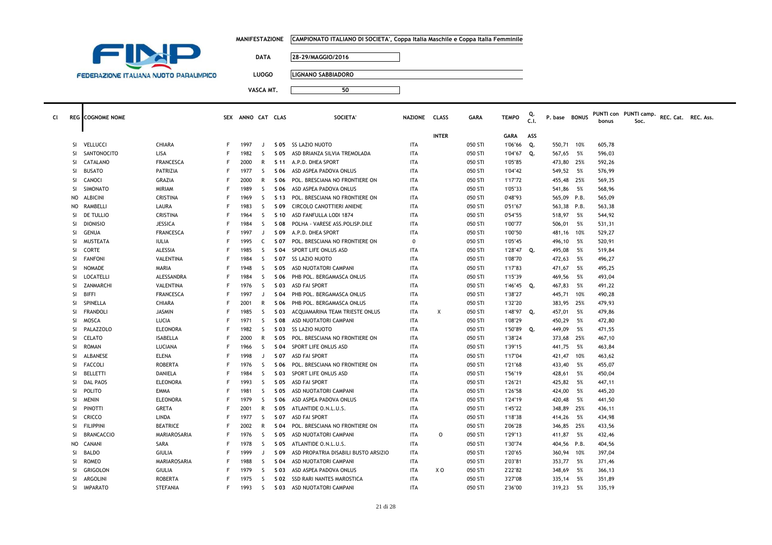|  | MANIFESTAZIONE     CAMPIONATO ITALIANO DI SOCIETA', Coppa Italia Maschile e Coppa Italia Femminile |
|--|----------------------------------------------------------------------------------------------------|
|--|----------------------------------------------------------------------------------------------------|



**LUOGO LIGNANO SABBIADORO**

| CI. |               | <b>REG</b> COGNOME NOME |                  |   | SEX ANNO CAT CLAS |              |      | SOCIETA'                             | NAZIONE CLASS |              | <b>GARA</b> | <b>TEMPO</b> | C.I. | P. base BONUS |      | bonus  | PUNTI con PUNTI camp.<br>Soc. | REC. Cat. REC. Ass. |  |
|-----|---------------|-------------------------|------------------|---|-------------------|--------------|------|--------------------------------------|---------------|--------------|-------------|--------------|------|---------------|------|--------|-------------------------------|---------------------|--|
|     |               |                         |                  |   |                   |              |      |                                      |               | <b>INTER</b> |             | GARA         | ASS  |               |      |        |                               |                     |  |
|     | -SI           | VELLUCCI                | <b>CHIARA</b>    | F | 1997              | $\mathbf{I}$ |      | S 05 SS LAZIO NUOTO                  | <b>ITA</b>    |              | 050 STI     | 1'06"66      | Q.   | 550,71 10%    |      | 605,78 |                               |                     |  |
|     | SI.           | SANTONOCITO             | LISA             |   | 1982              | S.           | S 05 | ASD BRIANZA SILVIA TREMOLADA         | ITA           |              | 050 STI     | 1'04"67 Q.   |      | 567,65        | - 5% | 596,03 |                               |                     |  |
|     | -SI           | CATALANO                | <b>FRANCESCA</b> |   | 2000              | R            |      | S 11 A.P.D. DHEA SPORT               | ITA           |              | 050 STI     | 1'05"85      |      | 473,80 25%    |      | 592,26 |                               |                     |  |
|     | <b>SI</b>     | <b>BUSATO</b>           | PATRIZIA         |   | 1977              | S.           | S 06 | ASD ASPEA PADOVA ONLUS               | ITA           |              | 050 STI     | 1'04"42      |      | 549,52        | 5%   | 576,99 |                               |                     |  |
|     | SI.           | CANOCI                  | <b>GRAZIA</b>    |   | 2000              | R            | S 06 | POL. BRESCIANA NO FRONTIERE ON       | ITA           |              | 050 STI     | 1'17"72      |      | 455,48        | 25%  | 569,35 |                               |                     |  |
|     | <b>SI</b>     | SIMONATO                | <b>MIRIAM</b>    |   | 1989              | S            | S 06 | ASD ASPEA PADOVA ONLUS               | ITA           |              | 050 STI     | 1'05"33      |      | 541,86        | - 5% | 568,96 |                               |                     |  |
|     | NO.           | <b>ALBICINI</b>         | CRISTINA         | F | 1969              | <sub>S</sub> | S 13 | POL. BRESCIANA NO FRONTIERE ON       | ITA           |              | 050 STI     | 0'48"93      |      | 565,09 P.B.   |      | 565,09 |                               |                     |  |
|     | NO            | RAMBELLI                | LAURA            |   | 1983              | -S           | S 09 | CIRCOLO CANOTTIERI ANIENE            | ITA           |              | 050 STI     | 0'51"67      |      | 563,38 P.B.   |      | 563,38 |                               |                     |  |
|     | <b>SI</b>     | DE TULLIO               | CRISTINA         |   | 1964              | S.           | S 10 | ASD FANFULLA LODI 1874               | <b>ITA</b>    |              | 050 STI     | 0'54"55      |      | 518,97        | 5%   | 544,92 |                               |                     |  |
|     | <b>SI</b>     | <b>DIONISIO</b>         | <b>JESSICA</b>   |   | 1984              | S.           | S 08 | POLHA - VARESE ASS.POLISP.DILE       | ITA           |              | 050 STI     | 1'00"77      |      | 506,01        | - 5% | 531,31 |                               |                     |  |
|     | <sup>SI</sup> | GENUA                   | <b>FRANCESCA</b> |   | 1997              | J            | S 09 | A.P.D. DHEA SPORT                    | ITA           |              | 050 STI     | 1'00"50      |      | 481,16        | 10%  | 529,27 |                               |                     |  |
|     | SI.           | MUSTEATA                | <b>IULIA</b>     | F | 1995              | C            | S 07 | POL. BRESCIANA NO FRONTIERE ON       | $\mathbf 0$   |              | 050 STI     | 1'05"45      |      | 496,10        | 5%   | 520,91 |                               |                     |  |
|     | SI.           | CORTE                   | ALESSIA          |   | 1985              | -S           | S 04 | SPORT LIFE ONLUS ASD                 | <b>ITA</b>    |              | 050 STI     | 1'28"47 Q.   |      | 495,08        | - 5% | 519,84 |                               |                     |  |
|     | <b>SI</b>     | <b>FANFONI</b>          | VALENTINA        |   | 1984              | S            | S 07 | <b>SS LAZIO NUOTO</b>                | ITA           |              | 050 STI     | 1'08"70      |      | 472,63        | - 5% | 496,27 |                               |                     |  |
|     | <b>SI</b>     | <b>NOMADE</b>           | MARIA            |   | 1948              | -S           | S 05 | ASD NUOTATORI CAMPANI                | <b>ITA</b>    |              | 050 STI     | 1'17"83      |      | 471,67        | - 5% | 495,25 |                               |                     |  |
|     | <b>SI</b>     | LOCATELLI               | ALESSANDRA       |   | 1984              | -S           | S 06 | PHB POL. BERGAMASCA ONLUS            | ITA           |              | 050 STI     | 1'15"39      |      | 469,56        | - 5% | 493,04 |                               |                     |  |
|     | <b>SI</b>     | ZANMARCHI               | VALENTINA        | F | 1976              | <sub>S</sub> | S 03 | <b>ASD FAI SPORT</b>                 | ITA           |              | 050 STI     | 1'46"45 Q.   |      | 467,83        | - 5% | 491,22 |                               |                     |  |
|     | <b>SI</b>     | <b>BIFFI</b>            | <b>FRANCESCA</b> |   | 1997              |              | S 04 | PHB POL. BERGAMASCA ONLUS            | ITA           |              | 050 STI     | 1'38"27      |      | 445,71 10%    |      | 490,28 |                               |                     |  |
|     | <b>SI</b>     | SPINELLA                | CHIARA           |   | 2001              | R            | S 06 | PHB POL. BERGAMASCA ONLUS            | ITA           |              | 050 STI     | 1'32"20      |      | 383,95        | 25%  | 479,93 |                               |                     |  |
|     | <b>SI</b>     | FRANDOLI                | <b>JASMIN</b>    | F | 1985              | -S           | S 03 | ACQUAMARINA TEAM TRIESTE ONLUS       | ITA           | Χ            | 050 STI     | 1'48"97      | Q.   | 457,01        | 5%   | 479,86 |                               |                     |  |
|     | <b>SI</b>     | <b>MOSCA</b>            | LUCIA            | F | 1971              | -S           | S 08 | ASD NUOTATORI CAMPANI                | ITA           |              | 050 STI     | 1'08"29      |      | 450,29        | - 5% | 472,80 |                               |                     |  |
|     | SI.           | PALAZZOLO               | <b>ELEONORA</b>  |   | 1982              | -S           | S 03 | SS LAZIO NUOTO                       | <b>ITA</b>    |              | 050 STI     | 1'50"89 Q.   |      | 449,09        | - 5% | 471,55 |                               |                     |  |
|     | <b>SI</b>     | CELATO                  | <b>ISABELLA</b>  |   | 2000              | R            | S 05 | POL. BRESCIANA NO FRONTIERE ON       | <b>ITA</b>    |              | 050 STI     | 1'38"24      |      | 373,68        | 25%  | 467,10 |                               |                     |  |
|     | <b>SI</b>     | <b>ROMAN</b>            | LUCIANA          |   | 1966              | S.           | S 04 | SPORT LIFE ONLUS ASD                 | ITA           |              | 050 STI     | 1'39"15      |      | 441,75        | 5%   | 463,84 |                               |                     |  |
|     | <b>SI</b>     | ALBANESE                | <b>ELENA</b>     | F | 1998              | J            | S 07 | ASD FAI SPORT                        | <b>ITA</b>    |              | 050 STI     | 1'17"04      |      | 421,47        | 10%  | 463,62 |                               |                     |  |
|     | <b>SI</b>     | <b>FACCOLI</b>          | <b>ROBERTA</b>   |   | 1976              | -S           | S 06 | POL. BRESCIANA NO FRONTIERE ON       | ITA           |              | 050 STI     | 1'21"68      |      | 433,40        | - 5% | 455,07 |                               |                     |  |
|     | <b>SI</b>     | <b>BELLETTI</b>         | <b>DANIELA</b>   |   | 1984              | S            | S 03 | SPORT LIFE ONLUS ASD                 | <b>ITA</b>    |              | 050 STI     | 1'56"19      |      | 428,61        | 5%   | 450,04 |                               |                     |  |
|     | <b>SI</b>     | <b>DAL PAOS</b>         | <b>ELEONORA</b>  |   | 1993              | -S           | S 05 | ASD FAI SPORT                        | ITA           |              | 050 STI     | 1'26"21      |      | 425,82        | - 5% | 447,11 |                               |                     |  |
|     | SI            | POLITO                  | <b>EMMA</b>      |   | 1981              | <sub>S</sub> | S 05 | ASD NUOTATORI CAMPANI                | <b>ITA</b>    |              | 050 STI     | 1'26"58      |      | 424,00        | 5%   | 445,20 |                               |                     |  |
|     | <b>SI</b>     | <b>MENIN</b>            | <b>ELEONORA</b>  | F | 1979              | -S           | S 06 | ASD ASPEA PADOVA ONLUS               | ITA           |              | 050 STI     | 1'24"19      |      | 420,48        | - 5% | 441,50 |                               |                     |  |
|     | <b>SI</b>     | PINOTTI                 | <b>GRETA</b>     |   | 2001              | R            | S 05 | ATLANTIDE O.N.L.U.S.                 | ITA           |              | 050 STI     | 1'45"22      |      | 348,89 25%    |      | 436,11 |                               |                     |  |
|     | <b>SI</b>     | <b>CRICCO</b>           | LINDA            |   | 1977              | S.           | S 07 | ASD FAI SPORT                        | ITA           |              | 050 STI     | 1'18"38      |      | 414,26        | - 5% | 434,98 |                               |                     |  |
|     | <b>SI</b>     | <b>FILIPPINI</b>        | <b>BEATRICE</b>  |   | 2002              | R            | S 04 | POL. BRESCIANA NO FRONTIERE ON       | <b>ITA</b>    |              | 050 STI     | 2'06"28      |      | 346,85        | 25%  | 433,56 |                               |                     |  |
|     | SI.           | <b>BRANCACCIO</b>       | MARIAROSARIA     |   | 1976              | S.           | S 05 | ASD NUOTATORI CAMPANI                | ITA           | $\circ$      | 050 STI     | 1'29"13      |      | 411,87        | 5%   | 432,46 |                               |                     |  |
|     | NO.           | CANANI                  | SARA             |   | 1978              | S.           | S 05 | ATLANTIDE O.N.L.U.S.                 | <b>ITA</b>    |              | 050 STI     | 1'30"74      |      | 404,56 P.B.   |      | 404,56 |                               |                     |  |
|     | <b>SI</b>     | <b>BALDO</b>            | <b>GIULIA</b>    |   | 1999              |              | S 09 | ASD PROPATRIA DISABILI BUSTO ARSIZIO | ITA           |              | 050 STI     | 1'20"65      |      | 360,94        | 10%  | 397,04 |                               |                     |  |
|     | <b>SI</b>     | <b>ROMEO</b>            | MARIAROSARIA     |   | 1988              | <sub>S</sub> | S 04 | ASD NUOTATORI CAMPANI                | ITA           |              | 050 STI     | 2'03"81      |      | 353,77        | 5%   | 371,46 |                               |                     |  |
|     | SI.           | GRIGOLON                | GIULIA           |   | 1979              | S.           | S 03 | ASD ASPEA PADOVA ONLUS               | ITA           | X O          | 050 STI     | 2'22"82      |      | 348,69        | - 5% | 366,13 |                               |                     |  |
|     | SI            | ARGOLINI                | <b>ROBERTA</b>   |   | 1975              | <sub>S</sub> | S 02 | SSD RARI NANTES MAROSTICA            | <b>ITA</b>    |              | 050 STI     | 3'27"08      |      | 335,14        | 5%   | 351,89 |                               |                     |  |
|     |               | SI IMPARATO             | <b>STEFANIA</b>  | F | 1993              | S.           |      | S 03 ASD NUOTATORI CAMPANI           | <b>ITA</b>    |              | 050 STI     | 2'36"00      |      | 319,23        | 5%   | 335,19 |                               |                     |  |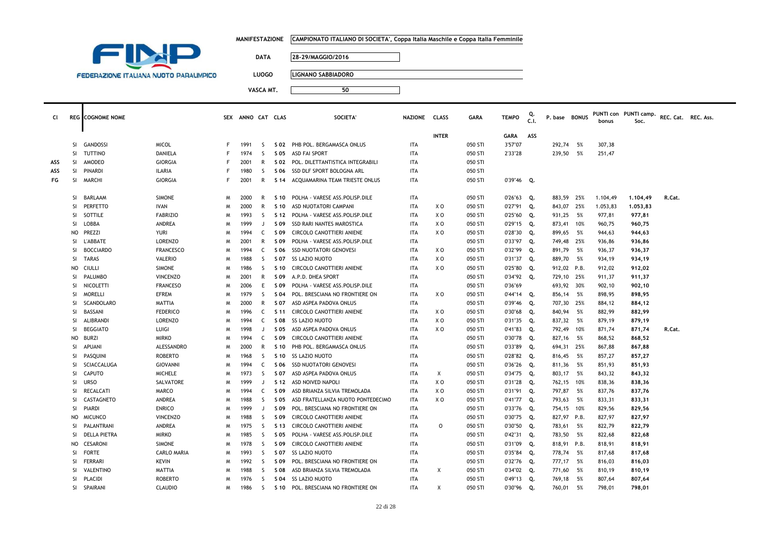|  | MANIFESTAZIONE      CAMPIONATO ITALIANO DI SOCIETA', Coppa Italia Maschile e Coppa Italia Femminile |
|--|-----------------------------------------------------------------------------------------------------|
|--|-----------------------------------------------------------------------------------------------------|



**LUOGO LIGNANO SABBIADORO**

| <b>CI</b> |               | <b>REG</b> COGNOME NOME |                    |    | SEX ANNO CAT CLAS |              |      | <b>SOCIETA</b>                    | NAZIONE CLASS |                | <b>GARA</b> | <b>TEMPO</b>  | C.I. | P. base BONUS |      | bonus    | PUNTI con PUNTI camp.<br>Soc. | REC. Cat. REC. Ass. |  |
|-----------|---------------|-------------------------|--------------------|----|-------------------|--------------|------|-----------------------------------|---------------|----------------|-------------|---------------|------|---------------|------|----------|-------------------------------|---------------------|--|
|           |               |                         |                    |    |                   |              |      |                                   |               | <b>INTER</b>   |             | <b>GARA</b>   | ASS  |               |      |          |                               |                     |  |
|           | SI.           | GANDOSSI                | <b>MICOL</b>       | F  | 1991              | S.           |      | S 02 PHB POL. BERGAMASCA ONLUS    | ITA           |                | 050 STI     | 3'57"07       |      | 292,74        | - 5% | 307,38   |                               |                     |  |
|           | SI.           | <b>TUTTINO</b>          | DANIELA            | F  | 1974              | S            | S 05 | <b>ASD FAI SPORT</b>              | <b>ITA</b>    |                | 050 STI     | 2'33"28       |      | 239,50        | 5%   | 251,47   |                               |                     |  |
| ASS       | <b>SI</b>     | AMODEO                  | <b>GIORGIA</b>     | F  | 2001              | R            | S 02 | POL. DILETTANTISTICA INTEGRABILI  | ITA           |                | 050 STI     |               |      |               |      |          |                               |                     |  |
| ASS       |               | SI PINARDI              | <b>ILARIA</b>      |    | 1980              | S            | S 06 | SSD DLF SPORT BOLOGNA ARL         | <b>ITA</b>    |                | 050 STI     |               |      |               |      |          |                               |                     |  |
| FG        | SI.           | <b>MARCHI</b>           | <b>GIORGIA</b>     | F. | 2001              | R            | S 14 | ACQUAMARINA TEAM TRIESTE ONLUS    | ITA           |                | 050 STI     | 0'39"46 Q.    |      |               |      |          |                               |                     |  |
|           | SI.           | <b>BARLAAM</b>          | <b>SIMONE</b>      | M  | 2000              | R            | S 10 | POLHA - VARESE ASS.POLISP.DILE    | <b>ITA</b>    |                | 050 STI     | 0'26"63       | Q.   | 883.59        | 25%  | 1.104,49 | 1,104,49                      | R.Cat.              |  |
|           | SI            | PERFETTO                | <b>IVAN</b>        | M  | 2000              | R            | S 10 | ASD NUOTATORI CAMPANI             | ITA           | X O            | 050 STI     | 0'27"91       | Q.   | 843,07        | 25%  | 1.053,83 | 1.053,83                      |                     |  |
|           | SI.           | SOTTILE                 | <b>FABRIZIO</b>    | M  | 1993              | S            | S 12 | POLHA - VARESE ASS.POLISP.DILE    | ITA           | X O            | 050 STI     | 0'25"60       | Q.   | 931,25        | - 5% | 977,81   | 977,81                        |                     |  |
|           | SI            | LOBBA                   | ANDREA             | M  | 1999              | J            | S 09 | <b>SSD RARI NANTES MAROSTICA</b>  | <b>ITA</b>    | X <sub>0</sub> | 050 STI     | 0'29"15       | Q.   | 873,41        | 10%  | 960,75   | 960,75                        |                     |  |
|           | NO            | PREZZI                  | <b>YURI</b>        | M  | 1994              | C            | S 09 | CIRCOLO CANOTTIERI ANIENE         | ITA           | ΧO             | 050 STI     | 0'28"30       | Q.   | 899,65        | - 5% | 944,63   | 944,63                        |                     |  |
|           | SI.           | <b>L'ABBATE</b>         | <b>LORENZO</b>     | M  | 2001              | R            | S 09 | POLHA - VARESE ASS. POLISP. DILE  | <b>ITA</b>    |                | 050 STI     | 0'33"97       | Q.   | 749,48        | 25%  | 936,86   | 936,86                        |                     |  |
|           | SI            | <b>BOCCIARDO</b>        | <b>FRANCESCO</b>   | M  | 1994              | $\mathsf{C}$ | S 06 | <b>SSD NUOTATORI GENOVES</b>      | ITA           | X O            | 050 STI     | 0'32"99       | Q.   | 891,79        | 5%   | 936,37   | 936,37                        |                     |  |
|           | SI            | TARAS                   | <b>VALERIO</b>     | M  | 1988              | S            | S 07 | SS LAZIO NUOTO                    | ITA           | X O            | 050 STI     | 0'31"37       | Q.   | 889,70        | 5%   | 934,19   | 934,19                        |                     |  |
|           | NO            | CIULLI                  | <b>SIMONE</b>      | M  | 1986              | S            | S 10 | CIRCOLO CANOTTIERI ANIENE         | <b>ITA</b>    | X <sub>0</sub> | 050 STI     | 0'25"80       | Q.   | 912,02 P.B.   |      | 912,02   | 912,02                        |                     |  |
|           | SI            | PALUMBO                 | <b>VINCENZO</b>    | M  | 2001              | R            | S 09 | A.P.D. DHEA SPORT                 | <b>ITA</b>    |                | 050 STI     | $0'34''92$ Q. |      | 729,10 25%    |      | 911,37   | 911,37                        |                     |  |
|           | SI.           | NICOLETTI               | <b>FRANCESO</b>    | M  | 2006              | E            | S 09 | POLHA - VARESE ASS.POLISP.DILE    | <b>ITA</b>    |                | 050 STI     | 0'36"69       |      | 693,92 30%    |      | 902,10   | 902,10                        |                     |  |
|           | SI            | <b>MORELLI</b>          | <b>EFREM</b>       | M  | 1979              | S            | S 04 | POL. BRESCIANA NO FRONTIERE ON    | <b>ITA</b>    | X <sub>0</sub> | 050 STI     | 0'44"14       | Q.   | 856,14        | 5%   | 898,95   | 898,95                        |                     |  |
|           | SI.           | <b>SCANDOLARO</b>       | <b>MATTIA</b>      | M  | 2000              | R            | S 07 | ASD ASPEA PADOVA ONLUS            | ITA           |                | 050 STI     | 0'39"46       | Q.   | 707,30        | 25%  | 884,12   | 884,12                        |                     |  |
|           | SI            | BASSANI                 | <b>FEDERICO</b>    | M  | 1996              | C            | S 11 | CIRCOLO CANOTTIERI ANIENE         | <b>ITA</b>    | X <sub>0</sub> | 050 STI     | 0'30"68       | Q.   | 840,94        | 5%   | 882,99   | 882,99                        |                     |  |
|           | SI            | ALIBRANDI               | <b>LORENZO</b>     | M  | 1994              | C            | S 08 | SS LAZIO NUOTO                    | ITA           | ΧO             | 050 STI     | 0'31"35       | Q.   | 837,32        | - 5% | 879,19   | 879,19                        |                     |  |
|           | SI.           | <b>BEGGIATO</b>         | LUIGI              | M  | 1998              | $\cdot$      | S 05 | ASD ASPEA PADOVA ONLUS            | <b>ITA</b>    | X <sub>0</sub> | 050 STI     | 0'41"83       | Q.   | 792,49        | 10%  | 871,74   | 871,74                        | R.Cat.              |  |
|           | NO            | <b>BURZI</b>            | <b>MIRKO</b>       | M  | 1994              | $\mathsf{C}$ | S 09 | CIRCOLO CANOTTIERI ANIENE         | <b>ITA</b>    |                | 050 STI     | 0'30"78       | Q.   | 827,16        | 5%   | 868,52   | 868,52                        |                     |  |
|           | SI            | APUANI                  | ALESSANDRO         | M  | 2000              | R            | S 10 | PHB POL. BERGAMASCA ONLUS         | ITA           |                | 050 STI     | 0'33"89       | Q.   | 694,31        | 25%  | 867,88   | 867,88                        |                     |  |
|           | SI            | PASQUINI                | <b>ROBERTO</b>     | M  | 1968              | S            | S 10 | SS LAZIO NUOTO                    | <b>ITA</b>    |                | 050 STI     | 0'28"82       | Q.   | 816,45        | 5%   | 857,27   | 857,27                        |                     |  |
|           | SI            | SCIACCALUGA             | <b>GIOVANNI</b>    | M  | 1994              | C            | S 06 | SSD NUOTATORI GENOVESI            | ITA           |                | 050 STI     | 0'36"26       | Q.   | 811,36        | - 5% | 851,93   | 851,93                        |                     |  |
|           | <sup>SI</sup> | CAPUTO                  | <b>MICHELE</b>     | M  | 1973              | S            | S 07 | ASD ASPEA PADOVA ONLUS            | <b>ITA</b>    | X              | 050 STI     | 0'34"75       | Q.   | 803,17        | 5%   | 843,32   | 843,32                        |                     |  |
|           | SI.           | <b>URSO</b>             | SALVATORE          | M  | 1999              | J            | S 12 | ASD NOIVED NAPOLI                 | <b>ITA</b>    | X <sub>0</sub> | 050 STI     | 0'31"28       | Q.   | 762,15        | 10%  | 838,36   | 838,36                        |                     |  |
|           | SI.           | RECALCATI               | MARCO              | M  | 1994              | C            | S 09 | ASD BRIANZA SILVIA TREMOLADA      | ITA           | ΧO             | 050 STI     | 0'31"91       | Q.   | 797,87        | - 5% | 837,76   | 837,76                        |                     |  |
|           | SI            | CASTAGNETO              | ANDREA             | M  | 1988              | S            | S 05 | ASD FRATELLANZA NUOTO PONTEDECIMO | <b>ITA</b>    | X <sub>0</sub> | 050 STI     | 0'41"77       | Q.   | 793,63        | 5%   | 833,31   | 833,31                        |                     |  |
|           | SI            | PIARDI                  | <b>ENRICO</b>      | M  | 1999              | $\cdot$      | S 09 | POL. BRESCIANA NO FRONTIERE ON    | ITA           |                | 050 STI     | 0'33"76       | Q.   | 754,15        | 10%  | 829,56   | 829,56                        |                     |  |
|           | NO.           | <b>MICUNCO</b>          | <b>VINCENZO</b>    | M  | 1988              | S            | S 09 | <b>CIRCOLO CANOTTIERI ANIENE</b>  | <b>ITA</b>    |                | 050 STI     | 0'30"75       | Q.   | 827,97 P.B.   |      | 827,97   | 827,97                        |                     |  |
|           | SI.           | PALANTRANI              | ANDREA             | M  | 1975              | S            | S 13 | CIRCOLO CANOTTIERI ANIENE         | <b>ITA</b>    | 0              | 050 STI     | 0'30"50       | Q.   | 783.61        | 5%   | 822,79   | 822,79                        |                     |  |
|           | SI            | DELLA PIETRA            | <b>MIRKO</b>       | M  | 1985              | S            | S 05 | POLHA - VARESE ASS.POLISP.DILE    | ITA           |                | 050 STI     | 0'42"31       | Q.   | 783,50        | - 5% | 822,68   | 822,68                        |                     |  |
|           | NO.           | <b>CESARONI</b>         | <b>SIMONE</b>      | M  | 1978              | S            | S 09 | CIRCOLO CANOTTIERI ANIENE         | <b>ITA</b>    |                | 050 STI     | 0'31"09       | Q.   | 818,91 P.B.   |      | 818,91   | 818,91                        |                     |  |
|           | SI            | <b>FORTE</b>            | <b>CARLO MARIA</b> | M  | 1993              | S.           | S 07 | SS LAZIO NUOTO                    | <b>ITA</b>    |                | 050 STI     | 0'35"84       | Q.   | 778,74        | - 5% | 817,68   | 817,68                        |                     |  |
|           | SI.           | FERRARI                 | KEVIN              | M  | 1992              | S            | S 09 | POL. BRESCIANA NO FRONTIERE ON    | <b>ITA</b>    |                | 050 STI     | 0'32"76       | Q.   | 777,17        | 5%   | 816,03   | 816,03                        |                     |  |
|           | SI.           | VALENTINO               | MATTIA             | M  | 1988              | S.           | S 08 | ASD BRIANZA SILVIA TREMOLADA      | <b>ITA</b>    | Χ              | 050 STI     | 0'34"02       | Q.   | 771,60        | - 5% | 810,19   | 810,19                        |                     |  |
|           | SI            | PLACIDI                 | <b>ROBERTO</b>     | M  | 1976              | S            | S 04 | SS LAZIO NUOTO                    | ITA           |                | 050 STI     | 0'49"13       | Q.   | 769,18        | - 5% | 807,64   | 807,64                        |                     |  |
|           |               | SI SPAIRANI             | <b>CLAUDIO</b>     | M  | 1986              | S.           | S 10 | POL. BRESCIANA NO FRONTIERE ON    | <b>ITA</b>    | Χ              | 050 STI     | 0'30"96       | Q.   | 760,01        | 5%   | 798,01   | 798,01                        |                     |  |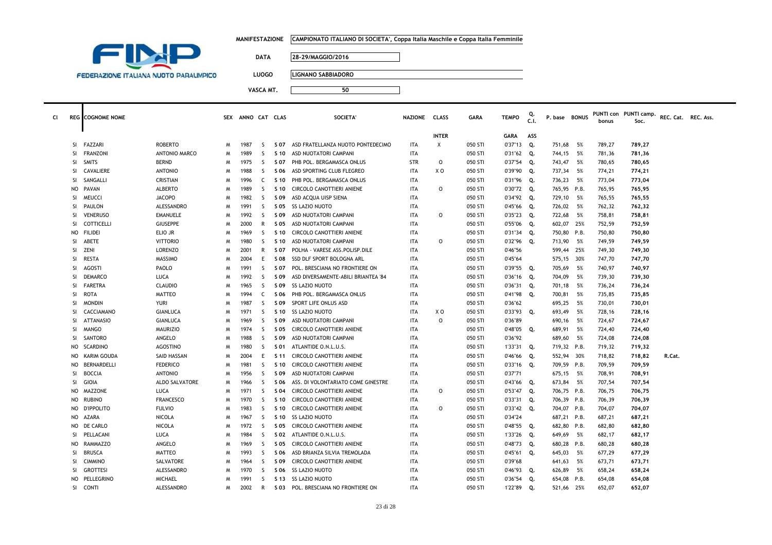|  | MANIFESTAZIONE      CAMPIONATO ITALIANO DI SOCIETA', Coppa Italia Maschile e Coppa Italia Femminile |
|--|-----------------------------------------------------------------------------------------------------|
|--|-----------------------------------------------------------------------------------------------------|



**LUOGO LIGNANO SABBIADORO**

| <b>INTER</b><br>ASS<br>GARA<br><b>FAZZARI</b><br>Χ<br>Q.<br><b>ROBERTO</b><br>1987<br>ASD FRATELLANZA NUOTO PONTEDECIMO<br>ITA<br>050 STI<br>0'37"13<br>751,68<br>5%<br>789,27<br>789,27<br>-SI<br>M<br>S<br>S 07<br><b>FRANZONI</b><br>ANTONIO MARCO<br>1989<br>ASD NUOTATORI CAMPANI<br><b>ITA</b><br>050 STI<br>744,15<br><b>SI</b><br><sub>S</sub><br>S 10<br>0'31"62<br>Q.<br>- 5%<br>781,36<br>781,36<br>м<br><b>STR</b><br>$\circ$<br>050 STI<br>0'37"54<br><b>SI</b><br>SMITS<br><b>BERND</b><br>1975<br><sub>S</sub><br>PHB POL. BERGAMASCA ONLUS<br>Q.<br>743,47<br>5%<br>780,65<br>780,65<br>S 07<br>M<br>CAVALIERE<br>XO<br><b>ANTONIO</b><br>1988<br>S<br>S 06<br>ASD SPORTING CLUB FLEGREO<br>ITA<br>050 STI<br>0'39"90<br>Q.<br>737,34<br>- 5%<br>774,21<br>774,21<br>-SI<br>M<br>SANGALLI<br>PHB POL. BERGAMASCA ONLUS<br>050 STI<br>0'31"96<br>736,23<br>773,04<br>773,04<br>SI<br>CRISTIAN<br>1996<br>C<br>S 10<br>ITA<br>Q.<br>5%<br>M<br>PAVAN<br><b>ALBERTO</b><br>1989<br>S<br>CIRCOLO CANOTTIERI ANIENE<br>ITA<br>0<br>050 STI<br>0'30"72<br>Q.<br>765,95 P.B.<br>765,95<br>765,95<br>NO.<br>S 10<br>M<br><b>MEUCCI</b><br><b>JACOPO</b><br>1982<br><sub>S</sub><br>ASD ACQUA UISP SIENA<br><b>ITA</b><br>050 STI<br>0'34"92<br>729,10<br>- 5%<br>765,55<br>765,55<br><b>SI</b><br>S 09<br>Q.<br>м<br>PAULON<br>1991<br>726,02<br>SI<br>ALESSANDRO<br>S<br>S 05<br>SS LAZIO NUOTO<br>ITA<br>050 STI<br>0'45"66<br>Q.<br>5%<br>762,32<br>762,32<br>M<br>$\circ$<br>050 STI<br>5%<br><b>SI</b><br><b>VENERUSO</b><br><b>EMANUELE</b><br>1992<br>S.<br>S 09<br>ASD NUOTATORI CAMPANI<br>ITA<br>0'35"23<br>Q.<br>722,68<br>758,81<br>758,81<br>M<br>COTTICELLI<br><b>GIUSEPPE</b><br>ASD NUOTATORI CAMPANI<br><b>ITA</b><br>050 STI<br>0'55"06<br>Q.<br>602,07 25%<br>752,59<br>752,59<br>SI<br>2000<br>R<br>S 05<br>M<br><b>FILIDEI</b><br>ELIO JR<br>1969<br>S<br>S 10<br>CIRCOLO CANOTTIERI ANIENE<br>ITA<br>050 STI<br>0'31"34<br>Q.<br>750,80 P.B.<br>750,80<br>750,80<br>NO.<br>M<br>ABETE<br>1980<br>ASD NUOTATORI CAMPANI<br>$\circ$<br>050 STI<br>0'32"96<br>713,90<br>5%<br><b>SI</b><br><b>VITTORIO</b><br>S<br>S 10<br><b>ITA</b><br>Q.<br>749,59<br>749,59<br>M<br>ZENI<br><sup>SI</sup><br><b>LORENZO</b><br>2001<br>R<br>POLHA - VARESE ASS.POLISP.DILE<br>ITA<br>050 STI<br>0'46"56<br>599,44<br>25%<br>749,30<br>749,30<br>S 07<br>M<br><b>RESTA</b><br>MASSIMO<br><b>ITA</b><br>050 STI<br>0'45"64<br>575,15 30%<br>747,70<br><b>SI</b><br>2004<br>E<br>S 08<br>SSD DLF SPORT BOLOGNA ARL<br>747,70<br>M<br>AGOSTI<br>PAOLO<br>1991<br>POL. BRESCIANA NO FRONTIERE ON<br>050 STI<br>0'39"55<br>Q.<br>705,69<br>5%<br>740,97<br>740,97<br>SI<br>M<br>S.<br>S 07<br>ITA<br><b>DEMARCO</b><br>LUCA<br>1992<br>S.<br>S 09<br>ASD DIVERSAMENTE-ABILI BRIANTEA '84<br>ITA<br>050 STI<br>0'36"16<br>Q.<br>704,09<br>5%<br>739,30<br>739,30<br>-SI<br>M<br><b>FARETRA</b><br><b>CLAUDIO</b><br>1965<br>S<br><b>SS LAZIO NUOTO</b><br><b>ITA</b><br>050 STI<br>701,18<br>5%<br>736,24<br><b>SI</b><br>S 09<br>0'36"31<br>Q.<br>736,24<br>M<br>PHB POL. BERGAMASCA ONLUS<br>SI<br><b>ROTA</b><br><b>MATTEO</b><br>1994<br>ITA<br>050 STI<br>0'41"98<br>Q.<br>700,81<br>- 5%<br>735,85<br>735,85<br>M<br>C<br>S 06<br><b>MONDIN</b><br>1987<br><sub>S</sub><br>SPORT LIFE ONLUS ASD<br>050 STI<br>0'36"62<br>695,25<br>- 5%<br>730,01<br>730,01<br>SI.<br>YURI<br>S 09<br>ITA<br>м<br>CACCIAMANO<br>GIANLUCA<br>1971<br>S<br><b>SS LAZIO NUOTO</b><br>ITA<br>χo<br>050 STI<br>0'33"93<br>Q.<br>693,49<br>- 5%<br>728,16<br>728,16<br>SI<br>S 10<br>M<br>$\circ$<br><b>SI</b><br><b>ATTANASIO</b><br>GIANLUCA<br>1969<br>S.<br>S 09<br>ASD NUOTATORI CAMPANI<br><b>ITA</b><br>050 STI<br>0'36"89<br>690,16<br>5%<br>724,67<br>724,67<br>м<br><b>MANGO</b><br><b>MAURIZIO</b><br>1974<br>S<br>CIRCOLO CANOTTIERI ANIENE<br><b>ITA</b><br>050 STI<br>0'48"05<br>689,91<br>5%<br>SI<br>S 05<br>Q.<br>724,40<br>724,40<br>M<br>SANTORO<br>ANGELO<br>1988<br>S.<br>ASD NUOTATORI CAMPANI<br>050 STI<br>0'36"92<br><sup>SI</sup><br>ITA<br>689,60<br>- 5%<br>724,08<br>S 09<br>724,08<br>M<br><b>SCARDINO</b><br><b>AGOSTINO</b><br>1980<br><sub>S</sub><br>ATLANTIDE O.N.L.U.S.<br><b>ITA</b><br>050 STI<br>1'33"31<br>Q.<br>719,32 P.B.<br>719,32<br>NO<br>S 01<br>719,32<br>м<br>KARIM GOUDA<br>SAID HASSAN<br>E<br>CIRCOLO CANOTTIERI ANIENE<br>ITA<br>050 STI<br>0'46"66<br>Q.<br>552,94 30%<br>718,82<br>718,82<br>R.Cat.<br>NO.<br>2004<br>S 11<br>M<br>BERNARDELLI<br><b>FEDERICO</b><br>1981<br>S.<br>CIRCOLO CANOTTIERI ANIENE<br><b>ITA</b><br>050 STI<br>0'33"16<br>Q.<br>709,59 P.B.<br>709,59<br>709,59<br>NO.<br>S 10<br>м<br><b>ANTONIO</b><br>0'37"71<br>SI<br><b>BOCCIA</b><br>1956<br>S<br>ASD NUOTATORI CAMPANI<br><b>ITA</b><br>050 STI<br>675,15<br>5%<br>708,91<br>708,91<br>S 09<br>M<br>GIOIA<br><b>ALDO SALVATORE</b><br>1966<br><sub>S</sub><br>0'43"66<br>673,84<br>5%<br><sup>SI</sup><br>ASS. DI VOLONTARIATO COME GINESTRE<br>ITA<br>050 STI<br>Q.<br>707,54<br>707,54<br>м<br>S 06<br><b>MAZZONE</b><br>1971<br><sub>S</sub><br>CIRCOLO CANOTTIERI ANIENE<br><b>ITA</b><br>$\circ$<br>050 STI<br>0'53"47<br>706,75 P.B.<br>LUCA<br>S 04<br>Q.<br>706,75<br>706,75<br>NO.<br>M<br><b>FRANCESCO</b><br><b>RUBINO</b><br>1970<br>S.<br>CIRCOLO CANOTTIERI ANIENE<br>ITA<br>050 STI<br>0'33"31<br>Q.<br>706,39 P.B.<br>706,39<br>NO.<br>м<br>S 10<br>706,39<br><b>D'IPPOLITO</b><br><sub>S</sub><br>$\circ$<br>704,07 P.B.<br>NO<br><b>FULVIO</b><br>1983<br>S 10<br>CIRCOLO CANOTTIERI ANIENE<br><b>ITA</b><br>050 STI<br>0'33"42<br>Q.<br>704,07<br>704,07<br>M<br>AZARA<br>NICOLA<br>1967<br>S<br><b>SS LAZIO NUOTO</b><br>ITA<br>050 STI<br>0'34"24<br>687,21 P.B.<br>687,21<br>687,21<br>NO<br>S 10<br>M<br>DE CARLO<br>NICOLA<br>1972<br>S.<br>CIRCOLO CANOTTIERI ANIENE<br><b>ITA</b><br>050 STI<br>0'48"55<br>682,80 P.B.<br>682,80<br>NO<br>S 05<br>Q.<br>682,80<br>M<br>PELLACANI<br>LUCA<br>1984<br><sub>S</sub><br>S 02<br>ATLANTIDE O.N.L.U.S.<br><b>ITA</b><br>050 STI<br>1'33"26<br>Q.<br>649,69<br>5%<br>682,17<br>682,17<br><b>SI</b><br>M<br>RAMMAZZO<br>ANGELO<br>1969<br>S<br>CIRCOLO CANOTTIERI ANIENE<br>ITA<br>050 STI<br>0'48"73<br>Q.<br>680,28 P.B.<br>680,28<br>680,28<br>NO.<br>м<br>S 05<br><b>MATTEO</b><br><b>ITA</b><br>050 STI<br><b>BRUSCA</b><br>1993<br>S.<br>ASD BRIANZA SILVIA TREMOLADA<br>0'45"61<br>Q.<br>645,03<br>- 5%<br>677,29<br>677,29<br>-SI<br>м<br>S 06<br>0'39"68<br><b>CIMMINO</b><br>SALVATORE<br>1964<br>S<br>S 09<br>CIRCOLO CANOTTIERI ANIENE<br>ITA<br>050 STI<br>641,63<br>- 5%<br>673,71<br>673,71<br>-SI<br>M<br><b>GROTTESI</b><br>ALESSANDRO<br><b>SS LAZIO NUOTO</b><br>050 STI<br>0'46"93<br>626,89<br>5%<br><b>SI</b><br>1970<br>S.<br>S 06<br>ITA<br>Q.<br>658,24<br>658,24<br>м | Cl | <b>REG</b> COGNOME NOME |  | SEX ANNO CAT CLAS |  | <b>SOCIETA'</b> | NAZIONE CLASS | <b>GARA</b> | <b>TEMPO</b> | Q.<br>.C.I. | P. base BONUS | bonus | PUNTI con PUNTI camp.<br>Soc. | REC. Cat. REC. Ass. |  |
|---------------------------------------------------------------------------------------------------------------------------------------------------------------------------------------------------------------------------------------------------------------------------------------------------------------------------------------------------------------------------------------------------------------------------------------------------------------------------------------------------------------------------------------------------------------------------------------------------------------------------------------------------------------------------------------------------------------------------------------------------------------------------------------------------------------------------------------------------------------------------------------------------------------------------------------------------------------------------------------------------------------------------------------------------------------------------------------------------------------------------------------------------------------------------------------------------------------------------------------------------------------------------------------------------------------------------------------------------------------------------------------------------------------------------------------------------------------------------------------------------------------------------------------------------------------------------------------------------------------------------------------------------------------------------------------------------------------------------------------------------------------------------------------------------------------------------------------------------------------------------------------------------------------------------------------------------------------------------------------------------------------------------------------------------------------------------------------------------------------------------------------------------------------------------------------------------------------------------------------------------------------------------------------------------------------------------------------------------------------------------------------------------------------------------------------------------------------------------------------------------------------------------------------------------------------------------------------------------------------------------------------------------------------------------------------------------------------------------------------------------------------------------------------------------------------------------------------------------------------------------------------------------------------------------------------------------------------------------------------------------------------------------------------------------------------------------------------------------------------------------------------------------------------------------------------------------------------------------------------------------------------------------------------------------------------------------------------------------------------------------------------------------------------------------------------------------------------------------------------------------------------------------------------------------------------------------------------------------------------------------------------------------------------------------------------------------------------------------------------------------------------------------------------------------------------------------------------------------------------------------------------------------------------------------------------------------------------------------------------------------------------------------------------------------------------------------------------------------------------------------------------------------------------------------------------------------------------------------------------------------------------------------------------------------------------------------------------------------------------------------------------------------------------------------------------------------------------------------------------------------------------------------------------------------------------------------------------------------------------------------------------------------------------------------------------------------------------------------------------------------------------------------------------------------------------------------------------------------------------------------------------------------------------------------------------------------------------------------------------------------------------------------------------------------------------------------------------------------------------------------------------------------------------------------------------------------------------------------------------------------------------------------------------------------------------------------------------------------------------------------------------------------------------------------------------------------------------------------------------------------------------------------------------------------------------------------------------------------------------------------------------------------------------------------------------------------------------------------------------------------------------------------------------------------------------------------------------------------------------------------------------------------------------------------------------------------------------------------------------------------------------------------------------------------------------------------------------------------------------------------------------------------------------------------------------------------------------------------------------------------------------------------------------------------------------------------------------------------------------------------------------------------------------------------------------------------------------------------------------------------------------------------------------------------------------------------------------------------------------------------------------------------------------------------------------------------------------------------------------------------------------------------------------------------|----|-------------------------|--|-------------------|--|-----------------|---------------|-------------|--------------|-------------|---------------|-------|-------------------------------|---------------------|--|
|                                                                                                                                                                                                                                                                                                                                                                                                                                                                                                                                                                                                                                                                                                                                                                                                                                                                                                                                                                                                                                                                                                                                                                                                                                                                                                                                                                                                                                                                                                                                                                                                                                                                                                                                                                                                                                                                                                                                                                                                                                                                                                                                                                                                                                                                                                                                                                                                                                                                                                                                                                                                                                                                                                                                                                                                                                                                                                                                                                                                                                                                                                                                                                                                                                                                                                                                                                                                                                                                                                                                                                                                                                                                                                                                                                                                                                                                                                                                                                                                                                                                                                                                                                                                                                                                                                                                                                                                                                                                                                                                                                                                                                                                                                                                                                                                                                                                                                                                                                                                                                                                                                                                                                                                                                                                                                                                                                                                                                                                                                                                                                                                                                                                                                                                                                                                                                                                                                                                                                                                                                                                                                                                                                                                                                                                                                                                                                                                                                                                                                                                                                                                                                                                                                                                                                                                   |    |                         |  |                   |  |                 |               |             |              |             |               |       |                               |                     |  |
|                                                                                                                                                                                                                                                                                                                                                                                                                                                                                                                                                                                                                                                                                                                                                                                                                                                                                                                                                                                                                                                                                                                                                                                                                                                                                                                                                                                                                                                                                                                                                                                                                                                                                                                                                                                                                                                                                                                                                                                                                                                                                                                                                                                                                                                                                                                                                                                                                                                                                                                                                                                                                                                                                                                                                                                                                                                                                                                                                                                                                                                                                                                                                                                                                                                                                                                                                                                                                                                                                                                                                                                                                                                                                                                                                                                                                                                                                                                                                                                                                                                                                                                                                                                                                                                                                                                                                                                                                                                                                                                                                                                                                                                                                                                                                                                                                                                                                                                                                                                                                                                                                                                                                                                                                                                                                                                                                                                                                                                                                                                                                                                                                                                                                                                                                                                                                                                                                                                                                                                                                                                                                                                                                                                                                                                                                                                                                                                                                                                                                                                                                                                                                                                                                                                                                                                                   |    |                         |  |                   |  |                 |               |             |              |             |               |       |                               |                     |  |
|                                                                                                                                                                                                                                                                                                                                                                                                                                                                                                                                                                                                                                                                                                                                                                                                                                                                                                                                                                                                                                                                                                                                                                                                                                                                                                                                                                                                                                                                                                                                                                                                                                                                                                                                                                                                                                                                                                                                                                                                                                                                                                                                                                                                                                                                                                                                                                                                                                                                                                                                                                                                                                                                                                                                                                                                                                                                                                                                                                                                                                                                                                                                                                                                                                                                                                                                                                                                                                                                                                                                                                                                                                                                                                                                                                                                                                                                                                                                                                                                                                                                                                                                                                                                                                                                                                                                                                                                                                                                                                                                                                                                                                                                                                                                                                                                                                                                                                                                                                                                                                                                                                                                                                                                                                                                                                                                                                                                                                                                                                                                                                                                                                                                                                                                                                                                                                                                                                                                                                                                                                                                                                                                                                                                                                                                                                                                                                                                                                                                                                                                                                                                                                                                                                                                                                                                   |    |                         |  |                   |  |                 |               |             |              |             |               |       |                               |                     |  |
|                                                                                                                                                                                                                                                                                                                                                                                                                                                                                                                                                                                                                                                                                                                                                                                                                                                                                                                                                                                                                                                                                                                                                                                                                                                                                                                                                                                                                                                                                                                                                                                                                                                                                                                                                                                                                                                                                                                                                                                                                                                                                                                                                                                                                                                                                                                                                                                                                                                                                                                                                                                                                                                                                                                                                                                                                                                                                                                                                                                                                                                                                                                                                                                                                                                                                                                                                                                                                                                                                                                                                                                                                                                                                                                                                                                                                                                                                                                                                                                                                                                                                                                                                                                                                                                                                                                                                                                                                                                                                                                                                                                                                                                                                                                                                                                                                                                                                                                                                                                                                                                                                                                                                                                                                                                                                                                                                                                                                                                                                                                                                                                                                                                                                                                                                                                                                                                                                                                                                                                                                                                                                                                                                                                                                                                                                                                                                                                                                                                                                                                                                                                                                                                                                                                                                                                                   |    |                         |  |                   |  |                 |               |             |              |             |               |       |                               |                     |  |
|                                                                                                                                                                                                                                                                                                                                                                                                                                                                                                                                                                                                                                                                                                                                                                                                                                                                                                                                                                                                                                                                                                                                                                                                                                                                                                                                                                                                                                                                                                                                                                                                                                                                                                                                                                                                                                                                                                                                                                                                                                                                                                                                                                                                                                                                                                                                                                                                                                                                                                                                                                                                                                                                                                                                                                                                                                                                                                                                                                                                                                                                                                                                                                                                                                                                                                                                                                                                                                                                                                                                                                                                                                                                                                                                                                                                                                                                                                                                                                                                                                                                                                                                                                                                                                                                                                                                                                                                                                                                                                                                                                                                                                                                                                                                                                                                                                                                                                                                                                                                                                                                                                                                                                                                                                                                                                                                                                                                                                                                                                                                                                                                                                                                                                                                                                                                                                                                                                                                                                                                                                                                                                                                                                                                                                                                                                                                                                                                                                                                                                                                                                                                                                                                                                                                                                                                   |    |                         |  |                   |  |                 |               |             |              |             |               |       |                               |                     |  |
|                                                                                                                                                                                                                                                                                                                                                                                                                                                                                                                                                                                                                                                                                                                                                                                                                                                                                                                                                                                                                                                                                                                                                                                                                                                                                                                                                                                                                                                                                                                                                                                                                                                                                                                                                                                                                                                                                                                                                                                                                                                                                                                                                                                                                                                                                                                                                                                                                                                                                                                                                                                                                                                                                                                                                                                                                                                                                                                                                                                                                                                                                                                                                                                                                                                                                                                                                                                                                                                                                                                                                                                                                                                                                                                                                                                                                                                                                                                                                                                                                                                                                                                                                                                                                                                                                                                                                                                                                                                                                                                                                                                                                                                                                                                                                                                                                                                                                                                                                                                                                                                                                                                                                                                                                                                                                                                                                                                                                                                                                                                                                                                                                                                                                                                                                                                                                                                                                                                                                                                                                                                                                                                                                                                                                                                                                                                                                                                                                                                                                                                                                                                                                                                                                                                                                                                                   |    |                         |  |                   |  |                 |               |             |              |             |               |       |                               |                     |  |
|                                                                                                                                                                                                                                                                                                                                                                                                                                                                                                                                                                                                                                                                                                                                                                                                                                                                                                                                                                                                                                                                                                                                                                                                                                                                                                                                                                                                                                                                                                                                                                                                                                                                                                                                                                                                                                                                                                                                                                                                                                                                                                                                                                                                                                                                                                                                                                                                                                                                                                                                                                                                                                                                                                                                                                                                                                                                                                                                                                                                                                                                                                                                                                                                                                                                                                                                                                                                                                                                                                                                                                                                                                                                                                                                                                                                                                                                                                                                                                                                                                                                                                                                                                                                                                                                                                                                                                                                                                                                                                                                                                                                                                                                                                                                                                                                                                                                                                                                                                                                                                                                                                                                                                                                                                                                                                                                                                                                                                                                                                                                                                                                                                                                                                                                                                                                                                                                                                                                                                                                                                                                                                                                                                                                                                                                                                                                                                                                                                                                                                                                                                                                                                                                                                                                                                                                   |    |                         |  |                   |  |                 |               |             |              |             |               |       |                               |                     |  |
|                                                                                                                                                                                                                                                                                                                                                                                                                                                                                                                                                                                                                                                                                                                                                                                                                                                                                                                                                                                                                                                                                                                                                                                                                                                                                                                                                                                                                                                                                                                                                                                                                                                                                                                                                                                                                                                                                                                                                                                                                                                                                                                                                                                                                                                                                                                                                                                                                                                                                                                                                                                                                                                                                                                                                                                                                                                                                                                                                                                                                                                                                                                                                                                                                                                                                                                                                                                                                                                                                                                                                                                                                                                                                                                                                                                                                                                                                                                                                                                                                                                                                                                                                                                                                                                                                                                                                                                                                                                                                                                                                                                                                                                                                                                                                                                                                                                                                                                                                                                                                                                                                                                                                                                                                                                                                                                                                                                                                                                                                                                                                                                                                                                                                                                                                                                                                                                                                                                                                                                                                                                                                                                                                                                                                                                                                                                                                                                                                                                                                                                                                                                                                                                                                                                                                                                                   |    |                         |  |                   |  |                 |               |             |              |             |               |       |                               |                     |  |
|                                                                                                                                                                                                                                                                                                                                                                                                                                                                                                                                                                                                                                                                                                                                                                                                                                                                                                                                                                                                                                                                                                                                                                                                                                                                                                                                                                                                                                                                                                                                                                                                                                                                                                                                                                                                                                                                                                                                                                                                                                                                                                                                                                                                                                                                                                                                                                                                                                                                                                                                                                                                                                                                                                                                                                                                                                                                                                                                                                                                                                                                                                                                                                                                                                                                                                                                                                                                                                                                                                                                                                                                                                                                                                                                                                                                                                                                                                                                                                                                                                                                                                                                                                                                                                                                                                                                                                                                                                                                                                                                                                                                                                                                                                                                                                                                                                                                                                                                                                                                                                                                                                                                                                                                                                                                                                                                                                                                                                                                                                                                                                                                                                                                                                                                                                                                                                                                                                                                                                                                                                                                                                                                                                                                                                                                                                                                                                                                                                                                                                                                                                                                                                                                                                                                                                                                   |    |                         |  |                   |  |                 |               |             |              |             |               |       |                               |                     |  |
|                                                                                                                                                                                                                                                                                                                                                                                                                                                                                                                                                                                                                                                                                                                                                                                                                                                                                                                                                                                                                                                                                                                                                                                                                                                                                                                                                                                                                                                                                                                                                                                                                                                                                                                                                                                                                                                                                                                                                                                                                                                                                                                                                                                                                                                                                                                                                                                                                                                                                                                                                                                                                                                                                                                                                                                                                                                                                                                                                                                                                                                                                                                                                                                                                                                                                                                                                                                                                                                                                                                                                                                                                                                                                                                                                                                                                                                                                                                                                                                                                                                                                                                                                                                                                                                                                                                                                                                                                                                                                                                                                                                                                                                                                                                                                                                                                                                                                                                                                                                                                                                                                                                                                                                                                                                                                                                                                                                                                                                                                                                                                                                                                                                                                                                                                                                                                                                                                                                                                                                                                                                                                                                                                                                                                                                                                                                                                                                                                                                                                                                                                                                                                                                                                                                                                                                                   |    |                         |  |                   |  |                 |               |             |              |             |               |       |                               |                     |  |
|                                                                                                                                                                                                                                                                                                                                                                                                                                                                                                                                                                                                                                                                                                                                                                                                                                                                                                                                                                                                                                                                                                                                                                                                                                                                                                                                                                                                                                                                                                                                                                                                                                                                                                                                                                                                                                                                                                                                                                                                                                                                                                                                                                                                                                                                                                                                                                                                                                                                                                                                                                                                                                                                                                                                                                                                                                                                                                                                                                                                                                                                                                                                                                                                                                                                                                                                                                                                                                                                                                                                                                                                                                                                                                                                                                                                                                                                                                                                                                                                                                                                                                                                                                                                                                                                                                                                                                                                                                                                                                                                                                                                                                                                                                                                                                                                                                                                                                                                                                                                                                                                                                                                                                                                                                                                                                                                                                                                                                                                                                                                                                                                                                                                                                                                                                                                                                                                                                                                                                                                                                                                                                                                                                                                                                                                                                                                                                                                                                                                                                                                                                                                                                                                                                                                                                                                   |    |                         |  |                   |  |                 |               |             |              |             |               |       |                               |                     |  |
|                                                                                                                                                                                                                                                                                                                                                                                                                                                                                                                                                                                                                                                                                                                                                                                                                                                                                                                                                                                                                                                                                                                                                                                                                                                                                                                                                                                                                                                                                                                                                                                                                                                                                                                                                                                                                                                                                                                                                                                                                                                                                                                                                                                                                                                                                                                                                                                                                                                                                                                                                                                                                                                                                                                                                                                                                                                                                                                                                                                                                                                                                                                                                                                                                                                                                                                                                                                                                                                                                                                                                                                                                                                                                                                                                                                                                                                                                                                                                                                                                                                                                                                                                                                                                                                                                                                                                                                                                                                                                                                                                                                                                                                                                                                                                                                                                                                                                                                                                                                                                                                                                                                                                                                                                                                                                                                                                                                                                                                                                                                                                                                                                                                                                                                                                                                                                                                                                                                                                                                                                                                                                                                                                                                                                                                                                                                                                                                                                                                                                                                                                                                                                                                                                                                                                                                                   |    |                         |  |                   |  |                 |               |             |              |             |               |       |                               |                     |  |
|                                                                                                                                                                                                                                                                                                                                                                                                                                                                                                                                                                                                                                                                                                                                                                                                                                                                                                                                                                                                                                                                                                                                                                                                                                                                                                                                                                                                                                                                                                                                                                                                                                                                                                                                                                                                                                                                                                                                                                                                                                                                                                                                                                                                                                                                                                                                                                                                                                                                                                                                                                                                                                                                                                                                                                                                                                                                                                                                                                                                                                                                                                                                                                                                                                                                                                                                                                                                                                                                                                                                                                                                                                                                                                                                                                                                                                                                                                                                                                                                                                                                                                                                                                                                                                                                                                                                                                                                                                                                                                                                                                                                                                                                                                                                                                                                                                                                                                                                                                                                                                                                                                                                                                                                                                                                                                                                                                                                                                                                                                                                                                                                                                                                                                                                                                                                                                                                                                                                                                                                                                                                                                                                                                                                                                                                                                                                                                                                                                                                                                                                                                                                                                                                                                                                                                                                   |    |                         |  |                   |  |                 |               |             |              |             |               |       |                               |                     |  |
|                                                                                                                                                                                                                                                                                                                                                                                                                                                                                                                                                                                                                                                                                                                                                                                                                                                                                                                                                                                                                                                                                                                                                                                                                                                                                                                                                                                                                                                                                                                                                                                                                                                                                                                                                                                                                                                                                                                                                                                                                                                                                                                                                                                                                                                                                                                                                                                                                                                                                                                                                                                                                                                                                                                                                                                                                                                                                                                                                                                                                                                                                                                                                                                                                                                                                                                                                                                                                                                                                                                                                                                                                                                                                                                                                                                                                                                                                                                                                                                                                                                                                                                                                                                                                                                                                                                                                                                                                                                                                                                                                                                                                                                                                                                                                                                                                                                                                                                                                                                                                                                                                                                                                                                                                                                                                                                                                                                                                                                                                                                                                                                                                                                                                                                                                                                                                                                                                                                                                                                                                                                                                                                                                                                                                                                                                                                                                                                                                                                                                                                                                                                                                                                                                                                                                                                                   |    |                         |  |                   |  |                 |               |             |              |             |               |       |                               |                     |  |
|                                                                                                                                                                                                                                                                                                                                                                                                                                                                                                                                                                                                                                                                                                                                                                                                                                                                                                                                                                                                                                                                                                                                                                                                                                                                                                                                                                                                                                                                                                                                                                                                                                                                                                                                                                                                                                                                                                                                                                                                                                                                                                                                                                                                                                                                                                                                                                                                                                                                                                                                                                                                                                                                                                                                                                                                                                                                                                                                                                                                                                                                                                                                                                                                                                                                                                                                                                                                                                                                                                                                                                                                                                                                                                                                                                                                                                                                                                                                                                                                                                                                                                                                                                                                                                                                                                                                                                                                                                                                                                                                                                                                                                                                                                                                                                                                                                                                                                                                                                                                                                                                                                                                                                                                                                                                                                                                                                                                                                                                                                                                                                                                                                                                                                                                                                                                                                                                                                                                                                                                                                                                                                                                                                                                                                                                                                                                                                                                                                                                                                                                                                                                                                                                                                                                                                                                   |    |                         |  |                   |  |                 |               |             |              |             |               |       |                               |                     |  |
|                                                                                                                                                                                                                                                                                                                                                                                                                                                                                                                                                                                                                                                                                                                                                                                                                                                                                                                                                                                                                                                                                                                                                                                                                                                                                                                                                                                                                                                                                                                                                                                                                                                                                                                                                                                                                                                                                                                                                                                                                                                                                                                                                                                                                                                                                                                                                                                                                                                                                                                                                                                                                                                                                                                                                                                                                                                                                                                                                                                                                                                                                                                                                                                                                                                                                                                                                                                                                                                                                                                                                                                                                                                                                                                                                                                                                                                                                                                                                                                                                                                                                                                                                                                                                                                                                                                                                                                                                                                                                                                                                                                                                                                                                                                                                                                                                                                                                                                                                                                                                                                                                                                                                                                                                                                                                                                                                                                                                                                                                                                                                                                                                                                                                                                                                                                                                                                                                                                                                                                                                                                                                                                                                                                                                                                                                                                                                                                                                                                                                                                                                                                                                                                                                                                                                                                                   |    |                         |  |                   |  |                 |               |             |              |             |               |       |                               |                     |  |
|                                                                                                                                                                                                                                                                                                                                                                                                                                                                                                                                                                                                                                                                                                                                                                                                                                                                                                                                                                                                                                                                                                                                                                                                                                                                                                                                                                                                                                                                                                                                                                                                                                                                                                                                                                                                                                                                                                                                                                                                                                                                                                                                                                                                                                                                                                                                                                                                                                                                                                                                                                                                                                                                                                                                                                                                                                                                                                                                                                                                                                                                                                                                                                                                                                                                                                                                                                                                                                                                                                                                                                                                                                                                                                                                                                                                                                                                                                                                                                                                                                                                                                                                                                                                                                                                                                                                                                                                                                                                                                                                                                                                                                                                                                                                                                                                                                                                                                                                                                                                                                                                                                                                                                                                                                                                                                                                                                                                                                                                                                                                                                                                                                                                                                                                                                                                                                                                                                                                                                                                                                                                                                                                                                                                                                                                                                                                                                                                                                                                                                                                                                                                                                                                                                                                                                                                   |    |                         |  |                   |  |                 |               |             |              |             |               |       |                               |                     |  |
|                                                                                                                                                                                                                                                                                                                                                                                                                                                                                                                                                                                                                                                                                                                                                                                                                                                                                                                                                                                                                                                                                                                                                                                                                                                                                                                                                                                                                                                                                                                                                                                                                                                                                                                                                                                                                                                                                                                                                                                                                                                                                                                                                                                                                                                                                                                                                                                                                                                                                                                                                                                                                                                                                                                                                                                                                                                                                                                                                                                                                                                                                                                                                                                                                                                                                                                                                                                                                                                                                                                                                                                                                                                                                                                                                                                                                                                                                                                                                                                                                                                                                                                                                                                                                                                                                                                                                                                                                                                                                                                                                                                                                                                                                                                                                                                                                                                                                                                                                                                                                                                                                                                                                                                                                                                                                                                                                                                                                                                                                                                                                                                                                                                                                                                                                                                                                                                                                                                                                                                                                                                                                                                                                                                                                                                                                                                                                                                                                                                                                                                                                                                                                                                                                                                                                                                                   |    |                         |  |                   |  |                 |               |             |              |             |               |       |                               |                     |  |
|                                                                                                                                                                                                                                                                                                                                                                                                                                                                                                                                                                                                                                                                                                                                                                                                                                                                                                                                                                                                                                                                                                                                                                                                                                                                                                                                                                                                                                                                                                                                                                                                                                                                                                                                                                                                                                                                                                                                                                                                                                                                                                                                                                                                                                                                                                                                                                                                                                                                                                                                                                                                                                                                                                                                                                                                                                                                                                                                                                                                                                                                                                                                                                                                                                                                                                                                                                                                                                                                                                                                                                                                                                                                                                                                                                                                                                                                                                                                                                                                                                                                                                                                                                                                                                                                                                                                                                                                                                                                                                                                                                                                                                                                                                                                                                                                                                                                                                                                                                                                                                                                                                                                                                                                                                                                                                                                                                                                                                                                                                                                                                                                                                                                                                                                                                                                                                                                                                                                                                                                                                                                                                                                                                                                                                                                                                                                                                                                                                                                                                                                                                                                                                                                                                                                                                                                   |    |                         |  |                   |  |                 |               |             |              |             |               |       |                               |                     |  |
|                                                                                                                                                                                                                                                                                                                                                                                                                                                                                                                                                                                                                                                                                                                                                                                                                                                                                                                                                                                                                                                                                                                                                                                                                                                                                                                                                                                                                                                                                                                                                                                                                                                                                                                                                                                                                                                                                                                                                                                                                                                                                                                                                                                                                                                                                                                                                                                                                                                                                                                                                                                                                                                                                                                                                                                                                                                                                                                                                                                                                                                                                                                                                                                                                                                                                                                                                                                                                                                                                                                                                                                                                                                                                                                                                                                                                                                                                                                                                                                                                                                                                                                                                                                                                                                                                                                                                                                                                                                                                                                                                                                                                                                                                                                                                                                                                                                                                                                                                                                                                                                                                                                                                                                                                                                                                                                                                                                                                                                                                                                                                                                                                                                                                                                                                                                                                                                                                                                                                                                                                                                                                                                                                                                                                                                                                                                                                                                                                                                                                                                                                                                                                                                                                                                                                                                                   |    |                         |  |                   |  |                 |               |             |              |             |               |       |                               |                     |  |
|                                                                                                                                                                                                                                                                                                                                                                                                                                                                                                                                                                                                                                                                                                                                                                                                                                                                                                                                                                                                                                                                                                                                                                                                                                                                                                                                                                                                                                                                                                                                                                                                                                                                                                                                                                                                                                                                                                                                                                                                                                                                                                                                                                                                                                                                                                                                                                                                                                                                                                                                                                                                                                                                                                                                                                                                                                                                                                                                                                                                                                                                                                                                                                                                                                                                                                                                                                                                                                                                                                                                                                                                                                                                                                                                                                                                                                                                                                                                                                                                                                                                                                                                                                                                                                                                                                                                                                                                                                                                                                                                                                                                                                                                                                                                                                                                                                                                                                                                                                                                                                                                                                                                                                                                                                                                                                                                                                                                                                                                                                                                                                                                                                                                                                                                                                                                                                                                                                                                                                                                                                                                                                                                                                                                                                                                                                                                                                                                                                                                                                                                                                                                                                                                                                                                                                                                   |    |                         |  |                   |  |                 |               |             |              |             |               |       |                               |                     |  |
|                                                                                                                                                                                                                                                                                                                                                                                                                                                                                                                                                                                                                                                                                                                                                                                                                                                                                                                                                                                                                                                                                                                                                                                                                                                                                                                                                                                                                                                                                                                                                                                                                                                                                                                                                                                                                                                                                                                                                                                                                                                                                                                                                                                                                                                                                                                                                                                                                                                                                                                                                                                                                                                                                                                                                                                                                                                                                                                                                                                                                                                                                                                                                                                                                                                                                                                                                                                                                                                                                                                                                                                                                                                                                                                                                                                                                                                                                                                                                                                                                                                                                                                                                                                                                                                                                                                                                                                                                                                                                                                                                                                                                                                                                                                                                                                                                                                                                                                                                                                                                                                                                                                                                                                                                                                                                                                                                                                                                                                                                                                                                                                                                                                                                                                                                                                                                                                                                                                                                                                                                                                                                                                                                                                                                                                                                                                                                                                                                                                                                                                                                                                                                                                                                                                                                                                                   |    |                         |  |                   |  |                 |               |             |              |             |               |       |                               |                     |  |
|                                                                                                                                                                                                                                                                                                                                                                                                                                                                                                                                                                                                                                                                                                                                                                                                                                                                                                                                                                                                                                                                                                                                                                                                                                                                                                                                                                                                                                                                                                                                                                                                                                                                                                                                                                                                                                                                                                                                                                                                                                                                                                                                                                                                                                                                                                                                                                                                                                                                                                                                                                                                                                                                                                                                                                                                                                                                                                                                                                                                                                                                                                                                                                                                                                                                                                                                                                                                                                                                                                                                                                                                                                                                                                                                                                                                                                                                                                                                                                                                                                                                                                                                                                                                                                                                                                                                                                                                                                                                                                                                                                                                                                                                                                                                                                                                                                                                                                                                                                                                                                                                                                                                                                                                                                                                                                                                                                                                                                                                                                                                                                                                                                                                                                                                                                                                                                                                                                                                                                                                                                                                                                                                                                                                                                                                                                                                                                                                                                                                                                                                                                                                                                                                                                                                                                                                   |    |                         |  |                   |  |                 |               |             |              |             |               |       |                               |                     |  |
|                                                                                                                                                                                                                                                                                                                                                                                                                                                                                                                                                                                                                                                                                                                                                                                                                                                                                                                                                                                                                                                                                                                                                                                                                                                                                                                                                                                                                                                                                                                                                                                                                                                                                                                                                                                                                                                                                                                                                                                                                                                                                                                                                                                                                                                                                                                                                                                                                                                                                                                                                                                                                                                                                                                                                                                                                                                                                                                                                                                                                                                                                                                                                                                                                                                                                                                                                                                                                                                                                                                                                                                                                                                                                                                                                                                                                                                                                                                                                                                                                                                                                                                                                                                                                                                                                                                                                                                                                                                                                                                                                                                                                                                                                                                                                                                                                                                                                                                                                                                                                                                                                                                                                                                                                                                                                                                                                                                                                                                                                                                                                                                                                                                                                                                                                                                                                                                                                                                                                                                                                                                                                                                                                                                                                                                                                                                                                                                                                                                                                                                                                                                                                                                                                                                                                                                                   |    |                         |  |                   |  |                 |               |             |              |             |               |       |                               |                     |  |
|                                                                                                                                                                                                                                                                                                                                                                                                                                                                                                                                                                                                                                                                                                                                                                                                                                                                                                                                                                                                                                                                                                                                                                                                                                                                                                                                                                                                                                                                                                                                                                                                                                                                                                                                                                                                                                                                                                                                                                                                                                                                                                                                                                                                                                                                                                                                                                                                                                                                                                                                                                                                                                                                                                                                                                                                                                                                                                                                                                                                                                                                                                                                                                                                                                                                                                                                                                                                                                                                                                                                                                                                                                                                                                                                                                                                                                                                                                                                                                                                                                                                                                                                                                                                                                                                                                                                                                                                                                                                                                                                                                                                                                                                                                                                                                                                                                                                                                                                                                                                                                                                                                                                                                                                                                                                                                                                                                                                                                                                                                                                                                                                                                                                                                                                                                                                                                                                                                                                                                                                                                                                                                                                                                                                                                                                                                                                                                                                                                                                                                                                                                                                                                                                                                                                                                                                   |    |                         |  |                   |  |                 |               |             |              |             |               |       |                               |                     |  |
|                                                                                                                                                                                                                                                                                                                                                                                                                                                                                                                                                                                                                                                                                                                                                                                                                                                                                                                                                                                                                                                                                                                                                                                                                                                                                                                                                                                                                                                                                                                                                                                                                                                                                                                                                                                                                                                                                                                                                                                                                                                                                                                                                                                                                                                                                                                                                                                                                                                                                                                                                                                                                                                                                                                                                                                                                                                                                                                                                                                                                                                                                                                                                                                                                                                                                                                                                                                                                                                                                                                                                                                                                                                                                                                                                                                                                                                                                                                                                                                                                                                                                                                                                                                                                                                                                                                                                                                                                                                                                                                                                                                                                                                                                                                                                                                                                                                                                                                                                                                                                                                                                                                                                                                                                                                                                                                                                                                                                                                                                                                                                                                                                                                                                                                                                                                                                                                                                                                                                                                                                                                                                                                                                                                                                                                                                                                                                                                                                                                                                                                                                                                                                                                                                                                                                                                                   |    |                         |  |                   |  |                 |               |             |              |             |               |       |                               |                     |  |
|                                                                                                                                                                                                                                                                                                                                                                                                                                                                                                                                                                                                                                                                                                                                                                                                                                                                                                                                                                                                                                                                                                                                                                                                                                                                                                                                                                                                                                                                                                                                                                                                                                                                                                                                                                                                                                                                                                                                                                                                                                                                                                                                                                                                                                                                                                                                                                                                                                                                                                                                                                                                                                                                                                                                                                                                                                                                                                                                                                                                                                                                                                                                                                                                                                                                                                                                                                                                                                                                                                                                                                                                                                                                                                                                                                                                                                                                                                                                                                                                                                                                                                                                                                                                                                                                                                                                                                                                                                                                                                                                                                                                                                                                                                                                                                                                                                                                                                                                                                                                                                                                                                                                                                                                                                                                                                                                                                                                                                                                                                                                                                                                                                                                                                                                                                                                                                                                                                                                                                                                                                                                                                                                                                                                                                                                                                                                                                                                                                                                                                                                                                                                                                                                                                                                                                                                   |    |                         |  |                   |  |                 |               |             |              |             |               |       |                               |                     |  |
|                                                                                                                                                                                                                                                                                                                                                                                                                                                                                                                                                                                                                                                                                                                                                                                                                                                                                                                                                                                                                                                                                                                                                                                                                                                                                                                                                                                                                                                                                                                                                                                                                                                                                                                                                                                                                                                                                                                                                                                                                                                                                                                                                                                                                                                                                                                                                                                                                                                                                                                                                                                                                                                                                                                                                                                                                                                                                                                                                                                                                                                                                                                                                                                                                                                                                                                                                                                                                                                                                                                                                                                                                                                                                                                                                                                                                                                                                                                                                                                                                                                                                                                                                                                                                                                                                                                                                                                                                                                                                                                                                                                                                                                                                                                                                                                                                                                                                                                                                                                                                                                                                                                                                                                                                                                                                                                                                                                                                                                                                                                                                                                                                                                                                                                                                                                                                                                                                                                                                                                                                                                                                                                                                                                                                                                                                                                                                                                                                                                                                                                                                                                                                                                                                                                                                                                                   |    |                         |  |                   |  |                 |               |             |              |             |               |       |                               |                     |  |
|                                                                                                                                                                                                                                                                                                                                                                                                                                                                                                                                                                                                                                                                                                                                                                                                                                                                                                                                                                                                                                                                                                                                                                                                                                                                                                                                                                                                                                                                                                                                                                                                                                                                                                                                                                                                                                                                                                                                                                                                                                                                                                                                                                                                                                                                                                                                                                                                                                                                                                                                                                                                                                                                                                                                                                                                                                                                                                                                                                                                                                                                                                                                                                                                                                                                                                                                                                                                                                                                                                                                                                                                                                                                                                                                                                                                                                                                                                                                                                                                                                                                                                                                                                                                                                                                                                                                                                                                                                                                                                                                                                                                                                                                                                                                                                                                                                                                                                                                                                                                                                                                                                                                                                                                                                                                                                                                                                                                                                                                                                                                                                                                                                                                                                                                                                                                                                                                                                                                                                                                                                                                                                                                                                                                                                                                                                                                                                                                                                                                                                                                                                                                                                                                                                                                                                                                   |    |                         |  |                   |  |                 |               |             |              |             |               |       |                               |                     |  |
|                                                                                                                                                                                                                                                                                                                                                                                                                                                                                                                                                                                                                                                                                                                                                                                                                                                                                                                                                                                                                                                                                                                                                                                                                                                                                                                                                                                                                                                                                                                                                                                                                                                                                                                                                                                                                                                                                                                                                                                                                                                                                                                                                                                                                                                                                                                                                                                                                                                                                                                                                                                                                                                                                                                                                                                                                                                                                                                                                                                                                                                                                                                                                                                                                                                                                                                                                                                                                                                                                                                                                                                                                                                                                                                                                                                                                                                                                                                                                                                                                                                                                                                                                                                                                                                                                                                                                                                                                                                                                                                                                                                                                                                                                                                                                                                                                                                                                                                                                                                                                                                                                                                                                                                                                                                                                                                                                                                                                                                                                                                                                                                                                                                                                                                                                                                                                                                                                                                                                                                                                                                                                                                                                                                                                                                                                                                                                                                                                                                                                                                                                                                                                                                                                                                                                                                                   |    |                         |  |                   |  |                 |               |             |              |             |               |       |                               |                     |  |
|                                                                                                                                                                                                                                                                                                                                                                                                                                                                                                                                                                                                                                                                                                                                                                                                                                                                                                                                                                                                                                                                                                                                                                                                                                                                                                                                                                                                                                                                                                                                                                                                                                                                                                                                                                                                                                                                                                                                                                                                                                                                                                                                                                                                                                                                                                                                                                                                                                                                                                                                                                                                                                                                                                                                                                                                                                                                                                                                                                                                                                                                                                                                                                                                                                                                                                                                                                                                                                                                                                                                                                                                                                                                                                                                                                                                                                                                                                                                                                                                                                                                                                                                                                                                                                                                                                                                                                                                                                                                                                                                                                                                                                                                                                                                                                                                                                                                                                                                                                                                                                                                                                                                                                                                                                                                                                                                                                                                                                                                                                                                                                                                                                                                                                                                                                                                                                                                                                                                                                                                                                                                                                                                                                                                                                                                                                                                                                                                                                                                                                                                                                                                                                                                                                                                                                                                   |    |                         |  |                   |  |                 |               |             |              |             |               |       |                               |                     |  |
|                                                                                                                                                                                                                                                                                                                                                                                                                                                                                                                                                                                                                                                                                                                                                                                                                                                                                                                                                                                                                                                                                                                                                                                                                                                                                                                                                                                                                                                                                                                                                                                                                                                                                                                                                                                                                                                                                                                                                                                                                                                                                                                                                                                                                                                                                                                                                                                                                                                                                                                                                                                                                                                                                                                                                                                                                                                                                                                                                                                                                                                                                                                                                                                                                                                                                                                                                                                                                                                                                                                                                                                                                                                                                                                                                                                                                                                                                                                                                                                                                                                                                                                                                                                                                                                                                                                                                                                                                                                                                                                                                                                                                                                                                                                                                                                                                                                                                                                                                                                                                                                                                                                                                                                                                                                                                                                                                                                                                                                                                                                                                                                                                                                                                                                                                                                                                                                                                                                                                                                                                                                                                                                                                                                                                                                                                                                                                                                                                                                                                                                                                                                                                                                                                                                                                                                                   |    |                         |  |                   |  |                 |               |             |              |             |               |       |                               |                     |  |
|                                                                                                                                                                                                                                                                                                                                                                                                                                                                                                                                                                                                                                                                                                                                                                                                                                                                                                                                                                                                                                                                                                                                                                                                                                                                                                                                                                                                                                                                                                                                                                                                                                                                                                                                                                                                                                                                                                                                                                                                                                                                                                                                                                                                                                                                                                                                                                                                                                                                                                                                                                                                                                                                                                                                                                                                                                                                                                                                                                                                                                                                                                                                                                                                                                                                                                                                                                                                                                                                                                                                                                                                                                                                                                                                                                                                                                                                                                                                                                                                                                                                                                                                                                                                                                                                                                                                                                                                                                                                                                                                                                                                                                                                                                                                                                                                                                                                                                                                                                                                                                                                                                                                                                                                                                                                                                                                                                                                                                                                                                                                                                                                                                                                                                                                                                                                                                                                                                                                                                                                                                                                                                                                                                                                                                                                                                                                                                                                                                                                                                                                                                                                                                                                                                                                                                                                   |    |                         |  |                   |  |                 |               |             |              |             |               |       |                               |                     |  |
|                                                                                                                                                                                                                                                                                                                                                                                                                                                                                                                                                                                                                                                                                                                                                                                                                                                                                                                                                                                                                                                                                                                                                                                                                                                                                                                                                                                                                                                                                                                                                                                                                                                                                                                                                                                                                                                                                                                                                                                                                                                                                                                                                                                                                                                                                                                                                                                                                                                                                                                                                                                                                                                                                                                                                                                                                                                                                                                                                                                                                                                                                                                                                                                                                                                                                                                                                                                                                                                                                                                                                                                                                                                                                                                                                                                                                                                                                                                                                                                                                                                                                                                                                                                                                                                                                                                                                                                                                                                                                                                                                                                                                                                                                                                                                                                                                                                                                                                                                                                                                                                                                                                                                                                                                                                                                                                                                                                                                                                                                                                                                                                                                                                                                                                                                                                                                                                                                                                                                                                                                                                                                                                                                                                                                                                                                                                                                                                                                                                                                                                                                                                                                                                                                                                                                                                                   |    |                         |  |                   |  |                 |               |             |              |             |               |       |                               |                     |  |
|                                                                                                                                                                                                                                                                                                                                                                                                                                                                                                                                                                                                                                                                                                                                                                                                                                                                                                                                                                                                                                                                                                                                                                                                                                                                                                                                                                                                                                                                                                                                                                                                                                                                                                                                                                                                                                                                                                                                                                                                                                                                                                                                                                                                                                                                                                                                                                                                                                                                                                                                                                                                                                                                                                                                                                                                                                                                                                                                                                                                                                                                                                                                                                                                                                                                                                                                                                                                                                                                                                                                                                                                                                                                                                                                                                                                                                                                                                                                                                                                                                                                                                                                                                                                                                                                                                                                                                                                                                                                                                                                                                                                                                                                                                                                                                                                                                                                                                                                                                                                                                                                                                                                                                                                                                                                                                                                                                                                                                                                                                                                                                                                                                                                                                                                                                                                                                                                                                                                                                                                                                                                                                                                                                                                                                                                                                                                                                                                                                                                                                                                                                                                                                                                                                                                                                                                   |    |                         |  |                   |  |                 |               |             |              |             |               |       |                               |                     |  |
|                                                                                                                                                                                                                                                                                                                                                                                                                                                                                                                                                                                                                                                                                                                                                                                                                                                                                                                                                                                                                                                                                                                                                                                                                                                                                                                                                                                                                                                                                                                                                                                                                                                                                                                                                                                                                                                                                                                                                                                                                                                                                                                                                                                                                                                                                                                                                                                                                                                                                                                                                                                                                                                                                                                                                                                                                                                                                                                                                                                                                                                                                                                                                                                                                                                                                                                                                                                                                                                                                                                                                                                                                                                                                                                                                                                                                                                                                                                                                                                                                                                                                                                                                                                                                                                                                                                                                                                                                                                                                                                                                                                                                                                                                                                                                                                                                                                                                                                                                                                                                                                                                                                                                                                                                                                                                                                                                                                                                                                                                                                                                                                                                                                                                                                                                                                                                                                                                                                                                                                                                                                                                                                                                                                                                                                                                                                                                                                                                                                                                                                                                                                                                                                                                                                                                                                                   |    |                         |  |                   |  |                 |               |             |              |             |               |       |                               |                     |  |
|                                                                                                                                                                                                                                                                                                                                                                                                                                                                                                                                                                                                                                                                                                                                                                                                                                                                                                                                                                                                                                                                                                                                                                                                                                                                                                                                                                                                                                                                                                                                                                                                                                                                                                                                                                                                                                                                                                                                                                                                                                                                                                                                                                                                                                                                                                                                                                                                                                                                                                                                                                                                                                                                                                                                                                                                                                                                                                                                                                                                                                                                                                                                                                                                                                                                                                                                                                                                                                                                                                                                                                                                                                                                                                                                                                                                                                                                                                                                                                                                                                                                                                                                                                                                                                                                                                                                                                                                                                                                                                                                                                                                                                                                                                                                                                                                                                                                                                                                                                                                                                                                                                                                                                                                                                                                                                                                                                                                                                                                                                                                                                                                                                                                                                                                                                                                                                                                                                                                                                                                                                                                                                                                                                                                                                                                                                                                                                                                                                                                                                                                                                                                                                                                                                                                                                                                   |    |                         |  |                   |  |                 |               |             |              |             |               |       |                               |                     |  |
|                                                                                                                                                                                                                                                                                                                                                                                                                                                                                                                                                                                                                                                                                                                                                                                                                                                                                                                                                                                                                                                                                                                                                                                                                                                                                                                                                                                                                                                                                                                                                                                                                                                                                                                                                                                                                                                                                                                                                                                                                                                                                                                                                                                                                                                                                                                                                                                                                                                                                                                                                                                                                                                                                                                                                                                                                                                                                                                                                                                                                                                                                                                                                                                                                                                                                                                                                                                                                                                                                                                                                                                                                                                                                                                                                                                                                                                                                                                                                                                                                                                                                                                                                                                                                                                                                                                                                                                                                                                                                                                                                                                                                                                                                                                                                                                                                                                                                                                                                                                                                                                                                                                                                                                                                                                                                                                                                                                                                                                                                                                                                                                                                                                                                                                                                                                                                                                                                                                                                                                                                                                                                                                                                                                                                                                                                                                                                                                                                                                                                                                                                                                                                                                                                                                                                                                                   |    |                         |  |                   |  |                 |               |             |              |             |               |       |                               |                     |  |
|                                                                                                                                                                                                                                                                                                                                                                                                                                                                                                                                                                                                                                                                                                                                                                                                                                                                                                                                                                                                                                                                                                                                                                                                                                                                                                                                                                                                                                                                                                                                                                                                                                                                                                                                                                                                                                                                                                                                                                                                                                                                                                                                                                                                                                                                                                                                                                                                                                                                                                                                                                                                                                                                                                                                                                                                                                                                                                                                                                                                                                                                                                                                                                                                                                                                                                                                                                                                                                                                                                                                                                                                                                                                                                                                                                                                                                                                                                                                                                                                                                                                                                                                                                                                                                                                                                                                                                                                                                                                                                                                                                                                                                                                                                                                                                                                                                                                                                                                                                                                                                                                                                                                                                                                                                                                                                                                                                                                                                                                                                                                                                                                                                                                                                                                                                                                                                                                                                                                                                                                                                                                                                                                                                                                                                                                                                                                                                                                                                                                                                                                                                                                                                                                                                                                                                                                   |    |                         |  |                   |  |                 |               |             |              |             |               |       |                               |                     |  |
| PELLEGRINO<br>MICHAEL<br>1991<br>\$13 SS LAZIO NUOTO<br><b>ITA</b><br>050 STI<br>0'36"54<br>654,08 P.B.<br>654,08<br>654,08<br>NO<br>S<br>Q.<br>M                                                                                                                                                                                                                                                                                                                                                                                                                                                                                                                                                                                                                                                                                                                                                                                                                                                                                                                                                                                                                                                                                                                                                                                                                                                                                                                                                                                                                                                                                                                                                                                                                                                                                                                                                                                                                                                                                                                                                                                                                                                                                                                                                                                                                                                                                                                                                                                                                                                                                                                                                                                                                                                                                                                                                                                                                                                                                                                                                                                                                                                                                                                                                                                                                                                                                                                                                                                                                                                                                                                                                                                                                                                                                                                                                                                                                                                                                                                                                                                                                                                                                                                                                                                                                                                                                                                                                                                                                                                                                                                                                                                                                                                                                                                                                                                                                                                                                                                                                                                                                                                                                                                                                                                                                                                                                                                                                                                                                                                                                                                                                                                                                                                                                                                                                                                                                                                                                                                                                                                                                                                                                                                                                                                                                                                                                                                                                                                                                                                                                                                                                                                                                                                 |    |                         |  |                   |  |                 |               |             |              |             |               |       |                               |                     |  |
| ALESSANDRO<br><b>ITA</b><br>050 STI<br>1'22"89<br>652,07<br>SI CONTI<br>2002<br>R<br>POL. BRESCIANA NO FRONTIERE ON<br>Q.<br>521,66<br>25%<br>652,07<br>м<br>S 03                                                                                                                                                                                                                                                                                                                                                                                                                                                                                                                                                                                                                                                                                                                                                                                                                                                                                                                                                                                                                                                                                                                                                                                                                                                                                                                                                                                                                                                                                                                                                                                                                                                                                                                                                                                                                                                                                                                                                                                                                                                                                                                                                                                                                                                                                                                                                                                                                                                                                                                                                                                                                                                                                                                                                                                                                                                                                                                                                                                                                                                                                                                                                                                                                                                                                                                                                                                                                                                                                                                                                                                                                                                                                                                                                                                                                                                                                                                                                                                                                                                                                                                                                                                                                                                                                                                                                                                                                                                                                                                                                                                                                                                                                                                                                                                                                                                                                                                                                                                                                                                                                                                                                                                                                                                                                                                                                                                                                                                                                                                                                                                                                                                                                                                                                                                                                                                                                                                                                                                                                                                                                                                                                                                                                                                                                                                                                                                                                                                                                                                                                                                                                                 |    |                         |  |                   |  |                 |               |             |              |             |               |       |                               |                     |  |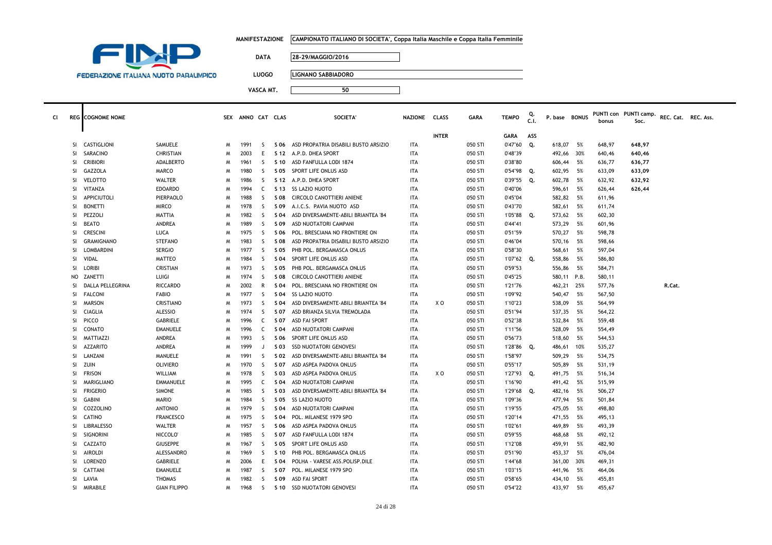|  | MANIFESTAZIONE      CAMPIONATO ITALIANO DI SOCIETA', Coppa Italia Maschile e Coppa Italia Femminile |
|--|-----------------------------------------------------------------------------------------------------|
|--|-----------------------------------------------------------------------------------------------------|



**LUOGO LIGNANO SABBIADORO**

| <b>INTER</b><br>ASS<br><b>GARA</b><br>CASTIGLIONI<br>SAMUELE<br>Q.<br>618,07<br>5%<br>648,97<br>1991<br>S<br>S 06 ASD PROPATRIA DISABILI BUSTO ARSIZIO<br>ITA<br>050 STI<br>0'47"60<br>648,97<br>SI<br>M<br>SARACINO<br><b>ITA</b><br>SI<br>CHRISTIAN<br>2003<br>E<br>S 12 A.P.D. DHEA SPORT<br>050 STI<br>0'48"39<br>492,66 30%<br>640,46<br>640,46<br>N<br><b>CRIBIORI</b><br><b>ADALBERTO</b><br>ASD FANFULLA LODI 1874<br><b>ITA</b><br>050 STI<br>0'38"80<br><b>SI</b><br>1961<br>-S<br>S 10<br>606,44<br>5%<br>636,77<br>636,77<br>M<br>602,95<br>GAZZOLA<br>MARCO<br>1980<br>-S<br>S 05<br>SPORT LIFE ONLUS ASD<br><b>ITA</b><br>050 STI<br>0'54"98<br>Q.<br>5%<br>633,09<br>633,09<br>SI<br>N<br>VELOTTO<br><b>WALTER</b><br>1986<br>050 STI<br>0'39"55<br>602,78<br>632,92<br>SI<br>-S<br>S 12 A.P.D. DHEA SPORT<br><b>ITA</b><br>Q.<br>- 5%<br>632,92<br>N<br>1994<br>SI<br>VITANZA<br><b>EDOARDO</b><br>C<br>\$13 SS LAZIO NUOTO<br><b>ITA</b><br>050 STI<br>0'40"06<br>596,61<br>5%<br>626,44<br>626,44<br>N<br>APPICIUTOLI<br><sub>S</sub><br>582,82<br>5%<br>SI<br>PIERPAOLO<br>1988<br>S 08<br>CIRCOLO CANOTTIERI ANIENE<br><b>ITA</b><br>050 STI<br>0'45"04<br>611,96<br>N<br>0'43"70<br>582,61<br>SI<br><b>BONETTI</b><br><b>MIRCO</b><br>1978<br>-S<br>S 09<br>A.I.C.S. PAVIA NUOTO ASD<br><b>ITA</b><br>050 STI<br>- 5%<br>611,74<br>N<br>PEZZOLI<br>1982<br>-S<br>050 STI<br>1'05"88 Q.<br>573,62<br>SI<br><b>MATTIA</b><br>S 04<br>ASD DIVERSAMENTE-ABILI BRIANTEA '84<br><b>ITA</b><br>5%<br>602,30<br>N<br><b>BEATO</b><br>1989<br><b>ITA</b><br>050 STI<br>573,29<br>SI.<br>ANDREA<br>-S<br>S 09<br>ASD NUOTATORI CAMPANI<br>0'44"41<br>- 5%<br>601,96<br>N<br>570,27<br><b>SI</b><br><b>CRESCINI</b><br>LUCA<br>1975<br><sub>S</sub><br>050 STI<br>0'51"59<br>5%<br>598,78<br>S 06<br>POL. BRESCIANA NO FRONTIERE ON<br><b>ITA</b><br>N<br>SI<br>GRAMIGNANO<br>STEFANO<br>1983<br>-S<br>ASD PROPATRIA DISABILI BUSTO ARSIZIO<br>ITA<br>050 STI<br>0'46"04<br>570,16<br>5%<br>598,66<br>S 08<br>N<br>LOMBARDINI<br>0'58"30<br>597,04<br>SI.<br><b>SERGIO</b><br>1977<br>-S<br>S 05<br>PHB POL. BERGAMASCA ONLUS<br><b>ITA</b><br>050 STI<br>568,61<br>- 5%<br>N<br>VIDAL<br>1984<br><sub>S</sub><br>S 04<br>SPORT LIFE ONLUS ASD<br>558,86<br>5%<br>SI<br>MATTEO<br><b>ITA</b><br>050 STI<br>1'07"62<br>Q.<br>586,80<br>N<br>LORIBI<br>0'59"53<br>SI<br>CRISTIAN<br>1973<br>-S<br>PHB POL. BERGAMASCA ONLUS<br><b>ITA</b><br>050 STI<br>556,86<br>5%<br>584,71<br>N<br>S 05<br>LUIGI<br>1974<br><sub>S</sub><br>050 STI<br>0'45"25<br>580,11 P.B.<br>ZANETTI<br>S 08<br>CIRCOLO CANOTTIERI ANIENE<br><b>ITA</b><br>580,11<br>NO.<br>N<br>DALLA PELLEGRINA<br><b>RICCARDO</b><br>2002<br>R<br>POL. BRESCIANA NO FRONTIERE ON<br>050 STI<br>1'21"76<br>462,21<br>25%<br>577,76<br>R.Cat.<br>SI<br>S 04<br>ITA<br>N<br><b>FALCONI</b><br>1'09"92<br>540,47<br>SI<br><b>FABIO</b><br>1977<br>-S<br>S 04<br><b>SS LAZIO NUOTO</b><br>050 STI<br>- 5%<br>567,50<br>N<br>ITA<br><b>MARSON</b><br>1973<br><sub>S</sub><br><b>ITA</b><br>X O<br>050 STI<br>1'10"23<br>538,09<br>- 5%<br>564,99<br>SI.<br><b>CRISTIANO</b><br>S 04<br>ASD DIVERSAMENTE-ABILI BRIANTEA '84<br>N<br><b>ALESSIO</b><br>SI<br>CIAGLIA<br>1974<br>-S<br>ASD BRIANZA SILVIA TREMOLADA<br><b>ITA</b><br>050 STI<br>0'51"94<br>537,35<br>- 5%<br>564,22<br>S 07<br>N<br><b>PICCO</b><br>1996<br>0'52"38<br>532,84<br>559,48<br>SI.<br><b>GABRIELE</b><br>C<br>S 07<br>ASD FAI SPORT<br><b>ITA</b><br>050 STI<br>- 5%<br>N<br>CONATO<br>1996<br>050 STI<br>1'11"56<br>528,09<br>- 5%<br>554,49<br>SI.<br><b>EMANUELE</b><br>C<br>S 04<br>ASD NUOTATORI CAMPANI<br><b>ITA</b><br>N<br>0'56"73<br>SI<br>MATTIAZZI<br>ANDREA<br>1993<br>-S<br>SPORT LIFE ONLUS ASD<br>ITA<br>050 STI<br>518,60<br>5%<br>544,53<br>S 06<br>N<br><b>AZZARITO</b><br>1999<br><b>ITA</b><br>050 STI<br>1'28"86<br>535,27<br>SI.<br>ANDREA<br>J<br>S 03<br><b>SSD NUOTATORI GENOVESI</b><br>Q.<br>486,61<br>10%<br>N<br>SI<br>LANZANI<br>1991<br>050 STI<br>1'58"97<br>509,29<br>MANUELE<br>-S<br>S 02<br>ASD DIVERSAMENTE-ABILI BRIANTEA '84<br><b>ITA</b><br>- 5%<br>534,75<br>N<br><b>OLIVIERO</b><br><sub>S</sub><br>0'55"17<br>505,89<br>SI<br>zuin<br>1970<br>ASD ASPEA PADOVA ONLUS<br><b>ITA</b><br>050 STI<br>- 5%<br>531,19<br>S 07<br>N<br><b>FRISON</b><br>1978<br><sub>S</sub><br>x o<br>1'27"93<br>491,75<br>5%<br><b>SI</b><br>WILLIAM<br>S 03<br>ASD ASPEA PADOVA ONLUS<br><b>ITA</b><br>050 STI<br>Q.<br>516,34<br>N<br>SI<br>MARIGLIANO<br><b>EMMANUELE</b><br>1995<br>C<br>ASD NUOTATORI CAMPANI<br><b>ITA</b><br>050 STI<br>1'16"90<br>491,42 5%<br>515,99<br>N<br>S 04<br><b>FRIGERIO</b><br>SI<br><b>SIMONE</b><br>1985<br>-S<br>S 03<br>ASD DIVERSAMENTE-ABILI BRIANTEA '84<br><b>ITA</b><br>050 STI<br>1'29"68<br>Q.<br>482,16<br>5%<br>506,27<br>N<br><b>SS LAZIO NUOTO</b><br><b>ITA</b><br>050 STI<br>1'09"36<br><b>SI</b><br><b>GABINI</b><br><b>MARIO</b><br>1984<br>-S<br>S 05<br>477,94<br>5%<br>501,84<br>N<br>475,05<br>COZZOLINO<br><b>ANTONIO</b><br>1979<br>-S<br>ASD NUOTATORI CAMPANI<br><b>ITA</b><br>050 STI<br>1'19"55<br>- 5%<br>498,80<br>SI<br>S 04<br>N<br><b>CATINO</b><br>1'20"14<br>471,55<br>SI<br><b>FRANCESCO</b><br>1975<br>-S<br>S 04<br>POL. MILANESE 1979 SPO<br><b>ITA</b><br>050 STI<br>5%<br>495,13<br>N<br>469,89<br><b>SI</b><br><b>LIBRALESSO</b><br><b>WALTER</b><br>1957<br><sub>S</sub><br>ASD ASPEA PADOVA ONLUS<br><b>ITA</b><br>050 STI<br>1'02"61<br>5%<br>493,39<br>S 06<br>N<br><b>SIGNORINI</b><br>5%<br>SI<br>NICCOLO <sup>®</sup><br>1985<br>-S<br>S 07<br>ASD FANFULLA LODI 1874<br><b>ITA</b><br>050 STI<br>0'59"55<br>468,68<br>492,12<br>N<br>CAZZATO<br>SI.<br><b>GIUSEPPE</b><br>1967<br>-S<br>S 05<br>SPORT LIFE ONLUS ASD<br><b>ITA</b><br>050 STI<br>1'12"08<br>459,91<br>5%<br>482,90<br>M<br><b>AIROLDI</b><br>ALESSANDRO<br><sub>S</sub><br><b>ITA</b><br>050 STI<br>0'51"90<br>453,37<br>5%<br>SI<br>1969<br>S 10<br>PHB POL. BERGAMASCA ONLUS<br>476,04<br>N<br>LORENZO<br>E<br>1'44"68<br><b>SI</b><br>GABRIELE<br>2006<br>S 04<br>POLHA - VARESE ASS.POLISP.DILE<br><b>ITA</b><br>050 STI<br>361,00<br>30%<br>469,31<br>N<br>SI.<br>CATTANI<br><b>EMANUELE</b><br>1987<br><sub>S</sub><br>POL. MILANESE 1979 SPO<br>050 STI<br>441,96<br>S 07<br><b>ITA</b><br>1'03"15<br>5%<br>464,06<br>N<br>SI<br>LAVIA<br><b>THOMAS</b><br>1982<br><sub>S</sub><br>S 09<br><b>ASD FAI SPORT</b><br><b>ITA</b><br>050 STI<br>0'58"65<br>434,10<br>5%<br>455,81<br>N<br><b>ITA</b><br>050 STI<br>0'54"22<br>433,97<br>SI<br>MIRABILE<br><b>GIAN FILIPPO</b><br>1968<br>-S<br>S 10<br>SSD NUOTATORI GENOVESI<br>- 5%<br>455,67<br>M | cı | <b>REG</b> COGNOME NOME |  | SEX ANNO CAT CLAS |  | <b>SOCIETA'</b> | NAZIONE CLASS | <b>GARA</b> | <b>TEMPO</b> | C.I. | P. base BONUS | bonus | PUNTI con PUNTI camp.<br>Soc. | REC. Cat. REC. Ass. |  |
|----------------------------------------------------------------------------------------------------------------------------------------------------------------------------------------------------------------------------------------------------------------------------------------------------------------------------------------------------------------------------------------------------------------------------------------------------------------------------------------------------------------------------------------------------------------------------------------------------------------------------------------------------------------------------------------------------------------------------------------------------------------------------------------------------------------------------------------------------------------------------------------------------------------------------------------------------------------------------------------------------------------------------------------------------------------------------------------------------------------------------------------------------------------------------------------------------------------------------------------------------------------------------------------------------------------------------------------------------------------------------------------------------------------------------------------------------------------------------------------------------------------------------------------------------------------------------------------------------------------------------------------------------------------------------------------------------------------------------------------------------------------------------------------------------------------------------------------------------------------------------------------------------------------------------------------------------------------------------------------------------------------------------------------------------------------------------------------------------------------------------------------------------------------------------------------------------------------------------------------------------------------------------------------------------------------------------------------------------------------------------------------------------------------------------------------------------------------------------------------------------------------------------------------------------------------------------------------------------------------------------------------------------------------------------------------------------------------------------------------------------------------------------------------------------------------------------------------------------------------------------------------------------------------------------------------------------------------------------------------------------------------------------------------------------------------------------------------------------------------------------------------------------------------------------------------------------------------------------------------------------------------------------------------------------------------------------------------------------------------------------------------------------------------------------------------------------------------------------------------------------------------------------------------------------------------------------------------------------------------------------------------------------------------------------------------------------------------------------------------------------------------------------------------------------------------------------------------------------------------------------------------------------------------------------------------------------------------------------------------------------------------------------------------------------------------------------------------------------------------------------------------------------------------------------------------------------------------------------------------------------------------------------------------------------------------------------------------------------------------------------------------------------------------------------------------------------------------------------------------------------------------------------------------------------------------------------------------------------------------------------------------------------------------------------------------------------------------------------------------------------------------------------------------------------------------------------------------------------------------------------------------------------------------------------------------------------------------------------------------------------------------------------------------------------------------------------------------------------------------------------------------------------------------------------------------------------------------------------------------------------------------------------------------------------------------------------------------------------------------------------------------------------------------------------------------------------------------------------------------------------------------------------------------------------------------------------------------------------------------------------------------------------------------------------------------------------------------------------------------------------------------------------------------------------------------------------------------------------------------------------------------------------------------------------------------------------------------------------------------------------------------------------------------------------------------------------------------------------------------------------------------------------------------------------------------------------------------------------------------------------------------------------------------------------------------------------------------------------------------------------------------------------------------------------------------------------------------------------------------------------------------------------------------------------------------------------------------------------------------------------------------------------------------------------|----|-------------------------|--|-------------------|--|-----------------|---------------|-------------|--------------|------|---------------|-------|-------------------------------|---------------------|--|
|                                                                                                                                                                                                                                                                                                                                                                                                                                                                                                                                                                                                                                                                                                                                                                                                                                                                                                                                                                                                                                                                                                                                                                                                                                                                                                                                                                                                                                                                                                                                                                                                                                                                                                                                                                                                                                                                                                                                                                                                                                                                                                                                                                                                                                                                                                                                                                                                                                                                                                                                                                                                                                                                                                                                                                                                                                                                                                                                                                                                                                                                                                                                                                                                                                                                                                                                                                                                                                                                                                                                                                                                                                                                                                                                                                                                                                                                                                                                                                                                                                                                                                                                                                                                                                                                                                                                                                                                                                                                                                                                                                                                                                                                                                                                                                                                                                                                                                                                                                                                                                                                                                                                                                                                                                                                                                                                                                                                                                                                                                                                                                                                                                                                                                                                                                                                                                                                                                                                                                                                                                                                                                                                                                                                                                                                                                                                                                                                                                                                                                                                                                                                                                                                            |    |                         |  |                   |  |                 |               |             |              |      |               |       |                               |                     |  |
|                                                                                                                                                                                                                                                                                                                                                                                                                                                                                                                                                                                                                                                                                                                                                                                                                                                                                                                                                                                                                                                                                                                                                                                                                                                                                                                                                                                                                                                                                                                                                                                                                                                                                                                                                                                                                                                                                                                                                                                                                                                                                                                                                                                                                                                                                                                                                                                                                                                                                                                                                                                                                                                                                                                                                                                                                                                                                                                                                                                                                                                                                                                                                                                                                                                                                                                                                                                                                                                                                                                                                                                                                                                                                                                                                                                                                                                                                                                                                                                                                                                                                                                                                                                                                                                                                                                                                                                                                                                                                                                                                                                                                                                                                                                                                                                                                                                                                                                                                                                                                                                                                                                                                                                                                                                                                                                                                                                                                                                                                                                                                                                                                                                                                                                                                                                                                                                                                                                                                                                                                                                                                                                                                                                                                                                                                                                                                                                                                                                                                                                                                                                                                                                                            |    |                         |  |                   |  |                 |               |             |              |      |               |       |                               |                     |  |
|                                                                                                                                                                                                                                                                                                                                                                                                                                                                                                                                                                                                                                                                                                                                                                                                                                                                                                                                                                                                                                                                                                                                                                                                                                                                                                                                                                                                                                                                                                                                                                                                                                                                                                                                                                                                                                                                                                                                                                                                                                                                                                                                                                                                                                                                                                                                                                                                                                                                                                                                                                                                                                                                                                                                                                                                                                                                                                                                                                                                                                                                                                                                                                                                                                                                                                                                                                                                                                                                                                                                                                                                                                                                                                                                                                                                                                                                                                                                                                                                                                                                                                                                                                                                                                                                                                                                                                                                                                                                                                                                                                                                                                                                                                                                                                                                                                                                                                                                                                                                                                                                                                                                                                                                                                                                                                                                                                                                                                                                                                                                                                                                                                                                                                                                                                                                                                                                                                                                                                                                                                                                                                                                                                                                                                                                                                                                                                                                                                                                                                                                                                                                                                                                            |    |                         |  |                   |  |                 |               |             |              |      |               |       |                               |                     |  |
|                                                                                                                                                                                                                                                                                                                                                                                                                                                                                                                                                                                                                                                                                                                                                                                                                                                                                                                                                                                                                                                                                                                                                                                                                                                                                                                                                                                                                                                                                                                                                                                                                                                                                                                                                                                                                                                                                                                                                                                                                                                                                                                                                                                                                                                                                                                                                                                                                                                                                                                                                                                                                                                                                                                                                                                                                                                                                                                                                                                                                                                                                                                                                                                                                                                                                                                                                                                                                                                                                                                                                                                                                                                                                                                                                                                                                                                                                                                                                                                                                                                                                                                                                                                                                                                                                                                                                                                                                                                                                                                                                                                                                                                                                                                                                                                                                                                                                                                                                                                                                                                                                                                                                                                                                                                                                                                                                                                                                                                                                                                                                                                                                                                                                                                                                                                                                                                                                                                                                                                                                                                                                                                                                                                                                                                                                                                                                                                                                                                                                                                                                                                                                                                                            |    |                         |  |                   |  |                 |               |             |              |      |               |       |                               |                     |  |
|                                                                                                                                                                                                                                                                                                                                                                                                                                                                                                                                                                                                                                                                                                                                                                                                                                                                                                                                                                                                                                                                                                                                                                                                                                                                                                                                                                                                                                                                                                                                                                                                                                                                                                                                                                                                                                                                                                                                                                                                                                                                                                                                                                                                                                                                                                                                                                                                                                                                                                                                                                                                                                                                                                                                                                                                                                                                                                                                                                                                                                                                                                                                                                                                                                                                                                                                                                                                                                                                                                                                                                                                                                                                                                                                                                                                                                                                                                                                                                                                                                                                                                                                                                                                                                                                                                                                                                                                                                                                                                                                                                                                                                                                                                                                                                                                                                                                                                                                                                                                                                                                                                                                                                                                                                                                                                                                                                                                                                                                                                                                                                                                                                                                                                                                                                                                                                                                                                                                                                                                                                                                                                                                                                                                                                                                                                                                                                                                                                                                                                                                                                                                                                                                            |    |                         |  |                   |  |                 |               |             |              |      |               |       |                               |                     |  |
|                                                                                                                                                                                                                                                                                                                                                                                                                                                                                                                                                                                                                                                                                                                                                                                                                                                                                                                                                                                                                                                                                                                                                                                                                                                                                                                                                                                                                                                                                                                                                                                                                                                                                                                                                                                                                                                                                                                                                                                                                                                                                                                                                                                                                                                                                                                                                                                                                                                                                                                                                                                                                                                                                                                                                                                                                                                                                                                                                                                                                                                                                                                                                                                                                                                                                                                                                                                                                                                                                                                                                                                                                                                                                                                                                                                                                                                                                                                                                                                                                                                                                                                                                                                                                                                                                                                                                                                                                                                                                                                                                                                                                                                                                                                                                                                                                                                                                                                                                                                                                                                                                                                                                                                                                                                                                                                                                                                                                                                                                                                                                                                                                                                                                                                                                                                                                                                                                                                                                                                                                                                                                                                                                                                                                                                                                                                                                                                                                                                                                                                                                                                                                                                                            |    |                         |  |                   |  |                 |               |             |              |      |               |       |                               |                     |  |
|                                                                                                                                                                                                                                                                                                                                                                                                                                                                                                                                                                                                                                                                                                                                                                                                                                                                                                                                                                                                                                                                                                                                                                                                                                                                                                                                                                                                                                                                                                                                                                                                                                                                                                                                                                                                                                                                                                                                                                                                                                                                                                                                                                                                                                                                                                                                                                                                                                                                                                                                                                                                                                                                                                                                                                                                                                                                                                                                                                                                                                                                                                                                                                                                                                                                                                                                                                                                                                                                                                                                                                                                                                                                                                                                                                                                                                                                                                                                                                                                                                                                                                                                                                                                                                                                                                                                                                                                                                                                                                                                                                                                                                                                                                                                                                                                                                                                                                                                                                                                                                                                                                                                                                                                                                                                                                                                                                                                                                                                                                                                                                                                                                                                                                                                                                                                                                                                                                                                                                                                                                                                                                                                                                                                                                                                                                                                                                                                                                                                                                                                                                                                                                                                            |    |                         |  |                   |  |                 |               |             |              |      |               |       |                               |                     |  |
|                                                                                                                                                                                                                                                                                                                                                                                                                                                                                                                                                                                                                                                                                                                                                                                                                                                                                                                                                                                                                                                                                                                                                                                                                                                                                                                                                                                                                                                                                                                                                                                                                                                                                                                                                                                                                                                                                                                                                                                                                                                                                                                                                                                                                                                                                                                                                                                                                                                                                                                                                                                                                                                                                                                                                                                                                                                                                                                                                                                                                                                                                                                                                                                                                                                                                                                                                                                                                                                                                                                                                                                                                                                                                                                                                                                                                                                                                                                                                                                                                                                                                                                                                                                                                                                                                                                                                                                                                                                                                                                                                                                                                                                                                                                                                                                                                                                                                                                                                                                                                                                                                                                                                                                                                                                                                                                                                                                                                                                                                                                                                                                                                                                                                                                                                                                                                                                                                                                                                                                                                                                                                                                                                                                                                                                                                                                                                                                                                                                                                                                                                                                                                                                                            |    |                         |  |                   |  |                 |               |             |              |      |               |       |                               |                     |  |
|                                                                                                                                                                                                                                                                                                                                                                                                                                                                                                                                                                                                                                                                                                                                                                                                                                                                                                                                                                                                                                                                                                                                                                                                                                                                                                                                                                                                                                                                                                                                                                                                                                                                                                                                                                                                                                                                                                                                                                                                                                                                                                                                                                                                                                                                                                                                                                                                                                                                                                                                                                                                                                                                                                                                                                                                                                                                                                                                                                                                                                                                                                                                                                                                                                                                                                                                                                                                                                                                                                                                                                                                                                                                                                                                                                                                                                                                                                                                                                                                                                                                                                                                                                                                                                                                                                                                                                                                                                                                                                                                                                                                                                                                                                                                                                                                                                                                                                                                                                                                                                                                                                                                                                                                                                                                                                                                                                                                                                                                                                                                                                                                                                                                                                                                                                                                                                                                                                                                                                                                                                                                                                                                                                                                                                                                                                                                                                                                                                                                                                                                                                                                                                                                            |    |                         |  |                   |  |                 |               |             |              |      |               |       |                               |                     |  |
|                                                                                                                                                                                                                                                                                                                                                                                                                                                                                                                                                                                                                                                                                                                                                                                                                                                                                                                                                                                                                                                                                                                                                                                                                                                                                                                                                                                                                                                                                                                                                                                                                                                                                                                                                                                                                                                                                                                                                                                                                                                                                                                                                                                                                                                                                                                                                                                                                                                                                                                                                                                                                                                                                                                                                                                                                                                                                                                                                                                                                                                                                                                                                                                                                                                                                                                                                                                                                                                                                                                                                                                                                                                                                                                                                                                                                                                                                                                                                                                                                                                                                                                                                                                                                                                                                                                                                                                                                                                                                                                                                                                                                                                                                                                                                                                                                                                                                                                                                                                                                                                                                                                                                                                                                                                                                                                                                                                                                                                                                                                                                                                                                                                                                                                                                                                                                                                                                                                                                                                                                                                                                                                                                                                                                                                                                                                                                                                                                                                                                                                                                                                                                                                                            |    |                         |  |                   |  |                 |               |             |              |      |               |       |                               |                     |  |
|                                                                                                                                                                                                                                                                                                                                                                                                                                                                                                                                                                                                                                                                                                                                                                                                                                                                                                                                                                                                                                                                                                                                                                                                                                                                                                                                                                                                                                                                                                                                                                                                                                                                                                                                                                                                                                                                                                                                                                                                                                                                                                                                                                                                                                                                                                                                                                                                                                                                                                                                                                                                                                                                                                                                                                                                                                                                                                                                                                                                                                                                                                                                                                                                                                                                                                                                                                                                                                                                                                                                                                                                                                                                                                                                                                                                                                                                                                                                                                                                                                                                                                                                                                                                                                                                                                                                                                                                                                                                                                                                                                                                                                                                                                                                                                                                                                                                                                                                                                                                                                                                                                                                                                                                                                                                                                                                                                                                                                                                                                                                                                                                                                                                                                                                                                                                                                                                                                                                                                                                                                                                                                                                                                                                                                                                                                                                                                                                                                                                                                                                                                                                                                                                            |    |                         |  |                   |  |                 |               |             |              |      |               |       |                               |                     |  |
|                                                                                                                                                                                                                                                                                                                                                                                                                                                                                                                                                                                                                                                                                                                                                                                                                                                                                                                                                                                                                                                                                                                                                                                                                                                                                                                                                                                                                                                                                                                                                                                                                                                                                                                                                                                                                                                                                                                                                                                                                                                                                                                                                                                                                                                                                                                                                                                                                                                                                                                                                                                                                                                                                                                                                                                                                                                                                                                                                                                                                                                                                                                                                                                                                                                                                                                                                                                                                                                                                                                                                                                                                                                                                                                                                                                                                                                                                                                                                                                                                                                                                                                                                                                                                                                                                                                                                                                                                                                                                                                                                                                                                                                                                                                                                                                                                                                                                                                                                                                                                                                                                                                                                                                                                                                                                                                                                                                                                                                                                                                                                                                                                                                                                                                                                                                                                                                                                                                                                                                                                                                                                                                                                                                                                                                                                                                                                                                                                                                                                                                                                                                                                                                                            |    |                         |  |                   |  |                 |               |             |              |      |               |       |                               |                     |  |
|                                                                                                                                                                                                                                                                                                                                                                                                                                                                                                                                                                                                                                                                                                                                                                                                                                                                                                                                                                                                                                                                                                                                                                                                                                                                                                                                                                                                                                                                                                                                                                                                                                                                                                                                                                                                                                                                                                                                                                                                                                                                                                                                                                                                                                                                                                                                                                                                                                                                                                                                                                                                                                                                                                                                                                                                                                                                                                                                                                                                                                                                                                                                                                                                                                                                                                                                                                                                                                                                                                                                                                                                                                                                                                                                                                                                                                                                                                                                                                                                                                                                                                                                                                                                                                                                                                                                                                                                                                                                                                                                                                                                                                                                                                                                                                                                                                                                                                                                                                                                                                                                                                                                                                                                                                                                                                                                                                                                                                                                                                                                                                                                                                                                                                                                                                                                                                                                                                                                                                                                                                                                                                                                                                                                                                                                                                                                                                                                                                                                                                                                                                                                                                                                            |    |                         |  |                   |  |                 |               |             |              |      |               |       |                               |                     |  |
|                                                                                                                                                                                                                                                                                                                                                                                                                                                                                                                                                                                                                                                                                                                                                                                                                                                                                                                                                                                                                                                                                                                                                                                                                                                                                                                                                                                                                                                                                                                                                                                                                                                                                                                                                                                                                                                                                                                                                                                                                                                                                                                                                                                                                                                                                                                                                                                                                                                                                                                                                                                                                                                                                                                                                                                                                                                                                                                                                                                                                                                                                                                                                                                                                                                                                                                                                                                                                                                                                                                                                                                                                                                                                                                                                                                                                                                                                                                                                                                                                                                                                                                                                                                                                                                                                                                                                                                                                                                                                                                                                                                                                                                                                                                                                                                                                                                                                                                                                                                                                                                                                                                                                                                                                                                                                                                                                                                                                                                                                                                                                                                                                                                                                                                                                                                                                                                                                                                                                                                                                                                                                                                                                                                                                                                                                                                                                                                                                                                                                                                                                                                                                                                                            |    |                         |  |                   |  |                 |               |             |              |      |               |       |                               |                     |  |
|                                                                                                                                                                                                                                                                                                                                                                                                                                                                                                                                                                                                                                                                                                                                                                                                                                                                                                                                                                                                                                                                                                                                                                                                                                                                                                                                                                                                                                                                                                                                                                                                                                                                                                                                                                                                                                                                                                                                                                                                                                                                                                                                                                                                                                                                                                                                                                                                                                                                                                                                                                                                                                                                                                                                                                                                                                                                                                                                                                                                                                                                                                                                                                                                                                                                                                                                                                                                                                                                                                                                                                                                                                                                                                                                                                                                                                                                                                                                                                                                                                                                                                                                                                                                                                                                                                                                                                                                                                                                                                                                                                                                                                                                                                                                                                                                                                                                                                                                                                                                                                                                                                                                                                                                                                                                                                                                                                                                                                                                                                                                                                                                                                                                                                                                                                                                                                                                                                                                                                                                                                                                                                                                                                                                                                                                                                                                                                                                                                                                                                                                                                                                                                                                            |    |                         |  |                   |  |                 |               |             |              |      |               |       |                               |                     |  |
|                                                                                                                                                                                                                                                                                                                                                                                                                                                                                                                                                                                                                                                                                                                                                                                                                                                                                                                                                                                                                                                                                                                                                                                                                                                                                                                                                                                                                                                                                                                                                                                                                                                                                                                                                                                                                                                                                                                                                                                                                                                                                                                                                                                                                                                                                                                                                                                                                                                                                                                                                                                                                                                                                                                                                                                                                                                                                                                                                                                                                                                                                                                                                                                                                                                                                                                                                                                                                                                                                                                                                                                                                                                                                                                                                                                                                                                                                                                                                                                                                                                                                                                                                                                                                                                                                                                                                                                                                                                                                                                                                                                                                                                                                                                                                                                                                                                                                                                                                                                                                                                                                                                                                                                                                                                                                                                                                                                                                                                                                                                                                                                                                                                                                                                                                                                                                                                                                                                                                                                                                                                                                                                                                                                                                                                                                                                                                                                                                                                                                                                                                                                                                                                                            |    |                         |  |                   |  |                 |               |             |              |      |               |       |                               |                     |  |
|                                                                                                                                                                                                                                                                                                                                                                                                                                                                                                                                                                                                                                                                                                                                                                                                                                                                                                                                                                                                                                                                                                                                                                                                                                                                                                                                                                                                                                                                                                                                                                                                                                                                                                                                                                                                                                                                                                                                                                                                                                                                                                                                                                                                                                                                                                                                                                                                                                                                                                                                                                                                                                                                                                                                                                                                                                                                                                                                                                                                                                                                                                                                                                                                                                                                                                                                                                                                                                                                                                                                                                                                                                                                                                                                                                                                                                                                                                                                                                                                                                                                                                                                                                                                                                                                                                                                                                                                                                                                                                                                                                                                                                                                                                                                                                                                                                                                                                                                                                                                                                                                                                                                                                                                                                                                                                                                                                                                                                                                                                                                                                                                                                                                                                                                                                                                                                                                                                                                                                                                                                                                                                                                                                                                                                                                                                                                                                                                                                                                                                                                                                                                                                                                            |    |                         |  |                   |  |                 |               |             |              |      |               |       |                               |                     |  |
|                                                                                                                                                                                                                                                                                                                                                                                                                                                                                                                                                                                                                                                                                                                                                                                                                                                                                                                                                                                                                                                                                                                                                                                                                                                                                                                                                                                                                                                                                                                                                                                                                                                                                                                                                                                                                                                                                                                                                                                                                                                                                                                                                                                                                                                                                                                                                                                                                                                                                                                                                                                                                                                                                                                                                                                                                                                                                                                                                                                                                                                                                                                                                                                                                                                                                                                                                                                                                                                                                                                                                                                                                                                                                                                                                                                                                                                                                                                                                                                                                                                                                                                                                                                                                                                                                                                                                                                                                                                                                                                                                                                                                                                                                                                                                                                                                                                                                                                                                                                                                                                                                                                                                                                                                                                                                                                                                                                                                                                                                                                                                                                                                                                                                                                                                                                                                                                                                                                                                                                                                                                                                                                                                                                                                                                                                                                                                                                                                                                                                                                                                                                                                                                                            |    |                         |  |                   |  |                 |               |             |              |      |               |       |                               |                     |  |
|                                                                                                                                                                                                                                                                                                                                                                                                                                                                                                                                                                                                                                                                                                                                                                                                                                                                                                                                                                                                                                                                                                                                                                                                                                                                                                                                                                                                                                                                                                                                                                                                                                                                                                                                                                                                                                                                                                                                                                                                                                                                                                                                                                                                                                                                                                                                                                                                                                                                                                                                                                                                                                                                                                                                                                                                                                                                                                                                                                                                                                                                                                                                                                                                                                                                                                                                                                                                                                                                                                                                                                                                                                                                                                                                                                                                                                                                                                                                                                                                                                                                                                                                                                                                                                                                                                                                                                                                                                                                                                                                                                                                                                                                                                                                                                                                                                                                                                                                                                                                                                                                                                                                                                                                                                                                                                                                                                                                                                                                                                                                                                                                                                                                                                                                                                                                                                                                                                                                                                                                                                                                                                                                                                                                                                                                                                                                                                                                                                                                                                                                                                                                                                                                            |    |                         |  |                   |  |                 |               |             |              |      |               |       |                               |                     |  |
|                                                                                                                                                                                                                                                                                                                                                                                                                                                                                                                                                                                                                                                                                                                                                                                                                                                                                                                                                                                                                                                                                                                                                                                                                                                                                                                                                                                                                                                                                                                                                                                                                                                                                                                                                                                                                                                                                                                                                                                                                                                                                                                                                                                                                                                                                                                                                                                                                                                                                                                                                                                                                                                                                                                                                                                                                                                                                                                                                                                                                                                                                                                                                                                                                                                                                                                                                                                                                                                                                                                                                                                                                                                                                                                                                                                                                                                                                                                                                                                                                                                                                                                                                                                                                                                                                                                                                                                                                                                                                                                                                                                                                                                                                                                                                                                                                                                                                                                                                                                                                                                                                                                                                                                                                                                                                                                                                                                                                                                                                                                                                                                                                                                                                                                                                                                                                                                                                                                                                                                                                                                                                                                                                                                                                                                                                                                                                                                                                                                                                                                                                                                                                                                                            |    |                         |  |                   |  |                 |               |             |              |      |               |       |                               |                     |  |
|                                                                                                                                                                                                                                                                                                                                                                                                                                                                                                                                                                                                                                                                                                                                                                                                                                                                                                                                                                                                                                                                                                                                                                                                                                                                                                                                                                                                                                                                                                                                                                                                                                                                                                                                                                                                                                                                                                                                                                                                                                                                                                                                                                                                                                                                                                                                                                                                                                                                                                                                                                                                                                                                                                                                                                                                                                                                                                                                                                                                                                                                                                                                                                                                                                                                                                                                                                                                                                                                                                                                                                                                                                                                                                                                                                                                                                                                                                                                                                                                                                                                                                                                                                                                                                                                                                                                                                                                                                                                                                                                                                                                                                                                                                                                                                                                                                                                                                                                                                                                                                                                                                                                                                                                                                                                                                                                                                                                                                                                                                                                                                                                                                                                                                                                                                                                                                                                                                                                                                                                                                                                                                                                                                                                                                                                                                                                                                                                                                                                                                                                                                                                                                                                            |    |                         |  |                   |  |                 |               |             |              |      |               |       |                               |                     |  |
|                                                                                                                                                                                                                                                                                                                                                                                                                                                                                                                                                                                                                                                                                                                                                                                                                                                                                                                                                                                                                                                                                                                                                                                                                                                                                                                                                                                                                                                                                                                                                                                                                                                                                                                                                                                                                                                                                                                                                                                                                                                                                                                                                                                                                                                                                                                                                                                                                                                                                                                                                                                                                                                                                                                                                                                                                                                                                                                                                                                                                                                                                                                                                                                                                                                                                                                                                                                                                                                                                                                                                                                                                                                                                                                                                                                                                                                                                                                                                                                                                                                                                                                                                                                                                                                                                                                                                                                                                                                                                                                                                                                                                                                                                                                                                                                                                                                                                                                                                                                                                                                                                                                                                                                                                                                                                                                                                                                                                                                                                                                                                                                                                                                                                                                                                                                                                                                                                                                                                                                                                                                                                                                                                                                                                                                                                                                                                                                                                                                                                                                                                                                                                                                                            |    |                         |  |                   |  |                 |               |             |              |      |               |       |                               |                     |  |
|                                                                                                                                                                                                                                                                                                                                                                                                                                                                                                                                                                                                                                                                                                                                                                                                                                                                                                                                                                                                                                                                                                                                                                                                                                                                                                                                                                                                                                                                                                                                                                                                                                                                                                                                                                                                                                                                                                                                                                                                                                                                                                                                                                                                                                                                                                                                                                                                                                                                                                                                                                                                                                                                                                                                                                                                                                                                                                                                                                                                                                                                                                                                                                                                                                                                                                                                                                                                                                                                                                                                                                                                                                                                                                                                                                                                                                                                                                                                                                                                                                                                                                                                                                                                                                                                                                                                                                                                                                                                                                                                                                                                                                                                                                                                                                                                                                                                                                                                                                                                                                                                                                                                                                                                                                                                                                                                                                                                                                                                                                                                                                                                                                                                                                                                                                                                                                                                                                                                                                                                                                                                                                                                                                                                                                                                                                                                                                                                                                                                                                                                                                                                                                                                            |    |                         |  |                   |  |                 |               |             |              |      |               |       |                               |                     |  |
|                                                                                                                                                                                                                                                                                                                                                                                                                                                                                                                                                                                                                                                                                                                                                                                                                                                                                                                                                                                                                                                                                                                                                                                                                                                                                                                                                                                                                                                                                                                                                                                                                                                                                                                                                                                                                                                                                                                                                                                                                                                                                                                                                                                                                                                                                                                                                                                                                                                                                                                                                                                                                                                                                                                                                                                                                                                                                                                                                                                                                                                                                                                                                                                                                                                                                                                                                                                                                                                                                                                                                                                                                                                                                                                                                                                                                                                                                                                                                                                                                                                                                                                                                                                                                                                                                                                                                                                                                                                                                                                                                                                                                                                                                                                                                                                                                                                                                                                                                                                                                                                                                                                                                                                                                                                                                                                                                                                                                                                                                                                                                                                                                                                                                                                                                                                                                                                                                                                                                                                                                                                                                                                                                                                                                                                                                                                                                                                                                                                                                                                                                                                                                                                                            |    |                         |  |                   |  |                 |               |             |              |      |               |       |                               |                     |  |
|                                                                                                                                                                                                                                                                                                                                                                                                                                                                                                                                                                                                                                                                                                                                                                                                                                                                                                                                                                                                                                                                                                                                                                                                                                                                                                                                                                                                                                                                                                                                                                                                                                                                                                                                                                                                                                                                                                                                                                                                                                                                                                                                                                                                                                                                                                                                                                                                                                                                                                                                                                                                                                                                                                                                                                                                                                                                                                                                                                                                                                                                                                                                                                                                                                                                                                                                                                                                                                                                                                                                                                                                                                                                                                                                                                                                                                                                                                                                                                                                                                                                                                                                                                                                                                                                                                                                                                                                                                                                                                                                                                                                                                                                                                                                                                                                                                                                                                                                                                                                                                                                                                                                                                                                                                                                                                                                                                                                                                                                                                                                                                                                                                                                                                                                                                                                                                                                                                                                                                                                                                                                                                                                                                                                                                                                                                                                                                                                                                                                                                                                                                                                                                                                            |    |                         |  |                   |  |                 |               |             |              |      |               |       |                               |                     |  |
|                                                                                                                                                                                                                                                                                                                                                                                                                                                                                                                                                                                                                                                                                                                                                                                                                                                                                                                                                                                                                                                                                                                                                                                                                                                                                                                                                                                                                                                                                                                                                                                                                                                                                                                                                                                                                                                                                                                                                                                                                                                                                                                                                                                                                                                                                                                                                                                                                                                                                                                                                                                                                                                                                                                                                                                                                                                                                                                                                                                                                                                                                                                                                                                                                                                                                                                                                                                                                                                                                                                                                                                                                                                                                                                                                                                                                                                                                                                                                                                                                                                                                                                                                                                                                                                                                                                                                                                                                                                                                                                                                                                                                                                                                                                                                                                                                                                                                                                                                                                                                                                                                                                                                                                                                                                                                                                                                                                                                                                                                                                                                                                                                                                                                                                                                                                                                                                                                                                                                                                                                                                                                                                                                                                                                                                                                                                                                                                                                                                                                                                                                                                                                                                                            |    |                         |  |                   |  |                 |               |             |              |      |               |       |                               |                     |  |
|                                                                                                                                                                                                                                                                                                                                                                                                                                                                                                                                                                                                                                                                                                                                                                                                                                                                                                                                                                                                                                                                                                                                                                                                                                                                                                                                                                                                                                                                                                                                                                                                                                                                                                                                                                                                                                                                                                                                                                                                                                                                                                                                                                                                                                                                                                                                                                                                                                                                                                                                                                                                                                                                                                                                                                                                                                                                                                                                                                                                                                                                                                                                                                                                                                                                                                                                                                                                                                                                                                                                                                                                                                                                                                                                                                                                                                                                                                                                                                                                                                                                                                                                                                                                                                                                                                                                                                                                                                                                                                                                                                                                                                                                                                                                                                                                                                                                                                                                                                                                                                                                                                                                                                                                                                                                                                                                                                                                                                                                                                                                                                                                                                                                                                                                                                                                                                                                                                                                                                                                                                                                                                                                                                                                                                                                                                                                                                                                                                                                                                                                                                                                                                                                            |    |                         |  |                   |  |                 |               |             |              |      |               |       |                               |                     |  |
|                                                                                                                                                                                                                                                                                                                                                                                                                                                                                                                                                                                                                                                                                                                                                                                                                                                                                                                                                                                                                                                                                                                                                                                                                                                                                                                                                                                                                                                                                                                                                                                                                                                                                                                                                                                                                                                                                                                                                                                                                                                                                                                                                                                                                                                                                                                                                                                                                                                                                                                                                                                                                                                                                                                                                                                                                                                                                                                                                                                                                                                                                                                                                                                                                                                                                                                                                                                                                                                                                                                                                                                                                                                                                                                                                                                                                                                                                                                                                                                                                                                                                                                                                                                                                                                                                                                                                                                                                                                                                                                                                                                                                                                                                                                                                                                                                                                                                                                                                                                                                                                                                                                                                                                                                                                                                                                                                                                                                                                                                                                                                                                                                                                                                                                                                                                                                                                                                                                                                                                                                                                                                                                                                                                                                                                                                                                                                                                                                                                                                                                                                                                                                                                                            |    |                         |  |                   |  |                 |               |             |              |      |               |       |                               |                     |  |
|                                                                                                                                                                                                                                                                                                                                                                                                                                                                                                                                                                                                                                                                                                                                                                                                                                                                                                                                                                                                                                                                                                                                                                                                                                                                                                                                                                                                                                                                                                                                                                                                                                                                                                                                                                                                                                                                                                                                                                                                                                                                                                                                                                                                                                                                                                                                                                                                                                                                                                                                                                                                                                                                                                                                                                                                                                                                                                                                                                                                                                                                                                                                                                                                                                                                                                                                                                                                                                                                                                                                                                                                                                                                                                                                                                                                                                                                                                                                                                                                                                                                                                                                                                                                                                                                                                                                                                                                                                                                                                                                                                                                                                                                                                                                                                                                                                                                                                                                                                                                                                                                                                                                                                                                                                                                                                                                                                                                                                                                                                                                                                                                                                                                                                                                                                                                                                                                                                                                                                                                                                                                                                                                                                                                                                                                                                                                                                                                                                                                                                                                                                                                                                                                            |    |                         |  |                   |  |                 |               |             |              |      |               |       |                               |                     |  |
|                                                                                                                                                                                                                                                                                                                                                                                                                                                                                                                                                                                                                                                                                                                                                                                                                                                                                                                                                                                                                                                                                                                                                                                                                                                                                                                                                                                                                                                                                                                                                                                                                                                                                                                                                                                                                                                                                                                                                                                                                                                                                                                                                                                                                                                                                                                                                                                                                                                                                                                                                                                                                                                                                                                                                                                                                                                                                                                                                                                                                                                                                                                                                                                                                                                                                                                                                                                                                                                                                                                                                                                                                                                                                                                                                                                                                                                                                                                                                                                                                                                                                                                                                                                                                                                                                                                                                                                                                                                                                                                                                                                                                                                                                                                                                                                                                                                                                                                                                                                                                                                                                                                                                                                                                                                                                                                                                                                                                                                                                                                                                                                                                                                                                                                                                                                                                                                                                                                                                                                                                                                                                                                                                                                                                                                                                                                                                                                                                                                                                                                                                                                                                                                                            |    |                         |  |                   |  |                 |               |             |              |      |               |       |                               |                     |  |
|                                                                                                                                                                                                                                                                                                                                                                                                                                                                                                                                                                                                                                                                                                                                                                                                                                                                                                                                                                                                                                                                                                                                                                                                                                                                                                                                                                                                                                                                                                                                                                                                                                                                                                                                                                                                                                                                                                                                                                                                                                                                                                                                                                                                                                                                                                                                                                                                                                                                                                                                                                                                                                                                                                                                                                                                                                                                                                                                                                                                                                                                                                                                                                                                                                                                                                                                                                                                                                                                                                                                                                                                                                                                                                                                                                                                                                                                                                                                                                                                                                                                                                                                                                                                                                                                                                                                                                                                                                                                                                                                                                                                                                                                                                                                                                                                                                                                                                                                                                                                                                                                                                                                                                                                                                                                                                                                                                                                                                                                                                                                                                                                                                                                                                                                                                                                                                                                                                                                                                                                                                                                                                                                                                                                                                                                                                                                                                                                                                                                                                                                                                                                                                                                            |    |                         |  |                   |  |                 |               |             |              |      |               |       |                               |                     |  |
|                                                                                                                                                                                                                                                                                                                                                                                                                                                                                                                                                                                                                                                                                                                                                                                                                                                                                                                                                                                                                                                                                                                                                                                                                                                                                                                                                                                                                                                                                                                                                                                                                                                                                                                                                                                                                                                                                                                                                                                                                                                                                                                                                                                                                                                                                                                                                                                                                                                                                                                                                                                                                                                                                                                                                                                                                                                                                                                                                                                                                                                                                                                                                                                                                                                                                                                                                                                                                                                                                                                                                                                                                                                                                                                                                                                                                                                                                                                                                                                                                                                                                                                                                                                                                                                                                                                                                                                                                                                                                                                                                                                                                                                                                                                                                                                                                                                                                                                                                                                                                                                                                                                                                                                                                                                                                                                                                                                                                                                                                                                                                                                                                                                                                                                                                                                                                                                                                                                                                                                                                                                                                                                                                                                                                                                                                                                                                                                                                                                                                                                                                                                                                                                                            |    |                         |  |                   |  |                 |               |             |              |      |               |       |                               |                     |  |
|                                                                                                                                                                                                                                                                                                                                                                                                                                                                                                                                                                                                                                                                                                                                                                                                                                                                                                                                                                                                                                                                                                                                                                                                                                                                                                                                                                                                                                                                                                                                                                                                                                                                                                                                                                                                                                                                                                                                                                                                                                                                                                                                                                                                                                                                                                                                                                                                                                                                                                                                                                                                                                                                                                                                                                                                                                                                                                                                                                                                                                                                                                                                                                                                                                                                                                                                                                                                                                                                                                                                                                                                                                                                                                                                                                                                                                                                                                                                                                                                                                                                                                                                                                                                                                                                                                                                                                                                                                                                                                                                                                                                                                                                                                                                                                                                                                                                                                                                                                                                                                                                                                                                                                                                                                                                                                                                                                                                                                                                                                                                                                                                                                                                                                                                                                                                                                                                                                                                                                                                                                                                                                                                                                                                                                                                                                                                                                                                                                                                                                                                                                                                                                                                            |    |                         |  |                   |  |                 |               |             |              |      |               |       |                               |                     |  |
|                                                                                                                                                                                                                                                                                                                                                                                                                                                                                                                                                                                                                                                                                                                                                                                                                                                                                                                                                                                                                                                                                                                                                                                                                                                                                                                                                                                                                                                                                                                                                                                                                                                                                                                                                                                                                                                                                                                                                                                                                                                                                                                                                                                                                                                                                                                                                                                                                                                                                                                                                                                                                                                                                                                                                                                                                                                                                                                                                                                                                                                                                                                                                                                                                                                                                                                                                                                                                                                                                                                                                                                                                                                                                                                                                                                                                                                                                                                                                                                                                                                                                                                                                                                                                                                                                                                                                                                                                                                                                                                                                                                                                                                                                                                                                                                                                                                                                                                                                                                                                                                                                                                                                                                                                                                                                                                                                                                                                                                                                                                                                                                                                                                                                                                                                                                                                                                                                                                                                                                                                                                                                                                                                                                                                                                                                                                                                                                                                                                                                                                                                                                                                                                                            |    |                         |  |                   |  |                 |               |             |              |      |               |       |                               |                     |  |
|                                                                                                                                                                                                                                                                                                                                                                                                                                                                                                                                                                                                                                                                                                                                                                                                                                                                                                                                                                                                                                                                                                                                                                                                                                                                                                                                                                                                                                                                                                                                                                                                                                                                                                                                                                                                                                                                                                                                                                                                                                                                                                                                                                                                                                                                                                                                                                                                                                                                                                                                                                                                                                                                                                                                                                                                                                                                                                                                                                                                                                                                                                                                                                                                                                                                                                                                                                                                                                                                                                                                                                                                                                                                                                                                                                                                                                                                                                                                                                                                                                                                                                                                                                                                                                                                                                                                                                                                                                                                                                                                                                                                                                                                                                                                                                                                                                                                                                                                                                                                                                                                                                                                                                                                                                                                                                                                                                                                                                                                                                                                                                                                                                                                                                                                                                                                                                                                                                                                                                                                                                                                                                                                                                                                                                                                                                                                                                                                                                                                                                                                                                                                                                                                            |    |                         |  |                   |  |                 |               |             |              |      |               |       |                               |                     |  |
|                                                                                                                                                                                                                                                                                                                                                                                                                                                                                                                                                                                                                                                                                                                                                                                                                                                                                                                                                                                                                                                                                                                                                                                                                                                                                                                                                                                                                                                                                                                                                                                                                                                                                                                                                                                                                                                                                                                                                                                                                                                                                                                                                                                                                                                                                                                                                                                                                                                                                                                                                                                                                                                                                                                                                                                                                                                                                                                                                                                                                                                                                                                                                                                                                                                                                                                                                                                                                                                                                                                                                                                                                                                                                                                                                                                                                                                                                                                                                                                                                                                                                                                                                                                                                                                                                                                                                                                                                                                                                                                                                                                                                                                                                                                                                                                                                                                                                                                                                                                                                                                                                                                                                                                                                                                                                                                                                                                                                                                                                                                                                                                                                                                                                                                                                                                                                                                                                                                                                                                                                                                                                                                                                                                                                                                                                                                                                                                                                                                                                                                                                                                                                                                                            |    |                         |  |                   |  |                 |               |             |              |      |               |       |                               |                     |  |
|                                                                                                                                                                                                                                                                                                                                                                                                                                                                                                                                                                                                                                                                                                                                                                                                                                                                                                                                                                                                                                                                                                                                                                                                                                                                                                                                                                                                                                                                                                                                                                                                                                                                                                                                                                                                                                                                                                                                                                                                                                                                                                                                                                                                                                                                                                                                                                                                                                                                                                                                                                                                                                                                                                                                                                                                                                                                                                                                                                                                                                                                                                                                                                                                                                                                                                                                                                                                                                                                                                                                                                                                                                                                                                                                                                                                                                                                                                                                                                                                                                                                                                                                                                                                                                                                                                                                                                                                                                                                                                                                                                                                                                                                                                                                                                                                                                                                                                                                                                                                                                                                                                                                                                                                                                                                                                                                                                                                                                                                                                                                                                                                                                                                                                                                                                                                                                                                                                                                                                                                                                                                                                                                                                                                                                                                                                                                                                                                                                                                                                                                                                                                                                                                            |    |                         |  |                   |  |                 |               |             |              |      |               |       |                               |                     |  |
|                                                                                                                                                                                                                                                                                                                                                                                                                                                                                                                                                                                                                                                                                                                                                                                                                                                                                                                                                                                                                                                                                                                                                                                                                                                                                                                                                                                                                                                                                                                                                                                                                                                                                                                                                                                                                                                                                                                                                                                                                                                                                                                                                                                                                                                                                                                                                                                                                                                                                                                                                                                                                                                                                                                                                                                                                                                                                                                                                                                                                                                                                                                                                                                                                                                                                                                                                                                                                                                                                                                                                                                                                                                                                                                                                                                                                                                                                                                                                                                                                                                                                                                                                                                                                                                                                                                                                                                                                                                                                                                                                                                                                                                                                                                                                                                                                                                                                                                                                                                                                                                                                                                                                                                                                                                                                                                                                                                                                                                                                                                                                                                                                                                                                                                                                                                                                                                                                                                                                                                                                                                                                                                                                                                                                                                                                                                                                                                                                                                                                                                                                                                                                                                                            |    |                         |  |                   |  |                 |               |             |              |      |               |       |                               |                     |  |
|                                                                                                                                                                                                                                                                                                                                                                                                                                                                                                                                                                                                                                                                                                                                                                                                                                                                                                                                                                                                                                                                                                                                                                                                                                                                                                                                                                                                                                                                                                                                                                                                                                                                                                                                                                                                                                                                                                                                                                                                                                                                                                                                                                                                                                                                                                                                                                                                                                                                                                                                                                                                                                                                                                                                                                                                                                                                                                                                                                                                                                                                                                                                                                                                                                                                                                                                                                                                                                                                                                                                                                                                                                                                                                                                                                                                                                                                                                                                                                                                                                                                                                                                                                                                                                                                                                                                                                                                                                                                                                                                                                                                                                                                                                                                                                                                                                                                                                                                                                                                                                                                                                                                                                                                                                                                                                                                                                                                                                                                                                                                                                                                                                                                                                                                                                                                                                                                                                                                                                                                                                                                                                                                                                                                                                                                                                                                                                                                                                                                                                                                                                                                                                                                            |    |                         |  |                   |  |                 |               |             |              |      |               |       |                               |                     |  |
|                                                                                                                                                                                                                                                                                                                                                                                                                                                                                                                                                                                                                                                                                                                                                                                                                                                                                                                                                                                                                                                                                                                                                                                                                                                                                                                                                                                                                                                                                                                                                                                                                                                                                                                                                                                                                                                                                                                                                                                                                                                                                                                                                                                                                                                                                                                                                                                                                                                                                                                                                                                                                                                                                                                                                                                                                                                                                                                                                                                                                                                                                                                                                                                                                                                                                                                                                                                                                                                                                                                                                                                                                                                                                                                                                                                                                                                                                                                                                                                                                                                                                                                                                                                                                                                                                                                                                                                                                                                                                                                                                                                                                                                                                                                                                                                                                                                                                                                                                                                                                                                                                                                                                                                                                                                                                                                                                                                                                                                                                                                                                                                                                                                                                                                                                                                                                                                                                                                                                                                                                                                                                                                                                                                                                                                                                                                                                                                                                                                                                                                                                                                                                                                                            |    |                         |  |                   |  |                 |               |             |              |      |               |       |                               |                     |  |
|                                                                                                                                                                                                                                                                                                                                                                                                                                                                                                                                                                                                                                                                                                                                                                                                                                                                                                                                                                                                                                                                                                                                                                                                                                                                                                                                                                                                                                                                                                                                                                                                                                                                                                                                                                                                                                                                                                                                                                                                                                                                                                                                                                                                                                                                                                                                                                                                                                                                                                                                                                                                                                                                                                                                                                                                                                                                                                                                                                                                                                                                                                                                                                                                                                                                                                                                                                                                                                                                                                                                                                                                                                                                                                                                                                                                                                                                                                                                                                                                                                                                                                                                                                                                                                                                                                                                                                                                                                                                                                                                                                                                                                                                                                                                                                                                                                                                                                                                                                                                                                                                                                                                                                                                                                                                                                                                                                                                                                                                                                                                                                                                                                                                                                                                                                                                                                                                                                                                                                                                                                                                                                                                                                                                                                                                                                                                                                                                                                                                                                                                                                                                                                                                            |    |                         |  |                   |  |                 |               |             |              |      |               |       |                               |                     |  |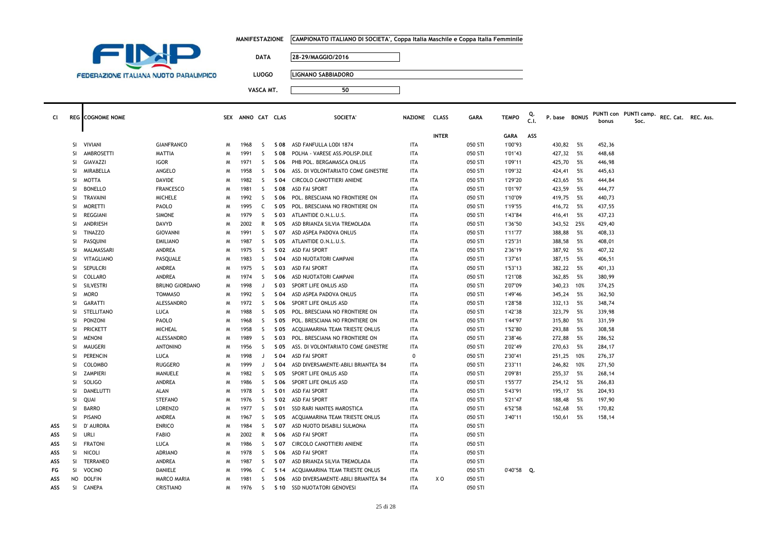| MANIFESTAZIONE      CAMPIONATO ITALIANO DI SOCIETA', Coppa Italia Maschile e Coppa Italia Femminile |
|-----------------------------------------------------------------------------------------------------|
|                                                                                                     |



Т

**DATA 28-29/MAGGIO/2016**

**LUOGO LIGNANO SABBIADORO**

| CI. |           | <b>REG</b> COGNOME NOME |                       |   | SEX ANNO CAT CLAS |              |      | SOCIETA'                            | NAZIONE CLASS |              | <b>GARA</b> | <b>TEMPO</b> | C.1 | P. base BONUS |      | bonus  | PUNTI con PUNTI camp.<br>Soc. | REC. Cat. REC. Ass. |  |
|-----|-----------|-------------------------|-----------------------|---|-------------------|--------------|------|-------------------------------------|---------------|--------------|-------------|--------------|-----|---------------|------|--------|-------------------------------|---------------------|--|
|     |           |                         |                       |   |                   |              |      |                                     |               | <b>INTER</b> |             | GARA         | ASS |               |      |        |                               |                     |  |
|     | SI.       | VIVIANI                 | <b>GIANFRANCO</b>     | M | 1968              | S.           | S 08 | ASD FANFULLA LODI 1874              | <b>ITA</b>    |              | 050 STI     | 1'00"93      |     | 430,82        | 5%   | 452,36 |                               |                     |  |
|     | SI        | AMBROSETTI              | MATTIA                | M | 1991              | S.           | S 08 | POLHA - VARESE ASS.POLISP.DILE      | ITA           |              | 050 STI     | 1'01"43      |     | 427,32        | 5%   | 448,68 |                               |                     |  |
|     | SI        | GIAVAZZI                | <b>IGOR</b>           | M | 1971              | S.           | S 06 | PHB POL. BERGAMASCA ONLUS           | ITA           |              | 050 STI     | 1'09"11      |     | 425,70        | 5%   | 446,98 |                               |                     |  |
|     | SI        | MIRABELLA               | ANGELO                | M | 1958              | S            | S 06 | ASS. DI VOLONTARIATO COME GINESTRE  | ITA           |              | 050 STI     | 1'09"32      |     | 424,41        | 5%   | 445,63 |                               |                     |  |
|     | SI        | <b>MOTTA</b>            | DAVIDE                | M | 1982              | S.           | S 04 | CIRCOLO CANOTTIERI ANIENE           | <b>ITA</b>    |              | 050 STI     | 1'29"20      |     | 423,65        | 5%   | 444,84 |                               |                     |  |
|     | SI        | <b>BONELLO</b>          | <b>FRANCESCO</b>      | M | 1981              | S.           | S 08 | <b>ASD FAI SPORT</b>                | <b>ITA</b>    |              | 050 STI     | 1'01"97      |     | 423,59        | 5%   | 444,77 |                               |                     |  |
|     | <b>SI</b> | <b>TRAVAINI</b>         | <b>MICHELE</b>        | M | 1992              | <sub>S</sub> | S 06 | POL. BRESCIANA NO FRONTIERE ON      | <b>ITA</b>    |              | 050 STI     | 1'10"09      |     | 419,75        | 5%   | 440,73 |                               |                     |  |
|     | SI        | <b>MORETTI</b>          | PAOLO                 | M | 1995              | C            | S 05 | POL. BRESCIANA NO FRONTIERE ON      | <b>ITA</b>    |              | 050 STI     | 1'19"55      |     | 416,72        | 5%   | 437,55 |                               |                     |  |
|     | SI        | REGGIANI                | <b>SIMONE</b>         | M | 1979              | S.           | S 03 | ATLANTIDE O.N.L.U.S.                | <b>ITA</b>    |              | 050 STI     | 1'43"84      |     | 416,41        | 5%   | 437,23 |                               |                     |  |
|     | SI        | ANDRIESH                | DAVYD                 | M | 2002              | R            | S 05 | ASD BRIANZA SILVIA TREMOLADA        | <b>ITA</b>    |              | 050 STI     | 1'36"50      |     | 343,52 25%    |      | 429,40 |                               |                     |  |
|     | SI        | <b>TINAZZO</b>          | <b>GIOVANNI</b>       | M | 1991              | S.           | S 07 | ASD ASPEA PADOVA ONLUS              | <b>ITA</b>    |              | 050 STI     | 1'11"77      |     | 388,88        | 5%   | 408,33 |                               |                     |  |
|     | SI        | PASQUINI                | <b>EMILIANO</b>       | M | 1987              | S.           | S 05 | ATLANTIDE O.N.L.U.S.                | <b>ITA</b>    |              | 050 STI     | 1'25"31      |     | 388,58        | 5%   | 408,01 |                               |                     |  |
|     | SI        | MALMASSARI              | ANDREA                | M | 1975              | S.           | S 02 | <b>ASD FAI SPORT</b>                | <b>ITA</b>    |              | 050 STI     | 2'36"19      |     | 387,92        | 5%   | 407,32 |                               |                     |  |
|     | SI        | VITAGLIANO              | PASQUALE              | M | 1983              | S.           | S 04 | ASD NUOTATORI CAMPANI               | <b>ITA</b>    |              | 050 STI     | 1'37"61      |     | 387,15        | 5%   | 406,51 |                               |                     |  |
|     | SI        | SEPULCRI                | ANDREA                | M | 1975              | S.           | S 03 | ASD FAI SPORT                       | <b>ITA</b>    |              | 050 STI     | 1'53"13      |     | 382,22        | 5%   | 401,33 |                               |                     |  |
|     | SI        | COLLARO                 | ANDREA                | M | 1974              | S.           | S 06 | ASD NUOTATORI CAMPANI               | <b>ITA</b>    |              | 050 STI     | 1'21"08      |     | 362,85        | - 5% | 380,99 |                               |                     |  |
|     | SI        | SILVESTRI               | <b>BRUNO GIORDANO</b> | M | 1998              | J            | S 03 | SPORT LIFE ONLUS ASD                | <b>ITA</b>    |              | 050 STI     | 2'07"09      |     | 340,23        | 10%  | 374,25 |                               |                     |  |
|     | SI        | <b>MORO</b>             | <b>TOMMASO</b>        | M | 1992              | <sub>S</sub> | S 04 | ASD ASPEA PADOVA ONLUS              | <b>ITA</b>    |              | 050 STI     | 1'49"46      |     | 345,24        | 5%   | 362,50 |                               |                     |  |
|     | SI        | <b>GARATTI</b>          | ALESSANDRO            | M | 1972              | <sub>S</sub> | S 06 | SPORT LIFE ONLUS ASD                | <b>ITA</b>    |              | 050 STI     | 1'28"58      |     | 332,13        | 5%   | 348,74 |                               |                     |  |
|     | SI        | STELLITANO              | LUCA                  | M | 1988              | S.           | S 05 | POL. BRESCIANA NO FRONTIERE ON      | <b>ITA</b>    |              | 050 STI     | 1'42"38      |     | 323,79        | 5%   | 339,98 |                               |                     |  |
|     | SI        | PONZONI                 | PAOLO                 | M | 1968              | S.           | S 05 | POL. BRESCIANA NO FRONTIERE ON      | <b>ITA</b>    |              | 050 STI     | 1'44"97      |     | 315,80        | 5%   | 331,59 |                               |                     |  |
|     | SI        | <b>PRICKETT</b>         | <b>MICHEAL</b>        | M | 1958              | S.           | S 05 | ACQUAMARINA TEAM TRIESTE ONLUS      | <b>ITA</b>    |              | 050 STI     | 1'52"80      |     | 293,88        | 5%   | 308,58 |                               |                     |  |
|     | SI        | <b>MENONI</b>           | ALESSANDRO            | M | 1989              | S.           | S 03 | POL. BRESCIANA NO FRONTIERE ON      | <b>ITA</b>    |              | 050 STI     | 2'38"46      |     | 272,88        | 5%   | 286,52 |                               |                     |  |
|     | SI        | <b>MAUGERI</b>          | <b>ANTONINO</b>       | M | 1956              | S.           | S 05 | ASS. DI VOLONTARIATO COME GINESTRE  | <b>ITA</b>    |              | 050 STI     | 2'02"49      |     | 270,63        | 5%   | 284,17 |                               |                     |  |
|     | SI        | PERENCIN                | <b>LUCA</b>           | M | 1998              | J            | S 04 | ASD FAI SPORT                       | $\Omega$      |              | 050 STI     | 2'30"41      |     | 251,25        | 10%  | 276,37 |                               |                     |  |
|     | SI        | <b>COLOMBO</b>          | <b>RUGGERO</b>        | M | 1999              | J            | S 04 | ASD DIVERSAMENTE-ABILI BRIANTEA '84 | <b>ITA</b>    |              | 050 STI     | 2'33"11      |     | 246,82 10%    |      | 271,50 |                               |                     |  |
|     | SI        | ZAMPIERI                | MANUELE               | M | 1982              | S.           | S 05 | SPORT LIFE ONLUS ASD                | <b>ITA</b>    |              | 050 STI     | 2'09"81      |     | 255,37        | 5%   | 268,14 |                               |                     |  |
|     | SI        | <b>SOLIGO</b>           | ANDREA                | M | 1986              | S.           | S 06 | SPORT LIFE ONLUS ASD                | <b>ITA</b>    |              | 050 STI     | 1'55"77      |     | 254,12 5%     |      | 266,83 |                               |                     |  |
|     | <b>SI</b> | DANELUTTI               | ALAN                  | M | 1978              | S            | S 01 | <b>ASD FAI SPORT</b>                | <b>ITA</b>    |              | 050 STI     | 5'43"91      |     | 195,17        | 5%   | 204,93 |                               |                     |  |
|     | <b>SI</b> | QUAI                    | <b>STEFANO</b>        | M | 1976              | <sub>S</sub> | S 02 | ASD FAI SPORT                       | <b>ITA</b>    |              | 050 STI     | 5'21"47      |     | 188,48        | 5%   | 197,90 |                               |                     |  |
|     | <b>SI</b> | <b>BARRO</b>            | <b>LORENZO</b>        | M | 1977              | S            | S 01 | SSD RARI NANTES MAROSTICA           | <b>ITA</b>    |              | 050 STI     | 6'52"58      |     | 162,68        | 5%   | 170,82 |                               |                     |  |
|     | SI.       | <b>PISANO</b>           | ANDREA                | M | 1967              | S.           | S 05 | ACQUAMARINA TEAM TRIESTE ONLUS      | ITA           |              | 050 STI     | 3'40"11      |     | 150,61        | 5%   | 158,14 |                               |                     |  |
| ASS | SI.       | D' AURORA               | <b>ENRICO</b>         | M | 1984              | S.           | S 07 | ASD NUOTO DISABILI SULMONA          | <b>ITA</b>    |              | 050 STI     |              |     |               |      |        |                               |                     |  |
| ASS |           | SI URLI                 | <b>FABIO</b>          | M | 2002              | R            | S 06 | ASD FAI SPORT                       | <b>ITA</b>    |              | 050 STI     |              |     |               |      |        |                               |                     |  |
| ASS |           | SI FRATONI              | <b>LUCA</b>           | M | 1986              | <sub>S</sub> | S 07 | CIRCOLO CANOTTIERI ANIENE           | <b>ITA</b>    |              | 050 STI     |              |     |               |      |        |                               |                     |  |
| ASS | SI.       | NICOLI                  | <b>ADRIANO</b>        | M | 1978              | S            | S 06 | ASD FAI SPORT                       | <b>ITA</b>    |              | 050 STI     |              |     |               |      |        |                               |                     |  |
| ASS | SI.       | TERRANEO                | ANDREA                | M | 1987              | S.           | S 07 | ASD BRIANZA SILVIA TREMOLADA        | ITA           |              | 050 STI     |              |     |               |      |        |                               |                     |  |
| FG  | SI.       | VOCINO                  | DANIELE               | M | 1996              | C            | S 14 | ACQUAMARINA TEAM TRIESTE ONLUS      | ITA           |              | 050 STI     | 0'40"58 Q.   |     |               |      |        |                               |                     |  |
| ASS | NO        | DOLFIN                  | <b>MARCO MARIA</b>    | M | 1981              | S            | S 06 | ASD DIVERSAMENTE-ABILI BRIANTEA '84 | <b>ITA</b>    | x o          | 050 STI     |              |     |               |      |        |                               |                     |  |
| ASS | <b>SI</b> | CANEPA                  | CRISTIANO             | M | 1976              | S.           |      | S 10 SSD NUOTATORI GENOVESI         | <b>ITA</b>    |              | 050 STI     |              |     |               |      |        |                               |                     |  |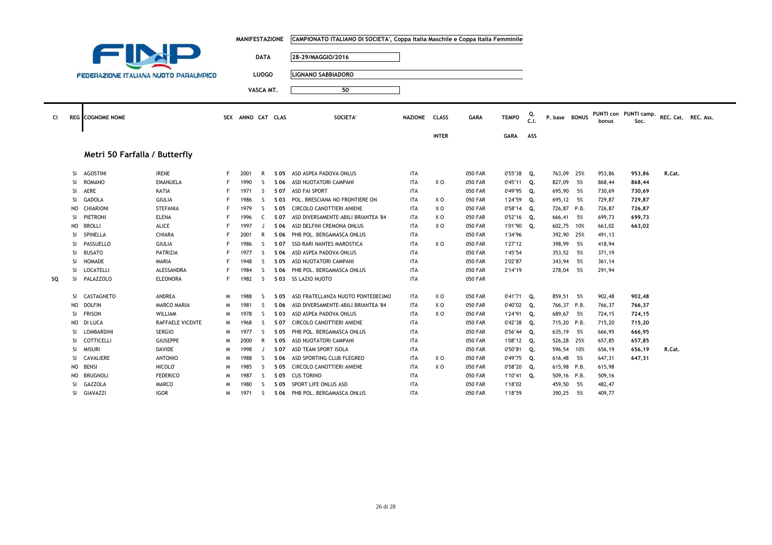|           |               |                                               |                     |   | <b>MANIFESTAZIONE</b> |              |      | CAMPIONATO ITALIANO DI SOCIETA', Coppa Italia Maschile e Coppa Italia Femminile |                |                |                |              |            |               |        |                               |                     |  |
|-----------|---------------|-----------------------------------------------|---------------------|---|-----------------------|--------------|------|---------------------------------------------------------------------------------|----------------|----------------|----------------|--------------|------------|---------------|--------|-------------------------------|---------------------|--|
|           |               |                                               |                     |   |                       | <b>DATA</b>  |      | 28-29/MAGGIO/2016                                                               |                |                |                |              |            |               |        |                               |                     |  |
|           |               |                                               |                     |   |                       |              |      |                                                                                 |                |                |                |              |            |               |        |                               |                     |  |
|           |               | <b>FEDERAZIONE ITALIANA NUOTO PARALIMPICO</b> |                     |   |                       | <b>LUOGO</b> |      | <b>LIGNANO SABBIADORO</b>                                                       |                |                |                |              |            |               |        |                               |                     |  |
|           |               |                                               |                     |   |                       | VASCA MT.    |      | 50                                                                              |                |                |                |              |            |               |        |                               |                     |  |
|           |               |                                               |                     |   |                       |              |      |                                                                                 |                |                |                |              |            |               |        |                               |                     |  |
| <b>CI</b> |               | <b>REG</b> COGNOME NOME                       |                     |   | SEX ANNO CAT CLAS     |              |      | SOCIETA'                                                                        | <b>NAZIONE</b> | <b>CLASS</b>   | <b>GARA</b>    | <b>TEMPO</b> | Q.<br>C.I. | P. base BONUS | bonus  | PUNTI con PUNTI camp.<br>Soc. | REC. Cat. REC. Ass. |  |
|           |               |                                               |                     |   |                       |              |      |                                                                                 |                | <b>INTER</b>   |                | <b>GARA</b>  | ASS        |               |        |                               |                     |  |
|           |               | Metri 50 Farfalla / Butterfly                 |                     |   |                       |              |      |                                                                                 |                |                |                |              |            |               |        |                               |                     |  |
|           | -SI           | <b>AGOSTINI</b>                               | <b>IRENE</b>        | F | 2001                  | R            |      | S 05 ASD ASPEA PADOVA ONLUS                                                     | <b>ITA</b>     |                | <b>050 FAR</b> | 0'55"38 Q.   |            | 763,09 25%    | 953,86 | 953,86                        | R.Cat.              |  |
|           | <b>SI</b>     | <b>ROMANO</b>                                 | <b>EMANUELA</b>     |   | 1990                  | <sub>S</sub> | S 06 | ASD NUOTATORI CAMPANI                                                           | <b>ITA</b>     | X O            | <b>050 FAR</b> | 0'45"11 Q.   |            | 827,09 5%     | 868,44 | 868,44                        |                     |  |
|           | <b>SI</b>     | AERE                                          | KATIA               | F | 1971                  | S            | S 07 | <b>ASD FAI SPORT</b>                                                            | <b>ITA</b>     |                | <b>050 FAR</b> | 0'49"95 Q.   |            | 695,90 5%     | 730,69 | 730,69                        |                     |  |
|           | SI.           | GADOLA                                        | GIULIA              |   | 1986                  | S            | S 03 | POL. BRESCIANA NO FRONTIERE ON                                                  | ITA            | x o            | <b>050 FAR</b> | 1'24"59 Q.   |            | 695,12 5%     | 729,87 | 729,87                        |                     |  |
|           | NO            | CHIARIONI                                     | STEFANIA            |   | 1979                  | S            | S 05 | CIRCOLO CANOTTIERI ANIENE                                                       | <b>ITA</b>     | x o            | 050 FAR        | 0'58"14 Q.   |            | 726,87 P.B.   | 726,87 | 726,87                        |                     |  |
|           | SI.           | PIETRONI                                      | <b>ELENA</b>        |   | 1996                  | C            | S 07 | ASD DIVERSAMENTE-ABILI BRIANTEA '84                                             | <b>ITA</b>     | X O            | <b>050 FAR</b> | $0'52"16$ Q. |            | 666,41 5%     | 699,73 | 699,73                        |                     |  |
|           | NO            | <b>BROLLI</b>                                 | <b>ALICE</b>        | F | 1997                  | J            | S 06 | ASD DELFINI CREMONA ONLUS                                                       | <b>ITA</b>     | X O            | <b>050 FAR</b> | 1'01"90      | Q.         | 602,75 10%    | 663,02 | 663,02                        |                     |  |
|           | -SI           | SPINELLA                                      | CHIARA              | F | 2001                  | R            | S 06 | PHB POL. BERGAMASCA ONLUS                                                       | <b>ITA</b>     |                | <b>050 FAR</b> | 1'34"96      |            | 392,90 25%    | 491,13 |                               |                     |  |
|           | -SI           | PASSUELLO                                     | <b>GIULIA</b>       |   | 1986                  | S            | S 07 | SSD RARI NANTES MAROSTICA                                                       | <b>ITA</b>     | X O            | <b>050 FAR</b> | 1'27"12      |            | 398,99 5%     | 418,94 |                               |                     |  |
|           | <sup>SI</sup> | <b>BUSATO</b>                                 | PATRIZIA            |   | 1977                  | S            | S 06 | ASD ASPEA PADOVA ONLUS                                                          | <b>ITA</b>     |                | <b>050 FAR</b> | 1'45"54      |            | 353,52 5%     | 371,19 |                               |                     |  |
|           | -SI           | NOMADE                                        | MARIA               |   | 1948                  | S.           | S 05 | ASD NUOTATORI CAMPANI                                                           | <b>ITA</b>     |                | <b>050 FAR</b> | 2'02"87      |            | 343,94 5%     | 361,14 |                               |                     |  |
|           | -SI           | LOCATELLI                                     | ALESSANDRA          | F | 1984                  | -S           | S 06 | PHB POL. BERGAMASCA ONLUS                                                       | <b>ITA</b>     |                | <b>050 FAR</b> | 2'14"19      |            | 278,04 5%     | 291,94 |                               |                     |  |
| SQ        | -SI           | PALAZZOLO                                     | <b>ELEONORA</b>     | F | 1982                  | <sub>S</sub> |      | S 03 SS LAZIO NUOTO                                                             | <b>ITA</b>     |                | <b>050 FAR</b> |              |            |               |        |                               |                     |  |
|           | -SI.          | CASTAGNETO                                    | ANDREA              | м | 1988                  | -S           | S 05 | ASD FRATELLANZA NUOTO PONTEDECIMO                                               | ITA            | x o            | <b>050 FAR</b> | 0'41"71      | Q.         | 859,51 5%     | 902,48 | 902,48                        |                     |  |
|           | NO.           | <b>DOLFIN</b>                                 | MARCO MARIA         | м | 1981                  | S.           | S 06 | ASD DIVERSAMENTE-ABILI BRIANTEA '84                                             | ITA            | x o            | <b>050 FAR</b> | 0'40"02 Q.   |            | 766,37 P.B.   | 766,37 | 766,37                        |                     |  |
|           | <b>SI</b>     | <b>FRISON</b>                                 | WILLIAM             | м | 1978                  | <sub>S</sub> | S 03 | ASD ASPEA PADOVA ONLUS                                                          | <b>ITA</b>     | X <sub>0</sub> | <b>050 FAR</b> | 1'24"91      | Q.         | 689,67 5%     | 724,15 | 724,15                        |                     |  |
|           | NO            | DI LUCA                                       | RAFFAELE VICENTE    | M | 1968                  | S            | S 07 | CIRCOLO CANOTTIERI ANIENE                                                       | <b>ITA</b>     |                | <b>050 FAR</b> | 0'42"38 Q.   |            | 715,20 P.B.   | 715,20 | 715,20                        |                     |  |
|           | -SI           | LOMBARDINI                                    | <b>SERGIO</b>       | м | 1977                  | <sub>S</sub> | S 05 | PHB POL. BERGAMASCA ONLUS                                                       | <b>ITA</b>     |                | <b>050 FAR</b> | 0'56"44 Q.   |            | 635,19 5%     | 666,95 | 666,95                        |                     |  |
|           | <b>SI</b>     | COTTICELLI                                    | <b>GIUSEPPE</b>     | м | 2000                  | R            | S 05 | ASD NUOTATORI CAMPANI                                                           | <b>ITA</b>     |                | <b>050 FAR</b> | 1'08"12 Q.   |            | 526,28 25%    | 657,85 | 657,85                        |                     |  |
|           | <b>SI</b>     | <b>MISURI</b>                                 | DAVIDE              | M | 1998                  | $\mathbf{J}$ | S 07 | ASD TEAM SPORT ISOLA                                                            | ITA            |                | <b>050 FAR</b> | 0'50"81 Q.   |            | 596,54 10%    | 656,19 | 656,19                        | R.Cat.              |  |
|           | SI.           | CAVALIERE                                     | <b>ANTONIO</b>      | M | 1988                  | S            | S 06 | ASD SPORTING CLUB FLEGREO                                                       | ITA            | X O            | <b>050 FAR</b> | 0'49"75 Q.   |            | 616,48 5%     | 647,31 | 647,31                        |                     |  |
|           | NO.           | <b>BENSI</b>                                  | NICOLO <sup>®</sup> | M | 1985                  | S            |      | S 05 CIRCOLO CANOTTIERI ANIENE                                                  | <b>ITA</b>     | X O            | <b>050 FAR</b> | 0'58"20      | Q.         | 615,98 P.B.   | 615,98 |                               |                     |  |
|           | NO.           | <b>BRUGNOLI</b>                               | <b>FEDERICO</b>     | м | 1987                  | S            |      | S 05 CUS TORINO                                                                 | <b>ITA</b>     |                | <b>050 FAR</b> | 1'10"41      | Q.         | 509,16 P.B.   | 509,16 |                               |                     |  |
|           | SI            | <b>GAZZOLA</b>                                | <b>MARCO</b>        | м | 1980                  | S            | S 05 | SPORT LIFE ONLUS ASD                                                            | <b>ITA</b>     |                | <b>050 FAR</b> | 1'18"02      |            | 459,50 5%     | 482,47 |                               |                     |  |
|           | <b>SI</b>     | GIAVAZZI                                      | <b>IGOR</b>         | M | 1971                  | <sub>S</sub> |      | S 06 PHB POL. BERGAMASCA ONLUS                                                  | <b>ITA</b>     |                | 050 FAR        | 1'18"59      |            | 390,25 5%     | 409,77 |                               |                     |  |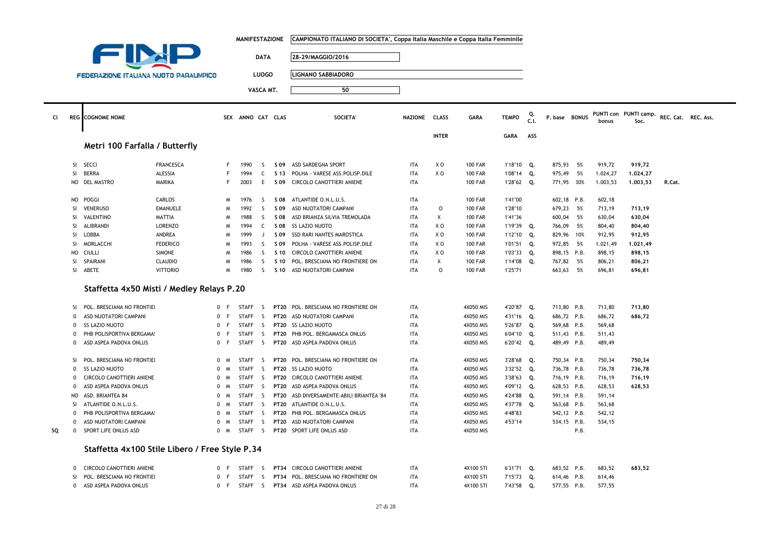|    |              |                                                |                                   |                     | <b>MANIFESTAZIONE</b> |              |                       | CAMPIONATO ITALIANO DI SOCIETA', Coppa Italia Maschile e Coppa Italia Femminile |               |                |                |              |            |               |        |          |                       |                     |  |
|----|--------------|------------------------------------------------|-----------------------------------|---------------------|-----------------------|--------------|-----------------------|---------------------------------------------------------------------------------|---------------|----------------|----------------|--------------|------------|---------------|--------|----------|-----------------------|---------------------|--|
|    |              |                                                |                                   |                     |                       |              |                       |                                                                                 |               |                |                |              |            |               |        |          |                       |                     |  |
|    |              |                                                |                                   |                     |                       | <b>DATA</b>  |                       | 28-29/MAGGIO/2016                                                               |               |                |                |              |            |               |        |          |                       |                     |  |
|    |              |                                                |                                   |                     |                       |              |                       |                                                                                 |               |                |                |              |            |               |        |          |                       |                     |  |
|    |              | <b>FEDERAZIONE ITALIANA NUOTO PARALIMPICO</b>  |                                   |                     |                       | <b>LUOGO</b> |                       | <b>LIGNANO SABBIADORO</b>                                                       |               |                |                |              |            |               |        |          |                       |                     |  |
|    |              |                                                |                                   |                     |                       | VASCA MT.    |                       | 50                                                                              |               |                |                |              |            |               |        |          |                       |                     |  |
|    |              |                                                |                                   |                     |                       |              |                       |                                                                                 |               |                |                |              |            |               |        |          |                       |                     |  |
|    |              |                                                |                                   |                     |                       |              |                       |                                                                                 |               |                |                |              |            |               |        |          |                       |                     |  |
| CI |              | <b>REG</b> COGNOME NOME                        |                                   |                     | SEX ANNO CAT CLAS     |              |                       | SOCIETA'                                                                        | NAZIONE CLASS |                | <b>GARA</b>    | <b>TEMPO</b> | Q.<br>C.I. | P. base BONUS |        |          | PUNTI con PUNTI camp. | REC. Cat. REC. Ass. |  |
|    |              |                                                |                                   |                     |                       |              |                       |                                                                                 |               |                |                |              |            |               |        | bonus    | Soc.                  |                     |  |
|    |              |                                                |                                   |                     |                       |              |                       |                                                                                 |               | <b>INTER</b>   |                | <b>GARA</b>  | ASS        |               |        |          |                       |                     |  |
|    |              | Metri 100 Farfalla / Butterfly                 |                                   |                     |                       |              |                       |                                                                                 |               |                |                |              |            |               |        |          |                       |                     |  |
|    |              |                                                |                                   |                     |                       |              |                       |                                                                                 |               |                |                |              |            |               |        |          |                       |                     |  |
|    | SI           | <b>SECCI</b>                                   | <b>FRANCESCA</b>                  | F                   | 1990                  | S            |                       | S 09 ASD SARDEGNA SPORT                                                         | ITA           | XO             | <b>100 FAR</b> | 1'18"10 Q.   |            | 875,93 5%     |        | 919,72   | 919,72                |                     |  |
|    | SI           | <b>BERRA</b>                                   | <b>ALESSIA</b>                    | F                   | 1994                  | C            | S 13                  | POLHA - VARESE ASS.POLISP.DILE                                                  | <b>ITA</b>    | XO             | <b>100 FAR</b> | 1'08"14      | Q.         | 975,49        | 5%     | 1.024,27 | 1.024,27              |                     |  |
|    | NO           | <b>DEL MASTRO</b>                              | <b>MARIKA</b>                     | F                   | 2003                  | E            | S 09                  | CIRCOLO CANOTTIERI ANIENE                                                       | <b>ITA</b>    |                | <b>100 FAR</b> | 1'28"62 Q.   |            | 771,95 30%    |        | 1.003,53 | 1.003,53              | R.Cat.              |  |
|    |              |                                                |                                   |                     |                       |              |                       |                                                                                 |               |                |                |              |            |               |        |          |                       |                     |  |
|    | NO           | POGGI                                          | CARLOS                            | M                   | 1976                  | S            | S 08                  | ATLANTIDE O.N.L.U.S.                                                            | ITA           |                | <b>100 FAR</b> | 1'41"00      |            | 602,18 P.B.   |        | 602,18   |                       |                     |  |
|    | SI           | <b>VENERUSO</b>                                | <b>EMANUELE</b>                   | M                   | 1992                  | S            | S 09                  | ASD NUOTATORI CAMPANI                                                           | <b>ITA</b>    | $\mathsf{O}$   | <b>100 FAR</b> | 1'28"10      |            | 679,23        | 5%     | 713,19   | 713,19                |                     |  |
|    | <b>SI</b>    | VALENTINO                                      | MATTIA                            | M                   | 1988                  | S.           | S 08                  | ASD BRIANZA SILVIA TREMOLADA                                                    | <b>ITA</b>    | X              | <b>100 FAR</b> | 1'41"36      |            | 600,04        | 5%     | 630,04   | 630,04                |                     |  |
|    | SI           | ALIBRANDI                                      | LORENZO                           | M                   | 1994                  | C            | S 08                  | SS LAZIO NUOTO                                                                  | ITA           | X O            | <b>100 FAR</b> | 1'19"39 Q.   |            | 766,09        | 5%     | 804,40   | 804,40                |                     |  |
|    | SI           | LOBBA                                          | ANDREA                            | M                   | 1999                  | $\perp$      | S 09                  | SSD RARI NANTES MAROSTICA                                                       | <b>ITA</b>    | XO             | <b>100 FAR</b> | 1'12"10      | Q.         | 829,96 10%    |        | 912,95   | 912,95                |                     |  |
|    | SI           | MORLACCHI                                      | <b>FEDERICO</b>                   | M                   | 1993                  | S.           | S 09                  | POLHA - VARESE ASS.POLISP.DILE                                                  | <b>ITA</b>    | X O            | <b>100 FAR</b> | 1'01"51 Q.   |            | 972,85 5%     |        | 1.021,49 | 1.021,49              |                     |  |
|    | <b>NO</b>    | CIULLI                                         | <b>SIMONE</b>                     | M                   | 1986                  | S.           | S 10                  | CIRCOLO CANOTTIERI ANIENE                                                       | <b>ITA</b>    | X O            | <b>100 FAR</b> | 1'03"33      | Q.         | 898,15 P.B.   |        | 898,15   | 898,15                |                     |  |
|    | SI           | SPAIRANI                                       | <b>CLAUDIO</b><br><b>VITTORIO</b> | M                   | 1986                  | S            | S 10                  | POL. BRESCIANA NO FRONTIERE ON                                                  | ITA           | X              | <b>100 FAR</b> | 1'14"08      | Q.         | 767,82        | 5%     | 806,21   | 806,21                |                     |  |
|    | SI           | ABETE                                          | M                                 | 1980                | <sub>S</sub>          | S 10         | ASD NUOTATORI CAMPANI | <b>ITA</b>                                                                      | $\mathsf{O}$  | <b>100 FAR</b> | 1'25"71        |              | 663,63     | 5%            | 696,81 | 696,81   |                       |                     |  |
|    |              |                                                |                                   |                     |                       |              |                       |                                                                                 |               |                |                |              |            |               |        |          |                       |                     |  |
|    |              | Staffetta 4x50 Misti / Medley Relays P.20      |                                   |                     |                       |              |                       |                                                                                 |               |                |                |              |            |               |        |          |                       |                     |  |
|    | SI           | POL. BRESCIANA NO FRONTIEI                     |                                   | 0 F                 | <b>STAFF</b>          | -S           | <b>PT20</b>           | POL. BRESCIANA NO FRONTIERE ON                                                  | ITA           |                | 4X050 MIS      | 4'20"87      | Q.         | 713,80 P.B.   |        | 713,80   | 713,80                |                     |  |
|    | $\mathbf 0$  | ASD NUOTATORI CAMPANI                          | $\mathbf{0}$                      | E                   | <b>STAFF</b>          | S.           | <b>PT20</b>           | ASD NUOTATORI CAMPANI                                                           | <b>ITA</b>    |                | 4X050 MIS      | 4'31"16 Q.   |            | 686,72 P.B.   |        | 686,72   | 686,72                |                     |  |
|    | 0            | <b>SS LAZIO NUOTO</b>                          |                                   | $\mathbf{0}$<br>F   | <b>STAFF</b>          | S.           |                       | PT20 SS LAZIO NUOTO                                                             | <b>ITA</b>    |                | 4X050 MIS      | 5'26"87 Q.   |            | 569,68 P.B.   |        | 569,68   |                       |                     |  |
|    | $\mathbf 0$  | PHB POLISPORTIVA BERGAMA!                      |                                   | 0<br>F              | <b>STAFF</b>          | <sub>S</sub> | <b>PT20</b>           | PHB POL. BERGAMASCA ONLUS                                                       | <b>ITA</b>    |                | 4X050 MIS      | 6'04"10      | Q.         | 511,43 P.B.   |        | 511,43   |                       |                     |  |
|    | 0            | ASD ASPEA PADOVA ONLUS                         |                                   | $\mathbf{0}$<br>- F | <b>STAFF</b>          | S.           |                       | PT20 ASD ASPEA PADOVA ONLUS                                                     | ITA           |                | 4X050 MIS      | 6'20"42 Q.   |            | 489,49 P.B.   |        | 489,49   |                       |                     |  |
|    |              |                                                |                                   |                     |                       |              |                       |                                                                                 |               |                |                |              |            |               |        |          |                       |                     |  |
|    | <b>SI</b>    | POL. BRESCIANA NO FRONTIEI                     |                                   | 0 M                 | <b>STAFF</b>          | -S           |                       | PT20 POL. BRESCIANA NO FRONTIERE ON                                             | ITA           |                | 4X050 MIS      | 3'28"68 Q.   |            | 750,34 P.B.   |        | 750,34   | 750,34                |                     |  |
|    | $\mathbf 0$  | <b>SS LAZIO NUOTO</b>                          |                                   | $\mathbf{0}$<br>M   | <b>STAFF</b>          | S            |                       | PT20 SS LAZIO NUOTO                                                             | <b>ITA</b>    |                | 4X050 MIS      | 3'32"52 Q.   |            | 736,78 P.B.   |        | 736,78   | 736,78                |                     |  |
|    | 0            | CIRCOLO CANOTTIERI ANIENE                      | $\mathbf 0$                       | M                   | <b>STAFF</b>          | S.           | <b>PT20</b>           | CIRCOLO CANOTTIERI ANIENE                                                       | ITA           |                | 4X050 MIS      | 3'38"63      | Q.         | 716,19 P.B.   |        | 716,19   | 716,19                |                     |  |
|    | $\Omega$     | ASD ASPEA PADOVA ONLUS                         |                                   | 0 M                 | <b>STAFF</b>          | - S          | <b>PT20</b>           | ASD ASPEA PADOVA ONLUS                                                          | <b>ITA</b>    |                | 4X050 MIS      | 4'09"12 Q.   |            | 628,53 P.B.   |        | 628,53   | 628,53                |                     |  |
|    | NO           | ASD. BRIANTEA 84                               |                                   | $\mathbf{0}$<br>M   | <b>STAFF</b>          | S.           | <b>PT20</b>           | ASD DIVERSAMENTE-ABILI BRIANTEA '84                                             | ITA           |                | 4X050 MIS      | 4'24"88      | Q.         | 591,14 P.B.   |        | 591,14   |                       |                     |  |
|    | SI           | ATLANTIDE O.N.L.U.S.                           |                                   | 0<br>M              | <b>STAFF</b>          | <sub>S</sub> |                       | PT20 ATLANTIDE O.N.L.U.S.                                                       | <b>ITA</b>    |                | 4X050 MIS      | 4'37"78      | Q.         | 563,68 P.B.   |        | 563,68   |                       |                     |  |
|    | 0            | PHB POLISPORTIVA BERGAMA!                      |                                   | 0 M                 | <b>STAFF</b>          | S.           |                       | PT20 PHB POL. BERGAMASCA ONLUS                                                  | ITA           |                | 4X050 MIS      | 4'48"83      |            | 542,12 P.B.   |        | 542,12   |                       |                     |  |
|    | $\Omega$     | ASD NUOTATORI CAMPANI                          |                                   | $\mathbf{0}$<br>M   | <b>STAFF</b>          | -S           | PT <sub>20</sub>      | ASD NUOTATORI CAMPANI                                                           | <b>ITA</b>    |                | 4X050 MIS      | 4'53"14      |            | 534,15 P.B.   |        | 534,15   |                       |                     |  |
| SQ | $\mathbf 0$  | SPORT LIFE ONLUS ASD                           |                                   | 0 M                 | STAFF S               |              |                       | PT20 SPORT LIFE ONLUS ASD                                                       | ITA           |                | 4X050 MIS      |              |            |               | P.B.   |          |                       |                     |  |
|    |              | Staffetta 4x100 Stile Libero / Free Style P.34 |                                   |                     |                       |              |                       |                                                                                 |               |                |                |              |            |               |        |          |                       |                     |  |
|    |              |                                                |                                   |                     |                       |              |                       |                                                                                 |               |                |                |              |            |               |        |          |                       |                     |  |
|    | $\mathbf 0$  | CIRCOLO CANOTTIERI ANIENE                      |                                   | $0$ F               | <b>STAFF</b>          | $\varsigma$  |                       | PT34 CIRCOLO CANOTTIERI ANIENE                                                  | <b>ITA</b>    |                | 4X100 STI      | 6'31"71 Q.   |            | 683,52 P.B.   |        | 683,52   | 683,52                |                     |  |
|    | <b>SI</b>    | POL. BRESCIANA NO FRONTIEI                     |                                   | $\mathbf{0}$        | <b>STAFF</b>          | -S           | <b>PT34</b>           | POL. BRESCIANA NO FRONTIERE ON                                                  | <b>ITA</b>    |                | 4X100 STI      | 7'15"73      | Q.         | 614,46 P.B.   |        | 614,46   |                       |                     |  |
|    | $\mathbf{0}$ | ASD ASPEA PADOVA ONLUS                         |                                   | 0 F                 | STAFF S               |              |                       | PT34 ASD ASPEA PADOVA ONLUS                                                     | <b>ITA</b>    |                | 4X100 STI      | 7'43"58 Q.   |            | 577,55 P.B.   |        | 577,55   |                       |                     |  |
|    |              |                                                |                                   |                     |                       |              |                       |                                                                                 |               |                |                |              |            |               |        |          |                       |                     |  |